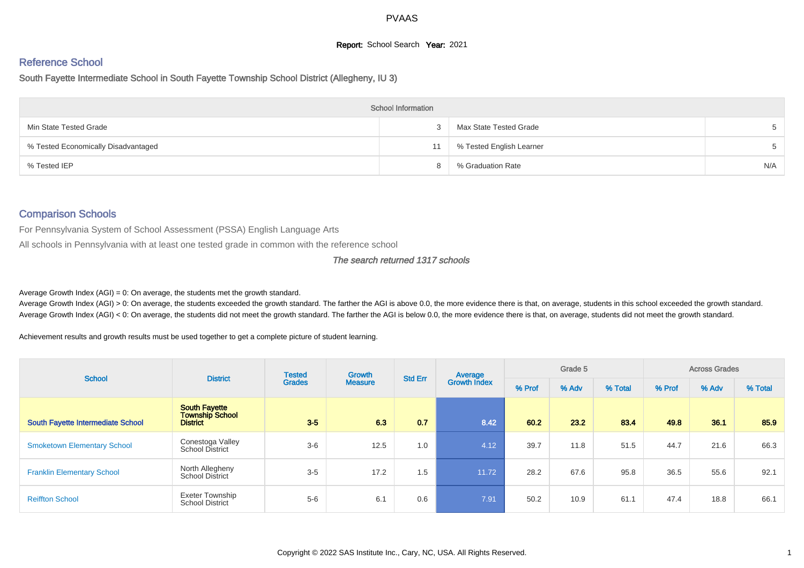#### **Report:** School Search **Year:** 2021

# Reference School

South Fayette Intermediate School in South Fayette Township School District (Allegheny, IU 3)

| <b>School Information</b>           |    |                          |     |  |  |  |  |  |  |  |  |
|-------------------------------------|----|--------------------------|-----|--|--|--|--|--|--|--|--|
| Min State Tested Grade              |    | Max State Tested Grade   |     |  |  |  |  |  |  |  |  |
| % Tested Economically Disadvantaged | 11 | % Tested English Learner |     |  |  |  |  |  |  |  |  |
| % Tested IEP                        |    | % Graduation Rate        | N/A |  |  |  |  |  |  |  |  |

#### Comparison Schools

For Pennsylvania System of School Assessment (PSSA) English Language Arts

All schools in Pennsylvania with at least one tested grade in common with the reference school

#### The search returned 1317 schools

Average Growth Index  $(AGI) = 0$ : On average, the students met the growth standard.

Average Growth Index (AGI) > 0: On average, the students exceeded the growth standard. The farther the AGI is above 0.0, the more evidence there is that, on average, students in this school exceeded the growth standard. Average Growth Index (AGI) < 0: On average, the students did not meet the growth standard. The farther the AGI is below 0.0, the more evidence there is that, on average, students did not meet the growth standard.

Achievement results and growth results must be used together to get a complete picture of student learning.

| <b>School</b>                            | <b>District</b>                                                   | <b>Tested</b> | Growth         |                | Average<br>Growth Index | Grade 5 |       |         | <b>Across Grades</b> |       |         |  |
|------------------------------------------|-------------------------------------------------------------------|---------------|----------------|----------------|-------------------------|---------|-------|---------|----------------------|-------|---------|--|
|                                          |                                                                   | <b>Grades</b> | <b>Measure</b> | <b>Std Err</b> |                         | % Prof  | % Adv | % Total | % Prof               | % Adv | % Total |  |
| <b>South Fayette Intermediate School</b> | <b>South Favette</b><br><b>Township School</b><br><b>District</b> | $3-5$         | 6.3            | 0.7            | 8.42                    | 60.2    | 23.2  | 83.4    | 49.8                 | 36.1  | 85.9    |  |
| <b>Smoketown Elementary School</b>       | Conestoga Valley<br><b>School District</b>                        | $3-6$         | 12.5           | 1.0            | 4.12                    | 39.7    | 11.8  | 51.5    | 44.7                 | 21.6  | 66.3    |  |
| <b>Franklin Elementary School</b>        | North Allegheny<br><b>School District</b>                         | $3-5$         | 17.2           | 1.5            | 11.72                   | 28.2    | 67.6  | 95.8    | 36.5                 | 55.6  | 92.1    |  |
| <b>Reiffton School</b>                   | <b>Exeter Township</b><br><b>School District</b>                  | $5-6$         | 6.1            | 0.6            | 7.91                    | 50.2    | 10.9  | 61.1    | 47.4                 | 18.8  | 66.1    |  |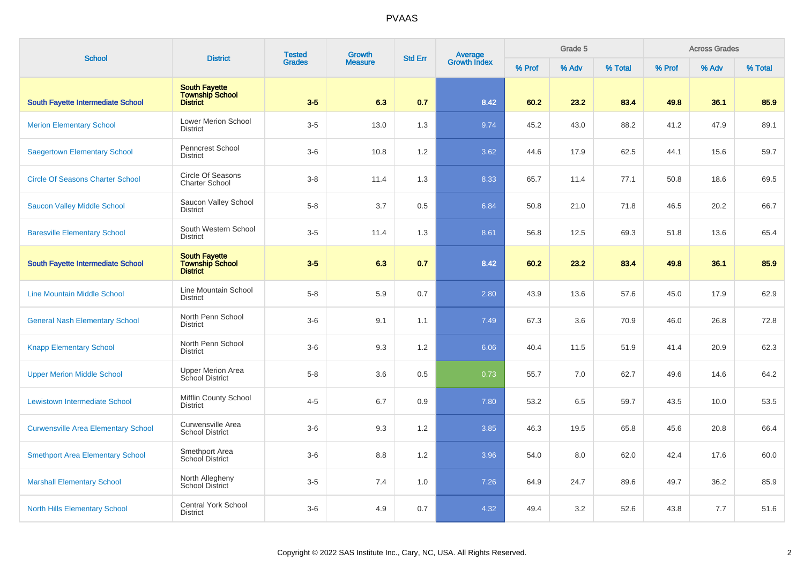| <b>School</b>                              | <b>District</b>                                                   | <b>Tested</b><br><b>Grades</b> | <b>Growth</b>  | <b>Std Err</b> | Average<br>Growth Index | Grade 5 |       |         | <b>Across Grades</b> |       |         |  |
|--------------------------------------------|-------------------------------------------------------------------|--------------------------------|----------------|----------------|-------------------------|---------|-------|---------|----------------------|-------|---------|--|
|                                            |                                                                   |                                | <b>Measure</b> |                |                         | % Prof  | % Adv | % Total | % Prof               | % Adv | % Total |  |
| South Fayette Intermediate School          | <b>South Fayette</b><br><b>Township School</b><br><b>District</b> | $3-5$                          | 6.3            | 0.7            | 8.42                    | 60.2    | 23.2  | 83.4    | 49.8                 | 36.1  | 85.9    |  |
| <b>Merion Elementary School</b>            | <b>Lower Merion School</b><br><b>District</b>                     | $3-5$                          | 13.0           | 1.3            | 9.74                    | 45.2    | 43.0  | 88.2    | 41.2                 | 47.9  | 89.1    |  |
| <b>Saegertown Elementary School</b>        | <b>Penncrest School</b><br><b>District</b>                        | $3-6$                          | 10.8           | 1.2            | 3.62                    | 44.6    | 17.9  | 62.5    | 44.1                 | 15.6  | 59.7    |  |
| <b>Circle Of Seasons Charter School</b>    | Circle Of Seasons<br><b>Charter School</b>                        | $3 - 8$                        | 11.4           | 1.3            | 8.33                    | 65.7    | 11.4  | 77.1    | 50.8                 | 18.6  | 69.5    |  |
| <b>Saucon Valley Middle School</b>         | Saucon Valley School<br><b>District</b>                           | $5-8$                          | 3.7            | 0.5            | 6.84                    | 50.8    | 21.0  | 71.8    | 46.5                 | 20.2  | 66.7    |  |
| <b>Baresville Elementary School</b>        | South Western School<br><b>District</b>                           | $3-5$                          | 11.4           | 1.3            | 8.61                    | 56.8    | 12.5  | 69.3    | 51.8                 | 13.6  | 65.4    |  |
| <b>South Fayette Intermediate School</b>   | <b>South Fayette</b><br>Township School<br>District               | $3-5$                          | 6.3            | 0.7            | 8.42                    | 60.2    | 23.2  | 83.4    | 49.8                 | 36.1  | 85.9    |  |
| <b>Line Mountain Middle School</b>         | Line Mountain School<br><b>District</b>                           | $5 - 8$                        | 5.9            | 0.7            | 2.80                    | 43.9    | 13.6  | 57.6    | 45.0                 | 17.9  | 62.9    |  |
| <b>General Nash Elementary School</b>      | North Penn School<br><b>District</b>                              | $3-6$                          | 9.1            | 1.1            | 7.49                    | 67.3    | 3.6   | 70.9    | 46.0                 | 26.8  | 72.8    |  |
| <b>Knapp Elementary School</b>             | North Penn School<br><b>District</b>                              | $3-6$                          | 9.3            | 1.2            | 6.06                    | 40.4    | 11.5  | 51.9    | 41.4                 | 20.9  | 62.3    |  |
| <b>Upper Merion Middle School</b>          | <b>Upper Merion Area</b><br>School District                       | $5 - 8$                        | 3.6            | 0.5            | 0.73                    | 55.7    | 7.0   | 62.7    | 49.6                 | 14.6  | 64.2    |  |
| <b>Lewistown Intermediate School</b>       | Mifflin County School<br><b>District</b>                          | $4 - 5$                        | 6.7            | 0.9            | 7.80                    | 53.2    | 6.5   | 59.7    | 43.5                 | 10.0  | 53.5    |  |
| <b>Curwensville Area Elementary School</b> | Curwensville Area<br><b>School District</b>                       | $3-6$                          | 9.3            | 1.2            | 3.85                    | 46.3    | 19.5  | 65.8    | 45.6                 | 20.8  | 66.4    |  |
| <b>Smethport Area Elementary School</b>    | Smethport Area<br>School District                                 | $3-6$                          | 8.8            | 1.2            | 3.96                    | 54.0    | 8.0   | 62.0    | 42.4                 | 17.6  | 60.0    |  |
| <b>Marshall Elementary School</b>          | North Allegheny<br>School District                                | $3-5$                          | 7.4            | 1.0            | 7.26                    | 64.9    | 24.7  | 89.6    | 49.7                 | 36.2  | 85.9    |  |
| <b>North Hills Elementary School</b>       | <b>Central York School</b><br><b>District</b>                     | $3-6$                          | 4.9            | 0.7            | 4.32                    | 49.4    | 3.2   | 52.6    | 43.8                 | 7.7   | 51.6    |  |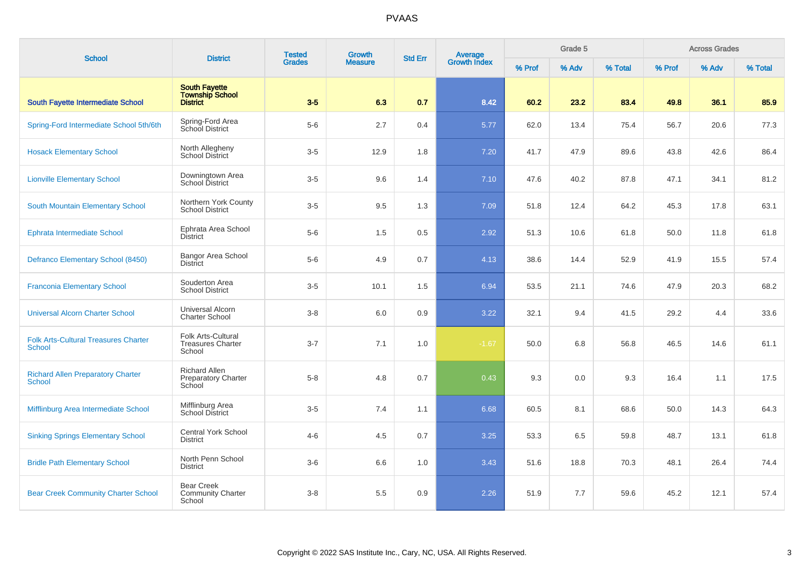| <b>School</b>                                                | <b>District</b>                                              | <b>Tested</b><br><b>Grades</b> | Growth         | <b>Std Err</b> | <b>Average</b><br>Growth Index | Grade 5 |       |         | <b>Across Grades</b> |       |         |  |
|--------------------------------------------------------------|--------------------------------------------------------------|--------------------------------|----------------|----------------|--------------------------------|---------|-------|---------|----------------------|-------|---------|--|
|                                                              |                                                              |                                | <b>Measure</b> |                |                                | % Prof  | % Adv | % Total | % Prof               | % Adv | % Total |  |
| South Fayette Intermediate School                            | <b>South Fayette</b><br>Township School<br>District          | $3-5$                          | 6.3            | 0.7            | 8.42                           | 60.2    | 23.2  | 83.4    | 49.8                 | 36.1  | 85.9    |  |
| Spring-Ford Intermediate School 5th/6th                      | Spring-Ford Area<br>School District                          | $5-6$                          | 2.7            | 0.4            | 5.77                           | 62.0    | 13.4  | 75.4    | 56.7                 | 20.6  | 77.3    |  |
| <b>Hosack Elementary School</b>                              | North Allegheny<br>School District                           | $3-5$                          | 12.9           | 1.8            | 7.20                           | 41.7    | 47.9  | 89.6    | 43.8                 | 42.6  | 86.4    |  |
| <b>Lionville Elementary School</b>                           | Downingtown Area<br><b>School District</b>                   | $3-5$                          | 9.6            | 1.4            | 7.10                           | 47.6    | 40.2  | 87.8    | 47.1                 | 34.1  | 81.2    |  |
| South Mountain Elementary School                             | Northern York County<br><b>School District</b>               | $3-5$                          | 9.5            | 1.3            | 7.09                           | 51.8    | 12.4  | 64.2    | 45.3                 | 17.8  | 63.1    |  |
| Ephrata Intermediate School                                  | Ephrata Area School<br><b>District</b>                       | $5-6$                          | 1.5            | 0.5            | 2.92                           | 51.3    | 10.6  | 61.8    | 50.0                 | 11.8  | 61.8    |  |
| Defranco Elementary School (8450)                            | Bangor Area School<br><b>District</b>                        | $5-6$                          | 4.9            | 0.7            | 4.13                           | 38.6    | 14.4  | 52.9    | 41.9                 | 15.5  | 57.4    |  |
| <b>Franconia Elementary School</b>                           | Souderton Area<br><b>School District</b>                     | $3-5$                          | 10.1           | 1.5            | 6.94                           | 53.5    | 21.1  | 74.6    | 47.9                 | 20.3  | 68.2    |  |
| <b>Universal Alcorn Charter School</b>                       | <b>Universal Alcorn</b><br><b>Charter School</b>             | $3 - 8$                        | 6.0            | 0.9            | 3.22                           | 32.1    | 9.4   | 41.5    | 29.2                 | 4.4   | 33.6    |  |
| <b>Folk Arts-Cultural Treasures Charter</b><br><b>School</b> | Folk Arts-Cultural<br><b>Treasures Charter</b><br>School     | $3 - 7$                        | 7.1            | 1.0            | $-1.67$                        | 50.0    | 6.8   | 56.8    | 46.5                 | 14.6  | 61.1    |  |
| <b>Richard Allen Preparatory Charter</b><br><b>School</b>    | <b>Richard Allen</b><br><b>Preparatory Charter</b><br>School | $5 - 8$                        | 4.8            | 0.7            | 0.43                           | 9.3     | 0.0   | 9.3     | 16.4                 | 1.1   | 17.5    |  |
| Mifflinburg Area Intermediate School                         | Mifflinburg Area<br><b>School District</b>                   | $3-5$                          | 7.4            | 1.1            | 6.68                           | 60.5    | 8.1   | 68.6    | 50.0                 | 14.3  | 64.3    |  |
| <b>Sinking Springs Elementary School</b>                     | <b>Central York School</b><br><b>District</b>                | $4 - 6$                        | 4.5            | 0.7            | 3.25                           | 53.3    | 6.5   | 59.8    | 48.7                 | 13.1  | 61.8    |  |
| <b>Bridle Path Elementary School</b>                         | North Penn School<br><b>District</b>                         | $3-6$                          | 6.6            | 1.0            | 3.43                           | 51.6    | 18.8  | 70.3    | 48.1                 | 26.4  | 74.4    |  |
| <b>Bear Creek Community Charter School</b>                   | <b>Bear Creek</b><br><b>Community Charter</b><br>School      | $3 - 8$                        | 5.5            | 0.9            | 2.26                           | 51.9    | 7.7   | 59.6    | 45.2                 | 12.1  | 57.4    |  |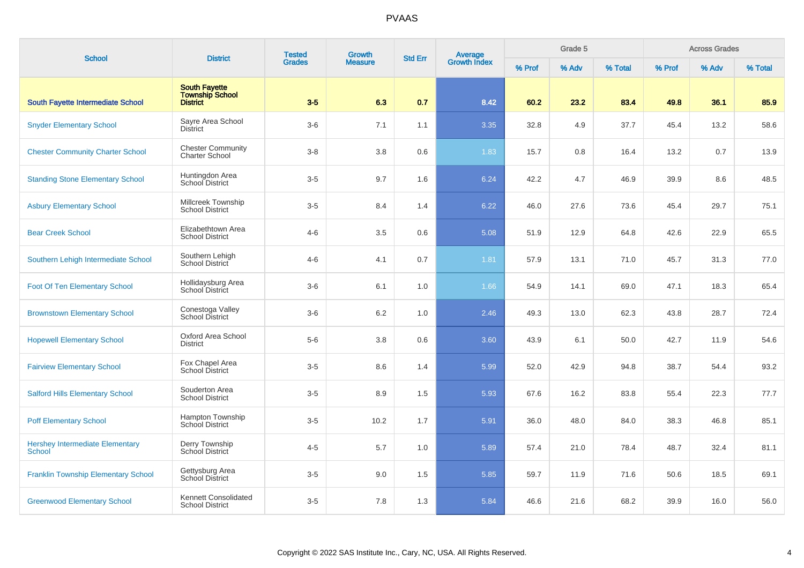| <b>School</b>                                    | <b>District</b>                                                   | <b>Tested</b> | <b>Growth</b>  | <b>Std Err</b> |                                | Grade 5 |       |         | <b>Across Grades</b> |       |         |
|--------------------------------------------------|-------------------------------------------------------------------|---------------|----------------|----------------|--------------------------------|---------|-------|---------|----------------------|-------|---------|
|                                                  |                                                                   | <b>Grades</b> | <b>Measure</b> |                | <b>Average</b><br>Growth Index | % Prof  | % Adv | % Total | % Prof               | % Adv | % Total |
| <b>South Fayette Intermediate School</b>         | <b>South Fayette</b><br><b>Township School</b><br><b>District</b> | $3-5$         | 6.3            | 0.7            | 8.42                           | 60.2    | 23.2  | 83.4    | 49.8                 | 36.1  | 85.9    |
| <b>Snyder Elementary School</b>                  | Sayre Area School<br><b>District</b>                              | $3-6$         | 7.1            | 1.1            | 3.35                           | 32.8    | 4.9   | 37.7    | 45.4                 | 13.2  | 58.6    |
| <b>Chester Community Charter School</b>          | <b>Chester Community</b><br><b>Charter School</b>                 | $3 - 8$       | 3.8            | 0.6            | 1.83                           | 15.7    | 0.8   | 16.4    | 13.2                 | 0.7   | 13.9    |
| <b>Standing Stone Elementary School</b>          | Huntingdon Area<br>School District                                | $3-5$         | 9.7            | 1.6            | 6.24                           | 42.2    | 4.7   | 46.9    | 39.9                 | 8.6   | 48.5    |
| <b>Asbury Elementary School</b>                  | Millcreek Township<br><b>School District</b>                      | $3-5$         | 8.4            | 1.4            | 6.22                           | 46.0    | 27.6  | 73.6    | 45.4                 | 29.7  | 75.1    |
| <b>Bear Creek School</b>                         | Elizabethtown Area<br><b>School District</b>                      | $4 - 6$       | 3.5            | 0.6            | 5.08                           | 51.9    | 12.9  | 64.8    | 42.6                 | 22.9  | 65.5    |
| Southern Lehigh Intermediate School              | Southern Lehigh<br>School District                                | $4 - 6$       | 4.1            | 0.7            | 1.81                           | 57.9    | 13.1  | 71.0    | 45.7                 | 31.3  | 77.0    |
| <b>Foot Of Ten Elementary School</b>             | Hollidaysburg Area<br>School District                             | $3-6$         | 6.1            | 1.0            | 1.66                           | 54.9    | 14.1  | 69.0    | 47.1                 | 18.3  | 65.4    |
| <b>Brownstown Elementary School</b>              | Conestoga Valley<br><b>School District</b>                        | $3-6$         | 6.2            | 1.0            | 2.46                           | 49.3    | 13.0  | 62.3    | 43.8                 | 28.7  | 72.4    |
| <b>Hopewell Elementary School</b>                | Oxford Area School<br><b>District</b>                             | $5-6$         | 3.8            | 0.6            | 3.60                           | 43.9    | 6.1   | 50.0    | 42.7                 | 11.9  | 54.6    |
| <b>Fairview Elementary School</b>                | Fox Chapel Area<br>School District                                | $3-5$         | 8.6            | 1.4            | 5.99                           | 52.0    | 42.9  | 94.8    | 38.7                 | 54.4  | 93.2    |
| <b>Salford Hills Elementary School</b>           | Souderton Area<br>School District                                 | $3-5$         | 8.9            | 1.5            | 5.93                           | 67.6    | 16.2  | 83.8    | 55.4                 | 22.3  | 77.7    |
| <b>Poff Elementary School</b>                    | Hampton Township<br>School District                               | $3-5$         | 10.2           | 1.7            | 5.91                           | 36.0    | 48.0  | 84.0    | 38.3                 | 46.8  | 85.1    |
| <b>Hershey Intermediate Elementary</b><br>School | Derry Township<br>School District                                 | $4 - 5$       | 5.7            | 1.0            | 5.89                           | 57.4    | 21.0  | 78.4    | 48.7                 | 32.4  | 81.1    |
| <b>Franklin Township Elementary School</b>       | Gettysburg Area<br>School District                                | $3-5$         | 9.0            | 1.5            | 5.85                           | 59.7    | 11.9  | 71.6    | 50.6                 | 18.5  | 69.1    |
| <b>Greenwood Elementary School</b>               | Kennett Consolidated<br><b>School District</b>                    | $3-5$         | 7.8            | 1.3            | 5.84                           | 46.6    | 21.6  | 68.2    | 39.9                 | 16.0  | 56.0    |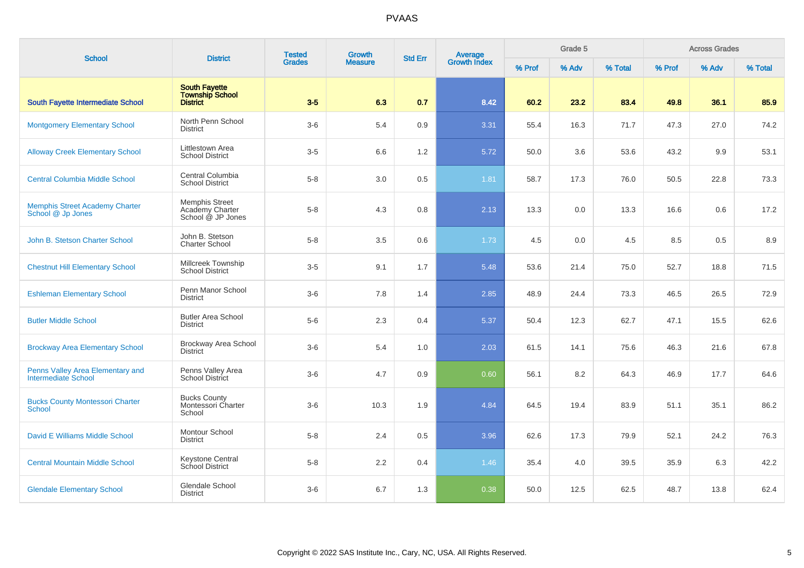| <b>School</b>                                              |                                                                   | <b>Tested</b> | <b>Growth</b>  | <b>Std Err</b> |                                |        | Grade 5 |         |        | <b>Across Grades</b> |         |
|------------------------------------------------------------|-------------------------------------------------------------------|---------------|----------------|----------------|--------------------------------|--------|---------|---------|--------|----------------------|---------|
|                                                            | <b>District</b>                                                   | <b>Grades</b> | <b>Measure</b> |                | <b>Average</b><br>Growth Index | % Prof | % Adv   | % Total | % Prof | % Adv                | % Total |
| South Fayette Intermediate School                          | <b>South Fayette</b><br><b>Township School</b><br><b>District</b> | $3-5$         | 6.3            | 0.7            | 8.42                           | 60.2   | 23.2    | 83.4    | 49.8   | 36.1                 | 85.9    |
| <b>Montgomery Elementary School</b>                        | North Penn School<br><b>District</b>                              | $3-6$         | 5.4            | 0.9            | 3.31                           | 55.4   | 16.3    | 71.7    | 47.3   | 27.0                 | 74.2    |
| <b>Alloway Creek Elementary School</b>                     | Littlestown Area<br><b>School District</b>                        | $3-5$         | 6.6            | 1.2            | 5.72                           | 50.0   | 3.6     | 53.6    | 43.2   | 9.9                  | 53.1    |
| <b>Central Columbia Middle School</b>                      | Central Columbia<br><b>School District</b>                        | $5 - 8$       | 3.0            | 0.5            | 1.81                           | 58.7   | 17.3    | 76.0    | 50.5   | 22.8                 | 73.3    |
| <b>Memphis Street Academy Charter</b><br>School @ Jp Jones | <b>Memphis Street</b><br>Academy Charter<br>School @ JP Jones     | $5-8$         | 4.3            | 0.8            | 2.13                           | 13.3   | 0.0     | 13.3    | 16.6   | 0.6                  | 17.2    |
| John B. Stetson Charter School                             | John B. Stetson<br><b>Charter School</b>                          | $5 - 8$       | 3.5            | $0.6\,$        | 1.73                           | 4.5    | 0.0     | 4.5     | 8.5    | 0.5                  | $8.9\,$ |
| <b>Chestnut Hill Elementary School</b>                     | Millcreek Township<br><b>School District</b>                      | $3-5$         | 9.1            | 1.7            | 5.48                           | 53.6   | 21.4    | 75.0    | 52.7   | 18.8                 | 71.5    |
| <b>Eshleman Elementary School</b>                          | Penn Manor School<br><b>District</b>                              | $3-6$         | 7.8            | 1.4            | 2.85                           | 48.9   | 24.4    | 73.3    | 46.5   | 26.5                 | 72.9    |
| <b>Butler Middle School</b>                                | <b>Butler Area School</b><br><b>District</b>                      | $5-6$         | 2.3            | 0.4            | 5.37                           | 50.4   | 12.3    | 62.7    | 47.1   | 15.5                 | 62.6    |
| <b>Brockway Area Elementary School</b>                     | Brockway Area School<br><b>District</b>                           | $3-6$         | 5.4            | 1.0            | 2.03                           | 61.5   | 14.1    | 75.6    | 46.3   | 21.6                 | 67.8    |
| Penns Valley Area Elementary and<br>Intermediate School    | Penns Valley Area<br><b>School District</b>                       | $3-6$         | 4.7            | 0.9            | 0.60                           | 56.1   | 8.2     | 64.3    | 46.9   | 17.7                 | 64.6    |
| <b>Bucks County Montessori Charter</b><br><b>School</b>    | <b>Bucks County</b><br>Montessori Charter<br>School               | $3-6$         | 10.3           | 1.9            | 4.84                           | 64.5   | 19.4    | 83.9    | 51.1   | 35.1                 | 86.2    |
| David E Williams Middle School                             | Montour School<br><b>District</b>                                 | $5 - 8$       | 2.4            | 0.5            | 3.96                           | 62.6   | 17.3    | 79.9    | 52.1   | 24.2                 | 76.3    |
| <b>Central Mountain Middle School</b>                      | Keystone Central<br>School District                               | $5 - 8$       | 2.2            | 0.4            | 1.46                           | 35.4   | 4.0     | 39.5    | 35.9   | 6.3                  | 42.2    |
| <b>Glendale Elementary School</b>                          | Glendale School<br><b>District</b>                                | $3-6$         | 6.7            | 1.3            | 0.38                           | 50.0   | 12.5    | 62.5    | 48.7   | 13.8                 | 62.4    |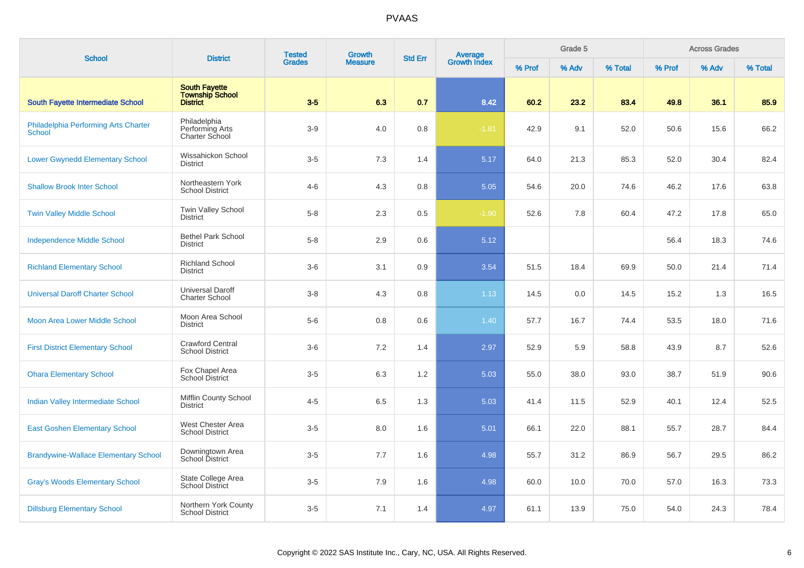| <b>School</b>                                         | <b>District</b>                                            | <b>Tested</b> | Growth         | <b>Std Err</b> | Average<br>Growth Index | Grade 5 |       |         | <b>Across Grades</b> |       |         |  |
|-------------------------------------------------------|------------------------------------------------------------|---------------|----------------|----------------|-------------------------|---------|-------|---------|----------------------|-------|---------|--|
|                                                       |                                                            | <b>Grades</b> | <b>Measure</b> |                |                         | % Prof  | % Adv | % Total | % Prof               | % Adv | % Total |  |
| <b>South Fayette Intermediate School</b>              | <b>South Favette</b><br><b>Township School</b><br>District | $3-5$         | 6.3            | 0.7            | 8.42                    | 60.2    | 23.2  | 83.4    | 49.8                 | 36.1  | 85.9    |  |
| Philadelphia Performing Arts Charter<br><b>School</b> | Philadelphia<br>Performing Arts<br>Charter School          | $3-9$         | 4.0            | 0.8            | $-1.81$                 | 42.9    | 9.1   | 52.0    | 50.6                 | 15.6  | 66.2    |  |
| <b>Lower Gwynedd Elementary School</b>                | Wissahickon School<br><b>District</b>                      | $3-5$         | 7.3            | 1.4            | 5.17                    | 64.0    | 21.3  | 85.3    | 52.0                 | 30.4  | 82.4    |  |
| <b>Shallow Brook Inter School</b>                     | Northeastern York<br><b>School District</b>                | $4 - 6$       | 4.3            | 0.8            | 5.05                    | 54.6    | 20.0  | 74.6    | 46.2                 | 17.6  | 63.8    |  |
| <b>Twin Valley Middle School</b>                      | Twin Valley School<br><b>District</b>                      | $5 - 8$       | 2.3            | 0.5            | $-1.90$                 | 52.6    | 7.8   | 60.4    | 47.2                 | 17.8  | 65.0    |  |
| <b>Independence Middle School</b>                     | <b>Bethel Park School</b><br><b>District</b>               | $5 - 8$       | 2.9            | 0.6            | 5.12                    |         |       |         | 56.4                 | 18.3  | 74.6    |  |
| <b>Richland Elementary School</b>                     | <b>Richland School</b><br><b>District</b>                  | $3-6$         | 3.1            | 0.9            | 3.54                    | 51.5    | 18.4  | 69.9    | 50.0                 | 21.4  | 71.4    |  |
| <b>Universal Daroff Charter School</b>                | <b>Universal Daroff</b><br><b>Charter School</b>           | $3 - 8$       | 4.3            | 0.8            | 1.13                    | 14.5    | 0.0   | 14.5    | 15.2                 | 1.3   | 16.5    |  |
| <b>Moon Area Lower Middle School</b>                  | Moon Area School<br><b>District</b>                        | $5-6$         | 0.8            | 0.6            | 1.40                    | 57.7    | 16.7  | 74.4    | 53.5                 | 18.0  | 71.6    |  |
| <b>First District Elementary School</b>               | <b>Crawford Central</b><br><b>School District</b>          | $3-6$         | 7.2            | 1.4            | 2.97                    | 52.9    | 5.9   | 58.8    | 43.9                 | 8.7   | 52.6    |  |
| <b>Ohara Elementary School</b>                        | Fox Chapel Area<br>School District                         | $3-5$         | 6.3            | 1.2            | 5.03                    | 55.0    | 38.0  | 93.0    | 38.7                 | 51.9  | 90.6    |  |
| <b>Indian Valley Intermediate School</b>              | Mifflin County School<br><b>District</b>                   | $4 - 5$       | 6.5            | 1.3            | 5.03                    | 41.4    | 11.5  | 52.9    | 40.1                 | 12.4  | 52.5    |  |
| <b>East Goshen Elementary School</b>                  | West Chester Area<br><b>School District</b>                | $3-5$         | 8.0            | 1.6            | 5.01                    | 66.1    | 22.0  | 88.1    | 55.7                 | 28.7  | 84.4    |  |
| <b>Brandywine-Wallace Elementary School</b>           | Downingtown Area<br>School District                        | $3-5$         | 7.7            | 1.6            | 4.98                    | 55.7    | 31.2  | 86.9    | 56.7                 | 29.5  | 86.2    |  |
| <b>Gray's Woods Elementary School</b>                 | State College Area<br>School District                      | $3-5$         | 7.9            | 1.6            | 4.98                    | 60.0    | 10.0  | 70.0    | 57.0                 | 16.3  | 73.3    |  |
| <b>Dillsburg Elementary School</b>                    | Northern York County<br><b>School District</b>             | $3-5$         | 7.1            | 1.4            | 4.97                    | 61.1    | 13.9  | 75.0    | 54.0                 | 24.3  | 78.4    |  |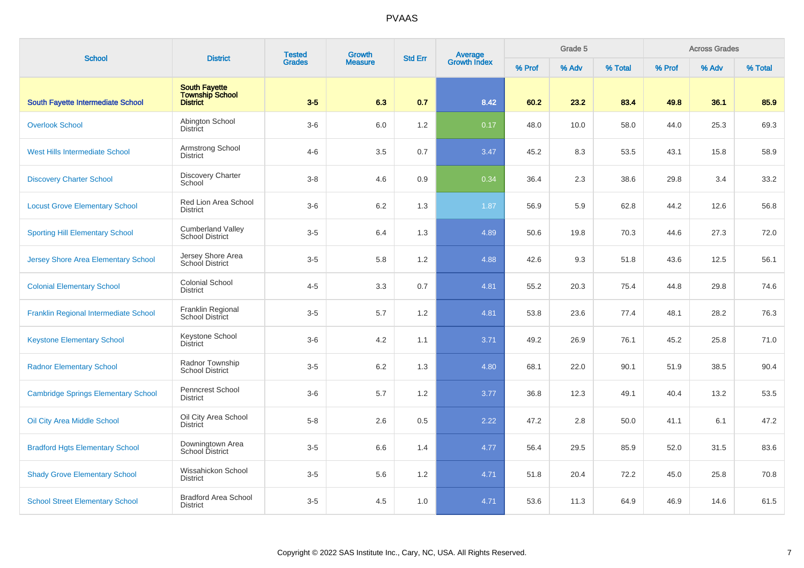| <b>School</b>                              | <b>District</b>                                                   | <b>Tested</b> | Growth         | <b>Std Err</b> |                                | Grade 5 |       |         | <b>Across Grades</b> |       |         |
|--------------------------------------------|-------------------------------------------------------------------|---------------|----------------|----------------|--------------------------------|---------|-------|---------|----------------------|-------|---------|
|                                            |                                                                   | <b>Grades</b> | <b>Measure</b> |                | <b>Average</b><br>Growth Index | % Prof  | % Adv | % Total | % Prof               | % Adv | % Total |
| South Fayette Intermediate School          | <b>South Fayette</b><br><b>Township School</b><br><b>District</b> | $3-5$         | 6.3            | 0.7            | 8.42                           | 60.2    | 23.2  | 83.4    | 49.8                 | 36.1  | 85.9    |
| <b>Overlook School</b>                     | Abington School<br><b>District</b>                                | $3-6$         | 6.0            | 1.2            | 0.17                           | 48.0    | 10.0  | 58.0    | 44.0                 | 25.3  | 69.3    |
| <b>West Hills Intermediate School</b>      | Armstrong School<br><b>District</b>                               | $4 - 6$       | 3.5            | 0.7            | 3.47                           | 45.2    | 8.3   | 53.5    | 43.1                 | 15.8  | 58.9    |
| <b>Discovery Charter School</b>            | Discovery Charter<br>School                                       | $3 - 8$       | 4.6            | 0.9            | 0.34                           | 36.4    | 2.3   | 38.6    | 29.8                 | 3.4   | 33.2    |
| <b>Locust Grove Elementary School</b>      | Red Lion Area School<br><b>District</b>                           | $3-6$         | 6.2            | 1.3            | 1.87                           | 56.9    | 5.9   | 62.8    | 44.2                 | 12.6  | 56.8    |
| <b>Sporting Hill Elementary School</b>     | <b>Cumberland Valley</b><br><b>School District</b>                | $3-5$         | 6.4            | 1.3            | 4.89                           | 50.6    | 19.8  | 70.3    | 44.6                 | 27.3  | 72.0    |
| Jersey Shore Area Elementary School        | Jersey Shore Area<br>School District                              | $3-5$         | 5.8            | 1.2            | 4.88                           | 42.6    | 9.3   | 51.8    | 43.6                 | 12.5  | 56.1    |
| <b>Colonial Elementary School</b>          | <b>Colonial School</b><br><b>District</b>                         | $4 - 5$       | 3.3            | 0.7            | 4.81                           | 55.2    | 20.3  | 75.4    | 44.8                 | 29.8  | 74.6    |
| Franklin Regional Intermediate School      | Franklin Regional<br>School District                              | $3-5$         | 5.7            | $1.2\,$        | 4.81                           | 53.8    | 23.6  | 77.4    | 48.1                 | 28.2  | 76.3    |
| <b>Keystone Elementary School</b>          | Keystone School<br><b>District</b>                                | $3-6$         | 4.2            | 1.1            | 3.71                           | 49.2    | 26.9  | 76.1    | 45.2                 | 25.8  | 71.0    |
| <b>Radnor Elementary School</b>            | Radnor Township<br><b>School District</b>                         | $3-5$         | 6.2            | 1.3            | 4.80                           | 68.1    | 22.0  | 90.1    | 51.9                 | 38.5  | 90.4    |
| <b>Cambridge Springs Elementary School</b> | Penncrest School<br><b>District</b>                               | $3-6$         | 5.7            | 1.2            | 3.77                           | 36.8    | 12.3  | 49.1    | 40.4                 | 13.2  | 53.5    |
| <b>Oil City Area Middle School</b>         | Oil City Area School<br><b>District</b>                           | $5 - 8$       | 2.6            | 0.5            | 2.22                           | 47.2    | 2.8   | 50.0    | 41.1                 | 6.1   | 47.2    |
| <b>Bradford Hgts Elementary School</b>     | Downingtown Area<br>School District                               | $3-5$         | 6.6            | 1.4            | 4.77                           | 56.4    | 29.5  | 85.9    | 52.0                 | 31.5  | 83.6    |
| <b>Shady Grove Elementary School</b>       | Wissahickon School<br><b>District</b>                             | $3-5$         | 5.6            | 1.2            | 4.71                           | 51.8    | 20.4  | 72.2    | 45.0                 | 25.8  | 70.8    |
| <b>School Street Elementary School</b>     | <b>Bradford Area School</b><br><b>District</b>                    | $3-5$         | 4.5            | 1.0            | 4.71                           | 53.6    | 11.3  | 64.9    | 46.9                 | 14.6  | 61.5    |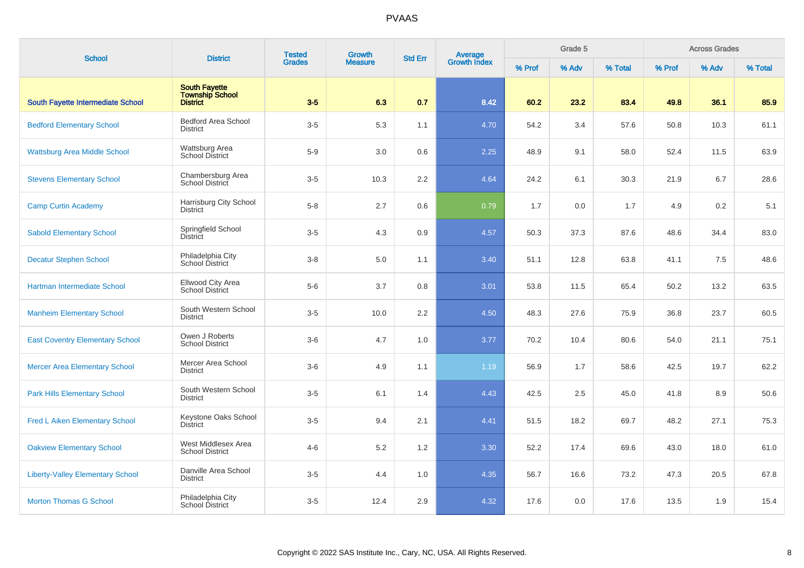| <b>School</b>                            | <b>District</b>                                                   | <b>Tested</b><br><b>Grades</b> | <b>Growth</b>  | <b>Std Err</b> | <b>Average</b><br>Growth Index | Grade 5 |       |         | <b>Across Grades</b> |       |         |  |
|------------------------------------------|-------------------------------------------------------------------|--------------------------------|----------------|----------------|--------------------------------|---------|-------|---------|----------------------|-------|---------|--|
|                                          |                                                                   |                                | <b>Measure</b> |                |                                | % Prof  | % Adv | % Total | % Prof               | % Adv | % Total |  |
| <b>South Fayette Intermediate School</b> | <b>South Fayette</b><br><b>Township School</b><br><b>District</b> | $3-5$                          | 6.3            | 0.7            | 8.42                           | 60.2    | 23.2  | 83.4    | 49.8                 | 36.1  | 85.9    |  |
| <b>Bedford Elementary School</b>         | <b>Bedford Area School</b><br><b>District</b>                     | $3-5$                          | 5.3            | 1.1            | 4.70                           | 54.2    | 3.4   | 57.6    | 50.8                 | 10.3  | 61.1    |  |
| <b>Wattsburg Area Middle School</b>      | Wattsburg Area<br><b>School District</b>                          | $5-9$                          | 3.0            | 0.6            | 2.25                           | 48.9    | 9.1   | 58.0    | 52.4                 | 11.5  | 63.9    |  |
| <b>Stevens Elementary School</b>         | Chambersburg Area<br>School District                              | $3-5$                          | 10.3           | 2.2            | 4.64                           | 24.2    | 6.1   | 30.3    | 21.9                 | 6.7   | 28.6    |  |
| <b>Camp Curtin Academy</b>               | Harrisburg City School<br><b>District</b>                         | $5 - 8$                        | 2.7            | 0.6            | 0.79                           | 1.7     | 0.0   | 1.7     | 4.9                  | 0.2   | 5.1     |  |
| <b>Sabold Elementary School</b>          | Springfield School<br><b>District</b>                             | $3-5$                          | 4.3            | 0.9            | 4.57                           | 50.3    | 37.3  | 87.6    | 48.6                 | 34.4  | 83.0    |  |
| <b>Decatur Stephen School</b>            | Philadelphia City<br><b>School District</b>                       | $3 - 8$                        | 5.0            | 1.1            | 3.40                           | 51.1    | 12.8  | 63.8    | 41.1                 | 7.5   | 48.6    |  |
| Hartman Intermediate School              | Ellwood City Area<br>School District                              | $5-6$                          | 3.7            | 0.8            | 3.01                           | 53.8    | 11.5  | 65.4    | 50.2                 | 13.2  | 63.5    |  |
| <b>Manheim Elementary School</b>         | South Western School<br><b>District</b>                           | $3-5$                          | 10.0           | 2.2            | 4.50                           | 48.3    | 27.6  | 75.9    | 36.8                 | 23.7  | 60.5    |  |
| <b>East Coventry Elementary School</b>   | Owen J Roberts<br><b>School District</b>                          | $3-6$                          | 4.7            | 1.0            | 3.77                           | 70.2    | 10.4  | 80.6    | 54.0                 | 21.1  | 75.1    |  |
| <b>Mercer Area Elementary School</b>     | Mercer Area School<br><b>District</b>                             | $3-6$                          | 4.9            | 1.1            | 1.19                           | 56.9    | 1.7   | 58.6    | 42.5                 | 19.7  | 62.2    |  |
| <b>Park Hills Elementary School</b>      | South Western School<br><b>District</b>                           | $3-5$                          | 6.1            | 1.4            | 4.43                           | 42.5    | 2.5   | 45.0    | 41.8                 | 8.9   | 50.6    |  |
| <b>Fred L Aiken Elementary School</b>    | Keystone Oaks School<br><b>District</b>                           | $3-5$                          | 9.4            | 2.1            | 4.41                           | 51.5    | 18.2  | 69.7    | 48.2                 | 27.1  | 75.3    |  |
| <b>Oakview Elementary School</b>         | West Middlesex Area<br><b>School District</b>                     | $4 - 6$                        | 5.2            | 1.2            | 3.30                           | 52.2    | 17.4  | 69.6    | 43.0                 | 18.0  | 61.0    |  |
| <b>Liberty-Valley Elementary School</b>  | Danville Area School<br><b>District</b>                           | $3-5$                          | 4.4            | 1.0            | 4.35                           | 56.7    | 16.6  | 73.2    | 47.3                 | 20.5  | 67.8    |  |
| <b>Morton Thomas G School</b>            | Philadelphia City<br>School District                              | $3-5$                          | 12.4           | 2.9            | 4.32                           | 17.6    | 0.0   | 17.6    | 13.5                 | 1.9   | 15.4    |  |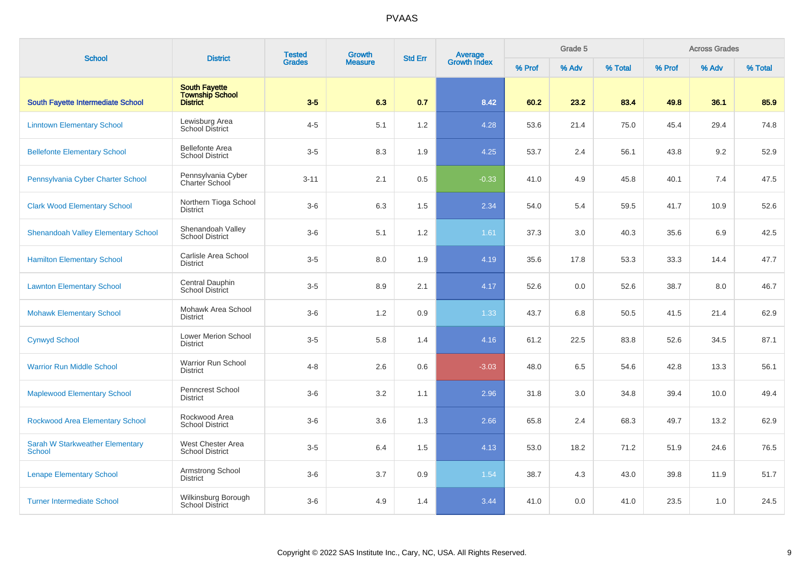| <b>School</b>                                    | <b>District</b>                                                   | <b>Tested</b> | <b>Growth</b>  | <b>Std Err</b> |                                | Grade 5 |       |         | <b>Across Grades</b> |       |         |
|--------------------------------------------------|-------------------------------------------------------------------|---------------|----------------|----------------|--------------------------------|---------|-------|---------|----------------------|-------|---------|
|                                                  |                                                                   | <b>Grades</b> | <b>Measure</b> |                | <b>Average</b><br>Growth Index | % Prof  | % Adv | % Total | % Prof               | % Adv | % Total |
| <b>South Fayette Intermediate School</b>         | <b>South Fayette</b><br><b>Township School</b><br><b>District</b> | $3-5$         | 6.3            | 0.7            | 8.42                           | 60.2    | 23.2  | 83.4    | 49.8                 | 36.1  | 85.9    |
| <b>Linntown Elementary School</b>                | Lewisburg Area<br>School District                                 | $4 - 5$       | 5.1            | $1.2\,$        | 4.28                           | 53.6    | 21.4  | 75.0    | 45.4                 | 29.4  | 74.8    |
| <b>Bellefonte Elementary School</b>              | <b>Bellefonte Area</b><br><b>School District</b>                  | $3-5$         | 8.3            | 1.9            | 4.25                           | 53.7    | 2.4   | 56.1    | 43.8                 | 9.2   | 52.9    |
| Pennsylvania Cyber Charter School                | Pennsylvania Cyber<br>Charter School                              | $3 - 11$      | 2.1            | 0.5            | $-0.33$                        | 41.0    | 4.9   | 45.8    | 40.1                 | 7.4   | 47.5    |
| <b>Clark Wood Elementary School</b>              | Northern Tioga School<br><b>District</b>                          | $3-6$         | 6.3            | 1.5            | 2.34                           | 54.0    | 5.4   | 59.5    | 41.7                 | 10.9  | 52.6    |
| <b>Shenandoah Valley Elementary School</b>       | Shenandoah Valley<br><b>School District</b>                       | $3-6$         | 5.1            | $1.2\,$        | 1.61                           | 37.3    | 3.0   | 40.3    | 35.6                 | 6.9   | 42.5    |
| <b>Hamilton Elementary School</b>                | Carlisle Area School<br><b>District</b>                           | $3-5$         | 8.0            | 1.9            | 4.19                           | 35.6    | 17.8  | 53.3    | 33.3                 | 14.4  | 47.7    |
| <b>Lawnton Elementary School</b>                 | Central Dauphin<br>School District                                | $3-5$         | 8.9            | 2.1            | 4.17                           | 52.6    | 0.0   | 52.6    | 38.7                 | 8.0   | 46.7    |
| <b>Mohawk Elementary School</b>                  | Mohawk Area School<br><b>District</b>                             | $3-6$         | 1.2            | 0.9            | 1.33                           | 43.7    | 6.8   | 50.5    | 41.5                 | 21.4  | 62.9    |
| <b>Cynwyd School</b>                             | Lower Merion School<br><b>District</b>                            | $3-5$         | 5.8            | 1.4            | 4.16                           | 61.2    | 22.5  | 83.8    | 52.6                 | 34.5  | 87.1    |
| <b>Warrior Run Middle School</b>                 | Warrior Run School<br><b>District</b>                             | $4 - 8$       | 2.6            | 0.6            | $-3.03$                        | 48.0    | 6.5   | 54.6    | 42.8                 | 13.3  | 56.1    |
| <b>Maplewood Elementary School</b>               | Penncrest School<br><b>District</b>                               | $3-6$         | 3.2            | 1.1            | 2.96                           | 31.8    | 3.0   | 34.8    | 39.4                 | 10.0  | 49.4    |
| Rockwood Area Elementary School                  | Rockwood Area<br><b>School District</b>                           | $3-6$         | 3.6            | 1.3            | 2.66                           | 65.8    | 2.4   | 68.3    | 49.7                 | 13.2  | 62.9    |
| <b>Sarah W Starkweather Elementary</b><br>School | West Chester Area<br><b>School District</b>                       | $3-5$         | 6.4            | 1.5            | 4.13                           | 53.0    | 18.2  | 71.2    | 51.9                 | 24.6  | 76.5    |
| <b>Lenape Elementary School</b>                  | Armstrong School<br><b>District</b>                               | $3-6$         | 3.7            | 0.9            | 1.54                           | 38.7    | 4.3   | 43.0    | 39.8                 | 11.9  | 51.7    |
| <b>Turner Intermediate School</b>                | Wilkinsburg Borough<br><b>School District</b>                     | $3-6$         | 4.9            | 1.4            | 3.44                           | 41.0    | 0.0   | 41.0    | 23.5                 | 1.0   | 24.5    |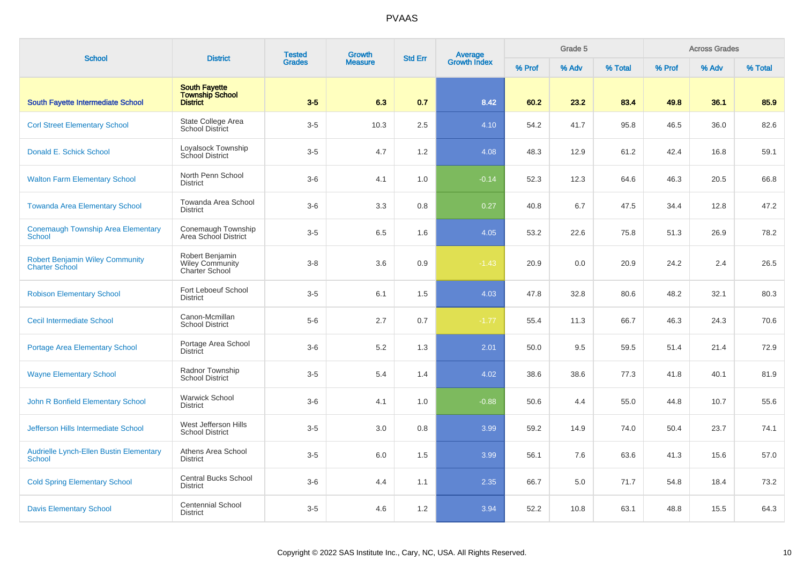| <b>School</b>                                                   | <b>District</b>                                                   | <b>Tested</b> | <b>Growth</b>  | <b>Std Err</b> | Average<br>Growth Index |        | Grade 5 |         |        | <b>Across Grades</b> |         |
|-----------------------------------------------------------------|-------------------------------------------------------------------|---------------|----------------|----------------|-------------------------|--------|---------|---------|--------|----------------------|---------|
|                                                                 |                                                                   | <b>Grades</b> | <b>Measure</b> |                |                         | % Prof | % Adv   | % Total | % Prof | % Adv                | % Total |
| <b>South Fayette Intermediate School</b>                        | <b>South Fayette</b><br><b>Township School</b><br><b>District</b> | $3-5$         | 6.3            | 0.7            | 8.42                    | 60.2   | 23.2    | 83.4    | 49.8   | 36.1                 | 85.9    |
| <b>Corl Street Elementary School</b>                            | State College Area<br><b>School District</b>                      | $3-5$         | 10.3           | 2.5            | 4.10                    | 54.2   | 41.7    | 95.8    | 46.5   | 36.0                 | 82.6    |
| Donald E. Schick School                                         | Loyalsock Township<br><b>School District</b>                      | $3-5$         | 4.7            | 1.2            | 4.08                    | 48.3   | 12.9    | 61.2    | 42.4   | 16.8                 | 59.1    |
| <b>Walton Farm Elementary School</b>                            | North Penn School<br><b>District</b>                              | $3-6$         | 4.1            | 1.0            | $-0.14$                 | 52.3   | 12.3    | 64.6    | 46.3   | 20.5                 | 66.8    |
| <b>Towanda Area Elementary School</b>                           | Towanda Area School<br><b>District</b>                            | $3-6$         | 3.3            | 0.8            | 0.27                    | 40.8   | 6.7     | 47.5    | 34.4   | 12.8                 | 47.2    |
| <b>Conemaugh Township Area Elementary</b><br><b>School</b>      | Conemaugh Township<br>Area School District                        | $3-5$         | 6.5            | 1.6            | 4.05                    | 53.2   | 22.6    | 75.8    | 51.3   | 26.9                 | 78.2    |
| <b>Robert Benjamin Wiley Community</b><br><b>Charter School</b> | Robert Benjamin<br><b>Wiley Community</b><br>Charter School       | $3 - 8$       | 3.6            | 0.9            | $-1.43$                 | 20.9   | 0.0     | 20.9    | 24.2   | 2.4                  | 26.5    |
| <b>Robison Elementary School</b>                                | Fort Leboeuf School<br><b>District</b>                            | $3-5$         | 6.1            | 1.5            | 4.03                    | 47.8   | 32.8    | 80.6    | 48.2   | 32.1                 | 80.3    |
| <b>Cecil Intermediate School</b>                                | Canon-Mcmillan<br><b>School District</b>                          | $5-6$         | 2.7            | 0.7            | $-1.77$                 | 55.4   | 11.3    | 66.7    | 46.3   | 24.3                 | 70.6    |
| <b>Portage Area Elementary School</b>                           | Portage Area School<br><b>District</b>                            | $3-6$         | 5.2            | 1.3            | 2.01                    | 50.0   | 9.5     | 59.5    | 51.4   | 21.4                 | 72.9    |
| <b>Wayne Elementary School</b>                                  | Radnor Township<br><b>School District</b>                         | $3-5$         | 5.4            | 1.4            | 4.02                    | 38.6   | 38.6    | 77.3    | 41.8   | 40.1                 | 81.9    |
| John R Bonfield Elementary School                               | <b>Warwick School</b><br><b>District</b>                          | $3-6$         | 4.1            | 1.0            | $-0.88$                 | 50.6   | 4.4     | 55.0    | 44.8   | 10.7                 | 55.6    |
| Jefferson Hills Intermediate School                             | West Jefferson Hills<br><b>School District</b>                    | $3-5$         | 3.0            | 0.8            | 3.99                    | 59.2   | 14.9    | 74.0    | 50.4   | 23.7                 | 74.1    |
| <b>Audrielle Lynch-Ellen Bustin Elementary</b><br>School        | Athens Area School<br><b>District</b>                             | $3-5$         | 6.0            | 1.5            | 3.99                    | 56.1   | 7.6     | 63.6    | 41.3   | 15.6                 | 57.0    |
| <b>Cold Spring Elementary School</b>                            | <b>Central Bucks School</b><br><b>District</b>                    | $3-6$         | 4.4            | 1.1            | 2.35                    | 66.7   | 5.0     | 71.7    | 54.8   | 18.4                 | 73.2    |
| <b>Davis Elementary School</b>                                  | <b>Centennial School</b><br><b>District</b>                       | $3-5$         | 4.6            | 1.2            | 3.94                    | 52.2   | 10.8    | 63.1    | 48.8   | 15.5                 | 64.3    |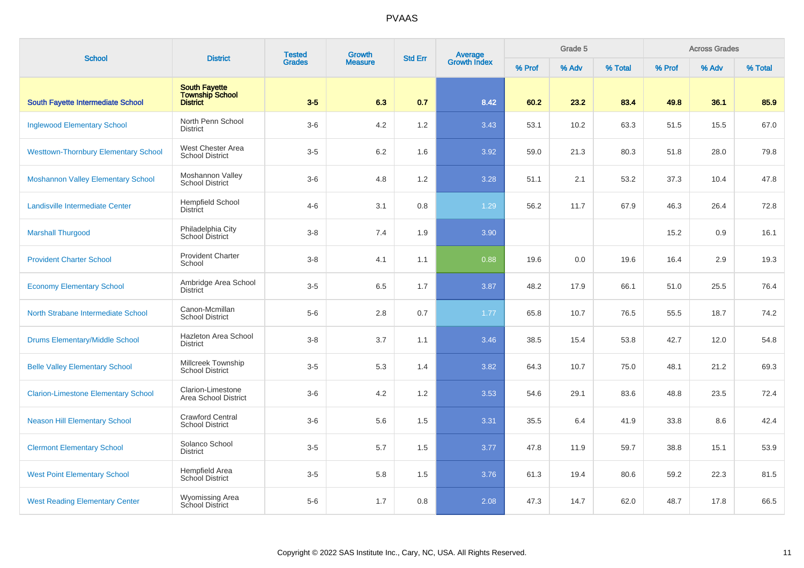| <b>School</b>                               | <b>District</b>                                                   | <b>Tested</b> | <b>Growth</b>  | <b>Std Err</b> |                                | Grade 5 |       |         | <b>Across Grades</b> |       |         |
|---------------------------------------------|-------------------------------------------------------------------|---------------|----------------|----------------|--------------------------------|---------|-------|---------|----------------------|-------|---------|
|                                             |                                                                   | <b>Grades</b> | <b>Measure</b> |                | <b>Average</b><br>Growth Index | % Prof  | % Adv | % Total | % Prof               | % Adv | % Total |
| <b>South Fayette Intermediate School</b>    | <b>South Fayette</b><br><b>Township School</b><br><b>District</b> | $3-5$         | 6.3            | 0.7            | 8.42                           | 60.2    | 23.2  | 83.4    | 49.8                 | 36.1  | 85.9    |
| <b>Inglewood Elementary School</b>          | North Penn School<br><b>District</b>                              | $3-6$         | 4.2            | 1.2            | 3.43                           | 53.1    | 10.2  | 63.3    | 51.5                 | 15.5  | 67.0    |
| <b>Westtown-Thornbury Elementary School</b> | West Chester Area<br><b>School District</b>                       | $3-5$         | 6.2            | 1.6            | 3.92                           | 59.0    | 21.3  | 80.3    | 51.8                 | 28.0  | 79.8    |
| <b>Moshannon Valley Elementary School</b>   | Moshannon Valley<br><b>School District</b>                        | $3-6$         | 4.8            | 1.2            | 3.28                           | 51.1    | 2.1   | 53.2    | 37.3                 | 10.4  | 47.8    |
| <b>Landisville Intermediate Center</b>      | <b>Hempfield School</b><br><b>District</b>                        | $4 - 6$       | 3.1            | 0.8            | 1.29                           | 56.2    | 11.7  | 67.9    | 46.3                 | 26.4  | 72.8    |
| <b>Marshall Thurgood</b>                    | Philadelphia City<br>School District                              | $3 - 8$       | 7.4            | 1.9            | 3.90                           |         |       |         | 15.2                 | 0.9   | 16.1    |
| <b>Provident Charter School</b>             | <b>Provident Charter</b><br>School                                | $3 - 8$       | 4.1            | 1.1            | 0.88                           | 19.6    | 0.0   | 19.6    | 16.4                 | 2.9   | 19.3    |
| <b>Economy Elementary School</b>            | Ambridge Area School<br><b>District</b>                           | $3-5$         | 6.5            | 1.7            | 3.87                           | 48.2    | 17.9  | 66.1    | 51.0                 | 25.5  | 76.4    |
| North Strabane Intermediate School          | Canon-Mcmillan<br><b>School District</b>                          | $5-6$         | 2.8            | 0.7            | 1.77                           | 65.8    | 10.7  | 76.5    | 55.5                 | 18.7  | 74.2    |
| <b>Drums Elementary/Middle School</b>       | Hazleton Area School<br><b>District</b>                           | $3 - 8$       | 3.7            | 1.1            | 3.46                           | 38.5    | 15.4  | 53.8    | 42.7                 | 12.0  | 54.8    |
| <b>Belle Valley Elementary School</b>       | Millcreek Township<br><b>School District</b>                      | $3-5$         | 5.3            | 1.4            | 3.82                           | 64.3    | 10.7  | 75.0    | 48.1                 | 21.2  | 69.3    |
| <b>Clarion-Limestone Elementary School</b>  | Clarion-Limestone<br>Area School District                         | $3-6$         | 4.2            | 1.2            | 3.53                           | 54.6    | 29.1  | 83.6    | 48.8                 | 23.5  | 72.4    |
| <b>Neason Hill Elementary School</b>        | <b>Crawford Central</b><br><b>School District</b>                 | $3-6$         | 5.6            | 1.5            | 3.31                           | 35.5    | 6.4   | 41.9    | 33.8                 | 8.6   | 42.4    |
| <b>Clermont Elementary School</b>           | Solanco School<br><b>District</b>                                 | $3-5$         | 5.7            | 1.5            | 3.77                           | 47.8    | 11.9  | 59.7    | 38.8                 | 15.1  | 53.9    |
| <b>West Point Elementary School</b>         | Hempfield Area<br><b>School District</b>                          | $3-5$         | 5.8            | 1.5            | 3.76                           | 61.3    | 19.4  | 80.6    | 59.2                 | 22.3  | 81.5    |
| <b>West Reading Elementary Center</b>       | <b>Wyomissing Area</b><br>School District                         | $5-6$         | 1.7            | 0.8            | 2.08                           | 47.3    | 14.7  | 62.0    | 48.7                 | 17.8  | 66.5    |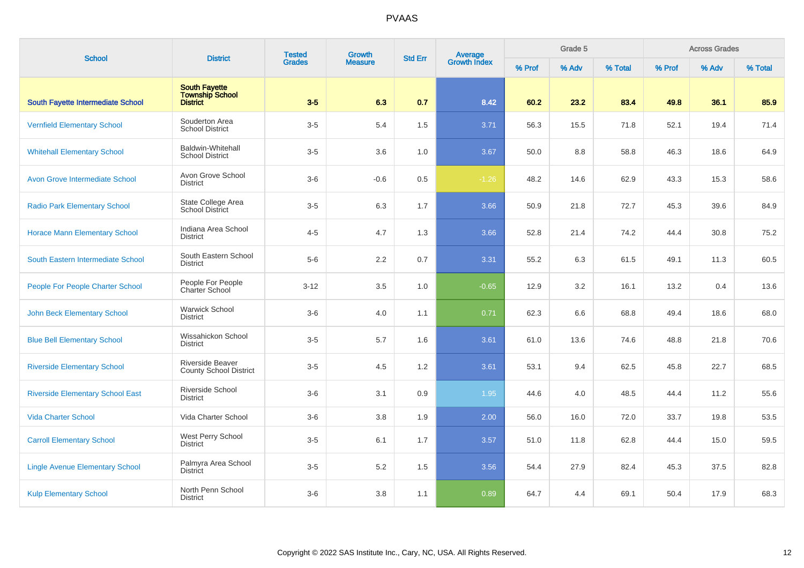| <b>School</b>                           | <b>District</b>                                     | <b>Tested</b> | Growth         | <b>Std Err</b> | Average<br>Growth Index |        | Grade 5 |         |        | <b>Across Grades</b> |         |
|-----------------------------------------|-----------------------------------------------------|---------------|----------------|----------------|-------------------------|--------|---------|---------|--------|----------------------|---------|
|                                         |                                                     | <b>Grades</b> | <b>Measure</b> |                |                         | % Prof | % Adv   | % Total | % Prof | % Adv                | % Total |
| South Fayette Intermediate School       | <b>South Fayette</b><br>Township School<br>District | $3-5$         | 6.3            | 0.7            | 8.42                    | 60.2   | 23.2    | 83.4    | 49.8   | 36.1                 | 85.9    |
| <b>Vernfield Elementary School</b>      | Souderton Area<br><b>School District</b>            | $3-5$         | 5.4            | 1.5            | 3.71                    | 56.3   | 15.5    | 71.8    | 52.1   | 19.4                 | 71.4    |
| <b>Whitehall Elementary School</b>      | <b>Baldwin-Whitehall</b><br><b>School District</b>  | $3-5$         | 3.6            | 1.0            | 3.67                    | 50.0   | 8.8     | 58.8    | 46.3   | 18.6                 | 64.9    |
| <b>Avon Grove Intermediate School</b>   | Avon Grove School<br><b>District</b>                | $3-6$         | $-0.6$         | 0.5            | $-1.26$                 | 48.2   | 14.6    | 62.9    | 43.3   | 15.3                 | 58.6    |
| <b>Radio Park Elementary School</b>     | State College Area<br><b>School District</b>        | $3-5$         | 6.3            | 1.7            | 3.66                    | 50.9   | 21.8    | 72.7    | 45.3   | 39.6                 | 84.9    |
| <b>Horace Mann Elementary School</b>    | Indiana Area School<br><b>District</b>              | $4 - 5$       | 4.7            | 1.3            | 3.66                    | 52.8   | 21.4    | 74.2    | 44.4   | 30.8                 | 75.2    |
| South Eastern Intermediate School       | South Eastern School<br><b>District</b>             | $5-6$         | 2.2            | 0.7            | 3.31                    | 55.2   | 6.3     | 61.5    | 49.1   | 11.3                 | 60.5    |
| People For People Charter School        | People For People<br>Charter School                 | $3 - 12$      | 3.5            | 1.0            | $-0.65$                 | 12.9   | 3.2     | 16.1    | 13.2   | 0.4                  | 13.6    |
| <b>John Beck Elementary School</b>      | <b>Warwick School</b><br><b>District</b>            | $3-6$         | 4.0            | 1.1            | 0.71                    | 62.3   | 6.6     | 68.8    | 49.4   | 18.6                 | 68.0    |
| <b>Blue Bell Elementary School</b>      | Wissahickon School<br><b>District</b>               | $3-5$         | 5.7            | 1.6            | 3.61                    | 61.0   | 13.6    | 74.6    | 48.8   | 21.8                 | 70.6    |
| <b>Riverside Elementary School</b>      | Riverside Beaver<br><b>County School District</b>   | $3-5$         | 4.5            | 1.2            | 3.61                    | 53.1   | 9.4     | 62.5    | 45.8   | 22.7                 | 68.5    |
| <b>Riverside Elementary School East</b> | <b>Riverside School</b><br><b>District</b>          | $3-6$         | 3.1            | 0.9            | 1.95                    | 44.6   | 4.0     | 48.5    | 44.4   | 11.2                 | 55.6    |
| <b>Vida Charter School</b>              | Vida Charter School                                 | $3-6$         | 3.8            | 1.9            | 2.00                    | 56.0   | 16.0    | 72.0    | 33.7   | 19.8                 | 53.5    |
| <b>Carroll Elementary School</b>        | West Perry School<br><b>District</b>                | $3-5$         | 6.1            | 1.7            | 3.57                    | 51.0   | 11.8    | 62.8    | 44.4   | 15.0                 | 59.5    |
| <b>Lingle Avenue Elementary School</b>  | Palmyra Area School<br><b>District</b>              | $3-5$         | 5.2            | 1.5            | 3.56                    | 54.4   | 27.9    | 82.4    | 45.3   | 37.5                 | 82.8    |
| <b>Kulp Elementary School</b>           | North Penn School<br><b>District</b>                | $3-6$         | 3.8            | 1.1            | 0.89                    | 64.7   | 4.4     | 69.1    | 50.4   | 17.9                 | 68.3    |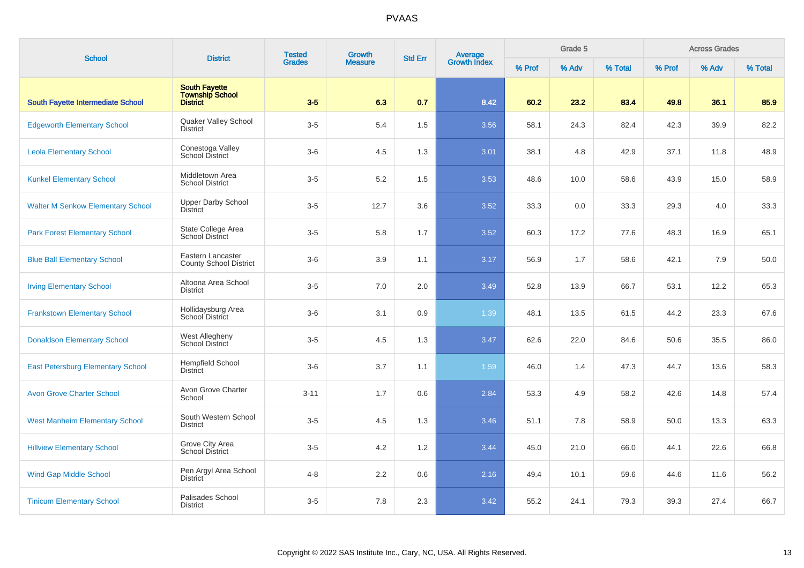| <b>School</b>                            | <b>District</b>                                                   | <b>Tested</b> | <b>Growth</b>  | <b>Std Err</b> | Average<br>Growth Index |        | Grade 5 |         |        | <b>Across Grades</b> |         |
|------------------------------------------|-------------------------------------------------------------------|---------------|----------------|----------------|-------------------------|--------|---------|---------|--------|----------------------|---------|
|                                          |                                                                   | <b>Grades</b> | <b>Measure</b> |                |                         | % Prof | % Adv   | % Total | % Prof | % Adv                | % Total |
| <b>South Fayette Intermediate School</b> | <b>South Fayette</b><br><b>Township School</b><br><b>District</b> | $3-5$         | 6.3            | 0.7            | 8.42                    | 60.2   | 23.2    | 83.4    | 49.8   | 36.1                 | 85.9    |
| <b>Edgeworth Elementary School</b>       | Quaker Valley School<br><b>District</b>                           | $3-5$         | 5.4            | 1.5            | 3.56                    | 58.1   | 24.3    | 82.4    | 42.3   | 39.9                 | 82.2    |
| <b>Leola Elementary School</b>           | Conestoga Valley<br>School District                               | $3-6$         | 4.5            | 1.3            | 3.01                    | 38.1   | 4.8     | 42.9    | 37.1   | 11.8                 | 48.9    |
| <b>Kunkel Elementary School</b>          | Middletown Area<br><b>School District</b>                         | $3-5$         | $5.2\,$        | 1.5            | 3.53                    | 48.6   | 10.0    | 58.6    | 43.9   | 15.0                 | 58.9    |
| <b>Walter M Senkow Elementary School</b> | <b>Upper Darby School</b><br><b>District</b>                      | $3-5$         | 12.7           | 3.6            | 3.52                    | 33.3   | 0.0     | 33.3    | 29.3   | 4.0                  | 33.3    |
| <b>Park Forest Elementary School</b>     | State College Area<br><b>School District</b>                      | $3-5$         | 5.8            | 1.7            | 3.52                    | 60.3   | 17.2    | 77.6    | 48.3   | 16.9                 | 65.1    |
| <b>Blue Ball Elementary School</b>       | Eastern Lancaster<br><b>County School District</b>                | $3-6$         | 3.9            | 1.1            | 3.17                    | 56.9   | 1.7     | 58.6    | 42.1   | 7.9                  | 50.0    |
| <b>Irving Elementary School</b>          | Altoona Area School<br><b>District</b>                            | $3-5$         | 7.0            | 2.0            | 3.49                    | 52.8   | 13.9    | 66.7    | 53.1   | 12.2                 | 65.3    |
| <b>Frankstown Elementary School</b>      | Hollidaysburg Area<br>School District                             | $3-6$         | 3.1            | 0.9            | 1.39                    | 48.1   | 13.5    | 61.5    | 44.2   | 23.3                 | 67.6    |
| <b>Donaldson Elementary School</b>       | West Allegheny<br><b>School District</b>                          | $3-5$         | 4.5            | 1.3            | 3.47                    | 62.6   | 22.0    | 84.6    | 50.6   | 35.5                 | 86.0    |
| <b>East Petersburg Elementary School</b> | Hempfield School<br><b>District</b>                               | $3-6$         | 3.7            | 1.1            | 1.59                    | 46.0   | 1.4     | 47.3    | 44.7   | 13.6                 | 58.3    |
| <b>Avon Grove Charter School</b>         | Avon Grove Charter<br>School                                      | $3 - 11$      | 1.7            | 0.6            | 2.84                    | 53.3   | 4.9     | 58.2    | 42.6   | 14.8                 | 57.4    |
| <b>West Manheim Elementary School</b>    | South Western School<br><b>District</b>                           | $3-5$         | 4.5            | 1.3            | 3.46                    | 51.1   | 7.8     | 58.9    | 50.0   | 13.3                 | 63.3    |
| <b>Hillview Elementary School</b>        | Grove City Area<br><b>School District</b>                         | $3-5$         | 4.2            | 1.2            | 3.44                    | 45.0   | 21.0    | 66.0    | 44.1   | 22.6                 | 66.8    |
| <b>Wind Gap Middle School</b>            | Pen Argyl Area School<br><b>District</b>                          | $4 - 8$       | 2.2            | 0.6            | 2.16                    | 49.4   | 10.1    | 59.6    | 44.6   | 11.6                 | 56.2    |
| <b>Tinicum Elementary School</b>         | Palisades School<br><b>District</b>                               | $3-5$         | 7.8            | 2.3            | 3.42                    | 55.2   | 24.1    | 79.3    | 39.3   | 27.4                 | 66.7    |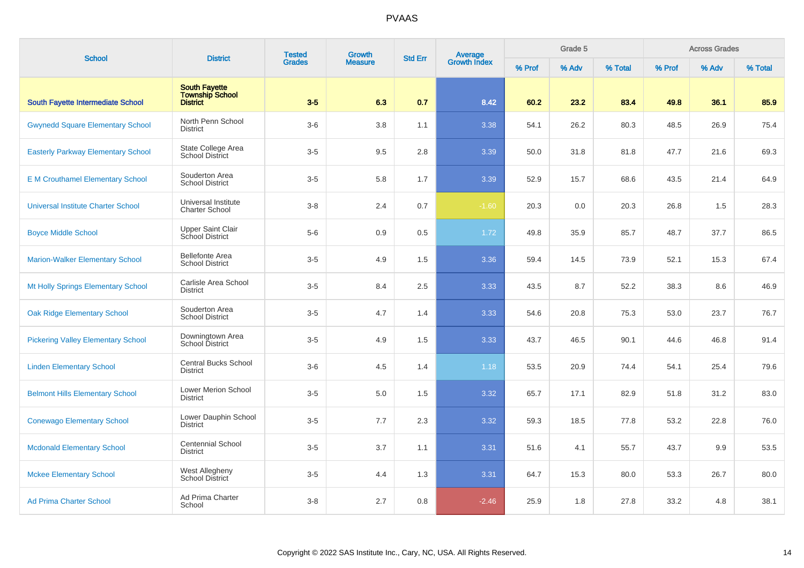| <b>School</b>                             | <b>District</b>                                                   | <b>Tested</b><br><b>Grades</b> | <b>Growth</b>  | <b>Std Err</b> | Average<br>Growth Index |        | Grade 5 |         |        | <b>Across Grades</b> |         |
|-------------------------------------------|-------------------------------------------------------------------|--------------------------------|----------------|----------------|-------------------------|--------|---------|---------|--------|----------------------|---------|
|                                           |                                                                   |                                | <b>Measure</b> |                |                         | % Prof | % Adv   | % Total | % Prof | % Adv                | % Total |
| <b>South Fayette Intermediate School</b>  | <b>South Fayette</b><br><b>Township School</b><br><b>District</b> | $3-5$                          | 6.3            | 0.7            | 8.42                    | 60.2   | 23.2    | 83.4    | 49.8   | 36.1                 | 85.9    |
| <b>Gwynedd Square Elementary School</b>   | North Penn School<br><b>District</b>                              | $3-6$                          | 3.8            | 1.1            | 3.38                    | 54.1   | 26.2    | 80.3    | 48.5   | 26.9                 | 75.4    |
| <b>Easterly Parkway Elementary School</b> | State College Area<br><b>School District</b>                      | $3-5$                          | 9.5            | 2.8            | 3.39                    | 50.0   | 31.8    | 81.8    | 47.7   | 21.6                 | 69.3    |
| <b>E</b> M Crouthamel Elementary School   | Souderton Area<br>School District                                 | $3-5$                          | 5.8            | 1.7            | 3.39                    | 52.9   | 15.7    | 68.6    | 43.5   | 21.4                 | 64.9    |
| <b>Universal Institute Charter School</b> | Universal Institute<br><b>Charter School</b>                      | $3 - 8$                        | 2.4            | 0.7            | $-1.60$                 | 20.3   | 0.0     | 20.3    | 26.8   | 1.5                  | 28.3    |
| <b>Boyce Middle School</b>                | <b>Upper Saint Clair</b><br><b>School District</b>                | $5-6$                          | 0.9            | 0.5            | 1.72                    | 49.8   | 35.9    | 85.7    | 48.7   | 37.7                 | 86.5    |
| <b>Marion-Walker Elementary School</b>    | <b>Bellefonte Area</b><br><b>School District</b>                  | $3-5$                          | 4.9            | 1.5            | 3.36                    | 59.4   | 14.5    | 73.9    | 52.1   | 15.3                 | 67.4    |
| Mt Holly Springs Elementary School        | Carlisle Area School<br><b>District</b>                           | $3-5$                          | 8.4            | 2.5            | 3.33                    | 43.5   | 8.7     | 52.2    | 38.3   | 8.6                  | 46.9    |
| <b>Oak Ridge Elementary School</b>        | Souderton Area<br><b>School District</b>                          | $3-5$                          | 4.7            | 1.4            | 3.33                    | 54.6   | 20.8    | 75.3    | 53.0   | 23.7                 | 76.7    |
| <b>Pickering Valley Elementary School</b> | Downingtown Area<br>School District                               | $3-5$                          | 4.9            | 1.5            | 3.33                    | 43.7   | 46.5    | 90.1    | 44.6   | 46.8                 | 91.4    |
| <b>Linden Elementary School</b>           | <b>Central Bucks School</b><br><b>District</b>                    | $3-6$                          | 4.5            | 1.4            | 1.18                    | 53.5   | 20.9    | 74.4    | 54.1   | 25.4                 | 79.6    |
| <b>Belmont Hills Elementary School</b>    | Lower Merion School<br><b>District</b>                            | $3-5$                          | 5.0            | 1.5            | 3.32                    | 65.7   | 17.1    | 82.9    | 51.8   | 31.2                 | 83.0    |
| <b>Conewago Elementary School</b>         | Lower Dauphin School<br><b>District</b>                           | $3-5$                          | 7.7            | 2.3            | 3.32                    | 59.3   | 18.5    | 77.8    | 53.2   | 22.8                 | 76.0    |
| <b>Mcdonald Elementary School</b>         | <b>Centennial School</b><br><b>District</b>                       | $3-5$                          | 3.7            | 1.1            | 3.31                    | 51.6   | 4.1     | 55.7    | 43.7   | 9.9                  | 53.5    |
| <b>Mckee Elementary School</b>            | West Allegheny<br>School District                                 | $3-5$                          | 4.4            | 1.3            | 3.31                    | 64.7   | 15.3    | 80.0    | 53.3   | 26.7                 | 80.0    |
| <b>Ad Prima Charter School</b>            | Ad Prima Charter<br>School                                        | $3 - 8$                        | 2.7            | 0.8            | $-2.46$                 | 25.9   | 1.8     | 27.8    | 33.2   | 4.8                  | 38.1    |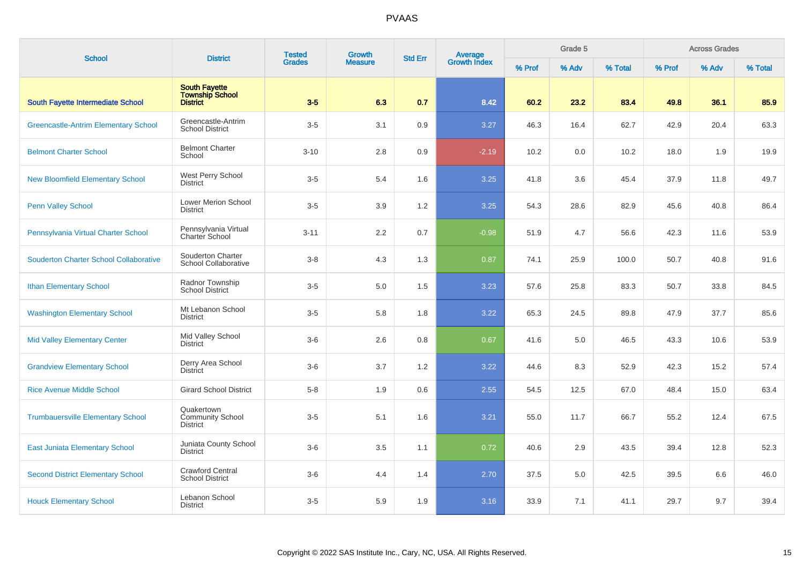| <b>School</b>                                 | <b>District</b>                                            | <b>Tested</b> | <b>Growth</b>  | <b>Std Err</b> | Average<br>Growth Index |        | Grade 5 |         |        | <b>Across Grades</b> |         |
|-----------------------------------------------|------------------------------------------------------------|---------------|----------------|----------------|-------------------------|--------|---------|---------|--------|----------------------|---------|
|                                               |                                                            | <b>Grades</b> | <b>Measure</b> |                |                         | % Prof | % Adv   | % Total | % Prof | % Adv                | % Total |
| <b>South Fayette Intermediate School</b>      | <b>South Fayette</b><br><b>Township School</b><br>District | $3-5$         | 6.3            | 0.7            | 8.42                    | 60.2   | 23.2    | 83.4    | 49.8   | 36.1                 | 85.9    |
| <b>Greencastle-Antrim Elementary School</b>   | Greencastle-Antrim<br><b>School District</b>               | $3-5$         | 3.1            | 0.9            | 3.27                    | 46.3   | 16.4    | 62.7    | 42.9   | 20.4                 | 63.3    |
| <b>Belmont Charter School</b>                 | <b>Belmont Charter</b><br>School                           | $3 - 10$      | 2.8            | 0.9            | $-2.19$                 | 10.2   | 0.0     | 10.2    | 18.0   | 1.9                  | 19.9    |
| <b>New Bloomfield Elementary School</b>       | West Perry School<br><b>District</b>                       | $3-5$         | 5.4            | 1.6            | 3.25                    | 41.8   | 3.6     | 45.4    | 37.9   | 11.8                 | 49.7    |
| <b>Penn Valley School</b>                     | Lower Merion School<br><b>District</b>                     | $3-5$         | 3.9            | 1.2            | 3.25                    | 54.3   | 28.6    | 82.9    | 45.6   | 40.8                 | 86.4    |
| Pennsylvania Virtual Charter School           | Pennsylvania Virtual<br><b>Charter School</b>              | $3 - 11$      | 2.2            | 0.7            | $-0.98$                 | 51.9   | 4.7     | 56.6    | 42.3   | 11.6                 | 53.9    |
| <b>Souderton Charter School Collaborative</b> | Souderton Charter<br>School Collaborative                  | $3 - 8$       | 4.3            | 1.3            | 0.87                    | 74.1   | 25.9    | 100.0   | 50.7   | 40.8                 | 91.6    |
| <b>Ithan Elementary School</b>                | Radnor Township<br><b>School District</b>                  | $3-5$         | 5.0            | 1.5            | 3.23                    | 57.6   | 25.8    | 83.3    | 50.7   | 33.8                 | 84.5    |
| <b>Washington Elementary School</b>           | Mt Lebanon School<br><b>District</b>                       | $3-5$         | 5.8            | 1.8            | 3.22                    | 65.3   | 24.5    | 89.8    | 47.9   | 37.7                 | 85.6    |
| <b>Mid Valley Elementary Center</b>           | Mid Valley School<br><b>District</b>                       | $3-6$         | 2.6            | 0.8            | 0.67                    | 41.6   | 5.0     | 46.5    | 43.3   | 10.6                 | 53.9    |
| <b>Grandview Elementary School</b>            | Derry Area School<br><b>District</b>                       | $3-6$         | 3.7            | 1.2            | 3.22                    | 44.6   | 8.3     | 52.9    | 42.3   | 15.2                 | 57.4    |
| <b>Rice Avenue Middle School</b>              | <b>Girard School District</b>                              | $5 - 8$       | 1.9            | 0.6            | 2.55                    | 54.5   | 12.5    | 67.0    | 48.4   | 15.0                 | 63.4    |
| <b>Trumbauersville Elementary School</b>      | Quakertown<br><b>Community School</b><br><b>District</b>   | $3-5$         | 5.1            | 1.6            | 3.21                    | 55.0   | 11.7    | 66.7    | 55.2   | 12.4                 | 67.5    |
| <b>East Juniata Elementary School</b>         | Juniata County School<br><b>District</b>                   | $3-6$         | 3.5            | 1.1            | 0.72                    | 40.6   | 2.9     | 43.5    | 39.4   | 12.8                 | 52.3    |
| <b>Second District Elementary School</b>      | <b>Crawford Central</b><br><b>School District</b>          | $3-6$         | 4.4            | 1.4            | 2.70                    | 37.5   | 5.0     | 42.5    | 39.5   | 6.6                  | 46.0    |
| <b>Houck Elementary School</b>                | Lebanon School<br><b>District</b>                          | $3-5$         | 5.9            | 1.9            | 3.16                    | 33.9   | 7.1     | 41.1    | 29.7   | 9.7                  | 39.4    |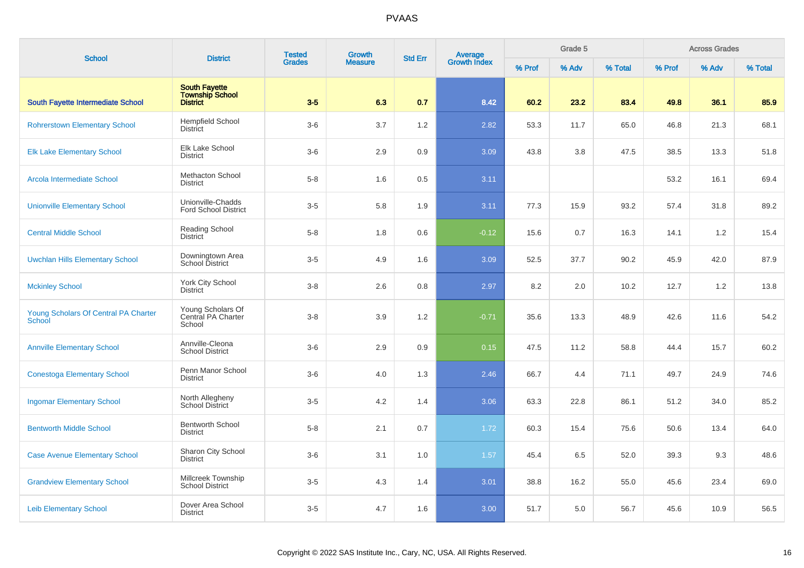| <b>School</b>                                         | <b>District</b>                                                   | <b>Tested</b> | Growth         | <b>Std Err</b> | Average<br>Growth Index |        | Grade 5 |         |        | <b>Across Grades</b> |         |
|-------------------------------------------------------|-------------------------------------------------------------------|---------------|----------------|----------------|-------------------------|--------|---------|---------|--------|----------------------|---------|
|                                                       |                                                                   | <b>Grades</b> | <b>Measure</b> |                |                         | % Prof | % Adv   | % Total | % Prof | % Adv                | % Total |
| South Fayette Intermediate School                     | <b>South Fayette</b><br><b>Township School</b><br><b>District</b> | $3-5$         | 6.3            | 0.7            | 8.42                    | 60.2   | 23.2    | 83.4    | 49.8   | 36.1                 | 85.9    |
| <b>Rohrerstown Elementary School</b>                  | Hempfield School<br><b>District</b>                               | $3-6$         | 3.7            | 1.2            | 2.82                    | 53.3   | 11.7    | 65.0    | 46.8   | 21.3                 | 68.1    |
| <b>Elk Lake Elementary School</b>                     | Elk Lake School<br><b>District</b>                                | $3-6$         | 2.9            | 0.9            | 3.09                    | 43.8   | 3.8     | 47.5    | 38.5   | 13.3                 | 51.8    |
| Arcola Intermediate School                            | Methacton School<br><b>District</b>                               | $5 - 8$       | 1.6            | 0.5            | 3.11                    |        |         |         | 53.2   | 16.1                 | 69.4    |
| <b>Unionville Elementary School</b>                   | Unionville-Chadds<br><b>Ford School District</b>                  | $3-5$         | 5.8            | 1.9            | 3.11                    | 77.3   | 15.9    | 93.2    | 57.4   | 31.8                 | 89.2    |
| <b>Central Middle School</b>                          | <b>Reading School</b><br><b>District</b>                          | $5 - 8$       | 1.8            | 0.6            | $-0.12$                 | 15.6   | 0.7     | 16.3    | 14.1   | 1.2                  | 15.4    |
| <b>Uwchlan Hills Elementary School</b>                | Downingtown Area<br>School District                               | $3-5$         | 4.9            | 1.6            | 3.09                    | 52.5   | 37.7    | 90.2    | 45.9   | 42.0                 | 87.9    |
| <b>Mckinley School</b>                                | <b>York City School</b><br><b>District</b>                        | $3 - 8$       | 2.6            | 0.8            | 2.97                    | 8.2    | 2.0     | 10.2    | 12.7   | 1.2                  | 13.8    |
| Young Scholars Of Central PA Charter<br><b>School</b> | Young Scholars Of<br>Central PA Charter<br>School                 | $3 - 8$       | 3.9            | 1.2            | $-0.71$                 | 35.6   | 13.3    | 48.9    | 42.6   | 11.6                 | 54.2    |
| <b>Annville Elementary School</b>                     | Annville-Cleona<br>School District                                | $3-6$         | 2.9            | 0.9            | 0.15                    | 47.5   | 11.2    | 58.8    | 44.4   | 15.7                 | 60.2    |
| <b>Conestoga Elementary School</b>                    | Penn Manor School<br><b>District</b>                              | $3-6$         | 4.0            | 1.3            | 2.46                    | 66.7   | 4.4     | 71.1    | 49.7   | 24.9                 | 74.6    |
| <b>Ingomar Elementary School</b>                      | North Allegheny<br><b>School District</b>                         | $3-5$         | 4.2            | 1.4            | 3.06                    | 63.3   | 22.8    | 86.1    | 51.2   | 34.0                 | 85.2    |
| <b>Bentworth Middle School</b>                        | <b>Bentworth School</b><br><b>District</b>                        | $5 - 8$       | 2.1            | 0.7            | 1.72                    | 60.3   | 15.4    | 75.6    | 50.6   | 13.4                 | 64.0    |
| <b>Case Avenue Elementary School</b>                  | Sharon City School<br><b>District</b>                             | $3-6$         | 3.1            | 1.0            | 1.57                    | 45.4   | 6.5     | 52.0    | 39.3   | 9.3                  | 48.6    |
| <b>Grandview Elementary School</b>                    | Millcreek Township<br><b>School District</b>                      | $3-5$         | 4.3            | 1.4            | 3.01                    | 38.8   | 16.2    | 55.0    | 45.6   | 23.4                 | 69.0    |
| <b>Leib Elementary School</b>                         | Dover Area School<br><b>District</b>                              | $3-5$         | 4.7            | 1.6            | 3.00                    | 51.7   | 5.0     | 56.7    | 45.6   | 10.9                 | 56.5    |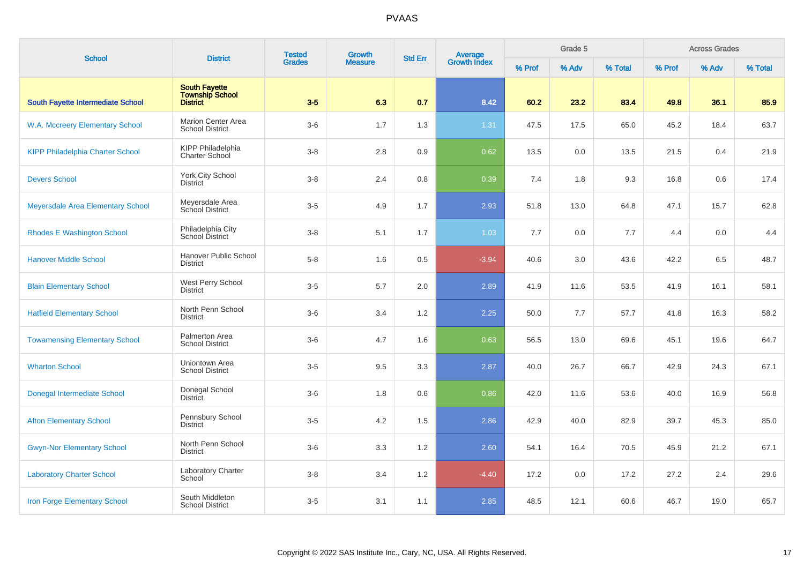| <b>School</b>                            | <b>District</b>                                                   | <b>Tested</b> | <b>Growth</b>  | <b>Std Err</b> | <b>Average</b><br>Growth Index |        | Grade 5 |         |        | <b>Across Grades</b> |         |
|------------------------------------------|-------------------------------------------------------------------|---------------|----------------|----------------|--------------------------------|--------|---------|---------|--------|----------------------|---------|
|                                          |                                                                   | <b>Grades</b> | <b>Measure</b> |                |                                | % Prof | % Adv   | % Total | % Prof | % Adv                | % Total |
| <b>South Fayette Intermediate School</b> | <b>South Fayette</b><br><b>Township School</b><br><b>District</b> | $3-5$         | 6.3            | 0.7            | 8.42                           | 60.2   | 23.2    | 83.4    | 49.8   | 36.1                 | 85.9    |
| W.A. Mccreery Elementary School          | <b>Marion Center Area</b><br><b>School District</b>               | $3-6$         | 1.7            | 1.3            | 1.31                           | 47.5   | 17.5    | 65.0    | 45.2   | 18.4                 | 63.7    |
| <b>KIPP Philadelphia Charter School</b>  | <b>KIPP Philadelphia</b><br>Charter School                        | $3 - 8$       | 2.8            | 0.9            | 0.62                           | 13.5   | 0.0     | 13.5    | 21.5   | 0.4                  | 21.9    |
| <b>Devers School</b>                     | <b>York City School</b><br><b>District</b>                        | $3 - 8$       | 2.4            | 0.8            | 0.39                           | 7.4    | 1.8     | 9.3     | 16.8   | 0.6                  | 17.4    |
| Meyersdale Area Elementary School        | Meyersdale Area<br>School District                                | $3-5$         | 4.9            | 1.7            | 2.93                           | 51.8   | 13.0    | 64.8    | 47.1   | 15.7                 | 62.8    |
| <b>Rhodes E Washington School</b>        | Philadelphia City<br><b>School District</b>                       | $3-8$         | 5.1            | 1.7            | 1.03                           | 7.7    | 0.0     | 7.7     | 4.4    | 0.0                  | 4.4     |
| <b>Hanover Middle School</b>             | Hanover Public School<br><b>District</b>                          | $5-8$         | 1.6            | 0.5            | $-3.94$                        | 40.6   | 3.0     | 43.6    | 42.2   | 6.5                  | 48.7    |
| <b>Blain Elementary School</b>           | West Perry School<br><b>District</b>                              | $3-5$         | 5.7            | 2.0            | 2.89                           | 41.9   | 11.6    | 53.5    | 41.9   | 16.1                 | 58.1    |
| <b>Hatfield Elementary School</b>        | North Penn School<br><b>District</b>                              | $3-6$         | 3.4            | 1.2            | 2.25                           | 50.0   | 7.7     | 57.7    | 41.8   | 16.3                 | 58.2    |
| <b>Towamensing Elementary School</b>     | Palmerton Area<br><b>School District</b>                          | $3-6$         | 4.7            | 1.6            | 0.63                           | 56.5   | 13.0    | 69.6    | 45.1   | 19.6                 | 64.7    |
| <b>Wharton School</b>                    | Uniontown Area<br><b>School District</b>                          | $3-5$         | 9.5            | 3.3            | 2.87                           | 40.0   | 26.7    | 66.7    | 42.9   | 24.3                 | 67.1    |
| <b>Donegal Intermediate School</b>       | Donegal School<br><b>District</b>                                 | $3-6$         | 1.8            | 0.6            | 0.86                           | 42.0   | 11.6    | 53.6    | 40.0   | 16.9                 | 56.8    |
| <b>Afton Elementary School</b>           | Pennsbury School<br><b>District</b>                               | $3-5$         | 4.2            | 1.5            | 2.86                           | 42.9   | 40.0    | 82.9    | 39.7   | 45.3                 | 85.0    |
| <b>Gwyn-Nor Elementary School</b>        | North Penn School<br><b>District</b>                              | $3-6$         | 3.3            | 1.2            | 2.60                           | 54.1   | 16.4    | 70.5    | 45.9   | 21.2                 | 67.1    |
| <b>Laboratory Charter School</b>         | Laboratory Charter<br>School                                      | $3 - 8$       | 3.4            | 1.2            | $-4.40$                        | 17.2   | 0.0     | 17.2    | 27.2   | 2.4                  | 29.6    |
| <b>Iron Forge Elementary School</b>      | South Middleton<br><b>School District</b>                         | $3-5$         | 3.1            | 1.1            | 2.85                           | 48.5   | 12.1    | 60.6    | 46.7   | 19.0                 | 65.7    |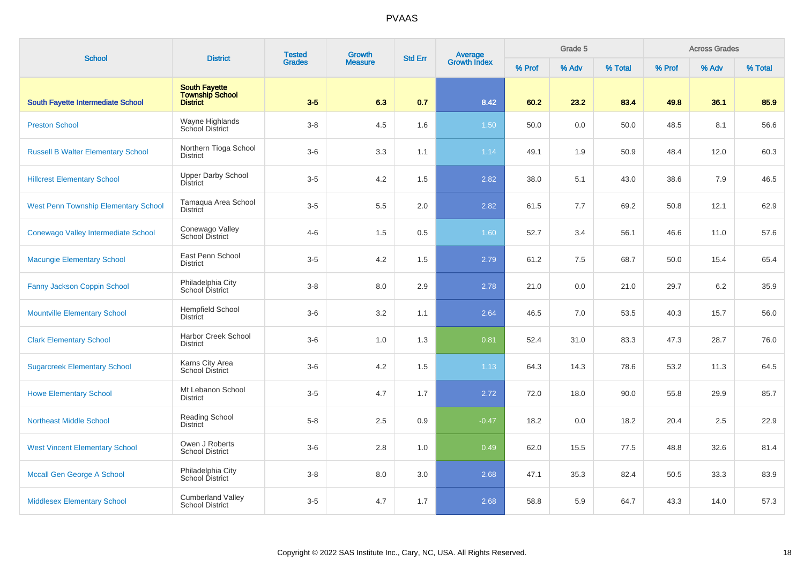| <b>School</b>                               | <b>District</b>                                            | <b>Tested</b> | <b>Growth</b>  | <b>Std Err</b> | Average<br>Growth Index |        | Grade 5 |         |        | <b>Across Grades</b> |         |
|---------------------------------------------|------------------------------------------------------------|---------------|----------------|----------------|-------------------------|--------|---------|---------|--------|----------------------|---------|
|                                             |                                                            | <b>Grades</b> | <b>Measure</b> |                |                         | % Prof | % Adv   | % Total | % Prof | % Adv                | % Total |
| <b>South Fayette Intermediate School</b>    | <b>South Fayette</b><br><b>Township School</b><br>District | $3-5$         | 6.3            | 0.7            | 8.42                    | 60.2   | 23.2    | 83.4    | 49.8   | 36.1                 | 85.9    |
| <b>Preston School</b>                       | Wayne Highlands<br>School District                         | $3 - 8$       | 4.5            | 1.6            | 1.50                    | 50.0   | 0.0     | 50.0    | 48.5   | 8.1                  | 56.6    |
| <b>Russell B Walter Elementary School</b>   | Northern Tioga School<br><b>District</b>                   | $3-6$         | 3.3            | 1.1            | 1.14                    | 49.1   | 1.9     | 50.9    | 48.4   | 12.0                 | 60.3    |
| <b>Hillcrest Elementary School</b>          | <b>Upper Darby School</b><br><b>District</b>               | $3-5$         | 4.2            | 1.5            | 2.82                    | 38.0   | 5.1     | 43.0    | 38.6   | 7.9                  | 46.5    |
| <b>West Penn Township Elementary School</b> | Tamagua Area School<br><b>District</b>                     | $3-5$         | 5.5            | 2.0            | 2.82                    | 61.5   | 7.7     | 69.2    | 50.8   | 12.1                 | 62.9    |
| Conewago Valley Intermediate School         | Conewago Valley<br><b>School District</b>                  | $4 - 6$       | 1.5            | 0.5            | 1.60                    | 52.7   | 3.4     | 56.1    | 46.6   | 11.0                 | 57.6    |
| <b>Macungie Elementary School</b>           | East Penn School<br><b>District</b>                        | $3-5$         | 4.2            | 1.5            | 2.79                    | 61.2   | 7.5     | 68.7    | 50.0   | 15.4                 | 65.4    |
| Fanny Jackson Coppin School                 | Philadelphia City<br>School District                       | $3 - 8$       | 8.0            | 2.9            | 2.78                    | 21.0   | 0.0     | 21.0    | 29.7   | 6.2                  | 35.9    |
| <b>Mountville Elementary School</b>         | <b>Hempfield School</b><br><b>District</b>                 | $3-6$         | 3.2            | 1.1            | 2.64                    | 46.5   | 7.0     | 53.5    | 40.3   | 15.7                 | 56.0    |
| <b>Clark Elementary School</b>              | Harbor Creek School<br><b>District</b>                     | $3-6$         | 1.0            | 1.3            | 0.81                    | 52.4   | 31.0    | 83.3    | 47.3   | 28.7                 | 76.0    |
| <b>Sugarcreek Elementary School</b>         | Karns City Area<br><b>School District</b>                  | $3-6$         | 4.2            | 1.5            | 1.13                    | 64.3   | 14.3    | 78.6    | 53.2   | 11.3                 | 64.5    |
| <b>Howe Elementary School</b>               | Mt Lebanon School<br><b>District</b>                       | $3-5$         | 4.7            | 1.7            | 2.72                    | 72.0   | 18.0    | 90.0    | 55.8   | 29.9                 | 85.7    |
| <b>Northeast Middle School</b>              | <b>Reading School</b><br><b>District</b>                   | $5 - 8$       | 2.5            | 0.9            | $-0.47$                 | 18.2   | 0.0     | 18.2    | 20.4   | 2.5                  | 22.9    |
| <b>West Vincent Elementary School</b>       | Owen J Roberts<br><b>School District</b>                   | $3-6$         | 2.8            | 1.0            | 0.49                    | 62.0   | 15.5    | 77.5    | 48.8   | 32.6                 | 81.4    |
| Mccall Gen George A School                  | Philadelphia City<br><b>School District</b>                | $3 - 8$       | 8.0            | 3.0            | 2.68                    | 47.1   | 35.3    | 82.4    | 50.5   | 33.3                 | 83.9    |
| <b>Middlesex Elementary School</b>          | <b>Cumberland Valley</b><br><b>School District</b>         | $3-5$         | 4.7            | 1.7            | 2.68                    | 58.8   | 5.9     | 64.7    | 43.3   | 14.0                 | 57.3    |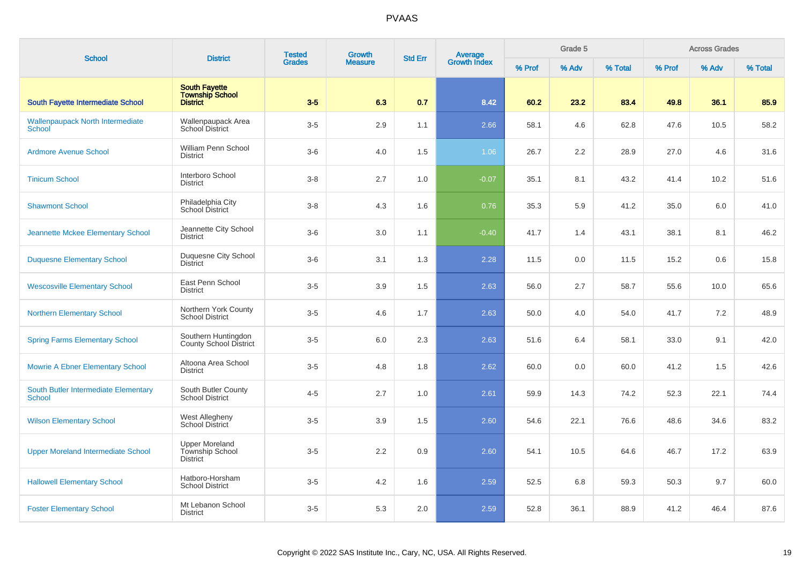| <b>School</b>                                     | <b>District</b>                                                   | <b>Tested</b> | <b>Growth</b>  | <b>Std Err</b> | Average<br>Growth Index |        | Grade 5 |         |        | <b>Across Grades</b> |         |
|---------------------------------------------------|-------------------------------------------------------------------|---------------|----------------|----------------|-------------------------|--------|---------|---------|--------|----------------------|---------|
|                                                   |                                                                   | <b>Grades</b> | <b>Measure</b> |                |                         | % Prof | % Adv   | % Total | % Prof | % Adv                | % Total |
| <b>South Fayette Intermediate School</b>          | <b>South Fayette</b><br><b>Township School</b><br><b>District</b> | $3-5$         | 6.3            | 0.7            | 8.42                    | 60.2   | 23.2    | 83.4    | 49.8   | 36.1                 | 85.9    |
| <b>Wallenpaupack North Intermediate</b><br>School | Wallenpaupack Area<br><b>School District</b>                      | $3-5$         | 2.9            | 1.1            | 2.66                    | 58.1   | 4.6     | 62.8    | 47.6   | 10.5                 | 58.2    |
| <b>Ardmore Avenue School</b>                      | William Penn School<br><b>District</b>                            | $3-6$         | 4.0            | 1.5            | 1.06                    | 26.7   | 2.2     | 28.9    | 27.0   | 4.6                  | 31.6    |
| <b>Tinicum School</b>                             | Interboro School<br><b>District</b>                               | $3 - 8$       | 2.7            | 1.0            | $-0.07$                 | 35.1   | 8.1     | 43.2    | 41.4   | 10.2                 | 51.6    |
| <b>Shawmont School</b>                            | Philadelphia City<br>School District                              | $3-8$         | 4.3            | 1.6            | 0.76                    | 35.3   | 5.9     | 41.2    | 35.0   | 6.0                  | 41.0    |
| Jeannette Mckee Elementary School                 | Jeannette City School<br><b>District</b>                          | $3-6$         | 3.0            | 1.1            | $-0.40$                 | 41.7   | 1.4     | 43.1    | 38.1   | 8.1                  | 46.2    |
| <b>Duquesne Elementary School</b>                 | Duquesne City School<br><b>District</b>                           | $3-6$         | 3.1            | 1.3            | 2.28                    | 11.5   | 0.0     | 11.5    | 15.2   | 0.6                  | 15.8    |
| <b>Wescosville Elementary School</b>              | East Penn School<br><b>District</b>                               | $3-5$         | 3.9            | 1.5            | 2.63                    | 56.0   | 2.7     | 58.7    | 55.6   | 10.0                 | 65.6    |
| <b>Northern Elementary School</b>                 | Northern York County<br><b>School District</b>                    | $3-5$         | 4.6            | 1.7            | 2.63                    | 50.0   | 4.0     | 54.0    | 41.7   | 7.2                  | 48.9    |
| <b>Spring Farms Elementary School</b>             | Southern Huntingdon<br>County School District                     | $3-5$         | 6.0            | 2.3            | 2.63                    | 51.6   | 6.4     | 58.1    | 33.0   | 9.1                  | 42.0    |
| <b>Mowrie A Ebner Elementary School</b>           | Altoona Area School<br><b>District</b>                            | $3-5$         | 4.8            | 1.8            | 2.62                    | 60.0   | 0.0     | 60.0    | 41.2   | 1.5                  | 42.6    |
| South Butler Intermediate Elementary<br>School    | South Butler County<br><b>School District</b>                     | $4 - 5$       | 2.7            | 1.0            | 2.61                    | 59.9   | 14.3    | 74.2    | 52.3   | 22.1                 | 74.4    |
| <b>Wilson Elementary School</b>                   | <b>West Allegheny</b><br>School District                          | $3-5$         | 3.9            | 1.5            | 2.60                    | 54.6   | 22.1    | 76.6    | 48.6   | 34.6                 | 83.2    |
| <b>Upper Moreland Intermediate School</b>         | <b>Upper Moreland</b><br>Township School<br><b>District</b>       | $3-5$         | 2.2            | 0.9            | 2.60                    | 54.1   | 10.5    | 64.6    | 46.7   | 17.2                 | 63.9    |
| <b>Hallowell Elementary School</b>                | Hatboro-Horsham<br><b>School District</b>                         | $3-5$         | 4.2            | 1.6            | 2.59                    | 52.5   | 6.8     | 59.3    | 50.3   | 9.7                  | 60.0    |
| <b>Foster Elementary School</b>                   | Mt Lebanon School<br><b>District</b>                              | $3-5$         | 5.3            | 2.0            | 2.59                    | 52.8   | 36.1    | 88.9    | 41.2   | 46.4                 | 87.6    |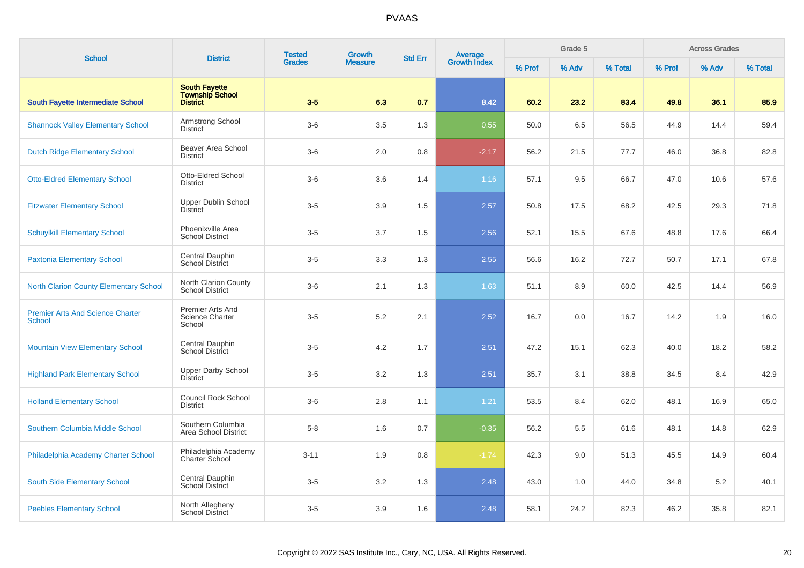| <b>School</b>                                            | <b>District</b>                                                   | <b>Tested</b> | <b>Growth</b>  | <b>Std Err</b> | Average<br>Growth Index |        | Grade 5 |         |        | <b>Across Grades</b> |         |
|----------------------------------------------------------|-------------------------------------------------------------------|---------------|----------------|----------------|-------------------------|--------|---------|---------|--------|----------------------|---------|
|                                                          |                                                                   | <b>Grades</b> | <b>Measure</b> |                |                         | % Prof | % Adv   | % Total | % Prof | % Adv                | % Total |
| South Fayette Intermediate School                        | <b>South Fayette</b><br><b>Township School</b><br><b>District</b> | $3-5$         | 6.3            | 0.7            | 8.42                    | 60.2   | 23.2    | 83.4    | 49.8   | 36.1                 | 85.9    |
| <b>Shannock Valley Elementary School</b>                 | Armstrong School<br><b>District</b>                               | $3-6$         | 3.5            | 1.3            | 0.55                    | 50.0   | 6.5     | 56.5    | 44.9   | 14.4                 | 59.4    |
| <b>Dutch Ridge Elementary School</b>                     | Beaver Area School<br><b>District</b>                             | $3-6$         | 2.0            | 0.8            | $-2.17$                 | 56.2   | 21.5    | 77.7    | 46.0   | 36.8                 | 82.8    |
| <b>Otto-Eldred Elementary School</b>                     | Otto-Eldred School<br><b>District</b>                             | $3-6$         | 3.6            | 1.4            | 1.16                    | 57.1   | 9.5     | 66.7    | 47.0   | 10.6                 | 57.6    |
| <b>Fitzwater Elementary School</b>                       | Upper Dublin School<br><b>District</b>                            | $3-5$         | 3.9            | 1.5            | 2.57                    | 50.8   | 17.5    | 68.2    | 42.5   | 29.3                 | 71.8    |
| <b>Schuylkill Elementary School</b>                      | Phoenixville Area<br><b>School District</b>                       | $3-5$         | 3.7            | 1.5            | 2.56                    | 52.1   | 15.5    | 67.6    | 48.8   | 17.6                 | 66.4    |
| <b>Paxtonia Elementary School</b>                        | Central Dauphin<br><b>School District</b>                         | $3-5$         | 3.3            | 1.3            | 2.55                    | 56.6   | 16.2    | 72.7    | 50.7   | 17.1                 | 67.8    |
| <b>North Clarion County Elementary School</b>            | North Clarion County<br><b>School District</b>                    | $3-6$         | 2.1            | 1.3            | 1.63                    | 51.1   | 8.9     | 60.0    | 42.5   | 14.4                 | 56.9    |
| <b>Premier Arts And Science Charter</b><br><b>School</b> | <b>Premier Arts And</b><br><b>Science Charter</b><br>School       | $3-5$         | 5.2            | 2.1            | 2.52                    | 16.7   | 0.0     | 16.7    | 14.2   | 1.9                  | 16.0    |
| <b>Mountain View Elementary School</b>                   | Central Dauphin<br>School District                                | $3-5$         | 4.2            | 1.7            | 2.51                    | 47.2   | 15.1    | 62.3    | 40.0   | 18.2                 | 58.2    |
| <b>Highland Park Elementary School</b>                   | <b>Upper Darby School</b><br><b>District</b>                      | $3-5$         | 3.2            | 1.3            | 2.51                    | 35.7   | 3.1     | 38.8    | 34.5   | 8.4                  | 42.9    |
| <b>Holland Elementary School</b>                         | <b>Council Rock School</b><br><b>District</b>                     | $3-6$         | 2.8            | 1.1            | 1.21                    | 53.5   | 8.4     | 62.0    | 48.1   | 16.9                 | 65.0    |
| Southern Columbia Middle School                          | Southern Columbia<br><b>Area School District</b>                  | $5 - 8$       | 1.6            | 0.7            | $-0.35$                 | 56.2   | 5.5     | 61.6    | 48.1   | 14.8                 | 62.9    |
| Philadelphia Academy Charter School                      | Philadelphia Academy<br>Charter School                            | $3 - 11$      | 1.9            | 0.8            | $-1.74$                 | 42.3   | 9.0     | 51.3    | 45.5   | 14.9                 | 60.4    |
| South Side Elementary School                             | Central Dauphin<br><b>School District</b>                         | $3-5$         | 3.2            | 1.3            | 2.48                    | 43.0   | 1.0     | 44.0    | 34.8   | 5.2                  | 40.1    |
| <b>Peebles Elementary School</b>                         | North Allegheny<br><b>School District</b>                         | $3-5$         | 3.9            | 1.6            | 2.48                    | 58.1   | 24.2    | 82.3    | 46.2   | 35.8                 | 82.1    |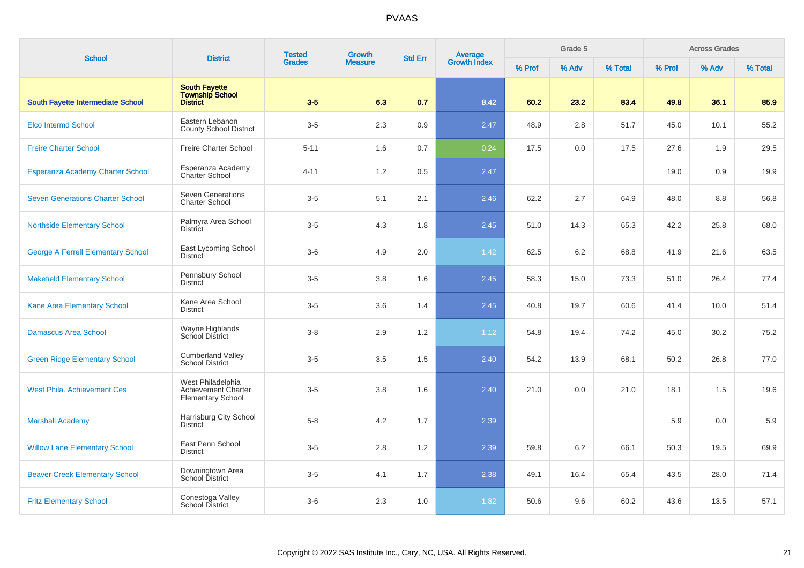| <b>School</b>                             | <b>District</b>                                                      | <b>Tested</b><br><b>Grades</b> | <b>Growth</b>  | <b>Std Err</b> | <b>Average</b><br>Growth Index |        | Grade 5 |         |        | <b>Across Grades</b> |         |
|-------------------------------------------|----------------------------------------------------------------------|--------------------------------|----------------|----------------|--------------------------------|--------|---------|---------|--------|----------------------|---------|
|                                           |                                                                      |                                | <b>Measure</b> |                |                                | % Prof | % Adv   | % Total | % Prof | % Adv                | % Total |
| <b>South Fayette Intermediate School</b>  | <b>South Fayette</b><br><b>Township School</b><br><b>District</b>    | $3-5$                          | 6.3            | 0.7            | 8.42                           | 60.2   | 23.2    | 83.4    | 49.8   | 36.1                 | 85.9    |
| <b>Elco Intermd School</b>                | Eastern Lebanon<br><b>County School District</b>                     | $3-5$                          | 2.3            | 0.9            | 2.47                           | 48.9   | 2.8     | 51.7    | 45.0   | 10.1                 | 55.2    |
| <b>Freire Charter School</b>              | <b>Freire Charter School</b>                                         | $5 - 11$                       | 1.6            | 0.7            | 0.24                           | 17.5   | 0.0     | 17.5    | 27.6   | 1.9                  | 29.5    |
| <b>Esperanza Academy Charter School</b>   | Esperanza Academy<br>Charter School                                  | $4 - 11$                       | 1.2            | 0.5            | 2.47                           |        |         |         | 19.0   | 0.9                  | 19.9    |
| <b>Seven Generations Charter School</b>   | <b>Seven Generations</b><br><b>Charter School</b>                    | $3-5$                          | 5.1            | 2.1            | 2.46                           | 62.2   | 2.7     | 64.9    | 48.0   | 8.8                  | 56.8    |
| <b>Northside Elementary School</b>        | Palmyra Area School<br><b>District</b>                               | $3-5$                          | 4.3            | 1.8            | 2.45                           | 51.0   | 14.3    | 65.3    | 42.2   | 25.8                 | 68.0    |
| <b>George A Ferrell Elementary School</b> | East Lycoming School<br><b>District</b>                              | $3-6$                          | 4.9            | 2.0            | 1.42                           | 62.5   | 6.2     | 68.8    | 41.9   | 21.6                 | 63.5    |
| <b>Makefield Elementary School</b>        | Pennsbury School<br><b>District</b>                                  | $3-5$                          | 3.8            | 1.6            | 2.45                           | 58.3   | 15.0    | 73.3    | 51.0   | 26.4                 | 77.4    |
| Kane Area Elementary School               | Kane Area School<br><b>District</b>                                  | $3-5$                          | 3.6            | 1.4            | 2.45                           | 40.8   | 19.7    | 60.6    | 41.4   | 10.0                 | 51.4    |
| <b>Damascus Area School</b>               | Wayne Highlands<br>School District                                   | $3 - 8$                        | 2.9            | 1.2            | 1.12                           | 54.8   | 19.4    | 74.2    | 45.0   | 30.2                 | 75.2    |
| <b>Green Ridge Elementary School</b>      | <b>Cumberland Valley</b><br><b>School District</b>                   | $3-5$                          | 3.5            | 1.5            | 2.40                           | 54.2   | 13.9    | 68.1    | 50.2   | 26.8                 | 77.0    |
| <b>West Phila. Achievement Ces</b>        | West Philadelphia<br>Achievement Charter<br><b>Elementary School</b> | $3-5$                          | 3.8            | 1.6            | 2.40                           | 21.0   | 0.0     | 21.0    | 18.1   | 1.5                  | 19.6    |
| <b>Marshall Academy</b>                   | Harrisburg City School<br><b>District</b>                            | $5 - 8$                        | 4.2            | 1.7            | 2.39                           |        |         |         | 5.9    | 0.0                  | 5.9     |
| <b>Willow Lane Elementary School</b>      | East Penn School<br><b>District</b>                                  | $3-5$                          | 2.8            | 1.2            | 2.39                           | 59.8   | 6.2     | 66.1    | 50.3   | 19.5                 | 69.9    |
| <b>Beaver Creek Elementary School</b>     | Downingtown Area<br><b>School District</b>                           | $3-5$                          | 4.1            | 1.7            | 2.38                           | 49.1   | 16.4    | 65.4    | 43.5   | 28.0                 | 71.4    |
| <b>Fritz Elementary School</b>            | Conestoga Valley<br><b>School District</b>                           | $3-6$                          | 2.3            | 1.0            | 1.82                           | 50.6   | 9.6     | 60.2    | 43.6   | 13.5                 | 57.1    |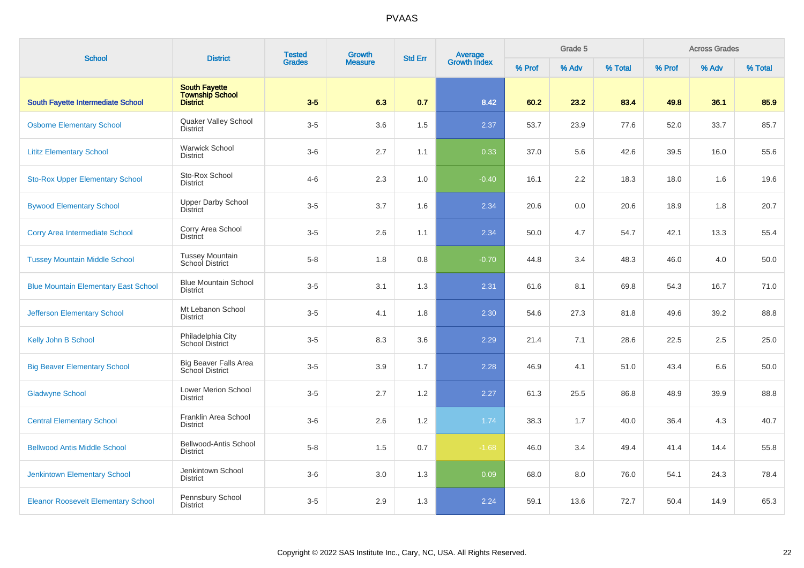| <b>School</b>                               | <b>District</b>                                            | <b>Tested</b> | <b>Growth</b>  | <b>Std Err</b> | Average<br>Growth Index |        | Grade 5 |         |        | <b>Across Grades</b> |         |
|---------------------------------------------|------------------------------------------------------------|---------------|----------------|----------------|-------------------------|--------|---------|---------|--------|----------------------|---------|
|                                             |                                                            | <b>Grades</b> | <b>Measure</b> |                |                         | % Prof | % Adv   | % Total | % Prof | % Adv                | % Total |
| <b>South Fayette Intermediate School</b>    | <b>South Fayette</b><br><b>Township School</b><br>District | $3-5$         | 6.3            | 0.7            | 8.42                    | 60.2   | 23.2    | 83.4    | 49.8   | 36.1                 | 85.9    |
| <b>Osborne Elementary School</b>            | Quaker Valley School<br><b>District</b>                    | $3-5$         | 3.6            | 1.5            | 2.37                    | 53.7   | 23.9    | 77.6    | 52.0   | 33.7                 | 85.7    |
| <b>Lititz Elementary School</b>             | <b>Warwick School</b><br><b>District</b>                   | $3-6$         | 2.7            | 1.1            | 0.33                    | 37.0   | 5.6     | 42.6    | 39.5   | 16.0                 | 55.6    |
| <b>Sto-Rox Upper Elementary School</b>      | Sto-Rox School<br><b>District</b>                          | $4 - 6$       | 2.3            | 1.0            | $-0.40$                 | 16.1   | 2.2     | 18.3    | 18.0   | 1.6                  | 19.6    |
| <b>Bywood Elementary School</b>             | <b>Upper Darby School</b><br>District                      | $3-5$         | 3.7            | 1.6            | 2.34                    | 20.6   | 0.0     | 20.6    | 18.9   | 1.8                  | 20.7    |
| Corry Area Intermediate School              | Corry Area School<br><b>District</b>                       | $3-5$         | 2.6            | 1.1            | 2.34                    | 50.0   | 4.7     | 54.7    | 42.1   | 13.3                 | 55.4    |
| <b>Tussey Mountain Middle School</b>        | <b>Tussey Mountain</b><br>School District                  | $5 - 8$       | 1.8            | 0.8            | $-0.70$                 | 44.8   | 3.4     | 48.3    | 46.0   | 4.0                  | 50.0    |
| <b>Blue Mountain Elementary East School</b> | <b>Blue Mountain School</b><br><b>District</b>             | $3-5$         | 3.1            | 1.3            | 2.31                    | 61.6   | 8.1     | 69.8    | 54.3   | 16.7                 | 71.0    |
| <b>Jefferson Elementary School</b>          | Mt Lebanon School<br><b>District</b>                       | $3-5$         | 4.1            | 1.8            | 2.30                    | 54.6   | 27.3    | 81.8    | 49.6   | 39.2                 | 88.8    |
| Kelly John B School                         | Philadelphia City<br>School District                       | $3-5$         | 8.3            | 3.6            | 2.29                    | 21.4   | 7.1     | 28.6    | 22.5   | 2.5                  | 25.0    |
| <b>Big Beaver Elementary School</b>         | Big Beaver Falls Area<br>School District                   | $3-5$         | 3.9            | 1.7            | 2.28                    | 46.9   | 4.1     | 51.0    | 43.4   | 6.6                  | 50.0    |
| <b>Gladwyne School</b>                      | Lower Merion School<br><b>District</b>                     | $3-5$         | 2.7            | 1.2            | 2.27                    | 61.3   | 25.5    | 86.8    | 48.9   | 39.9                 | 88.8    |
| <b>Central Elementary School</b>            | Franklin Area School<br><b>District</b>                    | $3-6$         | 2.6            | 1.2            | 1.74                    | 38.3   | 1.7     | 40.0    | 36.4   | 4.3                  | 40.7    |
| <b>Bellwood Antis Middle School</b>         | Bellwood-Antis School<br><b>District</b>                   | $5 - 8$       | 1.5            | 0.7            | $-1.68$                 | 46.0   | 3.4     | 49.4    | 41.4   | 14.4                 | 55.8    |
| <b>Jenkintown Elementary School</b>         | Jenkintown School<br><b>District</b>                       | $3-6$         | 3.0            | 1.3            | 0.09                    | 68.0   | 8.0     | 76.0    | 54.1   | 24.3                 | 78.4    |
| <b>Eleanor Roosevelt Elementary School</b>  | Pennsbury School<br><b>District</b>                        | $3-5$         | 2.9            | 1.3            | 2.24                    | 59.1   | 13.6    | 72.7    | 50.4   | 14.9                 | 65.3    |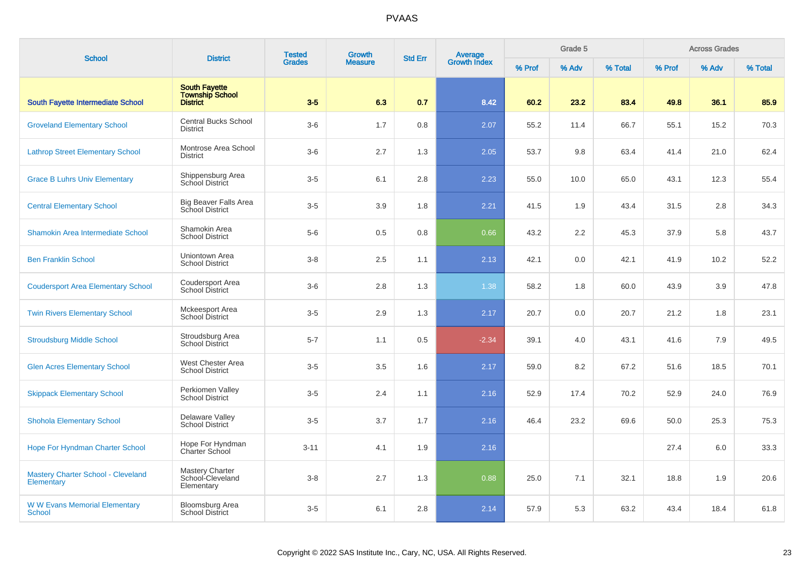| <b>School</b>                                    | <b>District</b>                                                   | <b>Tested</b> | <b>Growth</b>  | <b>Std Err</b> | Average<br>Growth Index |        | Grade 5 |         |        | <b>Across Grades</b> |         |
|--------------------------------------------------|-------------------------------------------------------------------|---------------|----------------|----------------|-------------------------|--------|---------|---------|--------|----------------------|---------|
|                                                  |                                                                   | <b>Grades</b> | <b>Measure</b> |                |                         | % Prof | % Adv   | % Total | % Prof | % Adv                | % Total |
| <b>South Fayette Intermediate School</b>         | <b>South Fayette</b><br><b>Township School</b><br><b>District</b> | $3-5$         | 6.3            | 0.7            | 8.42                    | 60.2   | 23.2    | 83.4    | 49.8   | 36.1                 | 85.9    |
| <b>Groveland Elementary School</b>               | <b>Central Bucks School</b><br><b>District</b>                    | $3-6$         | 1.7            | 0.8            | 2.07                    | 55.2   | 11.4    | 66.7    | 55.1   | 15.2                 | 70.3    |
| <b>Lathrop Street Elementary School</b>          | Montrose Area School<br><b>District</b>                           | $3-6$         | 2.7            | 1.3            | 2.05                    | 53.7   | 9.8     | 63.4    | 41.4   | 21.0                 | 62.4    |
| <b>Grace B Luhrs Univ Elementary</b>             | Shippensburg Area<br>School District                              | $3-5$         | 6.1            | 2.8            | 2.23                    | 55.0   | 10.0    | 65.0    | 43.1   | 12.3                 | 55.4    |
| <b>Central Elementary School</b>                 | Big Beaver Falls Area<br>School District                          | $3-5$         | 3.9            | 1.8            | 2.21                    | 41.5   | 1.9     | 43.4    | 31.5   | 2.8                  | 34.3    |
| Shamokin Area Intermediate School                | Shamokin Area<br><b>School District</b>                           | $5-6$         | 0.5            | 0.8            | 0.66                    | 43.2   | 2.2     | 45.3    | 37.9   | 5.8                  | 43.7    |
| <b>Ben Franklin School</b>                       | Uniontown Area<br><b>School District</b>                          | $3 - 8$       | 2.5            | 1.1            | 2.13                    | 42.1   | 0.0     | 42.1    | 41.9   | 10.2                 | 52.2    |
| <b>Coudersport Area Elementary School</b>        | Coudersport Area<br>School District                               | $3-6$         | 2.8            | 1.3            | 1.38                    | 58.2   | 1.8     | 60.0    | 43.9   | 3.9                  | 47.8    |
| <b>Twin Rivers Elementary School</b>             | Mckeesport Area<br><b>School District</b>                         | $3-5$         | 2.9            | 1.3            | 2.17                    | 20.7   | 0.0     | 20.7    | 21.2   | 1.8                  | 23.1    |
| <b>Stroudsburg Middle School</b>                 | Stroudsburg Area<br><b>School District</b>                        | $5 - 7$       | 1.1            | 0.5            | $-2.34$                 | 39.1   | 4.0     | 43.1    | 41.6   | 7.9                  | 49.5    |
| <b>Glen Acres Elementary School</b>              | West Chester Area<br><b>School District</b>                       | $3-5$         | 3.5            | 1.6            | 2.17                    | 59.0   | 8.2     | 67.2    | 51.6   | 18.5                 | 70.1    |
| <b>Skippack Elementary School</b>                | Perkiomen Valley<br><b>School District</b>                        | $3-5$         | 2.4            | 1.1            | 2.16                    | 52.9   | 17.4    | 70.2    | 52.9   | 24.0                 | 76.9    |
| <b>Shohola Elementary School</b>                 | Delaware Valley<br><b>School District</b>                         | $3-5$         | 3.7            | 1.7            | 2.16                    | 46.4   | 23.2    | 69.6    | 50.0   | 25.3                 | 75.3    |
| Hope For Hyndman Charter School                  | Hope For Hyndman<br>Charter School                                | $3 - 11$      | 4.1            | 1.9            | 2.16                    |        |         |         | 27.4   | 6.0                  | 33.3    |
| Mastery Charter School - Cleveland<br>Elementary | <b>Mastery Charter</b><br>School-Cleveland<br>Elementary          | $3 - 8$       | 2.7            | 1.3            | 0.88                    | 25.0   | 7.1     | 32.1    | 18.8   | 1.9                  | 20.6    |
| <b>W W Evans Memorial Elementary</b><br>School   | Bloomsburg Area<br><b>School District</b>                         | $3 - 5$       | 6.1            | 2.8            | 2.14                    | 57.9   | 5.3     | 63.2    | 43.4   | 18.4                 | 61.8    |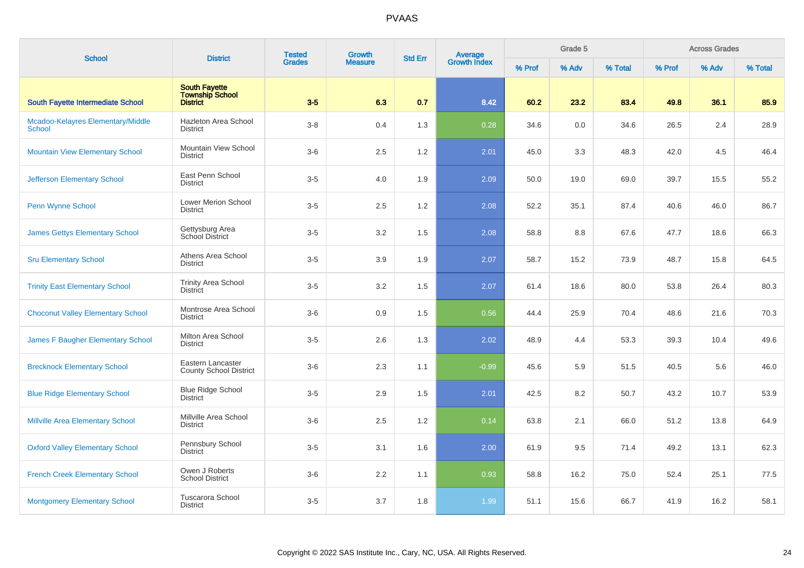| <b>School</b>                               | <b>District</b>                                                   | <b>Tested</b> | <b>Growth</b>  | <b>Std Err</b> | Average<br>Growth Index |        | Grade 5 |         |        | <b>Across Grades</b> |         |
|---------------------------------------------|-------------------------------------------------------------------|---------------|----------------|----------------|-------------------------|--------|---------|---------|--------|----------------------|---------|
|                                             |                                                                   | <b>Grades</b> | <b>Measure</b> |                |                         | % Prof | % Adv   | % Total | % Prof | % Adv                | % Total |
| <b>South Fayette Intermediate School</b>    | <b>South Fayette</b><br><b>Township School</b><br><b>District</b> | $3-5$         | 6.3            | 0.7            | 8.42                    | 60.2   | 23.2    | 83.4    | 49.8   | 36.1                 | 85.9    |
| Mcadoo-Kelayres Elementary/Middle<br>School | Hazleton Area School<br><b>District</b>                           | $3 - 8$       | 0.4            | 1.3            | 0.28                    | 34.6   | 0.0     | 34.6    | 26.5   | 2.4                  | 28.9    |
| <b>Mountain View Elementary School</b>      | Mountain View School<br><b>District</b>                           | $3-6$         | 2.5            | 1.2            | 2.01                    | 45.0   | 3.3     | 48.3    | 42.0   | 4.5                  | 46.4    |
| <b>Jefferson Elementary School</b>          | East Penn School<br><b>District</b>                               | $3-5$         | 4.0            | 1.9            | 2.09                    | 50.0   | 19.0    | 69.0    | 39.7   | 15.5                 | 55.2    |
| Penn Wynne School                           | Lower Merion School<br><b>District</b>                            | $3-5$         | 2.5            | 1.2            | 2.08                    | 52.2   | 35.1    | 87.4    | 40.6   | 46.0                 | 86.7    |
| <b>James Gettys Elementary School</b>       | Gettysburg Area<br><b>School District</b>                         | $3-5$         | 3.2            | 1.5            | 2.08                    | 58.8   | 8.8     | 67.6    | 47.7   | 18.6                 | 66.3    |
| <b>Sru Elementary School</b>                | Athens Area School<br><b>District</b>                             | $3-5$         | 3.9            | 1.9            | 2.07                    | 58.7   | 15.2    | 73.9    | 48.7   | 15.8                 | 64.5    |
| <b>Trinity East Elementary School</b>       | <b>Trinity Area School</b><br><b>District</b>                     | $3-5$         | 3.2            | 1.5            | 2.07                    | 61.4   | 18.6    | 80.0    | 53.8   | 26.4                 | 80.3    |
| <b>Choconut Valley Elementary School</b>    | Montrose Area School<br><b>District</b>                           | $3-6$         | 0.9            | 1.5            | 0.56                    | 44.4   | 25.9    | 70.4    | 48.6   | 21.6                 | 70.3    |
| James F Baugher Elementary School           | Milton Area School<br><b>District</b>                             | $3-5$         | 2.6            | 1.3            | 2.02                    | 48.9   | 4.4     | 53.3    | 39.3   | 10.4                 | 49.6    |
| <b>Brecknock Elementary School</b>          | Eastern Lancaster<br><b>County School District</b>                | $3-6$         | 2.3            | 1.1            | $-0.99$                 | 45.6   | 5.9     | 51.5    | 40.5   | 5.6                  | 46.0    |
| <b>Blue Ridge Elementary School</b>         | <b>Blue Ridge School</b><br><b>District</b>                       | $3-5$         | 2.9            | 1.5            | 2.01                    | 42.5   | 8.2     | 50.7    | 43.2   | 10.7                 | 53.9    |
| <b>Millville Area Elementary School</b>     | Millville Area School<br><b>District</b>                          | $3-6$         | 2.5            | 1.2            | 0.14                    | 63.8   | 2.1     | 66.0    | 51.2   | 13.8                 | 64.9    |
| <b>Oxford Valley Elementary School</b>      | Pennsbury School<br><b>District</b>                               | $3-5$         | 3.1            | 1.6            | 2.00                    | 61.9   | 9.5     | 71.4    | 49.2   | 13.1                 | 62.3    |
| <b>French Creek Elementary School</b>       | Owen J Roberts<br><b>School District</b>                          | $3-6$         | 2.2            | 1.1            | 0.93                    | 58.8   | 16.2    | 75.0    | 52.4   | 25.1                 | 77.5    |
| <b>Montgomery Elementary School</b>         | <b>Tuscarora School</b><br><b>District</b>                        | $3-5$         | 3.7            | 1.8            | 1.99                    | 51.1   | 15.6    | 66.7    | 41.9   | 16.2                 | 58.1    |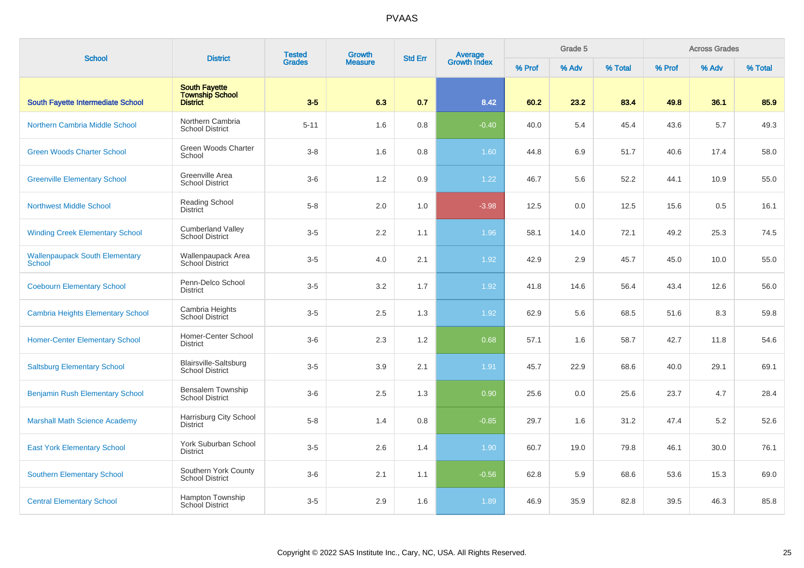| <b>School</b>                                   | <b>District</b>                                                   | <b>Tested</b> | Growth         | <b>Average</b><br>Growth Index<br><b>Std Err</b> |         |        | Grade 5 |         |        | <b>Across Grades</b> |         |
|-------------------------------------------------|-------------------------------------------------------------------|---------------|----------------|--------------------------------------------------|---------|--------|---------|---------|--------|----------------------|---------|
|                                                 |                                                                   | <b>Grades</b> | <b>Measure</b> |                                                  |         | % Prof | % Adv   | % Total | % Prof | % Adv                | % Total |
| South Fayette Intermediate School               | <b>South Fayette</b><br><b>Township School</b><br><b>District</b> | $3-5$         | 6.3            | 0.7                                              | 8.42    | 60.2   | 23.2    | 83.4    | 49.8   | 36.1                 | 85.9    |
| Northern Cambria Middle School                  | Northern Cambria<br><b>School District</b>                        | $5 - 11$      | 1.6            | 0.8                                              | $-0.40$ | 40.0   | 5.4     | 45.4    | 43.6   | 5.7                  | 49.3    |
| <b>Green Woods Charter School</b>               | Green Woods Charter<br>School                                     | $3-8$         | 1.6            | 0.8                                              | 1.60    | 44.8   | 6.9     | 51.7    | 40.6   | 17.4                 | 58.0    |
| <b>Greenville Elementary School</b>             | Greenville Area<br><b>School District</b>                         | $3-6$         | 1.2            | 0.9                                              | 1.22    | 46.7   | 5.6     | 52.2    | 44.1   | 10.9                 | 55.0    |
| <b>Northwest Middle School</b>                  | Reading School<br><b>District</b>                                 | $5 - 8$       | 2.0            | 1.0                                              | $-3.98$ | 12.5   | 0.0     | 12.5    | 15.6   | 0.5                  | 16.1    |
| <b>Winding Creek Elementary School</b>          | <b>Cumberland Valley</b><br><b>School District</b>                | $3-5$         | $2.2\,$        | 1.1                                              | 1.96    | 58.1   | 14.0    | 72.1    | 49.2   | 25.3                 | 74.5    |
| <b>Wallenpaupack South Elementary</b><br>School | Wallenpaupack Area<br>School District                             | $3-5$         | 4.0            | 2.1                                              | 1.92    | 42.9   | 2.9     | 45.7    | 45.0   | 10.0                 | 55.0    |
| <b>Coebourn Elementary School</b>               | Penn-Delco School<br><b>District</b>                              | $3-5$         | 3.2            | 1.7                                              | 1.92    | 41.8   | 14.6    | 56.4    | 43.4   | 12.6                 | 56.0    |
| <b>Cambria Heights Elementary School</b>        | Cambria Heights<br>School District                                | $3-5$         | 2.5            | 1.3                                              | 1.92    | 62.9   | 5.6     | 68.5    | 51.6   | 8.3                  | 59.8    |
| <b>Homer-Center Elementary School</b>           | Homer-Center School<br><b>District</b>                            | $3-6$         | 2.3            | 1.2                                              | 0.68    | 57.1   | 1.6     | 58.7    | 42.7   | 11.8                 | 54.6    |
| <b>Saltsburg Elementary School</b>              | <b>Blairsville-Saltsburg</b><br><b>School District</b>            | $3-5$         | 3.9            | 2.1                                              | 1.91    | 45.7   | 22.9    | 68.6    | 40.0   | 29.1                 | 69.1    |
| <b>Benjamin Rush Elementary School</b>          | Bensalem Township<br><b>School District</b>                       | $3-6$         | 2.5            | 1.3                                              | 0.90    | 25.6   | 0.0     | 25.6    | 23.7   | 4.7                  | 28.4    |
| <b>Marshall Math Science Academy</b>            | Harrisburg City School<br><b>District</b>                         | $5 - 8$       | 1.4            | 0.8                                              | $-0.85$ | 29.7   | 1.6     | 31.2    | 47.4   | 5.2                  | 52.6    |
| <b>East York Elementary School</b>              | York Suburban School<br><b>District</b>                           | $3-5$         | 2.6            | 1.4                                              | 1.90    | 60.7   | 19.0    | 79.8    | 46.1   | 30.0                 | 76.1    |
| <b>Southern Elementary School</b>               | Southern York County<br><b>School District</b>                    | $3-6$         | 2.1            | 1.1                                              | $-0.56$ | 62.8   | 5.9     | 68.6    | 53.6   | 15.3                 | 69.0    |
| <b>Central Elementary School</b>                | Hampton Township<br><b>School District</b>                        | $3-5$         | 2.9            | 1.6                                              | 1.89    | 46.9   | 35.9    | 82.8    | 39.5   | 46.3                 | 85.8    |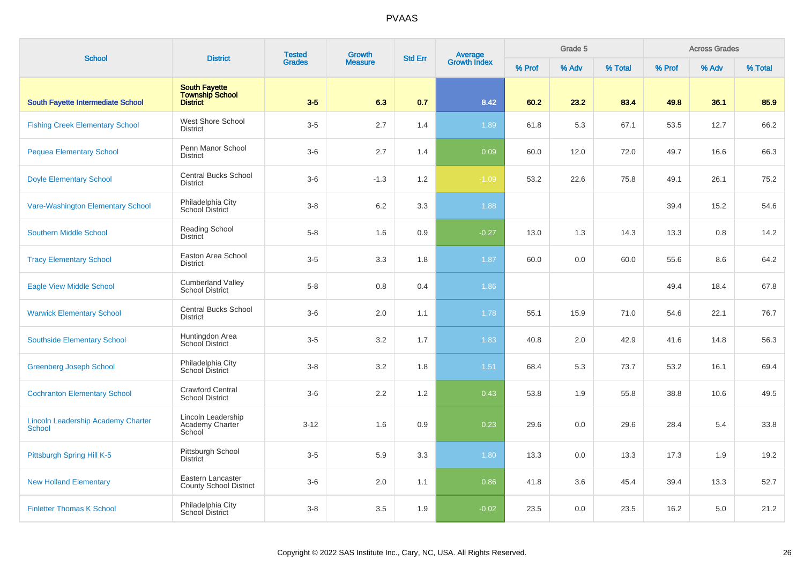| <b>School</b>                                              | <b>District</b>                                                   | <b>Tested</b><br><b>Grades</b> | <b>Growth</b><br><b>Std Err</b> |     | Average<br>Growth Index |        | Grade 5 |         |        | <b>Across Grades</b> |         |
|------------------------------------------------------------|-------------------------------------------------------------------|--------------------------------|---------------------------------|-----|-------------------------|--------|---------|---------|--------|----------------------|---------|
|                                                            |                                                                   |                                | <b>Measure</b>                  |     |                         | % Prof | % Adv   | % Total | % Prof | % Adv                | % Total |
| <b>South Fayette Intermediate School</b>                   | <b>South Fayette</b><br><b>Township School</b><br><b>District</b> | $3-5$                          | 6.3                             | 0.7 | 8.42                    | 60.2   | 23.2    | 83.4    | 49.8   | 36.1                 | 85.9    |
| <b>Fishing Creek Elementary School</b>                     | <b>West Shore School</b><br><b>District</b>                       | $3-5$                          | 2.7                             | 1.4 | 1.89                    | 61.8   | 5.3     | 67.1    | 53.5   | 12.7                 | 66.2    |
| <b>Pequea Elementary School</b>                            | Penn Manor School<br><b>District</b>                              | $3-6$                          | 2.7                             | 1.4 | 0.09                    | 60.0   | 12.0    | 72.0    | 49.7   | 16.6                 | 66.3    |
| <b>Doyle Elementary School</b>                             | <b>Central Bucks School</b><br><b>District</b>                    | $3-6$                          | $-1.3$                          | 1.2 | $-1.09$                 | 53.2   | 22.6    | 75.8    | 49.1   | 26.1                 | 75.2    |
| Vare-Washington Elementary School                          | Philadelphia City<br>School District                              | $3-8$                          | 6.2                             | 3.3 | 1.88                    |        |         |         | 39.4   | 15.2                 | 54.6    |
| <b>Southern Middle School</b>                              | <b>Reading School</b><br><b>District</b>                          | $5 - 8$                        | 1.6                             | 0.9 | $-0.27$                 | 13.0   | 1.3     | 14.3    | 13.3   | 0.8                  | 14.2    |
| <b>Tracy Elementary School</b>                             | Easton Area School<br><b>District</b>                             | $3-5$                          | 3.3                             | 1.8 | 1.87                    | 60.0   | 0.0     | 60.0    | 55.6   | 8.6                  | 64.2    |
| <b>Eagle View Middle School</b>                            | <b>Cumberland Valley</b><br><b>School District</b>                | $5 - 8$                        | 0.8                             | 0.4 | 1.86                    |        |         |         | 49.4   | 18.4                 | 67.8    |
| <b>Warwick Elementary School</b>                           | <b>Central Bucks School</b><br><b>District</b>                    | $3-6$                          | 2.0                             | 1.1 | 1.78                    | 55.1   | 15.9    | 71.0    | 54.6   | 22.1                 | 76.7    |
| <b>Southside Elementary School</b>                         | Huntingdon Area<br>School District                                | $3-5$                          | $3.2\,$                         | 1.7 | 1.83                    | 40.8   | 2.0     | 42.9    | 41.6   | 14.8                 | 56.3    |
| <b>Greenberg Joseph School</b>                             | Philadelphia City<br>School District                              | $3 - 8$                        | 3.2                             | 1.8 | 1.51                    | 68.4   | 5.3     | 73.7    | 53.2   | 16.1                 | 69.4    |
| <b>Cochranton Elementary School</b>                        | Crawford Central<br><b>School District</b>                        | $3-6$                          | 2.2                             | 1.2 | 0.43                    | 53.8   | 1.9     | 55.8    | 38.8   | 10.6                 | 49.5    |
| <b>Lincoln Leadership Academy Charter</b><br><b>School</b> | Lincoln Leadership<br>Academy Charter<br>School                   | $3 - 12$                       | 1.6                             | 0.9 | 0.23                    | 29.6   | 0.0     | 29.6    | 28.4   | 5.4                  | 33.8    |
| Pittsburgh Spring Hill K-5                                 | Pittsburgh School<br><b>District</b>                              | $3-5$                          | 5.9                             | 3.3 | 1.80                    | 13.3   | 0.0     | 13.3    | 17.3   | 1.9                  | 19.2    |
| <b>New Holland Elementary</b>                              | Eastern Lancaster<br><b>County School District</b>                | $3-6$                          | 2.0                             | 1.1 | 0.86                    | 41.8   | 3.6     | 45.4    | 39.4   | 13.3                 | 52.7    |
| <b>Finletter Thomas K School</b>                           | Philadelphia City<br><b>School District</b>                       | $3 - 8$                        | 3.5                             | 1.9 | $-0.02$                 | 23.5   | 0.0     | 23.5    | 16.2   | 5.0                  | 21.2    |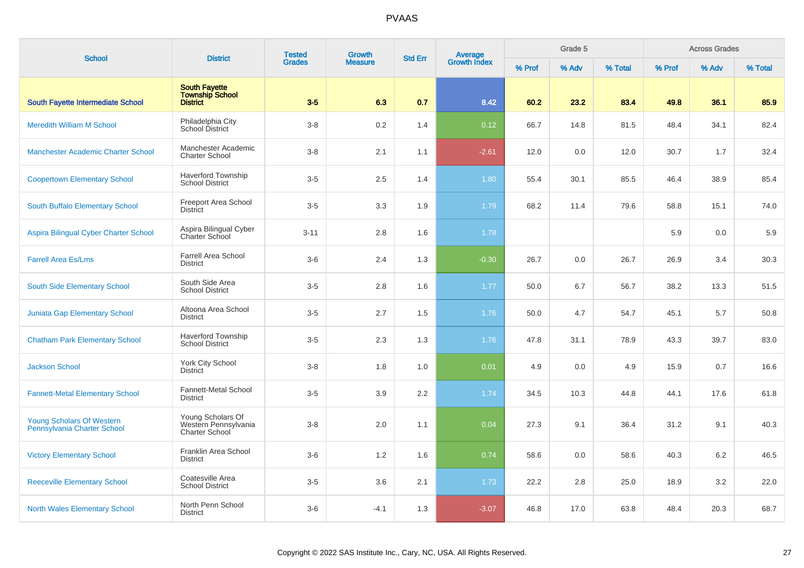| <b>School</b>                                                   | <b>District</b>                                                    | <b>Tested</b> | <b>Growth</b>  | <b>Std Err</b> | Average<br>Growth Index |        | Grade 5 |         |        | <b>Across Grades</b> |         |
|-----------------------------------------------------------------|--------------------------------------------------------------------|---------------|----------------|----------------|-------------------------|--------|---------|---------|--------|----------------------|---------|
|                                                                 |                                                                    | <b>Grades</b> | <b>Measure</b> |                |                         | % Prof | % Adv   | % Total | % Prof | % Adv                | % Total |
| <b>South Fayette Intermediate School</b>                        | <b>South Fayette</b><br><b>Township School</b><br><b>District</b>  | $3-5$         | 6.3            | 0.7            | 8.42                    | 60.2   | 23.2    | 83.4    | 49.8   | 36.1                 | 85.9    |
| <b>Meredith William M School</b>                                | Philadelphia City<br>School District                               | $3 - 8$       | 0.2            | 1.4            | 0.12                    | 66.7   | 14.8    | 81.5    | 48.4   | 34.1                 | 82.4    |
| <b>Manchester Academic Charter School</b>                       | Manchester Academic<br><b>Charter School</b>                       | $3 - 8$       | 2.1            | 1.1            | $-2.61$                 | 12.0   | 0.0     | 12.0    | 30.7   | 1.7                  | 32.4    |
| <b>Coopertown Elementary School</b>                             | <b>Haverford Township</b><br><b>School District</b>                | $3-5$         | 2.5            | 1.4            | 1.80                    | 55.4   | 30.1    | 85.5    | 46.4   | 38.9                 | 85.4    |
| South Buffalo Elementary School                                 | <b>Freeport Area School</b><br>District                            | $3-5$         | 3.3            | 1.9            | 1.79                    | 68.2   | 11.4    | 79.6    | 58.8   | 15.1                 | 74.0    |
| Aspira Bilingual Cyber Charter School                           | Aspira Bilingual Cyber<br>Charter School                           | $3 - 11$      | 2.8            | 1.6            | 1.78                    |        |         |         | 5.9    | 0.0                  | 5.9     |
| <b>Farrell Area Es/Lms</b>                                      | <b>Farrell Area School</b><br><b>District</b>                      | $3-6$         | 2.4            | 1.3            | $-0.30$                 | 26.7   | 0.0     | 26.7    | 26.9   | 3.4                  | 30.3    |
| South Side Elementary School                                    | South Side Area<br><b>School District</b>                          | $3-5$         | 2.8            | 1.6            | 1.77                    | 50.0   | 6.7     | 56.7    | 38.2   | 13.3                 | 51.5    |
| <b>Juniata Gap Elementary School</b>                            | Altoona Area School<br><b>District</b>                             | $3-5$         | 2.7            | 1.5            | 1.76                    | 50.0   | 4.7     | 54.7    | 45.1   | 5.7                  | 50.8    |
| <b>Chatham Park Elementary School</b>                           | <b>Haverford Township</b><br><b>School District</b>                | $3-5$         | 2.3            | 1.3            | 1.76                    | 47.8   | 31.1    | 78.9    | 43.3   | 39.7                 | 83.0    |
| <b>Jackson School</b>                                           | <b>York City School</b><br><b>District</b>                         | $3 - 8$       | 1.8            | 1.0            | 0.01                    | 4.9    | 0.0     | 4.9     | 15.9   | 0.7                  | 16.6    |
| <b>Fannett-Metal Elementary School</b>                          | Fannett-Metal School<br><b>District</b>                            | $3-5$         | 3.9            | 2.2            | 1.74                    | 34.5   | 10.3    | 44.8    | 44.1   | 17.6                 | 61.8    |
| <b>Young Scholars Of Western</b><br>Pennsylvania Charter School | Young Scholars Of<br>Western Pennsylvania<br><b>Charter School</b> | $3 - 8$       | 2.0            | 1.1            | 0.04                    | 27.3   | 9.1     | 36.4    | 31.2   | 9.1                  | 40.3    |
| <b>Victory Elementary School</b>                                | Franklin Area School<br><b>District</b>                            | $3-6$         | 1.2            | 1.6            | 0.74                    | 58.6   | 0.0     | 58.6    | 40.3   | 6.2                  | 46.5    |
| <b>Reeceville Elementary School</b>                             | Coatesville Area<br><b>School District</b>                         | $3-5$         | 3.6            | 2.1            | 1.73                    | 22.2   | 2.8     | 25.0    | 18.9   | 3.2                  | 22.0    |
| <b>North Wales Elementary School</b>                            | North Penn School<br><b>District</b>                               | $3-6$         | $-4.1$         | 1.3            | $-3.07$                 | 46.8   | 17.0    | 63.8    | 48.4   | 20.3                 | 68.7    |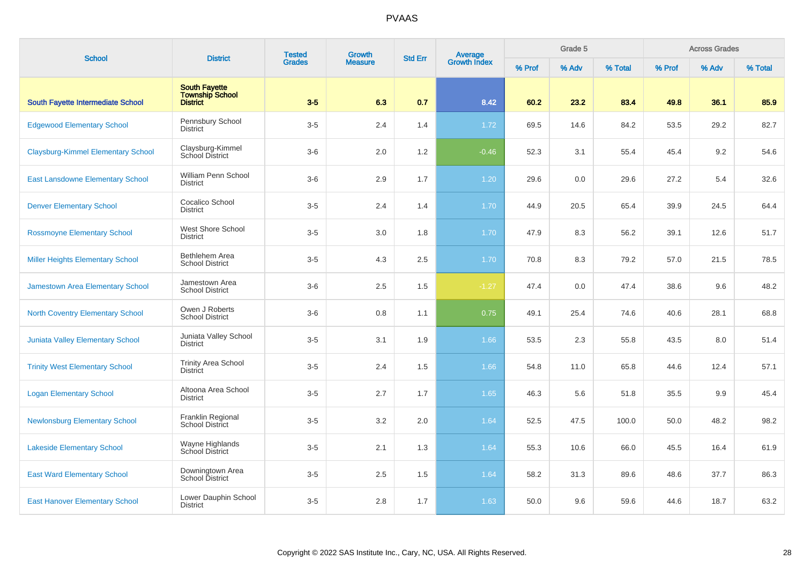| <b>School</b>                             | <b>District</b>                                                   | <b>Tested</b> | Growth         | <b>Std Err</b> |                                |        | Grade 5 |         |        | <b>Across Grades</b> |         |
|-------------------------------------------|-------------------------------------------------------------------|---------------|----------------|----------------|--------------------------------|--------|---------|---------|--------|----------------------|---------|
|                                           |                                                                   | <b>Grades</b> | <b>Measure</b> |                | <b>Average</b><br>Growth Index | % Prof | % Adv   | % Total | % Prof | % Adv                | % Total |
| South Fayette Intermediate School         | <b>South Fayette</b><br><b>Township School</b><br><b>District</b> | $3-5$         | 6.3            | 0.7            | 8.42                           | 60.2   | 23.2    | 83.4    | 49.8   | 36.1                 | 85.9    |
| <b>Edgewood Elementary School</b>         | Pennsbury School<br><b>District</b>                               | $3-5$         | 2.4            | 1.4            | 1.72                           | 69.5   | 14.6    | 84.2    | 53.5   | 29.2                 | 82.7    |
| <b>Claysburg-Kimmel Elementary School</b> | Claysburg-Kimmel<br>School District                               | $3-6$         | 2.0            | 1.2            | $-0.46$                        | 52.3   | 3.1     | 55.4    | 45.4   | 9.2                  | 54.6    |
| <b>East Lansdowne Elementary School</b>   | <b>William Penn School</b><br><b>District</b>                     | $3-6$         | 2.9            | 1.7            | $1.20$                         | 29.6   | 0.0     | 29.6    | 27.2   | 5.4                  | 32.6    |
| <b>Denver Elementary School</b>           | Cocalico School<br><b>District</b>                                | $3-5$         | 2.4            | 1.4            | 1.70                           | 44.9   | 20.5    | 65.4    | 39.9   | 24.5                 | 64.4    |
| <b>Rossmoyne Elementary School</b>        | West Shore School<br><b>District</b>                              | $3-5$         | 3.0            | 1.8            | 1.70                           | 47.9   | 8.3     | 56.2    | 39.1   | 12.6                 | 51.7    |
| <b>Miller Heights Elementary School</b>   | <b>Bethlehem Area</b><br><b>School District</b>                   | $3-5$         | 4.3            | 2.5            | 1.70                           | 70.8   | 8.3     | 79.2    | 57.0   | 21.5                 | 78.5    |
| Jamestown Area Elementary School          | Jamestown Area<br><b>School District</b>                          | $3-6$         | 2.5            | 1.5            | $-1.27$                        | 47.4   | 0.0     | 47.4    | 38.6   | 9.6                  | 48.2    |
| <b>North Coventry Elementary School</b>   | Owen J Roberts<br><b>School District</b>                          | $3-6$         | 0.8            | 1.1            | 0.75                           | 49.1   | 25.4    | 74.6    | 40.6   | 28.1                 | 68.8    |
| <b>Juniata Valley Elementary School</b>   | Juniata Valley School<br><b>District</b>                          | $3-5$         | 3.1            | 1.9            | 1.66                           | 53.5   | 2.3     | 55.8    | 43.5   | 8.0                  | 51.4    |
| <b>Trinity West Elementary School</b>     | <b>Trinity Area School</b><br><b>District</b>                     | $3-5$         | 2.4            | 1.5            | 1.66                           | 54.8   | 11.0    | 65.8    | 44.6   | 12.4                 | 57.1    |
| <b>Logan Elementary School</b>            | Altoona Area School<br><b>District</b>                            | $3-5$         | 2.7            | 1.7            | 1.65                           | 46.3   | 5.6     | 51.8    | 35.5   | 9.9                  | 45.4    |
| <b>Newlonsburg Elementary School</b>      | Franklin Regional<br>School District                              | $3-5$         | 3.2            | 2.0            | 1.64                           | 52.5   | 47.5    | 100.0   | 50.0   | 48.2                 | 98.2    |
| <b>Lakeside Elementary School</b>         | Wayne Highlands<br>School District                                | $3-5$         | 2.1            | 1.3            | 1.64                           | 55.3   | 10.6    | 66.0    | 45.5   | 16.4                 | 61.9    |
| <b>East Ward Elementary School</b>        | Downingtown Area<br><b>School District</b>                        | $3-5$         | 2.5            | 1.5            | 1.64                           | 58.2   | 31.3    | 89.6    | 48.6   | 37.7                 | 86.3    |
| <b>East Hanover Elementary School</b>     | Lower Dauphin School<br><b>District</b>                           | $3-5$         | 2.8            | 1.7            | 1.63                           | 50.0   | 9.6     | 59.6    | 44.6   | 18.7                 | 63.2    |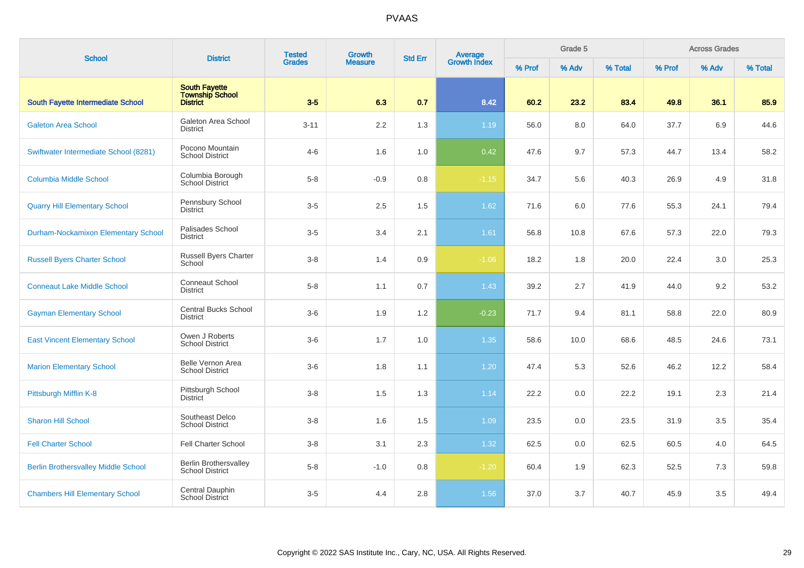| <b>School</b>                              | <b>District</b>                                        | <b>Tested</b><br>Growth |                | <b>Std Err</b> |                                |        | Grade 5 |         |        | <b>Across Grades</b> |         |
|--------------------------------------------|--------------------------------------------------------|-------------------------|----------------|----------------|--------------------------------|--------|---------|---------|--------|----------------------|---------|
|                                            |                                                        | <b>Grades</b>           | <b>Measure</b> |                | <b>Average</b><br>Growth Index | % Prof | % Adv   | % Total | % Prof | % Adv                | % Total |
| <b>South Fayette Intermediate School</b>   | <b>South Fayette</b><br>Township School<br>District    | $3-5$                   | 6.3            | 0.7            | 8.42                           | 60.2   | 23.2    | 83.4    | 49.8   | 36.1                 | 85.9    |
| <b>Galeton Area School</b>                 | Galeton Area School<br><b>District</b>                 | $3 - 11$                | 2.2            | 1.3            | 1.19                           | 56.0   | 8.0     | 64.0    | 37.7   | 6.9                  | 44.6    |
| Swiftwater Intermediate School (8281)      | Pocono Mountain<br><b>School District</b>              | $4 - 6$                 | 1.6            | 1.0            | 0.42                           | 47.6   | 9.7     | 57.3    | 44.7   | 13.4                 | 58.2    |
| <b>Columbia Middle School</b>              | Columbia Borough<br><b>School District</b>             | $5 - 8$                 | $-0.9$         | 0.8            | $-1.15$                        | 34.7   | 5.6     | 40.3    | 26.9   | 4.9                  | 31.8    |
| <b>Quarry Hill Elementary School</b>       | Pennsbury School<br><b>District</b>                    | $3-5$                   | 2.5            | 1.5            | 1.62                           | 71.6   | 6.0     | 77.6    | 55.3   | 24.1                 | 79.4    |
| <b>Durham-Nockamixon Elementary School</b> | Palisades School<br><b>District</b>                    | $3-5$                   | 3.4            | 2.1            | 1.61                           | 56.8   | 10.8    | 67.6    | 57.3   | 22.0                 | 79.3    |
| <b>Russell Byers Charter School</b>        | <b>Russell Byers Charter</b><br>School                 | $3 - 8$                 | 1.4            | 0.9            | $-1.06$                        | 18.2   | 1.8     | 20.0    | 22.4   | 3.0                  | 25.3    |
| <b>Conneaut Lake Middle School</b>         | <b>Conneaut School</b><br><b>District</b>              | $5 - 8$                 | 1.1            | 0.7            | 1.43                           | 39.2   | 2.7     | 41.9    | 44.0   | 9.2                  | 53.2    |
| <b>Gayman Elementary School</b>            | <b>Central Bucks School</b><br><b>District</b>         | $3-6$                   | 1.9            | 1.2            | $-0.23$                        | 71.7   | 9.4     | 81.1    | 58.8   | 22.0                 | 80.9    |
| <b>East Vincent Elementary School</b>      | Owen J Roberts<br><b>School District</b>               | $3-6$                   | 1.7            | 1.0            | 1.35                           | 58.6   | 10.0    | 68.6    | 48.5   | 24.6                 | 73.1    |
| <b>Marion Elementary School</b>            | <b>Belle Vernon Area</b><br><b>School District</b>     | $3-6$                   | 1.8            | 1.1            | 1.20                           | 47.4   | 5.3     | 52.6    | 46.2   | 12.2                 | 58.4    |
| Pittsburgh Mifflin K-8                     | Pittsburgh School<br><b>District</b>                   | $3 - 8$                 | 1.5            | 1.3            | 1.14                           | 22.2   | 0.0     | 22.2    | 19.1   | 2.3                  | 21.4    |
| <b>Sharon Hill School</b>                  | Southeast Delco<br><b>School District</b>              | $3 - 8$                 | 1.6            | 1.5            | 1.09                           | 23.5   | 0.0     | 23.5    | 31.9   | 3.5                  | 35.4    |
| <b>Fell Charter School</b>                 | <b>Fell Charter School</b>                             | $3-8$                   | 3.1            | 2.3            | 1.32                           | 62.5   | 0.0     | 62.5    | 60.5   | 4.0                  | 64.5    |
| <b>Berlin Brothersvalley Middle School</b> | <b>Berlin Brothersvalley</b><br><b>School District</b> | $5 - 8$                 | $-1.0$         | 0.8            | $-1.20$                        | 60.4   | 1.9     | 62.3    | 52.5   | 7.3                  | 59.8    |
| <b>Chambers Hill Elementary School</b>     | Central Dauphin<br>School District                     | $3-5$                   | 4.4            | 2.8            | 1.56                           | 37.0   | 3.7     | 40.7    | 45.9   | 3.5                  | 49.4    |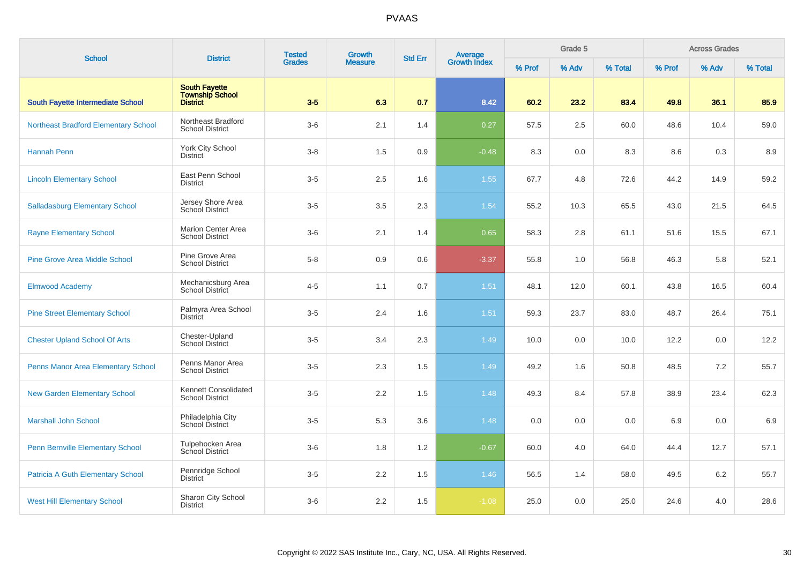| <b>School</b>                               | <b>District</b>                                                   | <b>Tested</b> | Growth         | <b>Std Err</b> |                                |        | Grade 5 |         |        | <b>Across Grades</b> |         |
|---------------------------------------------|-------------------------------------------------------------------|---------------|----------------|----------------|--------------------------------|--------|---------|---------|--------|----------------------|---------|
|                                             |                                                                   | <b>Grades</b> | <b>Measure</b> |                | <b>Average</b><br>Growth Index | % Prof | % Adv   | % Total | % Prof | % Adv                | % Total |
| <b>South Fayette Intermediate School</b>    | <b>South Fayette</b><br><b>Township School</b><br><b>District</b> | $3-5$         | 6.3            | 0.7            | 8.42                           | 60.2   | 23.2    | 83.4    | 49.8   | 36.1                 | 85.9    |
| <b>Northeast Bradford Elementary School</b> | Northeast Bradford<br><b>School District</b>                      | $3-6$         | 2.1            | 1.4            | 0.27                           | 57.5   | 2.5     | 60.0    | 48.6   | 10.4                 | 59.0    |
| Hannah Penn                                 | <b>York City School</b><br><b>District</b>                        | $3 - 8$       | 1.5            | 0.9            | $-0.48$                        | 8.3    | 0.0     | 8.3     | 8.6    | 0.3                  | 8.9     |
| <b>Lincoln Elementary School</b>            | East Penn School<br><b>District</b>                               | $3-5$         | 2.5            | 1.6            | 1.55                           | 67.7   | 4.8     | 72.6    | 44.2   | 14.9                 | 59.2    |
| <b>Salladasburg Elementary School</b>       | Jersey Shore Area<br>School District                              | $3-5$         | 3.5            | 2.3            | 1.54                           | 55.2   | 10.3    | 65.5    | 43.0   | 21.5                 | 64.5    |
| <b>Rayne Elementary School</b>              | <b>Marion Center Area</b><br><b>School District</b>               | $3-6$         | 2.1            | 1.4            | 0.65                           | 58.3   | $2.8\,$ | 61.1    | 51.6   | 15.5                 | 67.1    |
| <b>Pine Grove Area Middle School</b>        | Pine Grove Area<br><b>School District</b>                         | $5 - 8$       | 0.9            | 0.6            | $-3.37$                        | 55.8   | 1.0     | 56.8    | 46.3   | 5.8                  | 52.1    |
| <b>Elmwood Academy</b>                      | Mechanicsburg Area<br>School District                             | $4 - 5$       | 1.1            | 0.7            | 1.51                           | 48.1   | 12.0    | 60.1    | 43.8   | 16.5                 | 60.4    |
| <b>Pine Street Elementary School</b>        | Palmyra Area School<br><b>District</b>                            | $3-5$         | 2.4            | 1.6            | 1.51                           | 59.3   | 23.7    | 83.0    | 48.7   | 26.4                 | 75.1    |
| <b>Chester Upland School Of Arts</b>        | Chester-Upland<br>School District                                 | $3-5$         | 3.4            | 2.3            | 1.49                           | 10.0   | 0.0     | 10.0    | 12.2   | 0.0                  | 12.2    |
| Penns Manor Area Elementary School          | Penns Manor Area<br><b>School District</b>                        | $3-5$         | 2.3            | 1.5            | 1.49                           | 49.2   | 1.6     | 50.8    | 48.5   | 7.2                  | 55.7    |
| <b>New Garden Elementary School</b>         | Kennett Consolidated<br><b>School District</b>                    | $3-5$         | 2.2            | 1.5            | 1.48                           | 49.3   | 8.4     | 57.8    | 38.9   | 23.4                 | 62.3    |
| <b>Marshall John School</b>                 | Philadelphia City<br>School District                              | $3-5$         | 5.3            | 3.6            | 1.48                           | 0.0    | 0.0     | 0.0     | 6.9    | 0.0                  | 6.9     |
| <b>Penn Bernville Elementary School</b>     | Tulpehocken Area<br><b>School District</b>                        | $3-6$         | 1.8            | 1.2            | $-0.67$                        | 60.0   | 4.0     | 64.0    | 44.4   | 12.7                 | 57.1    |
| Patricia A Guth Elementary School           | Pennridge School<br><b>District</b>                               | $3-5$         | 2.2            | 1.5            | 1.46                           | 56.5   | 1.4     | 58.0    | 49.5   | 6.2                  | 55.7    |
| <b>West Hill Elementary School</b>          | Sharon City School<br><b>District</b>                             | $3-6$         | 2.2            | 1.5            | $-1.08$                        | 25.0   | 0.0     | 25.0    | 24.6   | 4.0                  | 28.6    |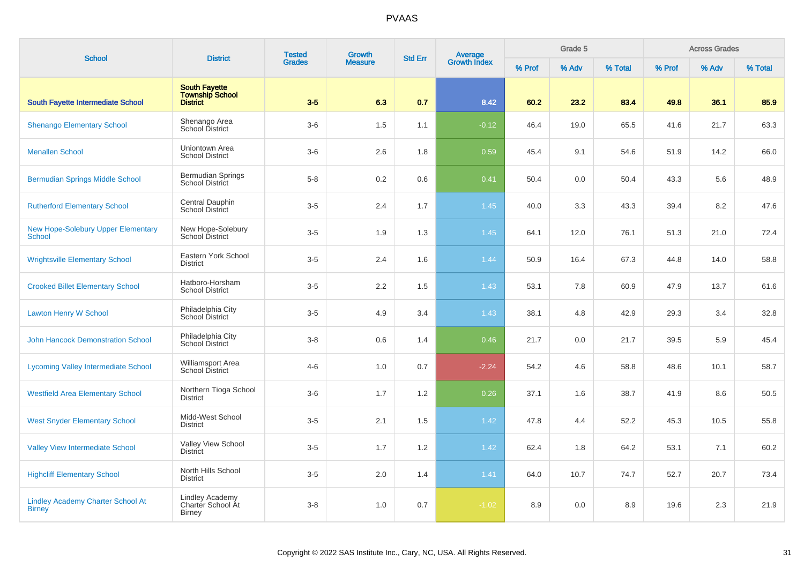| <b>School</b>                                             | <b>District</b>                                       | <b>Tested</b><br>Growth<br><b>Grades</b><br><b>Measure</b> |     | <b>Std Err</b> | Average<br>Growth Index |        | Grade 5 |         |        | <b>Across Grades</b> |         |
|-----------------------------------------------------------|-------------------------------------------------------|------------------------------------------------------------|-----|----------------|-------------------------|--------|---------|---------|--------|----------------------|---------|
|                                                           | <b>South Fayette</b>                                  |                                                            |     |                |                         | % Prof | % Adv   | % Total | % Prof | % Adv                | % Total |
| <b>South Fayette Intermediate School</b>                  | <b>Township School</b><br><b>District</b>             | $3-5$                                                      | 6.3 | 0.7            | 8.42                    | 60.2   | 23.2    | 83.4    | 49.8   | 36.1                 | 85.9    |
| <b>Shenango Elementary School</b>                         | Shenango Area<br>School District                      | $3-6$                                                      | 1.5 | 1.1            | $-0.12$                 | 46.4   | 19.0    | 65.5    | 41.6   | 21.7                 | 63.3    |
| <b>Menallen School</b>                                    | Uniontown Area<br><b>School District</b>              | $3-6$                                                      | 2.6 | 1.8            | 0.59                    | 45.4   | 9.1     | 54.6    | 51.9   | 14.2                 | 66.0    |
| <b>Bermudian Springs Middle School</b>                    | <b>Bermudian Springs</b><br><b>School District</b>    | $5 - 8$                                                    | 0.2 | 0.6            | 0.41                    | 50.4   | 0.0     | 50.4    | 43.3   | 5.6                  | 48.9    |
| <b>Rutherford Elementary School</b>                       | Central Dauphin<br>School District                    | $3-5$                                                      | 2.4 | 1.7            | 1.45                    | 40.0   | 3.3     | 43.3    | 39.4   | 8.2                  | 47.6    |
| <b>New Hope-Solebury Upper Elementary</b><br>School       | New Hope-Solebury<br><b>School District</b>           | $3-5$                                                      | 1.9 | 1.3            | 1.45                    | 64.1   | 12.0    | 76.1    | 51.3   | 21.0                 | 72.4    |
| <b>Wrightsville Elementary School</b>                     | Eastern York School<br><b>District</b>                | $3-5$                                                      | 2.4 | 1.6            | 1.44                    | 50.9   | 16.4    | 67.3    | 44.8   | 14.0                 | 58.8    |
| <b>Crooked Billet Elementary School</b>                   | Hatboro-Horsham<br><b>School District</b>             | $3-5$                                                      | 2.2 | 1.5            | 1.43                    | 53.1   | 7.8     | 60.9    | 47.9   | 13.7                 | 61.6    |
| <b>Lawton Henry W School</b>                              | Philadelphia City<br>School District                  | $3-5$                                                      | 4.9 | 3.4            | 1.43                    | 38.1   | 4.8     | 42.9    | 29.3   | 3.4                  | 32.8    |
| <b>John Hancock Demonstration School</b>                  | Philadelphia City<br>School District                  | $3 - 8$                                                    | 0.6 | 1.4            | 0.46                    | 21.7   | 0.0     | 21.7    | 39.5   | 5.9                  | 45.4    |
| <b>Lycoming Valley Intermediate School</b>                | <b>Williamsport Area</b><br>School District           | $4 - 6$                                                    | 1.0 | 0.7            | $-2.24$                 | 54.2   | 4.6     | 58.8    | 48.6   | 10.1                 | 58.7    |
| <b>Westfield Area Elementary School</b>                   | Northern Tioga School<br><b>District</b>              | $3-6$                                                      | 1.7 | 1.2            | 0.26                    | 37.1   | 1.6     | 38.7    | 41.9   | 8.6                  | 50.5    |
| <b>West Snyder Elementary School</b>                      | Midd-West School<br><b>District</b>                   | $3-5$                                                      | 2.1 | 1.5            | 1.42                    | 47.8   | 4.4     | 52.2    | 45.3   | 10.5                 | 55.8    |
| <b>Valley View Intermediate School</b>                    | Valley View School<br><b>District</b>                 | $3-5$                                                      | 1.7 | 1.2            | 1.42                    | 62.4   | 1.8     | 64.2    | 53.1   | 7.1                  | 60.2    |
| <b>Highcliff Elementary School</b>                        | North Hills School<br><b>District</b>                 | $3-5$                                                      | 2.0 | 1.4            | 1.41                    | 64.0   | 10.7    | 74.7    | 52.7   | 20.7                 | 73.4    |
| <b>Lindley Academy Charter School At</b><br><b>Birney</b> | Lindley Academy<br>Charter School At<br><b>Birney</b> | $3 - 8$                                                    | 1.0 | 0.7            | $-1.02$                 | 8.9    | 0.0     | 8.9     | 19.6   | 2.3                  | 21.9    |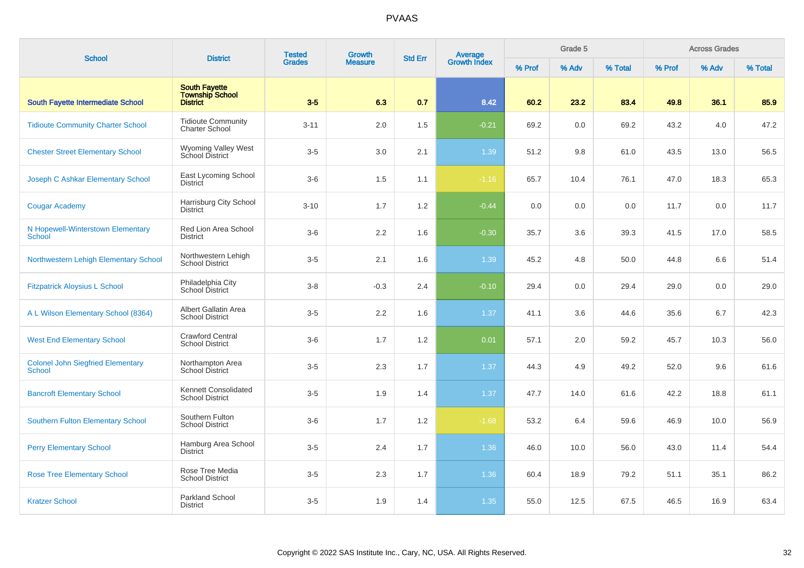| <b>School</b>                                      | <b>District</b>                                                   | <b>Tested</b> | Growth         | <b>Std Err</b> | <b>Average</b><br>Growth Index |        | Grade 5 |         |        | <b>Across Grades</b> |         |
|----------------------------------------------------|-------------------------------------------------------------------|---------------|----------------|----------------|--------------------------------|--------|---------|---------|--------|----------------------|---------|
|                                                    |                                                                   | <b>Grades</b> | <b>Measure</b> |                |                                | % Prof | % Adv   | % Total | % Prof | % Adv                | % Total |
| <b>South Fayette Intermediate School</b>           | <b>South Fayette</b><br><b>Township School</b><br><b>District</b> | $3-5$         | 6.3            | 0.7            | 8.42                           | 60.2   | 23.2    | 83.4    | 49.8   | 36.1                 | 85.9    |
| <b>Tidioute Community Charter School</b>           | <b>Tidioute Community</b><br><b>Charter School</b>                | $3 - 11$      | 2.0            | 1.5            | $-0.21$                        | 69.2   | 0.0     | 69.2    | 43.2   | 4.0                  | 47.2    |
| <b>Chester Street Elementary School</b>            | Wyoming Valley West<br>School District                            | $3-5$         | 3.0            | 2.1            | 1.39                           | 51.2   | 9.8     | 61.0    | 43.5   | 13.0                 | 56.5    |
| Joseph C Ashkar Elementary School                  | East Lycoming School<br>District                                  | $3-6$         | 1.5            | 1.1            | $-1.16$                        | 65.7   | 10.4    | 76.1    | 47.0   | 18.3                 | 65.3    |
| <b>Cougar Academy</b>                              | Harrisburg City School<br><b>District</b>                         | $3 - 10$      | 1.7            | 1.2            | $-0.44$                        | 0.0    | 0.0     | 0.0     | 11.7   | 0.0                  | 11.7    |
| N Hopewell-Winterstown Elementary<br>School        | Red Lion Area School<br><b>District</b>                           | $3-6$         | 2.2            | 1.6            | $-0.30$                        | 35.7   | 3.6     | 39.3    | 41.5   | 17.0                 | 58.5    |
| Northwestern Lehigh Elementary School              | Northwestern Lehigh<br><b>School District</b>                     | $3-5$         | 2.1            | 1.6            | 1.39                           | 45.2   | 4.8     | 50.0    | 44.8   | 6.6                  | 51.4    |
| <b>Fitzpatrick Aloysius L School</b>               | Philadelphia City<br>School District                              | $3 - 8$       | $-0.3$         | 2.4            | $-0.10$                        | 29.4   | 0.0     | 29.4    | 29.0   | 0.0                  | 29.0    |
| A L Wilson Elementary School (8364)                | Albert Gallatin Area<br><b>School District</b>                    | $3-5$         | 2.2            | 1.6            | 1.37                           | 41.1   | 3.6     | 44.6    | 35.6   | 6.7                  | 42.3    |
| <b>West End Elementary School</b>                  | <b>Crawford Central</b><br><b>School District</b>                 | $3-6$         | 1.7            | 1.2            | 0.01                           | 57.1   | 2.0     | 59.2    | 45.7   | 10.3                 | 56.0    |
| <b>Colonel John Siegfried Elementary</b><br>School | Northampton Area<br><b>School District</b>                        | $3-5$         | 2.3            | 1.7            | 1.37                           | 44.3   | 4.9     | 49.2    | 52.0   | 9.6                  | 61.6    |
| <b>Bancroft Elementary School</b>                  | Kennett Consolidated<br><b>School District</b>                    | $3-5$         | 1.9            | 1.4            | 1.37                           | 47.7   | 14.0    | 61.6    | 42.2   | 18.8                 | 61.1    |
| <b>Southern Fulton Elementary School</b>           | Southern Fulton<br><b>School District</b>                         | $3-6$         | 1.7            | 1.2            | $-1.68$                        | 53.2   | 6.4     | 59.6    | 46.9   | 10.0                 | 56.9    |
| <b>Perry Elementary School</b>                     | Hamburg Area School<br><b>District</b>                            | $3-5$         | 2.4            | 1.7            | 1.36                           | 46.0   | 10.0    | 56.0    | 43.0   | 11.4                 | 54.4    |
| <b>Rose Tree Elementary School</b>                 | Rose Tree Media<br><b>School District</b>                         | $3-5$         | 2.3            | 1.7            | 1.36                           | 60.4   | 18.9    | 79.2    | 51.1   | 35.1                 | 86.2    |
| <b>Kratzer School</b>                              | Parkland School<br><b>District</b>                                | $3-5$         | 1.9            | 1.4            | 1.35                           | 55.0   | 12.5    | 67.5    | 46.5   | 16.9                 | 63.4    |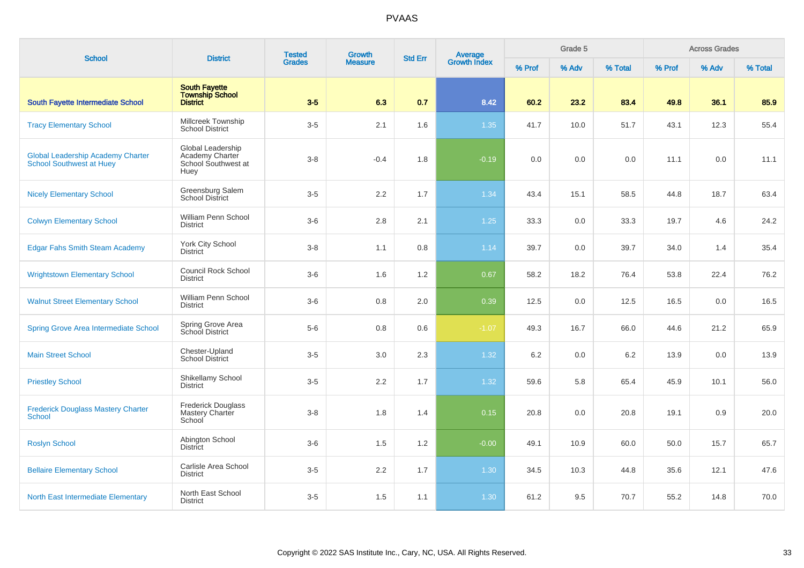| <b>School</b>                                                               | <b>District</b>                                                     | <b>Tested</b><br><b>Growth</b><br><b>Std Err</b> |                |     |                                | Grade 5 |       |         | <b>Across Grades</b> |       |         |
|-----------------------------------------------------------------------------|---------------------------------------------------------------------|--------------------------------------------------|----------------|-----|--------------------------------|---------|-------|---------|----------------------|-------|---------|
|                                                                             |                                                                     | <b>Grades</b>                                    | <b>Measure</b> |     | <b>Average</b><br>Growth Index | % Prof  | % Adv | % Total | % Prof               | % Adv | % Total |
| South Fayette Intermediate School                                           | <b>South Fayette</b><br><b>Township School</b><br><b>District</b>   | $3-5$                                            | 6.3            | 0.7 | 8.42                           | 60.2    | 23.2  | 83.4    | 49.8                 | 36.1  | 85.9    |
| <b>Tracy Elementary School</b>                                              | Millcreek Township<br><b>School District</b>                        | $3-5$                                            | 2.1            | 1.6 | 1.35                           | 41.7    | 10.0  | 51.7    | 43.1                 | 12.3  | 55.4    |
| <b>Global Leadership Academy Charter</b><br><b>School Southwest at Huey</b> | Global Leadership<br>Academy Charter<br>School Southwest at<br>Huey | $3 - 8$                                          | $-0.4$         | 1.8 | $-0.19$                        | 0.0     | 0.0   | 0.0     | 11.1                 | 0.0   | 11.1    |
| <b>Nicely Elementary School</b>                                             | Greensburg Salem<br><b>School District</b>                          | $3-5$                                            | 2.2            | 1.7 | 1.34                           | 43.4    | 15.1  | 58.5    | 44.8                 | 18.7  | 63.4    |
| <b>Colwyn Elementary School</b>                                             | William Penn School<br><b>District</b>                              | $3-6$                                            | 2.8            | 2.1 | $1.25$                         | 33.3    | 0.0   | 33.3    | 19.7                 | 4.6   | 24.2    |
| <b>Edgar Fahs Smith Steam Academy</b>                                       | <b>York City School</b><br><b>District</b>                          | $3 - 8$                                          | 1.1            | 0.8 | 1.14                           | 39.7    | 0.0   | 39.7    | 34.0                 | 1.4   | 35.4    |
| <b>Wrightstown Elementary School</b>                                        | <b>Council Rock School</b><br><b>District</b>                       | $3-6$                                            | 1.6            | 1.2 | 0.67                           | 58.2    | 18.2  | 76.4    | 53.8                 | 22.4  | 76.2    |
| <b>Walnut Street Elementary School</b>                                      | William Penn School<br><b>District</b>                              | $3-6$                                            | 0.8            | 2.0 | 0.39                           | 12.5    | 0.0   | 12.5    | 16.5                 | 0.0   | 16.5    |
| <b>Spring Grove Area Intermediate School</b>                                | Spring Grove Area<br>School District                                | $5-6$                                            | 0.8            | 0.6 | $-1.07$                        | 49.3    | 16.7  | 66.0    | 44.6                 | 21.2  | 65.9    |
| <b>Main Street School</b>                                                   | Chester-Upland<br><b>School District</b>                            | $3-5$                                            | 3.0            | 2.3 | 1.32                           | 6.2     | 0.0   | 6.2     | 13.9                 | 0.0   | 13.9    |
| <b>Priestley School</b>                                                     | Shikellamy School<br><b>District</b>                                | $3-5$                                            | 2.2            | 1.7 | 1.32                           | 59.6    | 5.8   | 65.4    | 45.9                 | 10.1  | 56.0    |
| <b>Frederick Douglass Mastery Charter</b><br><b>School</b>                  | <b>Frederick Douglass</b><br>Mastery Charter<br>School              | $3 - 8$                                          | 1.8            | 1.4 | 0.15                           | 20.8    | 0.0   | 20.8    | 19.1                 | 0.9   | 20.0    |
| <b>Roslyn School</b>                                                        | Abington School<br><b>District</b>                                  | $3-6$                                            | 1.5            | 1.2 | $-0.00$                        | 49.1    | 10.9  | 60.0    | 50.0                 | 15.7  | 65.7    |
| <b>Bellaire Elementary School</b>                                           | Carlisle Area School<br><b>District</b>                             | $3-5$                                            | 2.2            | 1.7 | 1.30                           | 34.5    | 10.3  | 44.8    | 35.6                 | 12.1  | 47.6    |
| <b>North East Intermediate Elementary</b>                                   | North East School<br><b>District</b>                                | $3-5$                                            | 1.5            | 1.1 | 1.30                           | 61.2    | 9.5   | 70.7    | 55.2                 | 14.8  | 70.0    |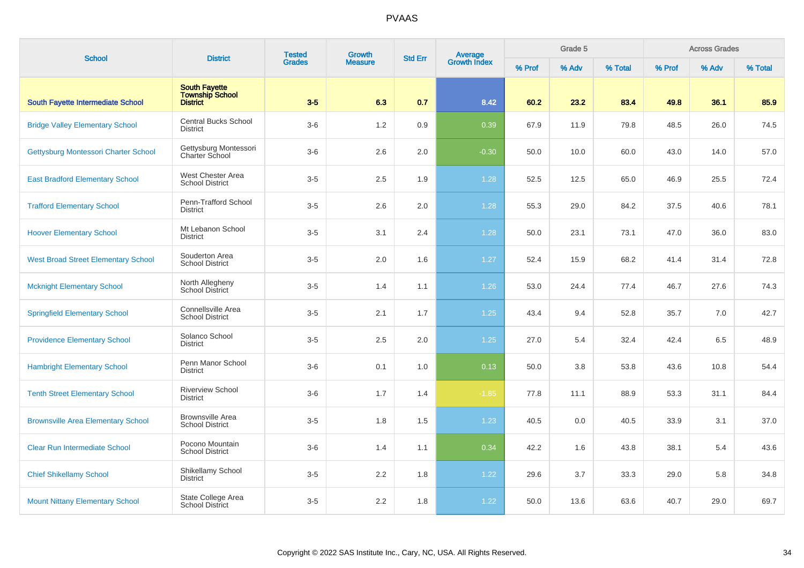| <b>School</b>                              | <b>District</b>                                                   | <b>Tested</b> | Growth         | <b>Std Err</b> | Average<br>Growth Index |        | Grade 5 |         |        | <b>Across Grades</b> |         |
|--------------------------------------------|-------------------------------------------------------------------|---------------|----------------|----------------|-------------------------|--------|---------|---------|--------|----------------------|---------|
|                                            |                                                                   | <b>Grades</b> | <b>Measure</b> |                |                         | % Prof | % Adv   | % Total | % Prof | % Adv                | % Total |
| <b>South Fayette Intermediate School</b>   | <b>South Fayette</b><br><b>Township School</b><br><b>District</b> | $3-5$         | 6.3            | 0.7            | 8.42                    | 60.2   | 23.2    | 83.4    | 49.8   | 36.1                 | 85.9    |
| <b>Bridge Valley Elementary School</b>     | <b>Central Bucks School</b><br><b>District</b>                    | $3-6$         | 1.2            | 0.9            | 0.39                    | 67.9   | 11.9    | 79.8    | 48.5   | 26.0                 | 74.5    |
| Gettysburg Montessori Charter School       | Gettysburg Montessori<br>Charter School                           | $3-6$         | 2.6            | 2.0            | $-0.30$                 | 50.0   | 10.0    | 60.0    | 43.0   | 14.0                 | 57.0    |
| <b>East Bradford Elementary School</b>     | West Chester Area<br><b>School District</b>                       | $3-5$         | 2.5            | 1.9            | 1.28                    | 52.5   | 12.5    | 65.0    | 46.9   | 25.5                 | 72.4    |
| <b>Trafford Elementary School</b>          | Penn-Trafford School<br><b>District</b>                           | $3-5$         | 2.6            | 2.0            | 1.28                    | 55.3   | 29.0    | 84.2    | 37.5   | 40.6                 | 78.1    |
| <b>Hoover Elementary School</b>            | Mt Lebanon School<br><b>District</b>                              | $3-5$         | 3.1            | 2.4            | 1.28                    | 50.0   | 23.1    | 73.1    | 47.0   | 36.0                 | 83.0    |
| <b>West Broad Street Elementary School</b> | Souderton Area<br><b>School District</b>                          | $3-5$         | 2.0            | 1.6            | 1.27                    | 52.4   | 15.9    | 68.2    | 41.4   | 31.4                 | 72.8    |
| <b>Mcknight Elementary School</b>          | North Allegheny<br>School District                                | $3-5$         | 1.4            | 1.1            | 1.26                    | 53.0   | 24.4    | 77.4    | 46.7   | 27.6                 | 74.3    |
| <b>Springfield Elementary School</b>       | Connellsville Area<br><b>School District</b>                      | $3-5$         | 2.1            | 1.7            | 1.25                    | 43.4   | 9.4     | 52.8    | 35.7   | 7.0                  | 42.7    |
| <b>Providence Elementary School</b>        | Solanco School<br><b>District</b>                                 | $3-5$         | 2.5            | 2.0            | 1.25                    | 27.0   | 5.4     | 32.4    | 42.4   | 6.5                  | 48.9    |
| <b>Hambright Elementary School</b>         | Penn Manor School<br><b>District</b>                              | $3-6$         | 0.1            | 1.0            | 0.13                    | 50.0   | 3.8     | 53.8    | 43.6   | 10.8                 | 54.4    |
| <b>Tenth Street Elementary School</b>      | <b>Riverview School</b><br><b>District</b>                        | $3-6$         | 1.7            | 1.4            | $-1.85$                 | 77.8   | 11.1    | 88.9    | 53.3   | 31.1                 | 84.4    |
| <b>Brownsville Area Elementary School</b>  | <b>Brownsville Area</b><br><b>School District</b>                 | $3-5$         | 1.8            | 1.5            | 1.23                    | 40.5   | 0.0     | 40.5    | 33.9   | 3.1                  | 37.0    |
| <b>Clear Run Intermediate School</b>       | Pocono Mountain<br><b>School District</b>                         | $3-6$         | 1.4            | 1.1            | 0.34                    | 42.2   | 1.6     | 43.8    | 38.1   | 5.4                  | 43.6    |
| <b>Chief Shikellamy School</b>             | Shikellamy School<br><b>District</b>                              | $3-5$         | 2.2            | 1.8            | 1.22                    | 29.6   | 3.7     | 33.3    | 29.0   | 5.8                  | 34.8    |
| <b>Mount Nittany Elementary School</b>     | State College Area<br>School District                             | $3-5$         | 2.2            | 1.8            | 1.22                    | 50.0   | 13.6    | 63.6    | 40.7   | 29.0                 | 69.7    |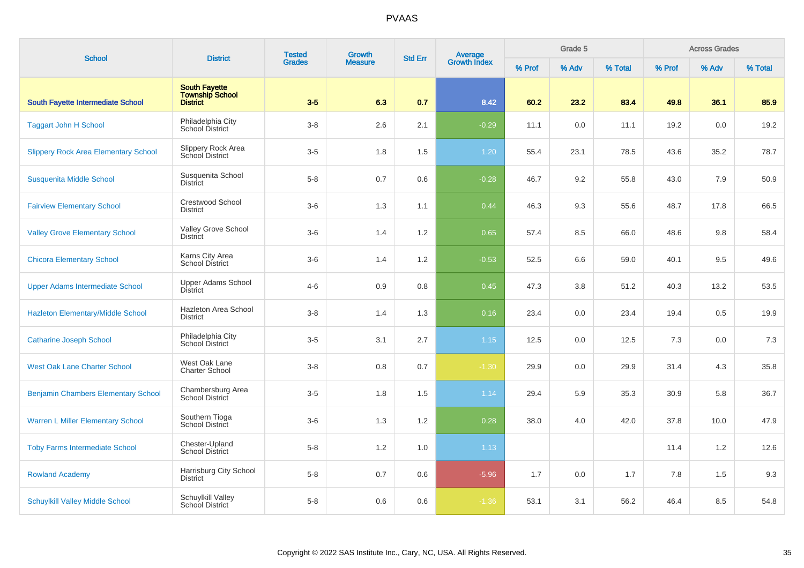| <b>School</b>                               | <b>District</b>                                                   | <b>Tested</b> | Growth         | <b>Std Err</b> | Average<br>Growth Index |        | Grade 5 |         |        | <b>Across Grades</b> |         |
|---------------------------------------------|-------------------------------------------------------------------|---------------|----------------|----------------|-------------------------|--------|---------|---------|--------|----------------------|---------|
|                                             |                                                                   | <b>Grades</b> | <b>Measure</b> |                |                         | % Prof | % Adv   | % Total | % Prof | % Adv                | % Total |
| <b>South Fayette Intermediate School</b>    | <b>South Fayette</b><br><b>Township School</b><br><b>District</b> | $3-5$         | 6.3            | 0.7            | 8.42                    | 60.2   | 23.2    | 83.4    | 49.8   | 36.1                 | 85.9    |
| <b>Taggart John H School</b>                | Philadelphia City<br>School District                              | $3 - 8$       | 2.6            | 2.1            | $-0.29$                 | 11.1   | 0.0     | 11.1    | 19.2   | 0.0                  | 19.2    |
| <b>Slippery Rock Area Elementary School</b> | Slippery Rock Area<br>School District                             | $3-5$         | 1.8            | 1.5            | 1.20                    | 55.4   | 23.1    | 78.5    | 43.6   | 35.2                 | 78.7    |
| <b>Susquenita Middle School</b>             | Susquenita School<br><b>District</b>                              | $5 - 8$       | 0.7            | 0.6            | $-0.28$                 | 46.7   | 9.2     | 55.8    | 43.0   | 7.9                  | 50.9    |
| <b>Fairview Elementary School</b>           | <b>Crestwood School</b><br><b>District</b>                        | $3-6$         | 1.3            | 1.1            | 0.44                    | 46.3   | 9.3     | 55.6    | 48.7   | 17.8                 | 66.5    |
| <b>Valley Grove Elementary School</b>       | Valley Grove School<br><b>District</b>                            | $3-6$         | 1.4            | $1.2\,$        | 0.65                    | 57.4   | 8.5     | 66.0    | 48.6   | 9.8                  | 58.4    |
| <b>Chicora Elementary School</b>            | Karns City Area<br><b>School District</b>                         | $3-6$         | 1.4            | $1.2\,$        | $-0.53$                 | 52.5   | 6.6     | 59.0    | 40.1   | 9.5                  | 49.6    |
| <b>Upper Adams Intermediate School</b>      | Upper Adams School<br><b>District</b>                             | $4 - 6$       | 0.9            | 0.8            | 0.45                    | 47.3   | 3.8     | 51.2    | 40.3   | 13.2                 | 53.5    |
| <b>Hazleton Elementary/Middle School</b>    | Hazleton Area School<br><b>District</b>                           | $3 - 8$       | 1.4            | 1.3            | 0.16                    | 23.4   | 0.0     | 23.4    | 19.4   | 0.5                  | 19.9    |
| <b>Catharine Joseph School</b>              | Philadelphia City<br>School District                              | $3-5$         | 3.1            | 2.7            | 1.15                    | 12.5   | 0.0     | 12.5    | 7.3    | 0.0                  | 7.3     |
| <b>West Oak Lane Charter School</b>         | West Oak Lane<br><b>Charter School</b>                            | $3 - 8$       | 0.8            | 0.7            | $-1.30$                 | 29.9   | 0.0     | 29.9    | 31.4   | 4.3                  | 35.8    |
| <b>Benjamin Chambers Elementary School</b>  | Chambersburg Area<br>School District                              | $3-5$         | 1.8            | 1.5            | 1.14                    | 29.4   | 5.9     | 35.3    | 30.9   | 5.8                  | 36.7    |
| <b>Warren L Miller Elementary School</b>    | Southern Tioga<br>School District                                 | $3-6$         | 1.3            | 1.2            | 0.28                    | 38.0   | 4.0     | 42.0    | 37.8   | 10.0                 | 47.9    |
| <b>Toby Farms Intermediate School</b>       | Chester-Upland<br><b>School District</b>                          | $5 - 8$       | 1.2            | 1.0            | 1.13                    |        |         |         | 11.4   | 1.2                  | 12.6    |
| <b>Rowland Academy</b>                      | Harrisburg City School<br><b>District</b>                         | $5 - 8$       | 0.7            | 0.6            | $-5.96$                 | 1.7    | 0.0     | 1.7     | 7.8    | 1.5                  | 9.3     |
| <b>Schuylkill Valley Middle School</b>      | Schuylkill Valley<br>School District                              | $5-8$         | 0.6            | 0.6            | $-1.36$                 | 53.1   | 3.1     | 56.2    | 46.4   | 8.5                  | 54.8    |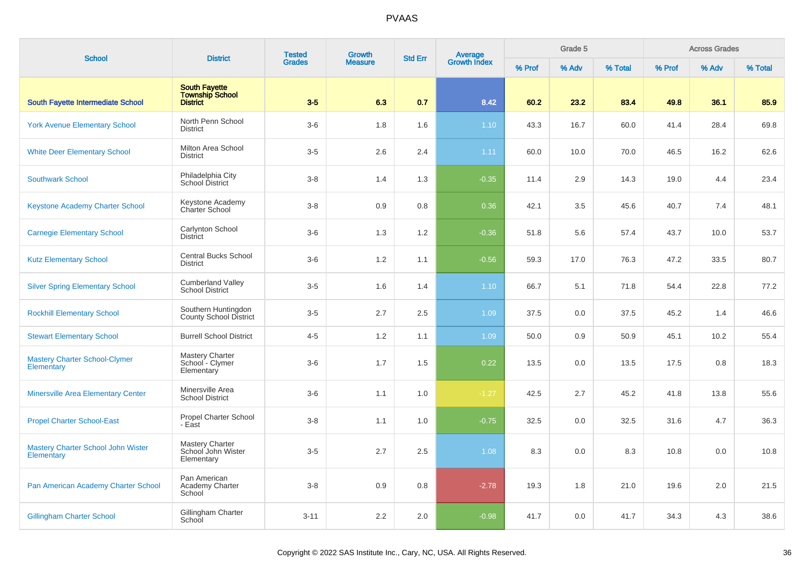| <b>School</b>                                      | <b>District</b>                                                   | <b>Tested</b><br><b>Grades</b> | <b>Growth</b><br><b>Measure</b> | <b>Std Err</b> | <b>Average</b><br>Growth Index | Grade 5 |       |         | <b>Across Grades</b> |       |         |
|----------------------------------------------------|-------------------------------------------------------------------|--------------------------------|---------------------------------|----------------|--------------------------------|---------|-------|---------|----------------------|-------|---------|
|                                                    |                                                                   |                                |                                 |                |                                | % Prof  | % Adv | % Total | % Prof               | % Adv | % Total |
| South Fayette Intermediate School                  | <b>South Fayette</b><br><b>Township School</b><br><b>District</b> | $3-5$                          | 6.3                             | 0.7            | 8.42                           | 60.2    | 23.2  | 83.4    | 49.8                 | 36.1  | 85.9    |
| <b>York Avenue Elementary School</b>               | North Penn School<br><b>District</b>                              | $3-6$                          | 1.8                             | 1.6            | 1.10                           | 43.3    | 16.7  | 60.0    | 41.4                 | 28.4  | 69.8    |
| <b>White Deer Elementary School</b>                | Milton Area School<br><b>District</b>                             | $3-5$                          | 2.6                             | 2.4            | 1.11                           | 60.0    | 10.0  | 70.0    | 46.5                 | 16.2  | 62.6    |
| <b>Southwark School</b>                            | Philadelphia City<br>School District                              | $3 - 8$                        | 1.4                             | 1.3            | $-0.35$                        | 11.4    | 2.9   | 14.3    | 19.0                 | 4.4   | 23.4    |
| <b>Keystone Academy Charter School</b>             | Keystone Academy<br>Charter School                                | $3 - 8$                        | 0.9                             | 0.8            | 0.36                           | 42.1    | 3.5   | 45.6    | 40.7                 | 7.4   | 48.1    |
| <b>Carnegie Elementary School</b>                  | Carlynton School<br><b>District</b>                               | $3-6$                          | 1.3                             | 1.2            | $-0.36$                        | 51.8    | 5.6   | 57.4    | 43.7                 | 10.0  | 53.7    |
| <b>Kutz Elementary School</b>                      | <b>Central Bucks School</b><br><b>District</b>                    | $3-6$                          | 1.2                             | 1.1            | $-0.56$                        | 59.3    | 17.0  | 76.3    | 47.2                 | 33.5  | 80.7    |
| <b>Silver Spring Elementary School</b>             | <b>Cumberland Valley</b><br><b>School District</b>                | $3-5$                          | 1.6                             | 1.4            | 1.10                           | 66.7    | 5.1   | 71.8    | 54.4                 | 22.8  | 77.2    |
| <b>Rockhill Elementary School</b>                  | Southern Huntingdon<br><b>County School District</b>              | $3-5$                          | 2.7                             | 2.5            | 1.09                           | 37.5    | 0.0   | 37.5    | 45.2                 | 1.4   | 46.6    |
| <b>Stewart Elementary School</b>                   | <b>Burrell School District</b>                                    | $4 - 5$                        | 1.2                             | 1.1            | 1.09                           | 50.0    | 0.9   | 50.9    | 45.1                 | 10.2  | 55.4    |
| <b>Mastery Charter School-Clymer</b><br>Elementary | <b>Mastery Charter</b><br>School - Clymer<br>Elementary           | $3-6$                          | 1.7                             | 1.5            | 0.22                           | 13.5    | 0.0   | 13.5    | 17.5                 | 0.8   | 18.3    |
| <b>Minersville Area Elementary Center</b>          | Minersville Area<br><b>School District</b>                        | $3-6$                          | 1.1                             | 1.0            | $-1.27$                        | 42.5    | 2.7   | 45.2    | 41.8                 | 13.8  | 55.6    |
| <b>Propel Charter School-East</b>                  | Propel Charter School<br>- East                                   | $3 - 8$                        | 1.1                             | 1.0            | $-0.75$                        | 32.5    | 0.0   | 32.5    | 31.6                 | 4.7   | 36.3    |
| Mastery Charter School John Wister<br>Elementary   | Mastery Charter<br>School John Wister<br>Elementary               | $3-5$                          | 2.7                             | 2.5            | 1.08                           | 8.3     | 0.0   | 8.3     | 10.8                 | 0.0   | 10.8    |
| Pan American Academy Charter School                | Pan American<br>Academy Charter<br>School                         | $3 - 8$                        | 0.9                             | 0.8            | $-2.78$                        | 19.3    | 1.8   | 21.0    | 19.6                 | 2.0   | 21.5    |
| <b>Gillingham Charter School</b>                   | Gillingham Charter<br>School                                      | $3 - 11$                       | 2.2                             | 2.0            | $-0.98$                        | 41.7    | 0.0   | 41.7    | 34.3                 | 4.3   | 38.6    |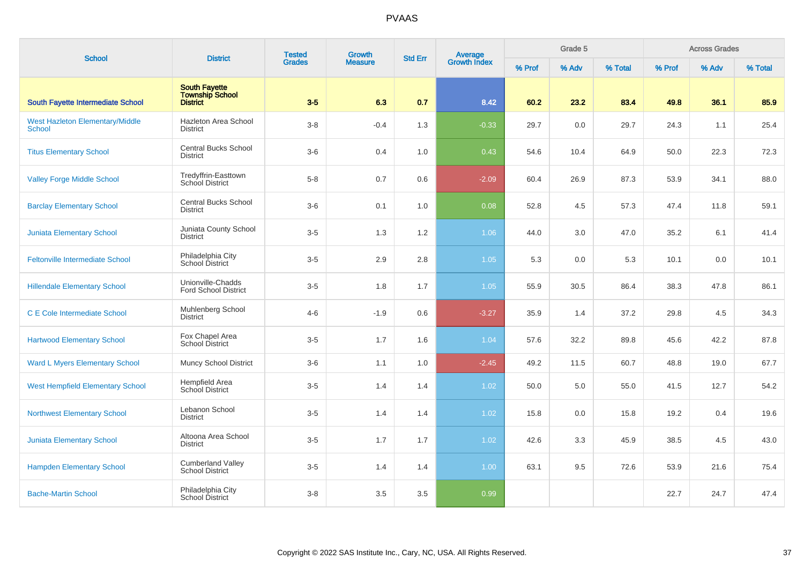| <b>School</b>                                           | <b>District</b>                                     | <b>Tested</b> | Growth         |                | Average<br>Growth Index |        | Grade 5 |         |        | <b>Across Grades</b> |         |
|---------------------------------------------------------|-----------------------------------------------------|---------------|----------------|----------------|-------------------------|--------|---------|---------|--------|----------------------|---------|
|                                                         |                                                     | <b>Grades</b> | <b>Measure</b> | <b>Std Err</b> |                         | % Prof | % Adv   | % Total | % Prof | % Adv                | % Total |
| South Fayette Intermediate School                       | <b>South Fayette</b><br>Township School<br>District | $3-5$         | 6.3            | 0.7            | 8.42                    | 60.2   | 23.2    | 83.4    | 49.8   | 36.1                 | 85.9    |
| <b>West Hazleton Elementary/Middle</b><br><b>School</b> | Hazleton Area School<br><b>District</b>             | $3-8$         | $-0.4$         | 1.3            | $-0.33$                 | 29.7   | $0.0\,$ | 29.7    | 24.3   | 1.1                  | 25.4    |
| <b>Titus Elementary School</b>                          | <b>Central Bucks School</b><br><b>District</b>      | $3-6$         | 0.4            | 1.0            | 0.43                    | 54.6   | 10.4    | 64.9    | 50.0   | 22.3                 | 72.3    |
| <b>Valley Forge Middle School</b>                       | Tredyffrin-Easttown<br>School District              | $5 - 8$       | 0.7            | 0.6            | $-2.09$                 | 60.4   | 26.9    | 87.3    | 53.9   | 34.1                 | 88.0    |
| <b>Barclay Elementary School</b>                        | <b>Central Bucks School</b><br><b>District</b>      | $3-6$         | 0.1            | 1.0            | 0.08                    | 52.8   | 4.5     | 57.3    | 47.4   | 11.8                 | 59.1    |
| <b>Juniata Elementary School</b>                        | Juniata County School<br><b>District</b>            | $3-5$         | 1.3            | 1.2            | 1.06                    | 44.0   | 3.0     | 47.0    | 35.2   | 6.1                  | 41.4    |
| <b>Feltonville Intermediate School</b>                  | Philadelphia City<br>School District                | $3-5$         | 2.9            | $2.8\,$        | 1.05                    | 5.3    | 0.0     | 5.3     | 10.1   | 0.0                  | 10.1    |
| <b>Hillendale Elementary School</b>                     | Unionville-Chadds<br><b>Ford School District</b>    | $3-5$         | 1.8            | 1.7            | 1.05                    | 55.9   | 30.5    | 86.4    | 38.3   | 47.8                 | 86.1    |
| <b>C E Cole Intermediate School</b>                     | Muhlenberg School<br><b>District</b>                | $4 - 6$       | $-1.9$         | 0.6            | $-3.27$                 | 35.9   | 1.4     | 37.2    | 29.8   | 4.5                  | 34.3    |
| <b>Hartwood Elementary School</b>                       | Fox Chapel Area<br>School District                  | $3-5$         | 1.7            | 1.6            | 1.04                    | 57.6   | 32.2    | 89.8    | 45.6   | 42.2                 | 87.8    |
| <b>Ward L Myers Elementary School</b>                   | <b>Muncy School District</b>                        | $3-6$         | 1.1            | 1.0            | $-2.45$                 | 49.2   | 11.5    | 60.7    | 48.8   | 19.0                 | 67.7    |
| <b>West Hempfield Elementary School</b>                 | Hempfield Area<br><b>School District</b>            | $3-5$         | 1.4            | 1.4            | 1.02                    | 50.0   | 5.0     | 55.0    | 41.5   | 12.7                 | 54.2    |
| <b>Northwest Elementary School</b>                      | Lebanon School<br><b>District</b>                   | $3-5$         | 1.4            | 1.4            | 1.02                    | 15.8   | 0.0     | 15.8    | 19.2   | 0.4                  | 19.6    |
| <b>Juniata Elementary School</b>                        | Altoona Area School<br><b>District</b>              | $3-5$         | 1.7            | 1.7            | 1.02                    | 42.6   | 3.3     | 45.9    | 38.5   | 4.5                  | 43.0    |
| <b>Hampden Elementary School</b>                        | <b>Cumberland Valley</b><br><b>School District</b>  | $3-5$         | 1.4            | 1.4            | 1.00                    | 63.1   | 9.5     | 72.6    | 53.9   | 21.6                 | 75.4    |
| <b>Bache-Martin School</b>                              | Philadelphia City<br>School District                | $3 - 8$       | 3.5            | 3.5            | 0.99                    |        |         |         | 22.7   | 24.7                 | 47.4    |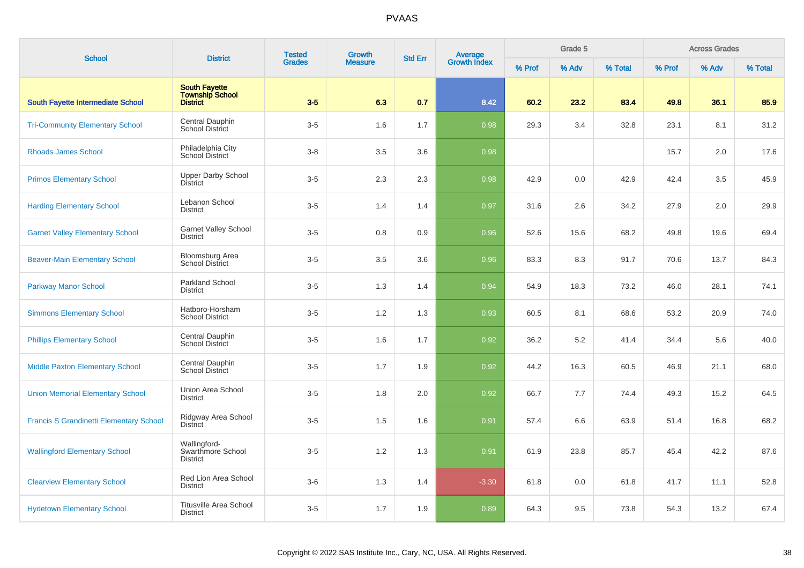| <b>School</b>                                  | <b>District</b>                                                   | <b>Tested</b> | Growth         | <b>Std Err</b> | Average<br>Growth Index |        | Grade 5 |         |        | <b>Across Grades</b> |         |
|------------------------------------------------|-------------------------------------------------------------------|---------------|----------------|----------------|-------------------------|--------|---------|---------|--------|----------------------|---------|
|                                                |                                                                   | <b>Grades</b> | <b>Measure</b> |                |                         | % Prof | % Adv   | % Total | % Prof | % Adv                | % Total |
| South Fayette Intermediate School              | <b>South Fayette</b><br><b>Township School</b><br><b>District</b> | $3-5$         | 6.3            | 0.7            | 8.42                    | 60.2   | 23.2    | 83.4    | 49.8   | 36.1                 | 85.9    |
| <b>Tri-Community Elementary School</b>         | Central Dauphin<br><b>School District</b>                         | $3-5$         | 1.6            | 1.7            | 0.98                    | 29.3   | 3.4     | 32.8    | 23.1   | 8.1                  | 31.2    |
| <b>Rhoads James School</b>                     | Philadelphia City<br>School District                              | $3 - 8$       | 3.5            | 3.6            | 0.98                    |        |         |         | 15.7   | 2.0                  | 17.6    |
| <b>Primos Elementary School</b>                | <b>Upper Darby School</b><br><b>District</b>                      | $3-5$         | 2.3            | 2.3            | 0.98                    | 42.9   | 0.0     | 42.9    | 42.4   | 3.5                  | 45.9    |
| <b>Harding Elementary School</b>               | Lebanon School<br><b>District</b>                                 | $3-5$         | 1.4            | 1.4            | 0.97                    | 31.6   | 2.6     | 34.2    | 27.9   | 2.0                  | 29.9    |
| <b>Garnet Valley Elementary School</b>         | Garnet Valley School<br><b>District</b>                           | $3-5$         | 0.8            | 0.9            | 0.96                    | 52.6   | 15.6    | 68.2    | 49.8   | 19.6                 | 69.4    |
| <b>Beaver-Main Elementary School</b>           | <b>Bloomsburg Area</b><br><b>School District</b>                  | $3-5$         | 3.5            | 3.6            | 0.96                    | 83.3   | 8.3     | 91.7    | 70.6   | 13.7                 | 84.3    |
| <b>Parkway Manor School</b>                    | Parkland School<br><b>District</b>                                | $3-5$         | 1.3            | 1.4            | 0.94                    | 54.9   | 18.3    | 73.2    | 46.0   | 28.1                 | 74.1    |
| <b>Simmons Elementary School</b>               | Hatboro-Horsham<br><b>School District</b>                         | $3-5$         | 1.2            | 1.3            | 0.93                    | 60.5   | 8.1     | 68.6    | 53.2   | 20.9                 | 74.0    |
| <b>Phillips Elementary School</b>              | Central Dauphin<br>School District                                | $3-5$         | 1.6            | 1.7            | 0.92                    | 36.2   | 5.2     | 41.4    | 34.4   | 5.6                  | 40.0    |
| <b>Middle Paxton Elementary School</b>         | Central Dauphin<br>School District                                | $3-5$         | 1.7            | 1.9            | 0.92                    | 44.2   | 16.3    | 60.5    | 46.9   | 21.1                 | 68.0    |
| <b>Union Memorial Elementary School</b>        | Union Area School<br><b>District</b>                              | $3-5$         | 1.8            | 2.0            | 0.92                    | 66.7   | 7.7     | 74.4    | 49.3   | 15.2                 | 64.5    |
| <b>Francis S Grandinetti Elementary School</b> | Ridgway Area School<br><b>District</b>                            | $3-5$         | 1.5            | 1.6            | 0.91                    | 57.4   | 6.6     | 63.9    | 51.4   | 16.8                 | 68.2    |
| <b>Wallingford Elementary School</b>           | Wallingford-<br>Swarthmore School<br><b>District</b>              | $3-5$         | 1.2            | 1.3            | 0.91                    | 61.9   | 23.8    | 85.7    | 45.4   | 42.2                 | 87.6    |
| <b>Clearview Elementary School</b>             | Red Lion Area School<br><b>District</b>                           | $3-6$         | 1.3            | 1.4            | $-3.30$                 | 61.8   | 0.0     | 61.8    | 41.7   | 11.1                 | 52.8    |
| <b>Hydetown Elementary School</b>              | <b>Titusville Area School</b><br><b>District</b>                  | $3-5$         | 1.7            | 1.9            | 0.89                    | 64.3   | 9.5     | 73.8    | 54.3   | 13.2                 | 67.4    |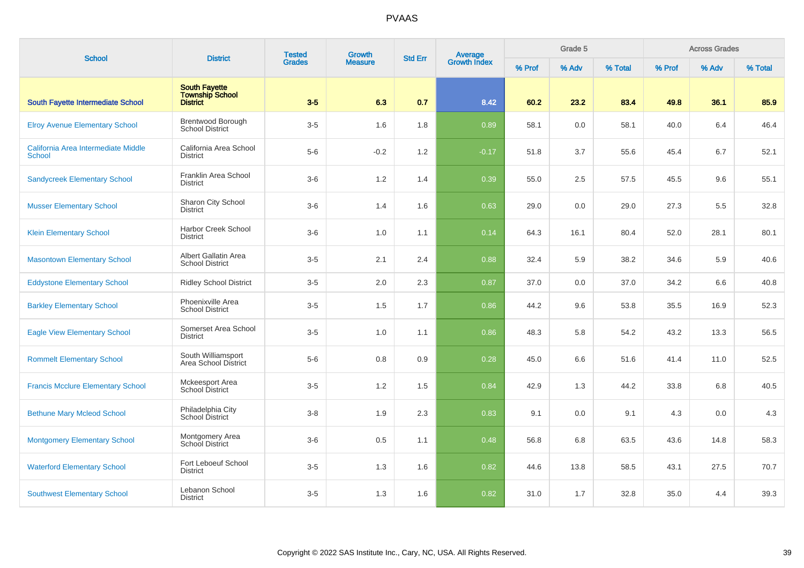| <b>School</b>                                        | <b>District</b>                                     | <b>Tested</b> | Growth         | <b>Std Err</b> |                                |        | Grade 5 |         |        | <b>Across Grades</b> |         |
|------------------------------------------------------|-----------------------------------------------------|---------------|----------------|----------------|--------------------------------|--------|---------|---------|--------|----------------------|---------|
|                                                      |                                                     | <b>Grades</b> | <b>Measure</b> |                | <b>Average</b><br>Growth Index | % Prof | % Adv   | % Total | % Prof | % Adv                | % Total |
| South Fayette Intermediate School                    | <b>South Fayette</b><br>Township School<br>District | $3-5$         | 6.3            | 0.7            | 8.42                           | 60.2   | 23.2    | 83.4    | 49.8   | 36.1                 | 85.9    |
| <b>Elroy Avenue Elementary School</b>                | Brentwood Borough<br><b>School District</b>         | $3-5$         | 1.6            | 1.8            | 0.89                           | 58.1   | $0.0\,$ | 58.1    | 40.0   | 6.4                  | 46.4    |
| California Area Intermediate Middle<br><b>School</b> | California Area School<br><b>District</b>           | $5-6$         | $-0.2$         | 1.2            | $-0.17$                        | 51.8   | 3.7     | 55.6    | 45.4   | 6.7                  | 52.1    |
| <b>Sandycreek Elementary School</b>                  | Franklin Area School<br><b>District</b>             | $3-6$         | 1.2            | 1.4            | 0.39                           | 55.0   | 2.5     | 57.5    | 45.5   | 9.6                  | 55.1    |
| <b>Musser Elementary School</b>                      | Sharon City School<br><b>District</b>               | $3-6$         | 1.4            | 1.6            | 0.63                           | 29.0   | 0.0     | 29.0    | 27.3   | 5.5                  | 32.8    |
| <b>Klein Elementary School</b>                       | Harbor Creek School<br><b>District</b>              | $3-6$         | 1.0            | 1.1            | 0.14                           | 64.3   | 16.1    | 80.4    | 52.0   | 28.1                 | 80.1    |
| <b>Masontown Elementary School</b>                   | Albert Gallatin Area<br><b>School District</b>      | $3-5$         | 2.1            | 2.4            | 0.88                           | 32.4   | 5.9     | 38.2    | 34.6   | 5.9                  | 40.6    |
| <b>Eddystone Elementary School</b>                   | <b>Ridley School District</b>                       | $3-5$         | 2.0            | 2.3            | 0.87                           | 37.0   | 0.0     | 37.0    | 34.2   | 6.6                  | 40.8    |
| <b>Barkley Elementary School</b>                     | Phoenixville Area<br><b>School District</b>         | $3-5$         | 1.5            | 1.7            | 0.86                           | 44.2   | 9.6     | 53.8    | 35.5   | 16.9                 | 52.3    |
| <b>Eagle View Elementary School</b>                  | Somerset Area School<br><b>District</b>             | $3-5$         | 1.0            | 1.1            | 0.86                           | 48.3   | 5.8     | 54.2    | 43.2   | 13.3                 | 56.5    |
| <b>Rommelt Elementary School</b>                     | South Williamsport<br>Area School District          | $5-6$         | 0.8            | 0.9            | 0.28                           | 45.0   | 6.6     | 51.6    | 41.4   | 11.0                 | 52.5    |
| <b>Francis Mcclure Elementary School</b>             | Mckeesport Area<br><b>School District</b>           | $3-5$         | 1.2            | 1.5            | 0.84                           | 42.9   | 1.3     | 44.2    | 33.8   | 6.8                  | 40.5    |
| <b>Bethune Mary Mcleod School</b>                    | Philadelphia City<br>School District                | $3-8$         | 1.9            | 2.3            | 0.83                           | 9.1    | 0.0     | 9.1     | 4.3    | 0.0                  | 4.3     |
| <b>Montgomery Elementary School</b>                  | Montgomery Area<br>School District                  | $3-6$         | 0.5            | 1.1            | 0.48                           | 56.8   | 6.8     | 63.5    | 43.6   | 14.8                 | 58.3    |
| <b>Waterford Elementary School</b>                   | Fort Leboeuf School<br><b>District</b>              | $3-5$         | 1.3            | 1.6            | 0.82                           | 44.6   | 13.8    | 58.5    | 43.1   | 27.5                 | 70.7    |
| <b>Southwest Elementary School</b>                   | Lebanon School<br><b>District</b>                   | $3-5$         | 1.3            | 1.6            | 0.82                           | 31.0   | 1.7     | 32.8    | 35.0   | 4.4                  | 39.3    |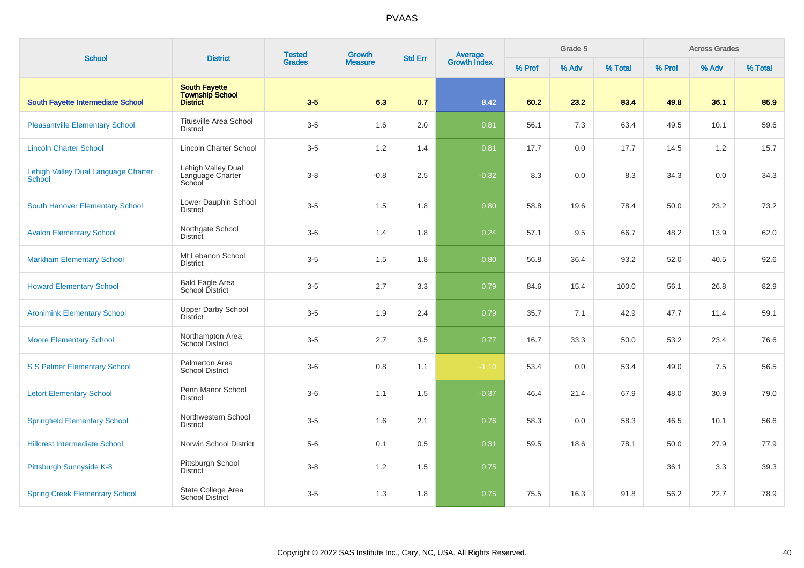| <b>School</b>                                 | <b>District</b>                                                   | <b>Tested</b> | Growth         | <b>Std Err</b> |                                |        | Grade 5 |         |        | <b>Across Grades</b> |         |
|-----------------------------------------------|-------------------------------------------------------------------|---------------|----------------|----------------|--------------------------------|--------|---------|---------|--------|----------------------|---------|
|                                               |                                                                   | <b>Grades</b> | <b>Measure</b> |                | <b>Average</b><br>Growth Index | % Prof | % Adv   | % Total | % Prof | % Adv                | % Total |
| South Fayette Intermediate School             | <b>South Favette</b><br><b>Township School</b><br><b>District</b> | $3-5$         | 6.3            | 0.7            | 8.42                           | 60.2   | 23.2    | 83.4    | 49.8   | 36.1                 | 85.9    |
| <b>Pleasantville Elementary School</b>        | <b>Titusville Area School</b><br><b>District</b>                  | $3-5$         | 1.6            | 2.0            | 0.81                           | 56.1   | 7.3     | 63.4    | 49.5   | 10.1                 | 59.6    |
| <b>Lincoln Charter School</b>                 | Lincoln Charter School                                            | $3-5$         | $1.2$          | 1.4            | 0.81                           | 17.7   | 0.0     | 17.7    | 14.5   | 1.2                  | 15.7    |
| Lehigh Valley Dual Language Charter<br>School | Lehigh Valley Dual<br>Language Charter<br>School                  | $3 - 8$       | $-0.8$         | 2.5            | $-0.32$                        | 8.3    | 0.0     | 8.3     | 34.3   | 0.0                  | 34.3    |
| South Hanover Elementary School               | Lower Dauphin School<br><b>District</b>                           | $3-5$         | 1.5            | 1.8            | 0.80                           | 58.8   | 19.6    | 78.4    | 50.0   | 23.2                 | 73.2    |
| <b>Avalon Elementary School</b>               | Northgate School<br><b>District</b>                               | $3-6$         | 1.4            | 1.8            | 0.24                           | 57.1   | 9.5     | 66.7    | 48.2   | 13.9                 | 62.0    |
| <b>Markham Elementary School</b>              | Mt Lebanon School<br><b>District</b>                              | $3-5$         | 1.5            | 1.8            | 0.80                           | 56.8   | 36.4    | 93.2    | 52.0   | 40.5                 | 92.6    |
| <b>Howard Elementary School</b>               | <b>Bald Eagle Area</b><br>School District                         | $3-5$         | 2.7            | 3.3            | 0.79                           | 84.6   | 15.4    | 100.0   | 56.1   | 26.8                 | 82.9    |
| <b>Aronimink Elementary School</b>            | <b>Upper Darby School</b><br>District                             | $3-5$         | 1.9            | 2.4            | 0.79                           | 35.7   | 7.1     | 42.9    | 47.7   | 11.4                 | 59.1    |
| <b>Moore Elementary School</b>                | Northampton Area<br><b>School District</b>                        | $3-5$         | 2.7            | 3.5            | 0.77                           | 16.7   | 33.3    | 50.0    | 53.2   | 23.4                 | 76.6    |
| S S Palmer Elementary School                  | Palmerton Area<br><b>School District</b>                          | $3-6$         | 0.8            | 1.1            | $-1.10$                        | 53.4   | 0.0     | 53.4    | 49.0   | 7.5                  | 56.5    |
| <b>Letort Elementary School</b>               | Penn Manor School<br><b>District</b>                              | $3-6$         | 1.1            | 1.5            | $-0.37$                        | 46.4   | 21.4    | 67.9    | 48.0   | 30.9                 | 79.0    |
| <b>Springfield Elementary School</b>          | Northwestern School<br><b>District</b>                            | $3-5$         | 1.6            | 2.1            | 0.76                           | 58.3   | 0.0     | 58.3    | 46.5   | 10.1                 | 56.6    |
| <b>Hillcrest Intermediate School</b>          | Norwin School District                                            | $5-6$         | 0.1            | 0.5            | 0.31                           | 59.5   | 18.6    | 78.1    | 50.0   | 27.9                 | 77.9    |
| Pittsburgh Sunnyside K-8                      | Pittsburgh School<br><b>District</b>                              | $3 - 8$       | $1.2$          | 1.5            | 0.75                           |        |         |         | 36.1   | 3.3                  | 39.3    |
| <b>Spring Creek Elementary School</b>         | State College Area<br><b>School District</b>                      | $3-5$         | 1.3            | 1.8            | 0.75                           | 75.5   | 16.3    | 91.8    | 56.2   | 22.7                 | 78.9    |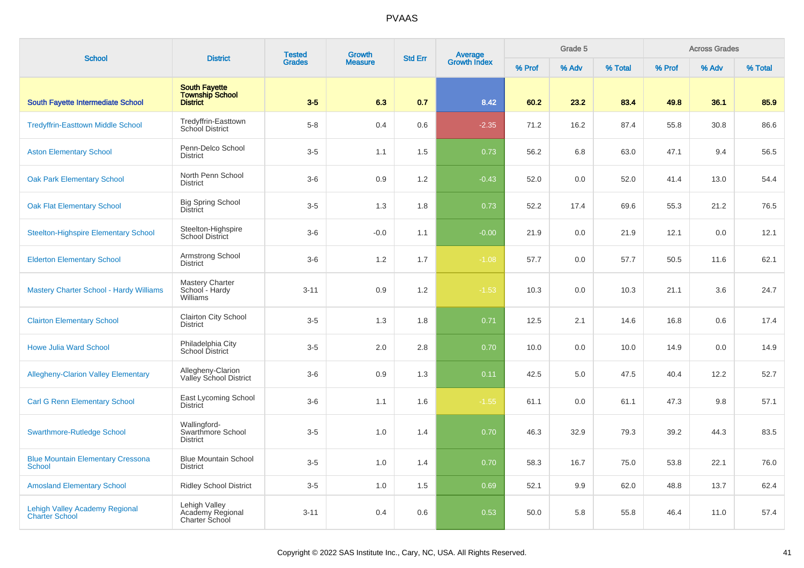| <b>School</b>                                                  | <b>District</b>                                                   | <b>Tested</b> | Growth         | <b>Std Err</b> |                                |        | Grade 5 |         |        | <b>Across Grades</b> |         |
|----------------------------------------------------------------|-------------------------------------------------------------------|---------------|----------------|----------------|--------------------------------|--------|---------|---------|--------|----------------------|---------|
|                                                                |                                                                   | <b>Grades</b> | <b>Measure</b> |                | <b>Average</b><br>Growth Index | % Prof | % Adv   | % Total | % Prof | % Adv                | % Total |
| South Fayette Intermediate School                              | <b>South Fayette</b><br><b>Township School</b><br><b>District</b> | $3-5$         | 6.3            | 0.7            | 8.42                           | 60.2   | 23.2    | 83.4    | 49.8   | 36.1                 | 85.9    |
| <b>Tredyffrin-Easttown Middle School</b>                       | Tredyffrin-Easttown<br>School District                            | $5 - 8$       | 0.4            | 0.6            | $-2.35$                        | 71.2   | 16.2    | 87.4    | 55.8   | 30.8                 | 86.6    |
| <b>Aston Elementary School</b>                                 | Penn-Delco School<br><b>District</b>                              | $3-5$         | 1.1            | 1.5            | 0.73                           | 56.2   | 6.8     | 63.0    | 47.1   | 9.4                  | 56.5    |
| <b>Oak Park Elementary School</b>                              | North Penn School<br><b>District</b>                              | $3-6$         | 0.9            | 1.2            | $-0.43$                        | 52.0   | 0.0     | 52.0    | 41.4   | 13.0                 | 54.4    |
| <b>Oak Flat Elementary School</b>                              | <b>Big Spring School</b><br><b>District</b>                       | $3-5$         | 1.3            | 1.8            | 0.73                           | 52.2   | 17.4    | 69.6    | 55.3   | 21.2                 | 76.5    |
| <b>Steelton-Highspire Elementary School</b>                    | Steelton-Highspire<br><b>School District</b>                      | $3-6$         | $-0.0$         | 1.1            | $-0.00$                        | 21.9   | 0.0     | 21.9    | 12.1   | 0.0                  | 12.1    |
| <b>Elderton Elementary School</b>                              | Armstrong School<br><b>District</b>                               | $3-6$         | 1.2            | 1.7            | $-1.08$                        | 57.7   | 0.0     | 57.7    | 50.5   | 11.6                 | 62.1    |
| <b>Mastery Charter School - Hardy Williams</b>                 | Mastery Charter<br>School - Hardy<br>Williams                     | $3 - 11$      | 0.9            | $1.2$          | $-1.53$                        | 10.3   | 0.0     | 10.3    | 21.1   | 3.6                  | 24.7    |
| <b>Clairton Elementary School</b>                              | <b>Clairton City School</b><br><b>District</b>                    | $3-5$         | 1.3            | 1.8            | 0.71                           | 12.5   | 2.1     | 14.6    | 16.8   | 0.6                  | 17.4    |
| <b>Howe Julia Ward School</b>                                  | Philadelphia City<br>School District                              | $3-5$         | 2.0            | 2.8            | 0.70                           | 10.0   | 0.0     | 10.0    | 14.9   | 0.0                  | 14.9    |
| <b>Allegheny-Clarion Valley Elementary</b>                     | Allegheny-Clarion<br>Valley School District                       | $3-6$         | 0.9            | 1.3            | 0.11                           | 42.5   | 5.0     | 47.5    | 40.4   | 12.2                 | 52.7    |
| <b>Carl G Renn Elementary School</b>                           | East Lycoming School<br><b>District</b>                           | $3-6$         | 1.1            | 1.6            | $-1.55$                        | 61.1   | 0.0     | 61.1    | 47.3   | 9.8                  | 57.1    |
| <b>Swarthmore-Rutledge School</b>                              | Wallingford-<br>Swarthmore School<br><b>District</b>              | $3-5$         | 1.0            | 1.4            | 0.70                           | 46.3   | 32.9    | 79.3    | 39.2   | 44.3                 | 83.5    |
| <b>Blue Mountain Elementary Cressona</b><br><b>School</b>      | <b>Blue Mountain School</b><br><b>District</b>                    | $3-5$         | 1.0            | 1.4            | 0.70                           | 58.3   | 16.7    | 75.0    | 53.8   | 22.1                 | 76.0    |
| <b>Amosland Elementary School</b>                              | <b>Ridley School District</b>                                     | $3-5$         | 1.0            | 1.5            | 0.69                           | 52.1   | 9.9     | 62.0    | 48.8   | 13.7                 | 62.4    |
| <b>Lehigh Valley Academy Regional</b><br><b>Charter School</b> | Lehigh Valley<br>Academy Regional<br>Charter School               | $3 - 11$      | 0.4            | 0.6            | 0.53                           | 50.0   | 5.8     | 55.8    | 46.4   | 11.0                 | 57.4    |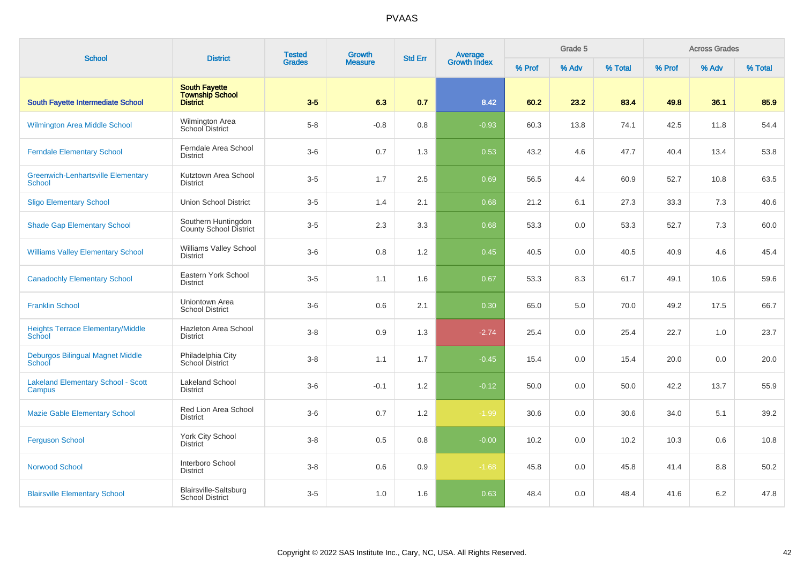| <b>School</b>                                              | <b>District</b>                                      | <b>Tested</b><br><b>Grades</b> | Growth         | <b>Std Err</b> |                                |        | Grade 5 |         |        | <b>Across Grades</b> |         |
|------------------------------------------------------------|------------------------------------------------------|--------------------------------|----------------|----------------|--------------------------------|--------|---------|---------|--------|----------------------|---------|
|                                                            |                                                      |                                | <b>Measure</b> |                | <b>Average</b><br>Growth Index | % Prof | % Adv   | % Total | % Prof | % Adv                | % Total |
| South Fayette Intermediate School                          | <b>South Fayette</b><br>Township School<br>District  | $3-5$                          | 6.3            | 0.7            | 8.42                           | 60.2   | 23.2    | 83.4    | 49.8   | 36.1                 | 85.9    |
| <b>Wilmington Area Middle School</b>                       | Wilmington Area<br>School District                   | $5 - 8$                        | $-0.8$         | 0.8            | $-0.93$                        | 60.3   | 13.8    | 74.1    | 42.5   | 11.8                 | 54.4    |
| <b>Ferndale Elementary School</b>                          | Ferndale Area School<br><b>District</b>              | $3-6$                          | 0.7            | 1.3            | 0.53                           | 43.2   | 4.6     | 47.7    | 40.4   | 13.4                 | 53.8    |
| <b>Greenwich-Lenhartsville Elementary</b><br><b>School</b> | Kutztown Area School<br><b>District</b>              | $3-5$                          | 1.7            | 2.5            | 0.69                           | 56.5   | 4.4     | 60.9    | 52.7   | 10.8                 | 63.5    |
| <b>Sligo Elementary School</b>                             | <b>Union School District</b>                         | $3-5$                          | 1.4            | 2.1            | 0.68                           | 21.2   | 6.1     | 27.3    | 33.3   | 7.3                  | 40.6    |
| <b>Shade Gap Elementary School</b>                         | Southern Huntingdon<br><b>County School District</b> | $3-5$                          | 2.3            | 3.3            | 0.68                           | 53.3   | 0.0     | 53.3    | 52.7   | 7.3                  | 60.0    |
| <b>Williams Valley Elementary School</b>                   | Williams Valley School<br><b>District</b>            | $3-6$                          | 0.8            | 1.2            | 0.45                           | 40.5   | 0.0     | 40.5    | 40.9   | 4.6                  | 45.4    |
| <b>Canadochly Elementary School</b>                        | Eastern York School<br><b>District</b>               | $3-5$                          | 1.1            | 1.6            | 0.67                           | 53.3   | 8.3     | 61.7    | 49.1   | 10.6                 | 59.6    |
| <b>Franklin School</b>                                     | Uniontown Area<br><b>School District</b>             | $3-6$                          | 0.6            | 2.1            | 0.30                           | 65.0   | 5.0     | 70.0    | 49.2   | 17.5                 | 66.7    |
| <b>Heights Terrace Elementary/Middle</b><br>School         | Hazleton Area School<br><b>District</b>              | $3 - 8$                        | 0.9            | 1.3            | $-2.74$                        | 25.4   | 0.0     | 25.4    | 22.7   | 1.0                  | 23.7    |
| <b>Deburgos Bilingual Magnet Middle</b><br>School          | Philadelphia City<br>School District                 | $3 - 8$                        | 1.1            | 1.7            | $-0.45$                        | 15.4   | 0.0     | 15.4    | 20.0   | 0.0                  | 20.0    |
| <b>Lakeland Elementary School - Scott</b><br>Campus        | <b>Lakeland School</b><br><b>District</b>            | $3-6$                          | $-0.1$         | 1.2            | $-0.12$                        | 50.0   | 0.0     | 50.0    | 42.2   | 13.7                 | 55.9    |
| <b>Mazie Gable Elementary School</b>                       | Red Lion Area School<br><b>District</b>              | $3-6$                          | 0.7            | 1.2            | $-1.99$                        | 30.6   | 0.0     | 30.6    | 34.0   | 5.1                  | 39.2    |
| <b>Ferguson School</b>                                     | York City School<br><b>District</b>                  | $3 - 8$                        | 0.5            | 0.8            | $-0.00$                        | 10.2   | 0.0     | 10.2    | 10.3   | 0.6                  | 10.8    |
| <b>Norwood School</b>                                      | Interboro School<br><b>District</b>                  | $3 - 8$                        | 0.6            | 0.9            | $-1.68$                        | 45.8   | 0.0     | 45.8    | 41.4   | 8.8                  | 50.2    |
| <b>Blairsville Elementary School</b>                       | Blairsville-Saltsburg<br><b>School District</b>      | $3-5$                          | 1.0            | 1.6            | 0.63                           | 48.4   | 0.0     | 48.4    | 41.6   | 6.2                  | 47.8    |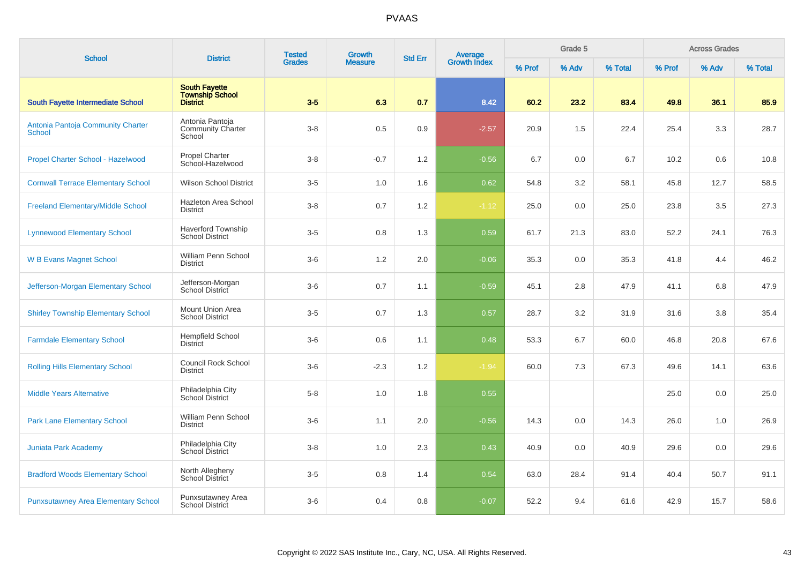| <b>School</b>                               | <b>District</b>                                                   | <b>Tested</b> | <b>Growth</b>  | <b>Std Err</b> |                                |        | Grade 5 |         |        | <b>Across Grades</b> |         |
|---------------------------------------------|-------------------------------------------------------------------|---------------|----------------|----------------|--------------------------------|--------|---------|---------|--------|----------------------|---------|
|                                             |                                                                   | <b>Grades</b> | <b>Measure</b> |                | <b>Average</b><br>Growth Index | % Prof | % Adv   | % Total | % Prof | % Adv                | % Total |
| <b>South Fayette Intermediate School</b>    | <b>South Fayette</b><br><b>Township School</b><br><b>District</b> | $3-5$         | 6.3            | 0.7            | 8.42                           | 60.2   | 23.2    | 83.4    | 49.8   | 36.1                 | 85.9    |
| Antonia Pantoja Community Charter<br>School | Antonia Pantoja<br><b>Community Charter</b><br>School             | $3 - 8$       | 0.5            | 0.9            | $-2.57$                        | 20.9   | 1.5     | 22.4    | 25.4   | 3.3                  | 28.7    |
| Propel Charter School - Hazelwood           | <b>Propel Charter</b><br>School-Hazelwood                         | $3 - 8$       | $-0.7$         | 1.2            | $-0.56$                        | 6.7    | 0.0     | 6.7     | 10.2   | 0.6                  | 10.8    |
| <b>Cornwall Terrace Elementary School</b>   | <b>Wilson School District</b>                                     | $3-5$         | 1.0            | 1.6            | 0.62                           | 54.8   | 3.2     | 58.1    | 45.8   | 12.7                 | 58.5    |
| <b>Freeland Elementary/Middle School</b>    | Hazleton Area School<br><b>District</b>                           | $3 - 8$       | 0.7            | 1.2            | $-1.12$                        | 25.0   | 0.0     | 25.0    | 23.8   | 3.5                  | 27.3    |
| <b>Lynnewood Elementary School</b>          | <b>Haverford Township</b><br><b>School District</b>               | $3-5$         | 0.8            | 1.3            | 0.59                           | 61.7   | 21.3    | 83.0    | 52.2   | 24.1                 | 76.3    |
| <b>W B Evans Magnet School</b>              | William Penn School<br><b>District</b>                            | $3-6$         | 1.2            | 2.0            | $-0.06$                        | 35.3   | 0.0     | 35.3    | 41.8   | 4.4                  | 46.2    |
| Jefferson-Morgan Elementary School          | Jefferson-Morgan<br>School District                               | $3-6$         | 0.7            | 1.1            | $-0.59$                        | 45.1   | 2.8     | 47.9    | 41.1   | 6.8                  | 47.9    |
| <b>Shirley Township Elementary School</b>   | Mount Union Area<br><b>School District</b>                        | $3-5$         | 0.7            | 1.3            | 0.57                           | 28.7   | 3.2     | 31.9    | 31.6   | 3.8                  | 35.4    |
| <b>Farmdale Elementary School</b>           | <b>Hempfield School</b><br><b>District</b>                        | $3-6$         | 0.6            | 1.1            | 0.48                           | 53.3   | 6.7     | 60.0    | 46.8   | 20.8                 | 67.6    |
| <b>Rolling Hills Elementary School</b>      | Council Rock School<br><b>District</b>                            | $3-6$         | $-2.3$         | 1.2            | $-1.94$                        | 60.0   | 7.3     | 67.3    | 49.6   | 14.1                 | 63.6    |
| <b>Middle Years Alternative</b>             | Philadelphia City<br>School District                              | $5-8$         | 1.0            | 1.8            | 0.55                           |        |         |         | 25.0   | 0.0                  | 25.0    |
| <b>Park Lane Elementary School</b>          | William Penn School<br><b>District</b>                            | $3-6$         | 1.1            | 2.0            | $-0.56$                        | 14.3   | 0.0     | 14.3    | 26.0   | 1.0                  | 26.9    |
| <b>Juniata Park Academy</b>                 | Philadelphia City<br>School District                              | $3 - 8$       | 1.0            | 2.3            | 0.43                           | 40.9   | 0.0     | 40.9    | 29.6   | 0.0                  | 29.6    |
| <b>Bradford Woods Elementary School</b>     | North Allegheny<br>School District                                | $3-5$         | 0.8            | 1.4            | 0.54                           | 63.0   | 28.4    | 91.4    | 40.4   | 50.7                 | 91.1    |
| <b>Punxsutawney Area Elementary School</b>  | Punxsutawney Area<br><b>School District</b>                       | $3-6$         | 0.4            | 0.8            | $-0.07$                        | 52.2   | 9.4     | 61.6    | 42.9   | 15.7                 | 58.6    |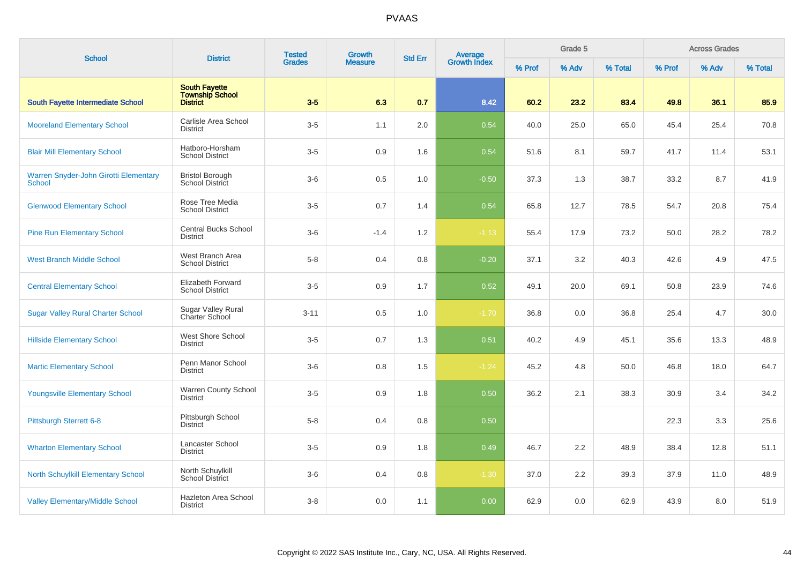| <b>School</b>                                          | <b>District</b>                                                   | <b>Tested</b> | <b>Growth</b>  |     | <b>Average</b><br>Growth Index<br><b>Std Err</b> |        | Grade 5 |         |        | <b>Across Grades</b> |         |
|--------------------------------------------------------|-------------------------------------------------------------------|---------------|----------------|-----|--------------------------------------------------|--------|---------|---------|--------|----------------------|---------|
|                                                        |                                                                   | <b>Grades</b> | <b>Measure</b> |     |                                                  | % Prof | % Adv   | % Total | % Prof | % Adv                | % Total |
| <b>South Fayette Intermediate School</b>               | <b>South Fayette</b><br><b>Township School</b><br><b>District</b> | $3-5$         | 6.3            | 0.7 | 8.42                                             | 60.2   | 23.2    | 83.4    | 49.8   | 36.1                 | 85.9    |
| <b>Mooreland Elementary School</b>                     | Carlisle Area School<br><b>District</b>                           | $3-5$         | 1.1            | 2.0 | 0.54                                             | 40.0   | 25.0    | 65.0    | 45.4   | 25.4                 | 70.8    |
| <b>Blair Mill Elementary School</b>                    | Hatboro-Horsham<br><b>School District</b>                         | $3-5$         | 0.9            | 1.6 | 0.54                                             | 51.6   | 8.1     | 59.7    | 41.7   | 11.4                 | 53.1    |
| Warren Snyder-John Girotti Elementary<br><b>School</b> | <b>Bristol Borough</b><br>School District                         | $3-6$         | 0.5            | 1.0 | $-0.50$                                          | 37.3   | 1.3     | 38.7    | 33.2   | 8.7                  | 41.9    |
| <b>Glenwood Elementary School</b>                      | Rose Tree Media<br><b>School District</b>                         | $3-5$         | 0.7            | 1.4 | 0.54                                             | 65.8   | 12.7    | 78.5    | 54.7   | 20.8                 | 75.4    |
| <b>Pine Run Elementary School</b>                      | <b>Central Bucks School</b><br><b>District</b>                    | $3-6$         | $-1.4$         | 1.2 | $-1.13$                                          | 55.4   | 17.9    | 73.2    | 50.0   | 28.2                 | 78.2    |
| <b>West Branch Middle School</b>                       | West Branch Area<br><b>School District</b>                        | $5 - 8$       | 0.4            | 0.8 | $-0.20$                                          | 37.1   | 3.2     | 40.3    | 42.6   | 4.9                  | 47.5    |
| <b>Central Elementary School</b>                       | <b>Elizabeth Forward</b><br><b>School District</b>                | $3-5$         | 0.9            | 1.7 | 0.52                                             | 49.1   | 20.0    | 69.1    | 50.8   | 23.9                 | 74.6    |
| <b>Sugar Valley Rural Charter School</b>               | Sugar Valley Rural<br>Charter School                              | $3 - 11$      | 0.5            | 1.0 | $-1.70$                                          | 36.8   | 0.0     | 36.8    | 25.4   | 4.7                  | 30.0    |
| <b>Hillside Elementary School</b>                      | West Shore School<br><b>District</b>                              | $3-5$         | 0.7            | 1.3 | 0.51                                             | 40.2   | 4.9     | 45.1    | 35.6   | 13.3                 | 48.9    |
| <b>Martic Elementary School</b>                        | Penn Manor School<br><b>District</b>                              | $3-6$         | 0.8            | 1.5 | $-1.24$                                          | 45.2   | 4.8     | 50.0    | 46.8   | 18.0                 | 64.7    |
| <b>Youngsville Elementary School</b>                   | Warren County School<br><b>District</b>                           | $3-5$         | 0.9            | 1.8 | 0.50                                             | 36.2   | 2.1     | 38.3    | 30.9   | 3.4                  | 34.2    |
| Pittsburgh Sterrett 6-8                                | Pittsburgh School<br><b>District</b>                              | $5 - 8$       | 0.4            | 0.8 | 0.50                                             |        |         |         | 22.3   | 3.3                  | 25.6    |
| <b>Wharton Elementary School</b>                       | Lancaster School<br><b>District</b>                               | $3-5$         | 0.9            | 1.8 | 0.49                                             | 46.7   | 2.2     | 48.9    | 38.4   | 12.8                 | 51.1    |
| <b>North Schuylkill Elementary School</b>              | North Schuylkill<br><b>School District</b>                        | $3-6$         | 0.4            | 0.8 | $-1.30$                                          | 37.0   | 2.2     | 39.3    | 37.9   | 11.0                 | 48.9    |
| <b>Valley Elementary/Middle School</b>                 | Hazleton Area School<br><b>District</b>                           | $3 - 8$       | 0.0            | 1.1 | 0.00                                             | 62.9   | 0.0     | 62.9    | 43.9   | 8.0                  | 51.9    |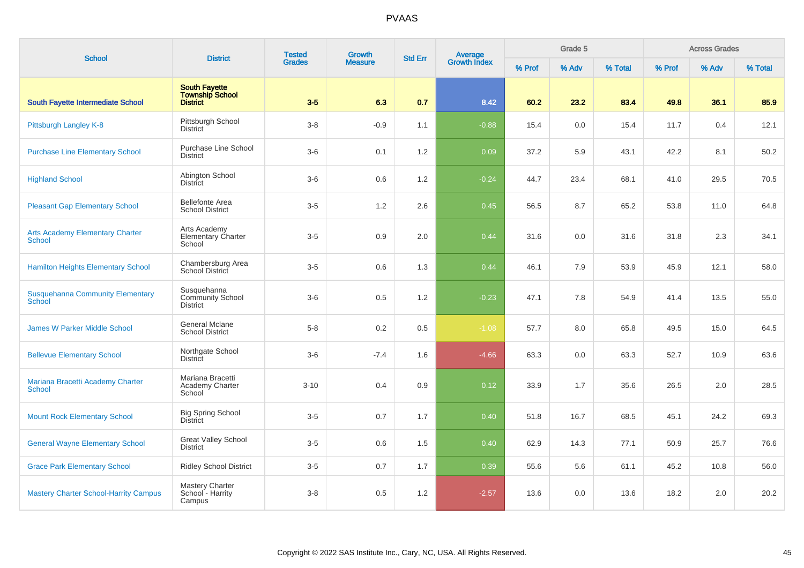| <b>School</b>                                           | <b>District</b>                                                   | <b>Tested</b><br><b>Grades</b> | <b>Growth</b>  | <b>Std Err</b> |                                |        | Grade 5 |         |        | <b>Across Grades</b> |         |
|---------------------------------------------------------|-------------------------------------------------------------------|--------------------------------|----------------|----------------|--------------------------------|--------|---------|---------|--------|----------------------|---------|
|                                                         |                                                                   |                                | <b>Measure</b> |                | <b>Average</b><br>Growth Index | % Prof | % Adv   | % Total | % Prof | % Adv                | % Total |
| South Fayette Intermediate School                       | <b>South Fayette</b><br><b>Township School</b><br><b>District</b> | $3-5$                          | 6.3            | 0.7            | 8.42                           | 60.2   | 23.2    | 83.4    | 49.8   | 36.1                 | 85.9    |
| Pittsburgh Langley K-8                                  | Pittsburgh School<br><b>District</b>                              | $3 - 8$                        | $-0.9$         | 1.1            | $-0.88$                        | 15.4   | 0.0     | 15.4    | 11.7   | 0.4                  | 12.1    |
| <b>Purchase Line Elementary School</b>                  | Purchase Line School<br><b>District</b>                           | $3-6$                          | 0.1            | 1.2            | 0.09                           | 37.2   | 5.9     | 43.1    | 42.2   | 8.1                  | 50.2    |
| <b>Highland School</b>                                  | Abington School<br><b>District</b>                                | $3-6$                          | 0.6            | 1.2            | $-0.24$                        | 44.7   | 23.4    | 68.1    | 41.0   | 29.5                 | 70.5    |
| <b>Pleasant Gap Elementary School</b>                   | <b>Bellefonte Area</b><br><b>School District</b>                  | $3-5$                          | 1.2            | 2.6            | 0.45                           | 56.5   | 8.7     | 65.2    | 53.8   | 11.0                 | 64.8    |
| <b>Arts Academy Elementary Charter</b><br><b>School</b> | Arts Academy<br><b>Elementary Charter</b><br>School               | $3-5$                          | 0.9            | 2.0            | 0.44                           | 31.6   | 0.0     | 31.6    | 31.8   | 2.3                  | 34.1    |
| <b>Hamilton Heights Elementary School</b>               | Chambersburg Area<br>School District                              | $3-5$                          | 0.6            | 1.3            | 0.44                           | 46.1   | 7.9     | 53.9    | 45.9   | 12.1                 | 58.0    |
| <b>Susquehanna Community Elementary</b><br>School       | Susquehanna<br><b>Community School</b><br><b>District</b>         | $3-6$                          | 0.5            | 1.2            | $-0.23$                        | 47.1   | 7.8     | 54.9    | 41.4   | 13.5                 | 55.0    |
| <b>James W Parker Middle School</b>                     | <b>General Mclane</b><br><b>School District</b>                   | $5-8$                          | 0.2            | 0.5            | $-1.08$                        | 57.7   | 8.0     | 65.8    | 49.5   | 15.0                 | 64.5    |
| <b>Bellevue Elementary School</b>                       | Northgate School<br><b>District</b>                               | $3-6$                          | $-7.4$         | 1.6            | $-4.66$                        | 63.3   | 0.0     | 63.3    | 52.7   | 10.9                 | 63.6    |
| Mariana Bracetti Academy Charter<br><b>School</b>       | Mariana Bracetti<br>Academy Charter<br>School                     | $3 - 10$                       | 0.4            | 0.9            | 0.12                           | 33.9   | 1.7     | 35.6    | 26.5   | 2.0                  | 28.5    |
| <b>Mount Rock Elementary School</b>                     | <b>Big Spring School</b><br><b>District</b>                       | $3-5$                          | 0.7            | 1.7            | 0.40                           | 51.8   | 16.7    | 68.5    | 45.1   | 24.2                 | 69.3    |
| <b>General Wayne Elementary School</b>                  | <b>Great Valley School</b><br><b>District</b>                     | $3-5$                          | 0.6            | 1.5            | 0.40                           | 62.9   | 14.3    | 77.1    | 50.9   | 25.7                 | 76.6    |
| <b>Grace Park Elementary School</b>                     | <b>Ridley School District</b>                                     | $3-5$                          | 0.7            | 1.7            | 0.39                           | 55.6   | 5.6     | 61.1    | 45.2   | 10.8                 | 56.0    |
| <b>Mastery Charter School-Harrity Campus</b>            | Mastery Charter<br>School - Harrity<br>Campus                     | $3 - 8$                        | 0.5            | 1.2            | $-2.57$                        | 13.6   | 0.0     | 13.6    | 18.2   | 2.0                  | 20.2    |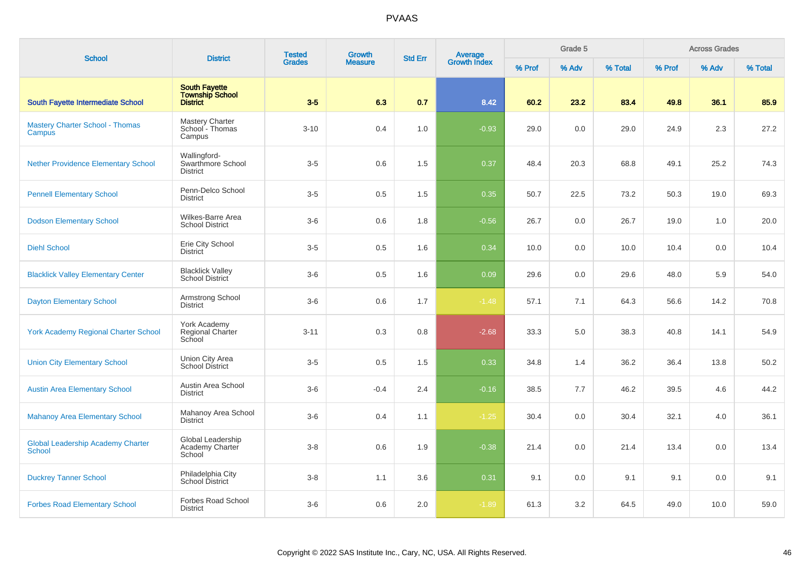| <b>School</b>                                             | <b>District</b>                                            | <b>Tested</b> | Growth         | <b>Std Err</b> |                                |        | Grade 5 |         |        | <b>Across Grades</b> |         |
|-----------------------------------------------------------|------------------------------------------------------------|---------------|----------------|----------------|--------------------------------|--------|---------|---------|--------|----------------------|---------|
|                                                           |                                                            | <b>Grades</b> | <b>Measure</b> |                | <b>Average</b><br>Growth Index | % Prof | % Adv   | % Total | % Prof | % Adv                | % Total |
| <b>South Fayette Intermediate School</b>                  | <b>South Fayette</b><br><b>Township School</b><br>District | $3-5$         | 6.3            | 0.7            | 8.42                           | 60.2   | 23.2    | 83.4    | 49.8   | 36.1                 | 85.9    |
| <b>Mastery Charter School - Thomas</b><br>Campus          | <b>Mastery Charter</b><br>School - Thomas<br>Campus        | $3 - 10$      | 0.4            | 1.0            | $-0.93$                        | 29.0   | 0.0     | 29.0    | 24.9   | 2.3                  | 27.2    |
| <b>Nether Providence Elementary School</b>                | Wallingford-<br>Swarthmore School<br><b>District</b>       | $3-5$         | 0.6            | 1.5            | 0.37                           | 48.4   | 20.3    | 68.8    | 49.1   | 25.2                 | 74.3    |
| <b>Pennell Elementary School</b>                          | Penn-Delco School<br><b>District</b>                       | $3-5$         | 0.5            | 1.5            | 0.35                           | 50.7   | 22.5    | 73.2    | 50.3   | 19.0                 | 69.3    |
| <b>Dodson Elementary School</b>                           | <b>Wilkes-Barre Area</b><br><b>School District</b>         | $3-6$         | 0.6            | 1.8            | $-0.56$                        | 26.7   | 0.0     | 26.7    | 19.0   | 1.0                  | 20.0    |
| <b>Diehl School</b>                                       | Erie City School<br><b>District</b>                        | $3-5$         | 0.5            | 1.6            | 0.34                           | 10.0   | 0.0     | 10.0    | 10.4   | 0.0                  | 10.4    |
| <b>Blacklick Valley Elementary Center</b>                 | <b>Blacklick Valley</b><br>School District                 | $3-6$         | 0.5            | 1.6            | 0.09                           | 29.6   | 0.0     | 29.6    | 48.0   | 5.9                  | 54.0    |
| <b>Dayton Elementary School</b>                           | Armstrong School<br><b>District</b>                        | $3-6$         | 0.6            | 1.7            | $-1.48$                        | 57.1   | 7.1     | 64.3    | 56.6   | 14.2                 | 70.8    |
| <b>York Academy Regional Charter School</b>               | York Academy<br>Regional Charter<br>School                 | $3 - 11$      | 0.3            | 0.8            | $-2.68$                        | 33.3   | 5.0     | 38.3    | 40.8   | 14.1                 | 54.9    |
| <b>Union City Elementary School</b>                       | Union City Area<br><b>School District</b>                  | $3-5$         | 0.5            | 1.5            | 0.33                           | 34.8   | 1.4     | 36.2    | 36.4   | 13.8                 | 50.2    |
| <b>Austin Area Elementary School</b>                      | Austin Area School<br><b>District</b>                      | $3-6$         | $-0.4$         | 2.4            | $-0.16$                        | 38.5   | 7.7     | 46.2    | 39.5   | 4.6                  | 44.2    |
| <b>Mahanoy Area Elementary School</b>                     | Mahanoy Area School<br><b>District</b>                     | $3-6$         | 0.4            | 1.1            | $-1.25$                        | 30.4   | 0.0     | 30.4    | 32.1   | 4.0                  | 36.1    |
| <b>Global Leadership Academy Charter</b><br><b>School</b> | Global Leadership<br>Academy Charter<br>School             | $3 - 8$       | 0.6            | 1.9            | $-0.38$                        | 21.4   | 0.0     | 21.4    | 13.4   | 0.0                  | 13.4    |
| <b>Duckrey Tanner School</b>                              | Philadelphia City<br>School District                       | $3 - 8$       | 1.1            | 3.6            | 0.31                           | 9.1    | 0.0     | 9.1     | 9.1    | 0.0                  | 9.1     |
| <b>Forbes Road Elementary School</b>                      | Forbes Road School<br><b>District</b>                      | $3-6$         | 0.6            | 2.0            | $-1.89$                        | 61.3   | 3.2     | 64.5    | 49.0   | 10.0                 | 59.0    |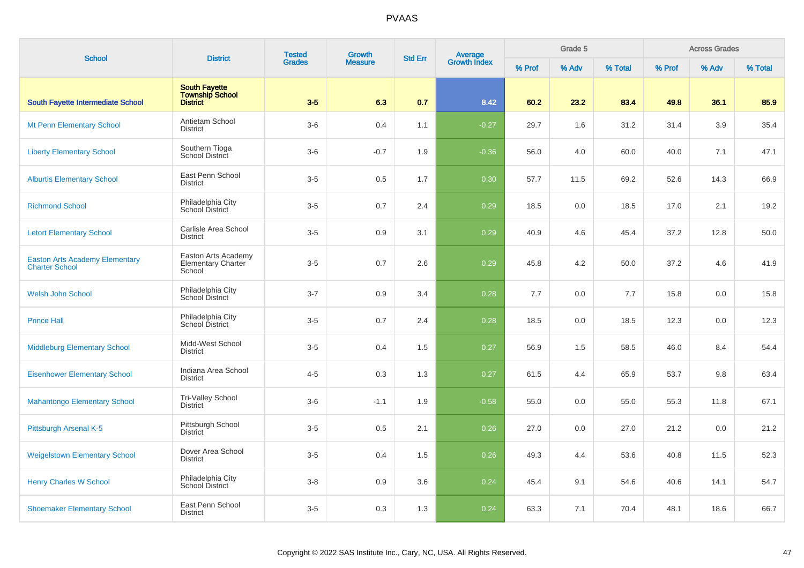| <b>School</b>                                                  | <b>District</b>                                                   | <b>Tested</b> | Growth         | <b>Std Err</b> | Average<br>Growth Index |        | Grade 5 |         |        | <b>Across Grades</b> |         |
|----------------------------------------------------------------|-------------------------------------------------------------------|---------------|----------------|----------------|-------------------------|--------|---------|---------|--------|----------------------|---------|
|                                                                |                                                                   | <b>Grades</b> | <b>Measure</b> |                |                         | % Prof | % Adv   | % Total | % Prof | % Adv                | % Total |
| South Fayette Intermediate School                              | <b>South Fayette</b><br><b>Township School</b><br><b>District</b> | $3-5$         | 6.3            | 0.7            | 8.42                    | 60.2   | 23.2    | 83.4    | 49.8   | 36.1                 | 85.9    |
| <b>Mt Penn Elementary School</b>                               | Antietam School<br><b>District</b>                                | $3-6$         | 0.4            | 1.1            | $-0.27$                 | 29.7   | 1.6     | 31.2    | 31.4   | 3.9                  | 35.4    |
| <b>Liberty Elementary School</b>                               | Southern Tioga<br>School District                                 | $3-6$         | $-0.7$         | 1.9            | $-0.36$                 | 56.0   | 4.0     | 60.0    | 40.0   | 7.1                  | 47.1    |
| <b>Alburtis Elementary School</b>                              | East Penn School<br><b>District</b>                               | $3-5$         | 0.5            | 1.7            | 0.30                    | 57.7   | 11.5    | 69.2    | 52.6   | 14.3                 | 66.9    |
| <b>Richmond School</b>                                         | Philadelphia City<br>School District                              | $3-5$         | 0.7            | 2.4            | 0.29                    | 18.5   | 0.0     | 18.5    | 17.0   | 2.1                  | 19.2    |
| <b>Letort Elementary School</b>                                | Carlisle Area School<br><b>District</b>                           | $3-5$         | 0.9            | 3.1            | 0.29                    | 40.9   | 4.6     | 45.4    | 37.2   | 12.8                 | 50.0    |
| <b>Easton Arts Academy Elementary</b><br><b>Charter School</b> | Easton Arts Academy<br><b>Elementary Charter</b><br>School        | $3-5$         | 0.7            | 2.6            | 0.29                    | 45.8   | 4.2     | 50.0    | 37.2   | 4.6                  | 41.9    |
| <b>Welsh John School</b>                                       | Philadelphia City<br>School District                              | $3 - 7$       | 0.9            | 3.4            | 0.28                    | 7.7    | 0.0     | 7.7     | 15.8   | 0.0                  | 15.8    |
| <b>Prince Hall</b>                                             | Philadelphia City<br>School District                              | $3-5$         | 0.7            | 2.4            | 0.28                    | 18.5   | 0.0     | 18.5    | 12.3   | 0.0                  | 12.3    |
| <b>Middleburg Elementary School</b>                            | Midd-West School<br><b>District</b>                               | $3-5$         | 0.4            | 1.5            | 0.27                    | 56.9   | 1.5     | 58.5    | 46.0   | 8.4                  | 54.4    |
| <b>Eisenhower Elementary School</b>                            | Indiana Area School<br><b>District</b>                            | $4 - 5$       | 0.3            | 1.3            | 0.27                    | 61.5   | 4.4     | 65.9    | 53.7   | 9.8                  | 63.4    |
| <b>Mahantongo Elementary School</b>                            | Tri-Valley School<br><b>District</b>                              | $3-6$         | $-1.1$         | 1.9            | $-0.58$                 | 55.0   | 0.0     | 55.0    | 55.3   | 11.8                 | 67.1    |
| Pittsburgh Arsenal K-5                                         | Pittsburgh School<br><b>District</b>                              | $3-5$         | 0.5            | 2.1            | 0.26                    | 27.0   | 0.0     | 27.0    | 21.2   | 0.0                  | 21.2    |
| <b>Weigelstown Elementary School</b>                           | Dover Area School<br><b>District</b>                              | $3-5$         | 0.4            | 1.5            | 0.26                    | 49.3   | 4.4     | 53.6    | 40.8   | 11.5                 | 52.3    |
| <b>Henry Charles W School</b>                                  | Philadelphia City<br>School District                              | $3 - 8$       | 0.9            | 3.6            | 0.24                    | 45.4   | 9.1     | 54.6    | 40.6   | 14.1                 | 54.7    |
| <b>Shoemaker Elementary School</b>                             | East Penn School<br><b>District</b>                               | $3-5$         | 0.3            | 1.3            | 0.24                    | 63.3   | 7.1     | 70.4    | 48.1   | 18.6                 | 66.7    |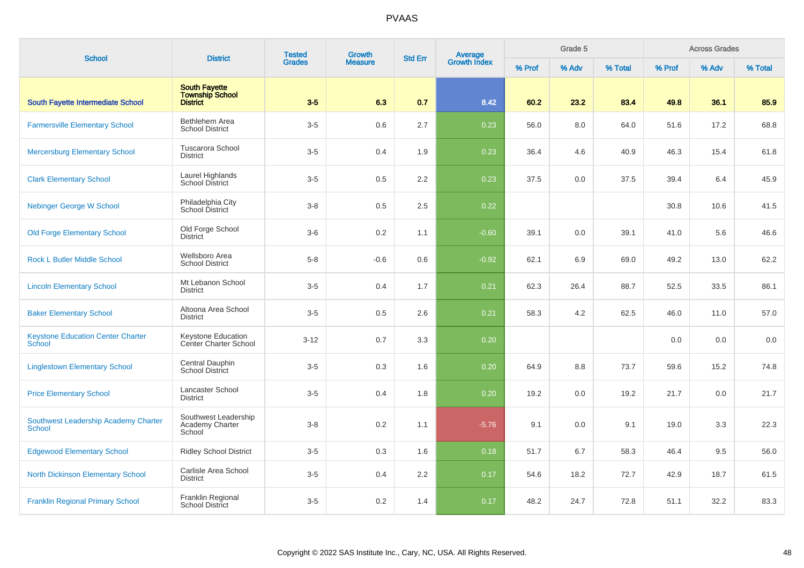| <b>School</b>                                         | <b>District</b>                                                   | <b>Tested</b><br><b>Grades</b> | <b>Growth</b>  | <b>Std Err</b> | <b>Average</b><br>Growth Index |        | Grade 5 |         |        | <b>Across Grades</b> |         |
|-------------------------------------------------------|-------------------------------------------------------------------|--------------------------------|----------------|----------------|--------------------------------|--------|---------|---------|--------|----------------------|---------|
|                                                       |                                                                   |                                | <b>Measure</b> |                |                                | % Prof | % Adv   | % Total | % Prof | % Adv                | % Total |
| <b>South Fayette Intermediate School</b>              | <b>South Fayette</b><br><b>Township School</b><br><b>District</b> | $3-5$                          | 6.3            | 0.7            | 8.42                           | 60.2   | 23.2    | 83.4    | 49.8   | 36.1                 | 85.9    |
| <b>Farmersville Elementary School</b>                 | Bethlehem Area<br><b>School District</b>                          | $3-5$                          | 0.6            | 2.7            | 0.23                           | 56.0   | 8.0     | 64.0    | 51.6   | 17.2                 | 68.8    |
| <b>Mercersburg Elementary School</b>                  | <b>Tuscarora School</b><br><b>District</b>                        | $3-5$                          | 0.4            | 1.9            | 0.23                           | 36.4   | 4.6     | 40.9    | 46.3   | 15.4                 | 61.8    |
| <b>Clark Elementary School</b>                        | Laurel Highlands<br>School District                               | $3-5$                          | 0.5            | 2.2            | 0.23                           | 37.5   | 0.0     | 37.5    | 39.4   | 6.4                  | 45.9    |
| <b>Nebinger George W School</b>                       | Philadelphia City<br>School District                              | $3 - 8$                        | 0.5            | 2.5            | 0.22                           |        |         |         | 30.8   | 10.6                 | 41.5    |
| <b>Old Forge Elementary School</b>                    | Old Forge School<br><b>District</b>                               | $3-6$                          | 0.2            | 1.1            | $-0.60$                        | 39.1   | 0.0     | 39.1    | 41.0   | 5.6                  | 46.6    |
| <b>Rock L Butler Middle School</b>                    | Wellsboro Area<br><b>School District</b>                          | $5 - 8$                        | $-0.6$         | 0.6            | $-0.92$                        | 62.1   | 6.9     | 69.0    | 49.2   | 13.0                 | 62.2    |
| <b>Lincoln Elementary School</b>                      | Mt Lebanon School<br><b>District</b>                              | $3-5$                          | 0.4            | 1.7            | 0.21                           | 62.3   | 26.4    | 88.7    | 52.5   | 33.5                 | 86.1    |
| <b>Baker Elementary School</b>                        | Altoona Area School<br><b>District</b>                            | $3-5$                          | 0.5            | 2.6            | 0.21                           | 58.3   | 4.2     | 62.5    | 46.0   | 11.0                 | 57.0    |
| <b>Keystone Education Center Charter</b><br>School    | Keystone Education<br>Center Charter School                       | $3 - 12$                       | 0.7            | 3.3            | 0.20                           |        |         |         | 0.0    | 0.0                  | 0.0     |
| <b>Linglestown Elementary School</b>                  | Central Dauphin<br>School District                                | $3-5$                          | 0.3            | 1.6            | 0.20                           | 64.9   | 8.8     | 73.7    | 59.6   | 15.2                 | 74.8    |
| <b>Price Elementary School</b>                        | Lancaster School<br><b>District</b>                               | $3-5$                          | 0.4            | 1.8            | 0.20                           | 19.2   | 0.0     | 19.2    | 21.7   | 0.0                  | 21.7    |
| Southwest Leadership Academy Charter<br><b>School</b> | Southwest Leadership<br>Academy Charter<br>School                 | $3 - 8$                        | 0.2            | 1.1            | $-5.76$                        | 9.1    | 0.0     | 9.1     | 19.0   | 3.3                  | 22.3    |
| <b>Edgewood Elementary School</b>                     | <b>Ridley School District</b>                                     | $3-5$                          | 0.3            | 1.6            | 0.18                           | 51.7   | 6.7     | 58.3    | 46.4   | 9.5                  | 56.0    |
| <b>North Dickinson Elementary School</b>              | Carlisle Area School<br><b>District</b>                           | $3-5$                          | 0.4            | 2.2            | 0.17                           | 54.6   | 18.2    | 72.7    | 42.9   | 18.7                 | 61.5    |
| <b>Franklin Regional Primary School</b>               | Franklin Regional<br><b>School District</b>                       | $3-5$                          | 0.2            | 1.4            | 0.17                           | 48.2   | 24.7    | 72.8    | 51.1   | 32.2                 | 83.3    |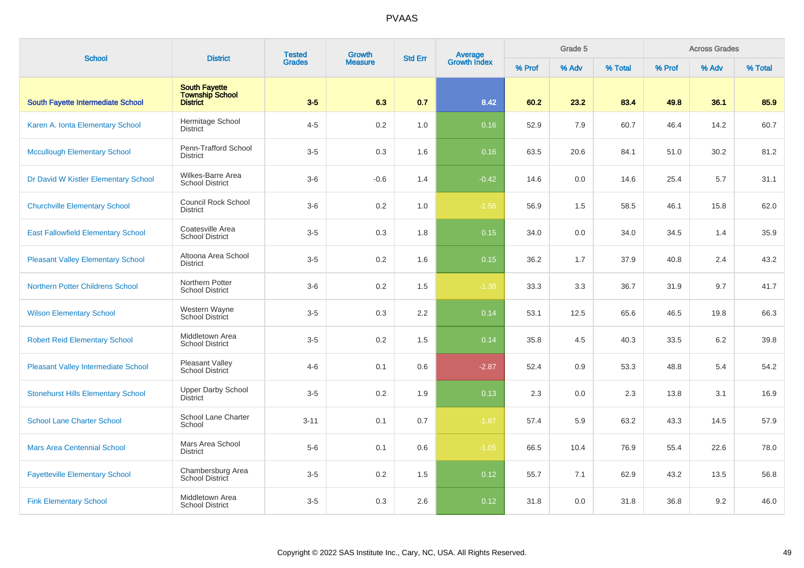| <b>School</b>                              | <b>District</b>                                                   | <b>Tested</b> | Growth         |     | <b>Average</b><br>Growth Index<br><b>Std Err</b> |        | Grade 5 |         |        | <b>Across Grades</b> |         |
|--------------------------------------------|-------------------------------------------------------------------|---------------|----------------|-----|--------------------------------------------------|--------|---------|---------|--------|----------------------|---------|
|                                            |                                                                   | <b>Grades</b> | <b>Measure</b> |     |                                                  | % Prof | % Adv   | % Total | % Prof | % Adv                | % Total |
| South Fayette Intermediate School          | <b>South Fayette</b><br><b>Township School</b><br><b>District</b> | $3-5$         | 6.3            | 0.7 | 8.42                                             | 60.2   | 23.2    | 83.4    | 49.8   | 36.1                 | 85.9    |
| Karen A. Ionta Elementary School           | Hermitage School<br><b>District</b>                               | $4 - 5$       | 0.2            | 1.0 | 0.16                                             | 52.9   | 7.9     | 60.7    | 46.4   | 14.2                 | 60.7    |
| <b>Mccullough Elementary School</b>        | Penn-Trafford School<br><b>District</b>                           | $3-5$         | 0.3            | 1.6 | 0.16                                             | 63.5   | 20.6    | 84.1    | 51.0   | 30.2                 | 81.2    |
| Dr David W Kistler Elementary School       | Wilkes-Barre Area<br><b>School District</b>                       | $3-6$         | $-0.6$         | 1.4 | $-0.42$                                          | 14.6   | 0.0     | 14.6    | 25.4   | 5.7                  | 31.1    |
| <b>Churchville Elementary School</b>       | <b>Council Rock School</b><br><b>District</b>                     | $3-6$         | 0.2            | 1.0 | $-1.56$                                          | 56.9   | 1.5     | 58.5    | 46.1   | 15.8                 | 62.0    |
| <b>East Fallowfield Elementary School</b>  | Coatesville Area<br><b>School District</b>                        | $3-5$         | 0.3            | 1.8 | 0.15                                             | 34.0   | 0.0     | 34.0    | 34.5   | 1.4                  | 35.9    |
| <b>Pleasant Valley Elementary School</b>   | Altoona Area School<br><b>District</b>                            | $3-5$         | 0.2            | 1.6 | 0.15                                             | 36.2   | 1.7     | 37.9    | 40.8   | 2.4                  | 43.2    |
| <b>Northern Potter Childrens School</b>    | Northern Potter<br><b>School District</b>                         | $3-6$         | 0.2            | 1.5 | $-1.38$                                          | 33.3   | 3.3     | 36.7    | 31.9   | 9.7                  | 41.7    |
| <b>Wilson Elementary School</b>            | Western Wayne<br>School District                                  | $3-5$         | 0.3            | 2.2 | 0.14                                             | 53.1   | 12.5    | 65.6    | 46.5   | 19.8                 | 66.3    |
| <b>Robert Reid Elementary School</b>       | Middletown Area<br><b>School District</b>                         | $3-5$         | 0.2            | 1.5 | 0.14                                             | 35.8   | 4.5     | 40.3    | 33.5   | 6.2                  | 39.8    |
| <b>Pleasant Valley Intermediate School</b> | <b>Pleasant Valley</b><br>School District                         | $4 - 6$       | 0.1            | 0.6 | $-2.87$                                          | 52.4   | 0.9     | 53.3    | 48.8   | 5.4                  | 54.2    |
| <b>Stonehurst Hills Elementary School</b>  | <b>Upper Darby School</b><br><b>District</b>                      | $3-5$         | 0.2            | 1.9 | 0.13                                             | 2.3    | 0.0     | 2.3     | 13.8   | 3.1                  | 16.9    |
| <b>School Lane Charter School</b>          | School Lane Charter<br>School                                     | $3 - 11$      | 0.1            | 0.7 | $-1.87$                                          | 57.4   | 5.9     | 63.2    | 43.3   | 14.5                 | 57.9    |
| <b>Mars Area Centennial School</b>         | Mars Area School<br><b>District</b>                               | $5-6$         | 0.1            | 0.6 | $-1.05$                                          | 66.5   | 10.4    | 76.9    | 55.4   | 22.6                 | 78.0    |
| <b>Fayetteville Elementary School</b>      | Chambersburg Area<br>School District                              | $3-5$         | 0.2            | 1.5 | 0.12                                             | 55.7   | 7.1     | 62.9    | 43.2   | 13.5                 | 56.8    |
| <b>Fink Elementary School</b>              | Middletown Area<br><b>School District</b>                         | $3-5$         | 0.3            | 2.6 | 0.12                                             | 31.8   | 0.0     | 31.8    | 36.8   | 9.2                  | 46.0    |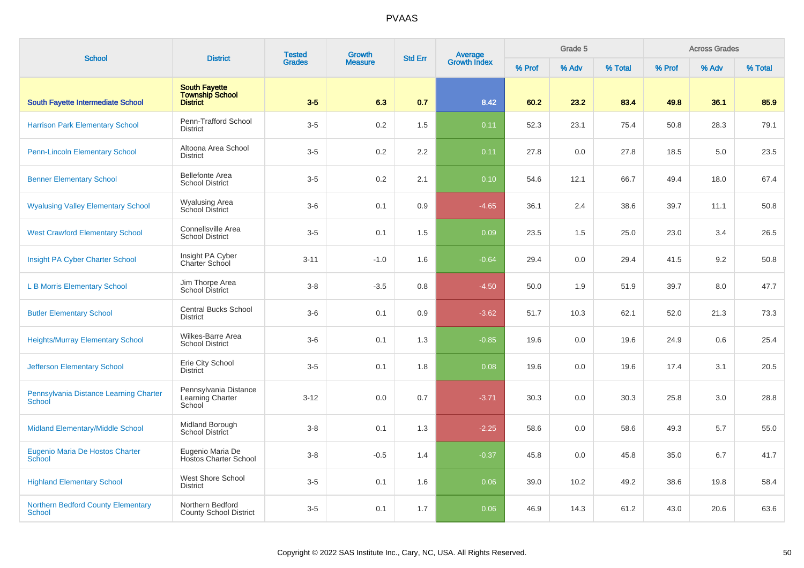| <b>School</b>                                    | <b>District</b>                                                   | <b>Tested</b> | <b>Growth</b>  | <b>Std Err</b> | Average<br>Growth Index |        | Grade 5 |         |        | <b>Across Grades</b> |         |
|--------------------------------------------------|-------------------------------------------------------------------|---------------|----------------|----------------|-------------------------|--------|---------|---------|--------|----------------------|---------|
|                                                  |                                                                   | <b>Grades</b> | <b>Measure</b> |                |                         | % Prof | % Adv   | % Total | % Prof | % Adv                | % Total |
| <b>South Fayette Intermediate School</b>         | <b>South Fayette</b><br><b>Township School</b><br><b>District</b> | $3-5$         | 6.3            | 0.7            | 8.42                    | 60.2   | 23.2    | 83.4    | 49.8   | 36.1                 | 85.9    |
| <b>Harrison Park Elementary School</b>           | Penn-Trafford School<br><b>District</b>                           | $3-5$         | 0.2            | 1.5            | 0.11                    | 52.3   | 23.1    | 75.4    | 50.8   | 28.3                 | 79.1    |
| <b>Penn-Lincoln Elementary School</b>            | Altoona Area School<br><b>District</b>                            | $3-5$         | 0.2            | 2.2            | 0.11                    | 27.8   | 0.0     | 27.8    | 18.5   | 5.0                  | 23.5    |
| <b>Benner Elementary School</b>                  | <b>Bellefonte Area</b><br><b>School District</b>                  | $3-5$         | 0.2            | 2.1            | 0.10                    | 54.6   | 12.1    | 66.7    | 49.4   | 18.0                 | 67.4    |
| <b>Wyalusing Valley Elementary School</b>        | Wyalusing Area<br>School District                                 | $3-6$         | 0.1            | 0.9            | $-4.65$                 | 36.1   | 2.4     | 38.6    | 39.7   | 11.1                 | 50.8    |
| <b>West Crawford Elementary School</b>           | Connellsville Area<br><b>School District</b>                      | $3-5$         | 0.1            | 1.5            | 0.09                    | 23.5   | 1.5     | 25.0    | 23.0   | 3.4                  | 26.5    |
| Insight PA Cyber Charter School                  | Insight PA Cyber<br>Charter School                                | $3 - 11$      | $-1.0$         | 1.6            | $-0.64$                 | 29.4   | 0.0     | 29.4    | 41.5   | 9.2                  | 50.8    |
| <b>L B Morris Elementary School</b>              | Jim Thorpe Area<br><b>School District</b>                         | $3 - 8$       | $-3.5$         | 0.8            | $-4.50$                 | 50.0   | 1.9     | 51.9    | 39.7   | 8.0                  | 47.7    |
| <b>Butler Elementary School</b>                  | <b>Central Bucks School</b><br><b>District</b>                    | $3-6$         | 0.1            | 0.9            | $-3.62$                 | 51.7   | 10.3    | 62.1    | 52.0   | 21.3                 | 73.3    |
| <b>Heights/Murray Elementary School</b>          | Wilkes-Barre Area<br><b>School District</b>                       | $3-6$         | 0.1            | 1.3            | $-0.85$                 | 19.6   | 0.0     | 19.6    | 24.9   | 0.6                  | 25.4    |
| <b>Jefferson Elementary School</b>               | Erie City School<br><b>District</b>                               | $3-5$         | 0.1            | 1.8            | 0.08                    | 19.6   | 0.0     | 19.6    | 17.4   | 3.1                  | 20.5    |
| Pennsylvania Distance Learning Charter<br>School | Pennsylvania Distance<br>Learning Charter<br>School               | $3 - 12$      | 0.0            | 0.7            | $-3.71$                 | 30.3   | 0.0     | 30.3    | 25.8   | 3.0                  | 28.8    |
| Midland Elementary/Middle School                 | Midland Borough<br><b>School District</b>                         | $3 - 8$       | 0.1            | 1.3            | $-2.25$                 | 58.6   | 0.0     | 58.6    | 49.3   | 5.7                  | 55.0    |
| Eugenio Maria De Hostos Charter<br>School        | Eugenio Maria De<br><b>Hostos Charter School</b>                  | $3 - 8$       | $-0.5$         | 1.4            | $-0.37$                 | 45.8   | 0.0     | 45.8    | 35.0   | 6.7                  | 41.7    |
| <b>Highland Elementary School</b>                | West Shore School<br><b>District</b>                              | $3-5$         | 0.1            | 1.6            | 0.06                    | 39.0   | 10.2    | 49.2    | 38.6   | 19.8                 | 58.4    |
| Northern Bedford County Elementary<br>School     | Northern Bedford<br><b>County School District</b>                 | $3-5$         | 0.1            | 1.7            | 0.06                    | 46.9   | 14.3    | 61.2    | 43.0   | 20.6                 | 63.6    |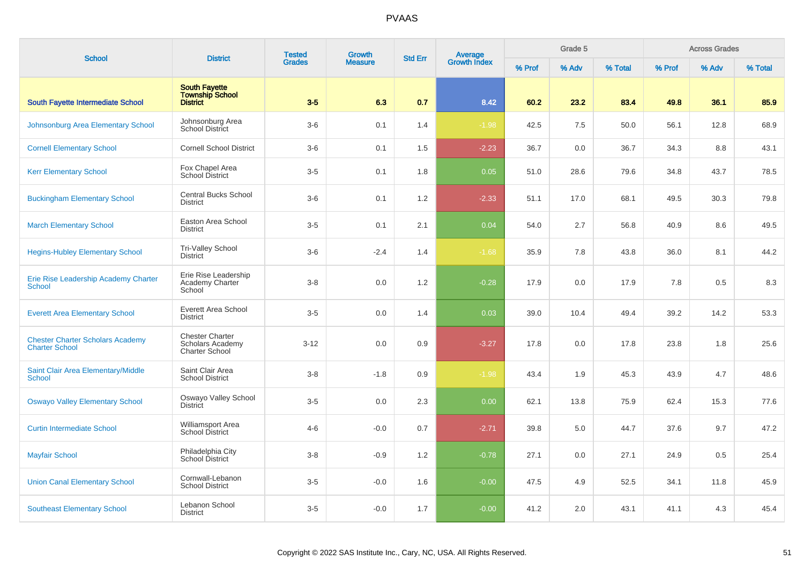| <b>School</b>                                                    | <b>District</b>                                                     | <b>Tested</b> | <b>Growth</b>  | <b>Std Err</b> | <b>Average</b><br>Growth Index |        | Grade 5 |         |        | <b>Across Grades</b> |         |
|------------------------------------------------------------------|---------------------------------------------------------------------|---------------|----------------|----------------|--------------------------------|--------|---------|---------|--------|----------------------|---------|
|                                                                  |                                                                     | <b>Grades</b> | <b>Measure</b> |                |                                | % Prof | % Adv   | % Total | % Prof | % Adv                | % Total |
| South Fayette Intermediate School                                | <b>South Fayette</b><br><b>Township School</b><br><b>District</b>   | $3-5$         | 6.3            | 0.7            | 8.42                           | 60.2   | 23.2    | 83.4    | 49.8   | 36.1                 | 85.9    |
| Johnsonburg Area Elementary School                               | Johnsonburg Area<br>School District                                 | $3-6$         | 0.1            | 1.4            | $-1.98$                        | 42.5   | 7.5     | 50.0    | 56.1   | 12.8                 | 68.9    |
| <b>Cornell Elementary School</b>                                 | <b>Cornell School District</b>                                      | $3-6$         | 0.1            | 1.5            | $-2.23$                        | 36.7   | 0.0     | 36.7    | 34.3   | 8.8                  | 43.1    |
| <b>Kerr Elementary School</b>                                    | Fox Chapel Area<br><b>School District</b>                           | $3-5$         | 0.1            | 1.8            | 0.05                           | 51.0   | 28.6    | 79.6    | 34.8   | 43.7                 | 78.5    |
| <b>Buckingham Elementary School</b>                              | Central Bucks School<br><b>District</b>                             | $3-6$         | 0.1            | 1.2            | $-2.33$                        | 51.1   | 17.0    | 68.1    | 49.5   | 30.3                 | 79.8    |
| <b>March Elementary School</b>                                   | Easton Area School<br><b>District</b>                               | $3-5$         | 0.1            | 2.1            | 0.04                           | 54.0   | 2.7     | 56.8    | 40.9   | 8.6                  | 49.5    |
| <b>Hegins-Hubley Elementary School</b>                           | <b>Tri-Valley School</b><br><b>District</b>                         | $3-6$         | $-2.4$         | 1.4            | $-1.68$                        | 35.9   | 7.8     | 43.8    | 36.0   | 8.1                  | 44.2    |
| Erie Rise Leadership Academy Charter<br><b>School</b>            | Erie Rise Leadership<br>Academy Charter<br>School                   | $3 - 8$       | 0.0            | 1.2            | $-0.28$                        | 17.9   | 0.0     | 17.9    | 7.8    | 0.5                  | 8.3     |
| <b>Everett Area Elementary School</b>                            | Everett Area School<br><b>District</b>                              | $3-5$         | 0.0            | 1.4            | 0.03                           | 39.0   | 10.4    | 49.4    | 39.2   | 14.2                 | 53.3    |
| <b>Chester Charter Scholars Academy</b><br><b>Charter School</b> | <b>Chester Charter</b><br>Scholars Academy<br><b>Charter School</b> | $3 - 12$      | 0.0            | 0.9            | $-3.27$                        | 17.8   | 0.0     | 17.8    | 23.8   | 1.8                  | 25.6    |
| Saint Clair Area Elementary/Middle<br><b>School</b>              | Saint Clair Area<br><b>School District</b>                          | $3 - 8$       | $-1.8$         | 0.9            | $-1.98$                        | 43.4   | 1.9     | 45.3    | 43.9   | 4.7                  | 48.6    |
| <b>Oswayo Valley Elementary School</b>                           | Oswayo Valley School<br><b>District</b>                             | $3-5$         | 0.0            | 2.3            | 0.00                           | 62.1   | 13.8    | 75.9    | 62.4   | 15.3                 | 77.6    |
| <b>Curtin Intermediate School</b>                                | Williamsport Area<br><b>School District</b>                         | $4 - 6$       | $-0.0$         | 0.7            | $-2.71$                        | 39.8   | 5.0     | 44.7    | 37.6   | 9.7                  | 47.2    |
| <b>Mayfair School</b>                                            | Philadelphia City<br>School District                                | $3 - 8$       | $-0.9$         | 1.2            | $-0.78$                        | 27.1   | 0.0     | 27.1    | 24.9   | 0.5                  | 25.4    |
| <b>Union Canal Elementary School</b>                             | Cornwall-Lebanon<br><b>School District</b>                          | $3-5$         | $-0.0$         | 1.6            | $-0.00$                        | 47.5   | 4.9     | 52.5    | 34.1   | 11.8                 | 45.9    |
| <b>Southeast Elementary School</b>                               | Lebanon School<br><b>District</b>                                   | $3-5$         | $-0.0$         | 1.7            | $-0.00$                        | 41.2   | 2.0     | 43.1    | 41.1   | 4.3                  | 45.4    |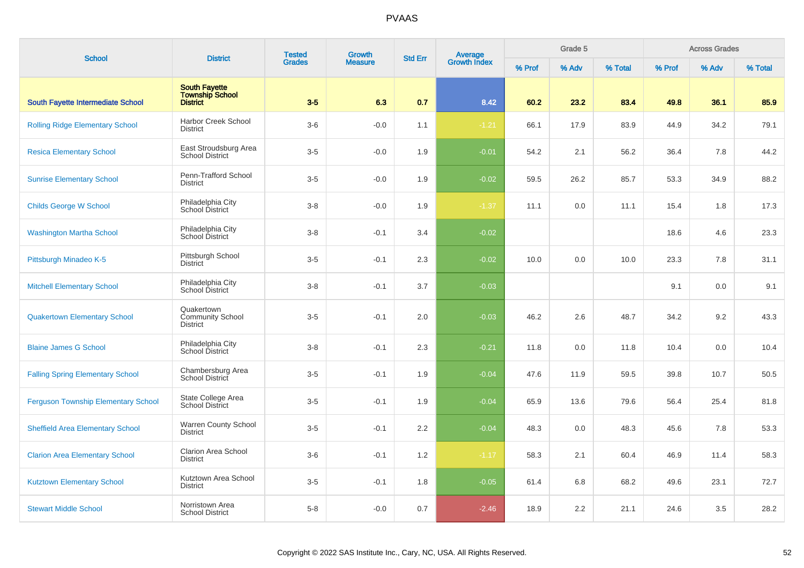| <b>School</b>                              | <b>District</b>                                                   | <b>Tested</b> | <b>Growth</b>  | <b>Std Err</b> | Average<br>Growth Index |        | Grade 5 |         |        | <b>Across Grades</b> |         |
|--------------------------------------------|-------------------------------------------------------------------|---------------|----------------|----------------|-------------------------|--------|---------|---------|--------|----------------------|---------|
|                                            |                                                                   | <b>Grades</b> | <b>Measure</b> |                |                         | % Prof | % Adv   | % Total | % Prof | % Adv                | % Total |
| South Fayette Intermediate School          | <b>South Fayette</b><br><b>Township School</b><br><b>District</b> | $3-5$         | 6.3            | 0.7            | 8.42                    | 60.2   | 23.2    | 83.4    | 49.8   | 36.1                 | 85.9    |
| <b>Rolling Ridge Elementary School</b>     | Harbor Creek School<br><b>District</b>                            | $3-6$         | $-0.0$         | 1.1            | $-1.21$                 | 66.1   | 17.9    | 83.9    | 44.9   | 34.2                 | 79.1    |
| <b>Resica Elementary School</b>            | East Stroudsburg Area<br><b>School District</b>                   | $3-5$         | $-0.0$         | 1.9            | $-0.01$                 | 54.2   | 2.1     | 56.2    | 36.4   | 7.8                  | 44.2    |
| <b>Sunrise Elementary School</b>           | Penn-Trafford School<br><b>District</b>                           | $3-5$         | $-0.0$         | 1.9            | $-0.02$                 | 59.5   | 26.2    | 85.7    | 53.3   | 34.9                 | 88.2    |
| <b>Childs George W School</b>              | Philadelphia City<br>School District                              | $3-8$         | $-0.0$         | 1.9            | $-1.37$                 | 11.1   | 0.0     | 11.1    | 15.4   | 1.8                  | 17.3    |
| <b>Washington Martha School</b>            | Philadelphia City<br>School District                              | $3 - 8$       | $-0.1$         | 3.4            | $-0.02$                 |        |         |         | 18.6   | 4.6                  | 23.3    |
| Pittsburgh Minadeo K-5                     | Pittsburgh School<br><b>District</b>                              | $3-5$         | $-0.1$         | 2.3            | $-0.02$                 | 10.0   | 0.0     | 10.0    | 23.3   | 7.8                  | 31.1    |
| <b>Mitchell Elementary School</b>          | Philadelphia City<br>School District                              | $3 - 8$       | $-0.1$         | 3.7            | $-0.03$                 |        |         |         | 9.1    | 0.0                  | 9.1     |
| <b>Quakertown Elementary School</b>        | Quakertown<br><b>Community School</b><br><b>District</b>          | $3-5$         | $-0.1$         | 2.0            | $-0.03$                 | 46.2   | 2.6     | 48.7    | 34.2   | 9.2                  | 43.3    |
| <b>Blaine James G School</b>               | Philadelphia City<br>School District                              | $3 - 8$       | $-0.1$         | 2.3            | $-0.21$                 | 11.8   | 0.0     | 11.8    | 10.4   | 0.0                  | 10.4    |
| <b>Falling Spring Elementary School</b>    | Chambersburg Area<br>School District                              | $3-5$         | $-0.1$         | 1.9            | $-0.04$                 | 47.6   | 11.9    | 59.5    | 39.8   | 10.7                 | 50.5    |
| <b>Ferguson Township Elementary School</b> | State College Area<br><b>School District</b>                      | $3-5$         | $-0.1$         | 1.9            | $-0.04$                 | 65.9   | 13.6    | 79.6    | 56.4   | 25.4                 | 81.8    |
| <b>Sheffield Area Elementary School</b>    | Warren County School<br><b>District</b>                           | $3-5$         | $-0.1$         | 2.2            | $-0.04$                 | 48.3   | 0.0     | 48.3    | 45.6   | 7.8                  | 53.3    |
| <b>Clarion Area Elementary School</b>      | Clarion Area School<br><b>District</b>                            | $3-6$         | $-0.1$         | 1.2            | $-1.17$                 | 58.3   | 2.1     | 60.4    | 46.9   | 11.4                 | 58.3    |
| <b>Kutztown Elementary School</b>          | Kutztown Area School<br><b>District</b>                           | $3-5$         | $-0.1$         | 1.8            | $-0.05$                 | 61.4   | 6.8     | 68.2    | 49.6   | 23.1                 | 72.7    |
| <b>Stewart Middle School</b>               | Norristown Area<br><b>School District</b>                         | $5 - 8$       | $-0.0$         | 0.7            | $-2.46$                 | 18.9   | 2.2     | 21.1    | 24.6   | 3.5                  | 28.2    |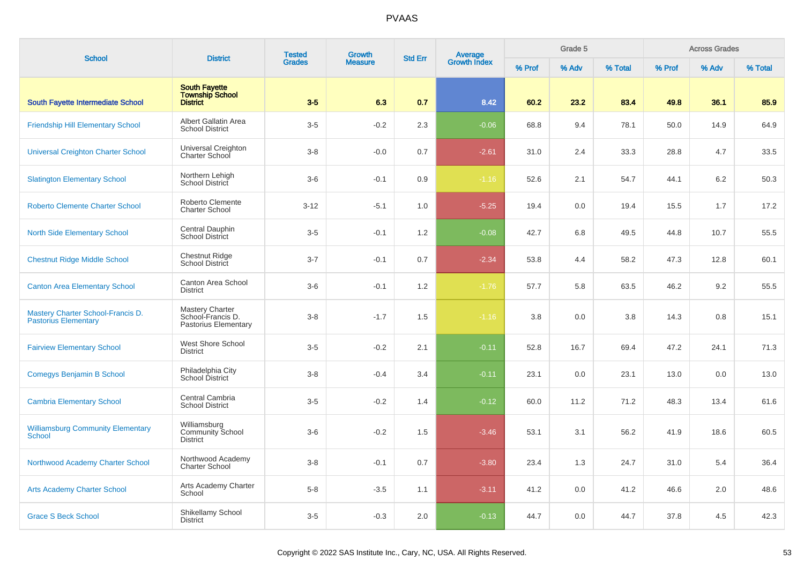| <b>School</b>                                                    | <b>District</b>                                                   | <b>Tested</b> | <b>Growth</b>  | <b>Std Err</b> | Average<br>Growth Index |       | Grade 5 |        |       | <b>Across Grades</b> |      |
|------------------------------------------------------------------|-------------------------------------------------------------------|---------------|----------------|----------------|-------------------------|-------|---------|--------|-------|----------------------|------|
|                                                                  |                                                                   | <b>Grades</b> | <b>Measure</b> |                | % Prof                  | % Adv | % Total | % Prof | % Adv | % Total              |      |
| South Fayette Intermediate School                                | <b>South Fayette</b><br><b>Township School</b><br><b>District</b> | $3-5$         | 6.3            | 0.7            | 8.42                    | 60.2  | 23.2    | 83.4   | 49.8  | 36.1                 | 85.9 |
| <b>Friendship Hill Elementary School</b>                         | Albert Gallatin Area<br><b>School District</b>                    | $3-5$         | $-0.2$         | 2.3            | $-0.06$                 | 68.8  | 9.4     | 78.1   | 50.0  | 14.9                 | 64.9 |
| <b>Universal Creighton Charter School</b>                        | Universal Creighton<br>Charter School                             | $3 - 8$       | $-0.0$         | 0.7            | $-2.61$                 | 31.0  | 2.4     | 33.3   | 28.8  | 4.7                  | 33.5 |
| <b>Slatington Elementary School</b>                              | Northern Lehigh<br>School District                                | $3-6$         | $-0.1$         | 0.9            | $-1.16$                 | 52.6  | 2.1     | 54.7   | 44.1  | 6.2                  | 50.3 |
| <b>Roberto Clemente Charter School</b>                           | Roberto Clemente<br><b>Charter School</b>                         | $3 - 12$      | $-5.1$         | 1.0            | $-5.25$                 | 19.4  | 0.0     | 19.4   | 15.5  | 1.7                  | 17.2 |
| <b>North Side Elementary School</b>                              | Central Dauphin<br>School District                                | $3-5$         | $-0.1$         | 1.2            | $-0.08$                 | 42.7  | 6.8     | 49.5   | 44.8  | 10.7                 | 55.5 |
| <b>Chestnut Ridge Middle School</b>                              | <b>Chestnut Ridge</b><br>School District                          | $3 - 7$       | $-0.1$         | 0.7            | $-2.34$                 | 53.8  | 4.4     | 58.2   | 47.3  | 12.8                 | 60.1 |
| <b>Canton Area Elementary School</b>                             | Canton Area School<br><b>District</b>                             | $3-6$         | $-0.1$         | 1.2            | $-1.76$                 | 57.7  | 5.8     | 63.5   | 46.2  | 9.2                  | 55.5 |
| Mastery Charter School-Francis D.<br><b>Pastorius Elementary</b> | Mastery Charter<br>School-Francis D.<br>Pastorius Elementary      | $3 - 8$       | $-1.7$         | 1.5            | $-1.16$                 | 3.8   | 0.0     | 3.8    | 14.3  | 0.8                  | 15.1 |
| <b>Fairview Elementary School</b>                                | West Shore School<br><b>District</b>                              | $3-5$         | $-0.2$         | 2.1            | $-0.11$                 | 52.8  | 16.7    | 69.4   | 47.2  | 24.1                 | 71.3 |
| <b>Comegys Benjamin B School</b>                                 | Philadelphia City<br>School District                              | $3 - 8$       | $-0.4$         | 3.4            | $-0.11$                 | 23.1  | 0.0     | 23.1   | 13.0  | 0.0                  | 13.0 |
| <b>Cambria Elementary School</b>                                 | Central Cambria<br><b>School District</b>                         | $3-5$         | $-0.2$         | 1.4            | $-0.12$                 | 60.0  | 11.2    | 71.2   | 48.3  | 13.4                 | 61.6 |
| <b>Williamsburg Community Elementary</b><br>School               | Williamsburg<br>Community School<br><b>District</b>               | $3-6$         | $-0.2$         | 1.5            | $-3.46$                 | 53.1  | 3.1     | 56.2   | 41.9  | 18.6                 | 60.5 |
| Northwood Academy Charter School                                 | Northwood Academy<br><b>Charter School</b>                        | $3 - 8$       | $-0.1$         | 0.7            | $-3.80$                 | 23.4  | 1.3     | 24.7   | 31.0  | 5.4                  | 36.4 |
| <b>Arts Academy Charter School</b>                               | Arts Academy Charter<br>School                                    | $5 - 8$       | $-3.5$         | 1.1            | $-3.11$                 | 41.2  | 0.0     | 41.2   | 46.6  | 2.0                  | 48.6 |
| <b>Grace S Beck School</b>                                       | Shikellamy School<br><b>District</b>                              | $3-5$         | $-0.3$         | 2.0            | $-0.13$                 | 44.7  | 0.0     | 44.7   | 37.8  | 4.5                  | 42.3 |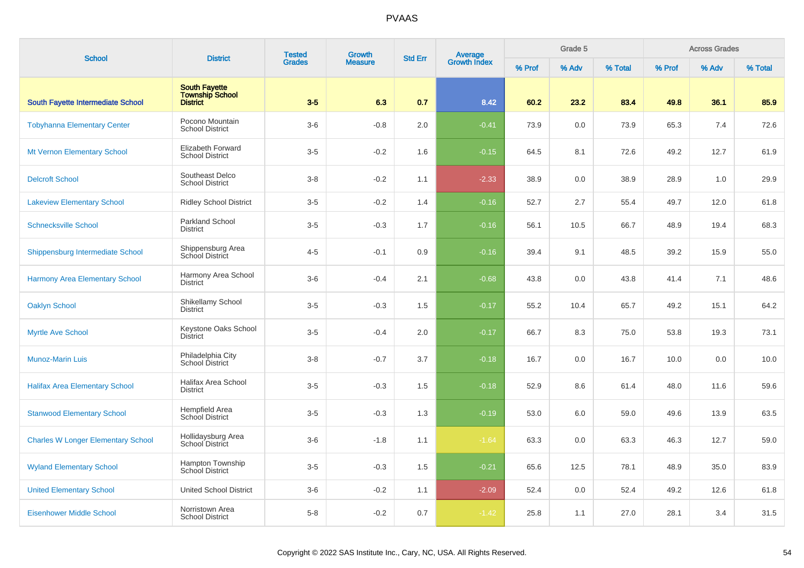| <b>School</b>                             | <b>District</b>                                                   | <b>Tested</b> | <b>Growth</b>  | <b>Std Err</b> |                                |        | Grade 5 |         |        | <b>Across Grades</b> |         |
|-------------------------------------------|-------------------------------------------------------------------|---------------|----------------|----------------|--------------------------------|--------|---------|---------|--------|----------------------|---------|
|                                           |                                                                   | <b>Grades</b> | <b>Measure</b> |                | <b>Average</b><br>Growth Index | % Prof | % Adv   | % Total | % Prof | % Adv                | % Total |
| <b>South Fayette Intermediate School</b>  | <b>South Fayette</b><br><b>Township School</b><br><b>District</b> | $3-5$         | 6.3            | 0.7            | 8.42                           | 60.2   | 23.2    | 83.4    | 49.8   | 36.1                 | 85.9    |
| <b>Tobyhanna Elementary Center</b>        | Pocono Mountain<br><b>School District</b>                         | $3-6$         | $-0.8$         | 2.0            | $-0.41$                        | 73.9   | 0.0     | 73.9    | 65.3   | 7.4                  | 72.6    |
| <b>Mt Vernon Elementary School</b>        | <b>Elizabeth Forward</b><br><b>School District</b>                | $3-5$         | $-0.2$         | 1.6            | $-0.15$                        | 64.5   | 8.1     | 72.6    | 49.2   | 12.7                 | 61.9    |
| <b>Delcroft School</b>                    | Southeast Delco<br><b>School District</b>                         | $3 - 8$       | $-0.2$         | 1.1            | $-2.33$                        | 38.9   | $0.0\,$ | 38.9    | 28.9   | 1.0                  | 29.9    |
| <b>Lakeview Elementary School</b>         | <b>Ridley School District</b>                                     | $3-5$         | $-0.2$         | 1.4            | $-0.16$                        | 52.7   | 2.7     | 55.4    | 49.7   | 12.0                 | 61.8    |
| <b>Schnecksville School</b>               | <b>Parkland School</b><br><b>District</b>                         | $3-5$         | $-0.3$         | 1.7            | $-0.16$                        | 56.1   | 10.5    | 66.7    | 48.9   | 19.4                 | 68.3    |
| Shippensburg Intermediate School          | Shippensburg Area<br>School District                              | $4 - 5$       | $-0.1$         | 0.9            | $-0.16$                        | 39.4   | 9.1     | 48.5    | 39.2   | 15.9                 | 55.0    |
| <b>Harmony Area Elementary School</b>     | Harmony Area School<br><b>District</b>                            | $3-6$         | $-0.4$         | 2.1            | $-0.68$                        | 43.8   | 0.0     | 43.8    | 41.4   | 7.1                  | 48.6    |
| <b>Oaklyn School</b>                      | Shikellamy School<br><b>District</b>                              | $3-5$         | $-0.3$         | 1.5            | $-0.17$                        | 55.2   | 10.4    | 65.7    | 49.2   | 15.1                 | 64.2    |
| <b>Myrtle Ave School</b>                  | Keystone Oaks School<br><b>District</b>                           | $3-5$         | $-0.4$         | 2.0            | $-0.17$                        | 66.7   | 8.3     | 75.0    | 53.8   | 19.3                 | 73.1    |
| <b>Munoz-Marin Luis</b>                   | Philadelphia City<br>School District                              | $3 - 8$       | $-0.7$         | 3.7            | $-0.18$                        | 16.7   | 0.0     | 16.7    | 10.0   | 0.0                  | 10.0    |
| <b>Halifax Area Elementary School</b>     | <b>Halifax Area School</b><br><b>District</b>                     | $3-5$         | $-0.3$         | 1.5            | $-0.18$                        | 52.9   | 8.6     | 61.4    | 48.0   | 11.6                 | 59.6    |
| <b>Stanwood Elementary School</b>         | Hempfield Area<br>School District                                 | $3-5$         | $-0.3$         | 1.3            | $-0.19$                        | 53.0   | 6.0     | 59.0    | 49.6   | 13.9                 | 63.5    |
| <b>Charles W Longer Elementary School</b> | Hollidaysburg Area<br>School District                             | $3-6$         | $-1.8$         | 1.1            | $-1.64$                        | 63.3   | 0.0     | 63.3    | 46.3   | 12.7                 | 59.0    |
| <b>Wyland Elementary School</b>           | Hampton Township<br><b>School District</b>                        | $3-5$         | $-0.3$         | 1.5            | $-0.21$                        | 65.6   | 12.5    | 78.1    | 48.9   | 35.0                 | 83.9    |
| <b>United Elementary School</b>           | <b>United School District</b>                                     | $3-6$         | $-0.2$         | 1.1            | $-2.09$                        | 52.4   | 0.0     | 52.4    | 49.2   | 12.6                 | 61.8    |
| <b>Eisenhower Middle School</b>           | Norristown Area<br><b>School District</b>                         | $5-8$         | $-0.2$         | 0.7            | $-1.42$                        | 25.8   | 1.1     | 27.0    | 28.1   | 3.4                  | 31.5    |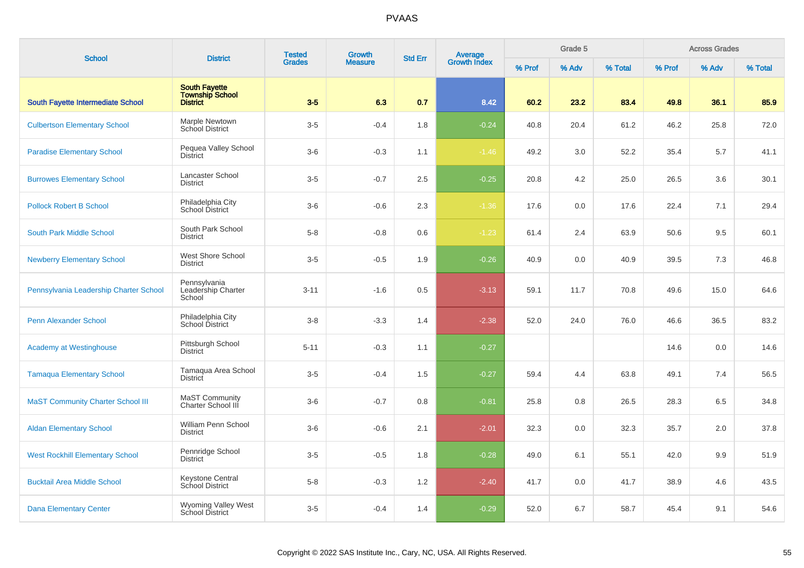| <b>School</b>                            | <b>District</b>                                                   | <b>Tested</b> | Growth         | <b>Std Err</b> | Average<br>Growth Index |        | Grade 5 |         |        | <b>Across Grades</b> |         |
|------------------------------------------|-------------------------------------------------------------------|---------------|----------------|----------------|-------------------------|--------|---------|---------|--------|----------------------|---------|
|                                          |                                                                   | <b>Grades</b> | <b>Measure</b> |                |                         | % Prof | % Adv   | % Total | % Prof | % Adv                | % Total |
| South Fayette Intermediate School        | <b>South Fayette</b><br><b>Township School</b><br><b>District</b> | $3-5$         | 6.3            | 0.7            | 8.42                    | 60.2   | 23.2    | 83.4    | 49.8   | 36.1                 | 85.9    |
| <b>Culbertson Elementary School</b>      | Marple Newtown<br><b>School District</b>                          | $3-5$         | $-0.4$         | 1.8            | $-0.24$                 | 40.8   | 20.4    | 61.2    | 46.2   | 25.8                 | 72.0    |
| <b>Paradise Elementary School</b>        | Pequea Valley School<br><b>District</b>                           | $3-6$         | $-0.3$         | 1.1            | $-1.46$                 | 49.2   | 3.0     | 52.2    | 35.4   | 5.7                  | 41.1    |
| <b>Burrowes Elementary School</b>        | Lancaster School<br><b>District</b>                               | $3-5$         | $-0.7$         | 2.5            | $-0.25$                 | 20.8   | 4.2     | 25.0    | 26.5   | 3.6                  | 30.1    |
| <b>Pollock Robert B School</b>           | Philadelphia City<br>School District                              | $3-6$         | $-0.6$         | 2.3            | $-1.36$                 | 17.6   | 0.0     | 17.6    | 22.4   | 7.1                  | 29.4    |
| South Park Middle School                 | South Park School<br><b>District</b>                              | $5 - 8$       | $-0.8$         | 0.6            | $-1.23$                 | 61.4   | 2.4     | 63.9    | 50.6   | 9.5                  | 60.1    |
| <b>Newberry Elementary School</b>        | <b>West Shore School</b><br><b>District</b>                       | $3-5$         | $-0.5$         | 1.9            | $-0.26$                 | 40.9   | 0.0     | 40.9    | 39.5   | 7.3                  | 46.8    |
| Pennsylvania Leadership Charter School   | Pennsylvania<br>Leadership Charter<br>School                      | $3 - 11$      | $-1.6$         | 0.5            | $-3.13$                 | 59.1   | 11.7    | 70.8    | 49.6   | 15.0                 | 64.6    |
| <b>Penn Alexander School</b>             | Philadelphia City<br>School District                              | $3 - 8$       | $-3.3$         | 1.4            | $-2.38$                 | 52.0   | 24.0    | 76.0    | 46.6   | 36.5                 | 83.2    |
| <b>Academy at Westinghouse</b>           | Pittsburgh School<br><b>District</b>                              | $5 - 11$      | $-0.3$         | 1.1            | $-0.27$                 |        |         |         | 14.6   | 0.0                  | 14.6    |
| <b>Tamaqua Elementary School</b>         | Tamaqua Area School<br><b>District</b>                            | $3-5$         | $-0.4$         | 1.5            | $-0.27$                 | 59.4   | 4.4     | 63.8    | 49.1   | 7.4                  | 56.5    |
| <b>MaST Community Charter School III</b> | MaST Community<br>Charter School III                              | $3-6$         | $-0.7$         | 0.8            | $-0.81$                 | 25.8   | 0.8     | 26.5    | 28.3   | 6.5                  | 34.8    |
| <b>Aldan Elementary School</b>           | William Penn School<br><b>District</b>                            | $3-6$         | $-0.6$         | 2.1            | $-2.01$                 | 32.3   | 0.0     | 32.3    | 35.7   | 2.0                  | 37.8    |
| <b>West Rockhill Elementary School</b>   | Pennridge School<br><b>District</b>                               | $3-5$         | $-0.5$         | 1.8            | $-0.28$                 | 49.0   | 6.1     | 55.1    | 42.0   | 9.9                  | 51.9    |
| <b>Bucktail Area Middle School</b>       | Keystone Central<br>School District                               | $5-8$         | $-0.3$         | 1.2            | $-2.40$                 | 41.7   | 0.0     | 41.7    | 38.9   | 4.6                  | 43.5    |
| <b>Dana Elementary Center</b>            | Wyoming Valley West<br>School District                            | $3-5$         | $-0.4$         | 1.4            | $-0.29$                 | 52.0   | 6.7     | 58.7    | 45.4   | 9.1                  | 54.6    |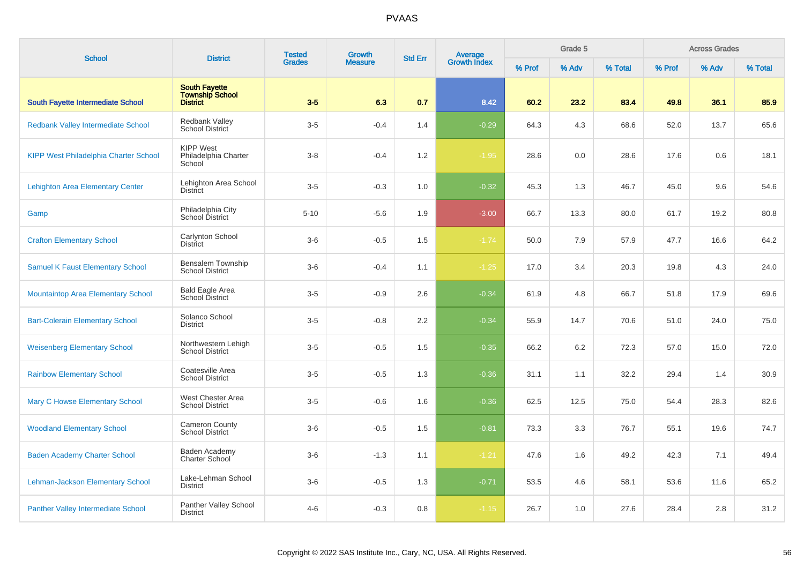| <b>School</b>                                | <b>District</b>                                                   | <b>Tested</b> | <b>Growth</b>  | <b>Std Err</b>                 |         |       | Grade 5 |        |       | <b>Across Grades</b> |      |
|----------------------------------------------|-------------------------------------------------------------------|---------------|----------------|--------------------------------|---------|-------|---------|--------|-------|----------------------|------|
|                                              |                                                                   | <b>Grades</b> | <b>Measure</b> | <b>Average</b><br>Growth Index | % Prof  | % Adv | % Total | % Prof | % Adv | % Total              |      |
| South Fayette Intermediate School            | <b>South Favette</b><br><b>Township School</b><br><b>District</b> | $3-5$         | 6.3            | 0.7                            | 8.42    | 60.2  | 23.2    | 83.4   | 49.8  | 36.1                 | 85.9 |
| Redbank Valley Intermediate School           | <b>Redbank Valley</b><br><b>School District</b>                   | $3-5$         | $-0.4$         | 1.4                            | $-0.29$ | 64.3  | 4.3     | 68.6   | 52.0  | 13.7                 | 65.6 |
| <b>KIPP West Philadelphia Charter School</b> | <b>KIPP West</b><br>Philadelphia Charter<br>School                | $3 - 8$       | $-0.4$         | 1.2                            | $-1.95$ | 28.6  | 0.0     | 28.6   | 17.6  | 0.6                  | 18.1 |
| <b>Lehighton Area Elementary Center</b>      | Lehighton Area School<br><b>District</b>                          | $3-5$         | $-0.3$         | 1.0                            | $-0.32$ | 45.3  | 1.3     | 46.7   | 45.0  | 9.6                  | 54.6 |
| Gamp                                         | Philadelphia City<br>School District                              | $5 - 10$      | $-5.6$         | 1.9                            | $-3.00$ | 66.7  | 13.3    | 80.0   | 61.7  | 19.2                 | 80.8 |
| <b>Crafton Elementary School</b>             | Carlynton School<br><b>District</b>                               | $3-6$         | $-0.5$         | 1.5                            | $-1.74$ | 50.0  | 7.9     | 57.9   | 47.7  | 16.6                 | 64.2 |
| <b>Samuel K Faust Elementary School</b>      | Bensalem Township<br><b>School District</b>                       | $3-6$         | $-0.4$         | 1.1                            | $-1.25$ | 17.0  | 3.4     | 20.3   | 19.8  | 4.3                  | 24.0 |
| <b>Mountaintop Area Elementary School</b>    | <b>Bald Eagle Area</b><br>School District                         | $3-5$         | $-0.9$         | 2.6                            | $-0.34$ | 61.9  | 4.8     | 66.7   | 51.8  | 17.9                 | 69.6 |
| <b>Bart-Colerain Elementary School</b>       | Solanco School<br><b>District</b>                                 | $3-5$         | $-0.8$         | 2.2                            | $-0.34$ | 55.9  | 14.7    | 70.6   | 51.0  | 24.0                 | 75.0 |
| <b>Weisenberg Elementary School</b>          | Northwestern Lehigh<br><b>School District</b>                     | $3-5$         | $-0.5$         | 1.5                            | $-0.35$ | 66.2  | 6.2     | 72.3   | 57.0  | 15.0                 | 72.0 |
| <b>Rainbow Elementary School</b>             | Coatesville Area<br><b>School District</b>                        | $3-5$         | $-0.5$         | 1.3                            | $-0.36$ | 31.1  | 1.1     | 32.2   | 29.4  | 1.4                  | 30.9 |
| <b>Mary C Howse Elementary School</b>        | West Chester Area<br><b>School District</b>                       | $3-5$         | $-0.6$         | 1.6                            | $-0.36$ | 62.5  | 12.5    | 75.0   | 54.4  | 28.3                 | 82.6 |
| <b>Woodland Elementary School</b>            | <b>Cameron County</b><br><b>School District</b>                   | $3-6$         | $-0.5$         | 1.5                            | $-0.81$ | 73.3  | 3.3     | 76.7   | 55.1  | 19.6                 | 74.7 |
| <b>Baden Academy Charter School</b>          | Baden Academy<br>Charter School                                   | $3-6$         | $-1.3$         | 1.1                            | $-1.21$ | 47.6  | 1.6     | 49.2   | 42.3  | 7.1                  | 49.4 |
| Lehman-Jackson Elementary School             | Lake-Lehman School<br><b>District</b>                             | $3-6$         | $-0.5$         | 1.3                            | $-0.71$ | 53.5  | 4.6     | 58.1   | 53.6  | 11.6                 | 65.2 |
| <b>Panther Valley Intermediate School</b>    | Panther Valley School<br><b>District</b>                          | $4 - 6$       | $-0.3$         | 0.8                            | $-1.15$ | 26.7  | 1.0     | 27.6   | 28.4  | 2.8                  | 31.2 |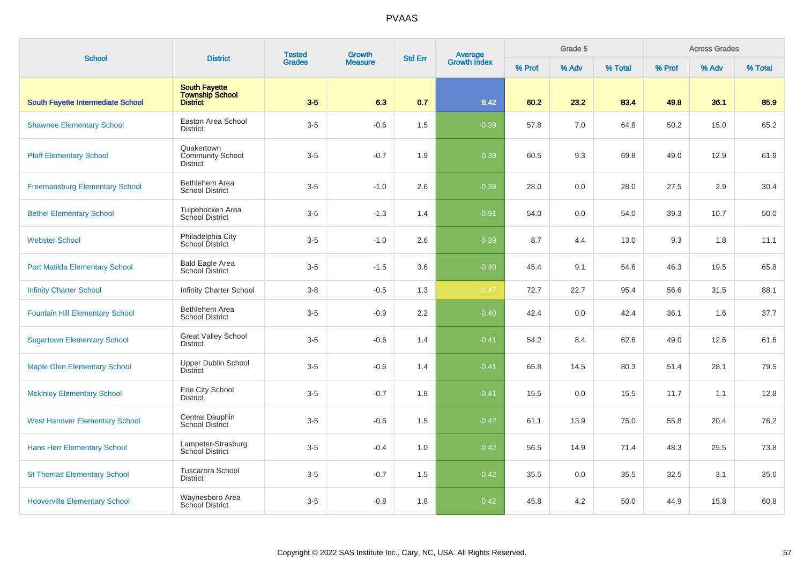|                                        | <b>District</b>                                                   | <b>Tested</b> | Growth         | <b>Std Err</b> |                                |        | Grade 5 |         |        | <b>Across Grades</b> |         |
|----------------------------------------|-------------------------------------------------------------------|---------------|----------------|----------------|--------------------------------|--------|---------|---------|--------|----------------------|---------|
| <b>School</b>                          |                                                                   | <b>Grades</b> | <b>Measure</b> |                | <b>Average</b><br>Growth Index | % Prof | % Adv   | % Total | % Prof | % Adv                | % Total |
| South Fayette Intermediate School      | <b>South Fayette</b><br><b>Township School</b><br><b>District</b> | $3-5$         | 6.3            | 0.7            | 8.42                           | 60.2   | 23.2    | 83.4    | 49.8   | 36.1                 | 85.9    |
| <b>Shawnee Elementary School</b>       | Easton Area School<br><b>District</b>                             | $3-5$         | $-0.6$         | 1.5            | $-0.39$                        | 57.8   | 7.0     | 64.8    | 50.2   | 15.0                 | 65.2    |
| <b>Pfaff Elementary School</b>         | Quakertown<br><b>Community School</b><br><b>District</b>          | $3-5$         | $-0.7$         | 1.9            | $-0.39$                        | 60.5   | 9.3     | 69.8    | 49.0   | 12.9                 | 61.9    |
| <b>Freemansburg Elementary School</b>  | Bethlehem Area<br><b>School District</b>                          | $3-5$         | $-1.0$         | 2.6            | $-0.39$                        | 28.0   | 0.0     | 28.0    | 27.5   | 2.9                  | 30.4    |
| <b>Bethel Elementary School</b>        | Tulpehocken Area<br>School District                               | $3-6$         | $-1.3$         | 1.4            | $-0.91$                        | 54.0   | 0.0     | 54.0    | 39.3   | 10.7                 | 50.0    |
| <b>Webster School</b>                  | Philadelphia City<br>School District                              | $3-5$         | $-1.0$         | 2.6            | $-0.39$                        | 8.7    | 4.4     | 13.0    | 9.3    | 1.8                  | 11.1    |
| <b>Port Matilda Elementary School</b>  | Bald Eagle Area<br>School District                                | $3-5$         | $-1.5$         | 3.6            | $-0.40$                        | 45.4   | 9.1     | 54.6    | 46.3   | 19.5                 | 65.8    |
| <b>Infinity Charter School</b>         | Infinity Charter School                                           | $3-8$         | $-0.5$         | 1.3            | $-1.47$                        | 72.7   | 22.7    | 95.4    | 56.6   | 31.5                 | 88.1    |
| <b>Fountain Hill Elementary School</b> | Bethlehem Area<br><b>School District</b>                          | $3-5$         | $-0.9$         | 2.2            | $-0.40$                        | 42.4   | 0.0     | 42.4    | 36.1   | 1.6                  | 37.7    |
| <b>Sugartown Elementary School</b>     | <b>Great Valley School</b><br><b>District</b>                     | $3-5$         | $-0.6$         | 1.4            | $-0.41$                        | 54.2   | 8.4     | 62.6    | 49.0   | 12.6                 | 61.6    |
| <b>Maple Glen Elementary School</b>    | Upper Dublin School<br><b>District</b>                            | $3-5$         | $-0.6$         | 1.4            | $-0.41$                        | 65.8   | 14.5    | 80.3    | 51.4   | 28.1                 | 79.5    |
| <b>Mckinley Elementary School</b>      | Erie City School<br><b>District</b>                               | $3-5$         | $-0.7$         | 1.8            | $-0.41$                        | 15.5   | 0.0     | 15.5    | 11.7   | 1.1                  | 12.8    |
| <b>West Hanover Elementary School</b>  | Central Dauphin<br><b>School District</b>                         | $3-5$         | $-0.6$         | 1.5            | $-0.42$                        | 61.1   | 13.9    | 75.0    | 55.8   | 20.4                 | 76.2    |
| <b>Hans Herr Elementary School</b>     | Lampeter-Strasburg<br>School District                             | $3-5$         | $-0.4$         | 1.0            | $-0.42$                        | 56.5   | 14.9    | 71.4    | 48.3   | 25.5                 | 73.8    |
| <b>St Thomas Elementary School</b>     | Tuscarora School<br><b>District</b>                               | $3-5$         | $-0.7$         | 1.5            | $-0.42$                        | 35.5   | 0.0     | 35.5    | 32.5   | 3.1                  | 35.6    |
| <b>Hooverville Elementary School</b>   | Waynesboro Area<br>School District                                | $3-5$         | $-0.8$         | 1.8            | $-0.42$                        | 45.8   | 4.2     | 50.0    | 44.9   | 15.8                 | 60.8    |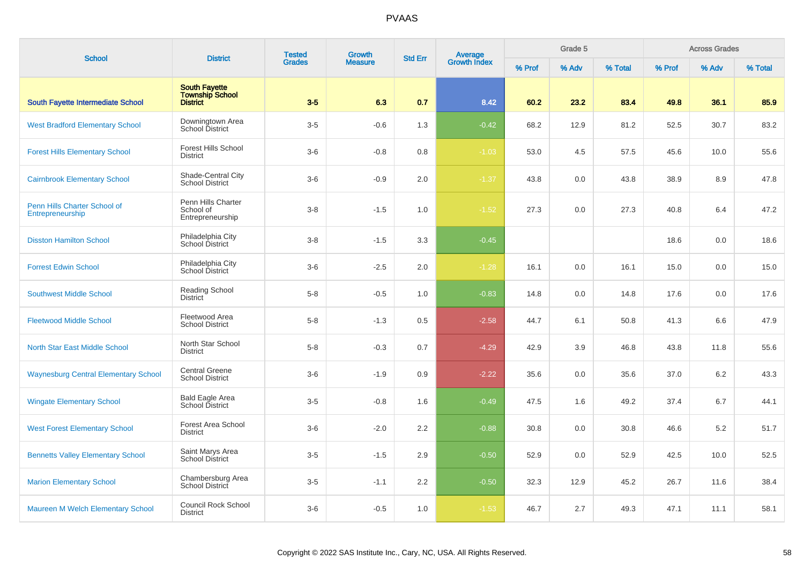| <b>School</b>                                    | <b>District</b>                                                   | <b>Tested</b>                   | Growth | <b>Std Err</b> | Average<br>Growth Index |       | Grade 5 |        |       | <b>Across Grades</b> |      |
|--------------------------------------------------|-------------------------------------------------------------------|---------------------------------|--------|----------------|-------------------------|-------|---------|--------|-------|----------------------|------|
|                                                  |                                                                   | <b>Grades</b><br><b>Measure</b> |        |                | % Prof                  | % Adv | % Total | % Prof | % Adv | % Total              |      |
| South Fayette Intermediate School                | <b>South Fayette</b><br><b>Township School</b><br><b>District</b> | $3-5$                           | 6.3    | 0.7            | 8.42                    | 60.2  | 23.2    | 83.4   | 49.8  | 36.1                 | 85.9 |
| <b>West Bradford Elementary School</b>           | Downingtown Area<br><b>School District</b>                        | $3-5$                           | $-0.6$ | 1.3            | $-0.42$                 | 68.2  | 12.9    | 81.2   | 52.5  | 30.7                 | 83.2 |
| <b>Forest Hills Elementary School</b>            | <b>Forest Hills School</b><br><b>District</b>                     | $3-6$                           | $-0.8$ | 0.8            | $-1.03$                 | 53.0  | 4.5     | 57.5   | 45.6  | 10.0                 | 55.6 |
| <b>Cairnbrook Elementary School</b>              | Shade-Central City<br><b>School District</b>                      | $3-6$                           | $-0.9$ | 2.0            | $-1.37$                 | 43.8  | 0.0     | 43.8   | 38.9  | 8.9                  | 47.8 |
| Penn Hills Charter School of<br>Entrepreneurship | Penn Hills Charter<br>School of<br>Entrepreneurship               | $3 - 8$                         | $-1.5$ | 1.0            | $-1.52$                 | 27.3  | 0.0     | 27.3   | 40.8  | 6.4                  | 47.2 |
| <b>Disston Hamilton School</b>                   | Philadelphia City<br>School District                              | $3 - 8$                         | $-1.5$ | 3.3            | $-0.45$                 |       |         |        | 18.6  | 0.0                  | 18.6 |
| <b>Forrest Edwin School</b>                      | Philadelphia City<br>School District                              | $3-6$                           | $-2.5$ | 2.0            | $-1.28$                 | 16.1  | 0.0     | 16.1   | 15.0  | 0.0                  | 15.0 |
| <b>Southwest Middle School</b>                   | <b>Reading School</b><br>District                                 | $5 - 8$                         | $-0.5$ | 1.0            | $-0.83$                 | 14.8  | 0.0     | 14.8   | 17.6  | 0.0                  | 17.6 |
| <b>Fleetwood Middle School</b>                   | Fleetwood Area<br><b>School District</b>                          | $5-8$                           | $-1.3$ | 0.5            | $-2.58$                 | 44.7  | 6.1     | 50.8   | 41.3  | 6.6                  | 47.9 |
| North Star East Middle School                    | North Star School<br><b>District</b>                              | $5-8$                           | $-0.3$ | 0.7            | $-4.29$                 | 42.9  | 3.9     | 46.8   | 43.8  | 11.8                 | 55.6 |
| <b>Waynesburg Central Elementary School</b>      | Central Greene<br><b>School District</b>                          | $3-6$                           | $-1.9$ | 0.9            | $-2.22$                 | 35.6  | 0.0     | 35.6   | 37.0  | 6.2                  | 43.3 |
| <b>Wingate Elementary School</b>                 | <b>Bald Eagle Area</b><br>School District                         | $3-5$                           | $-0.8$ | 1.6            | $-0.49$                 | 47.5  | 1.6     | 49.2   | 37.4  | 6.7                  | 44.1 |
| <b>West Forest Elementary School</b>             | Forest Area School<br><b>District</b>                             | $3-6$                           | $-2.0$ | 2.2            | $-0.88$                 | 30.8  | 0.0     | 30.8   | 46.6  | 5.2                  | 51.7 |
| <b>Bennetts Valley Elementary School</b>         | Saint Marys Area<br><b>School District</b>                        | $3-5$                           | $-1.5$ | 2.9            | $-0.50$                 | 52.9  | 0.0     | 52.9   | 42.5  | 10.0                 | 52.5 |
| <b>Marion Elementary School</b>                  | Chambersburg Area<br>School District                              | $3-5$                           | $-1.1$ | 2.2            | $-0.50$                 | 32.3  | 12.9    | 45.2   | 26.7  | 11.6                 | 38.4 |
| <b>Maureen M Welch Elementary School</b>         | Council Rock School<br><b>District</b>                            | $3-6$                           | $-0.5$ | 1.0            | $-1.53$                 | 46.7  | 2.7     | 49.3   | 47.1  | 11.1                 | 58.1 |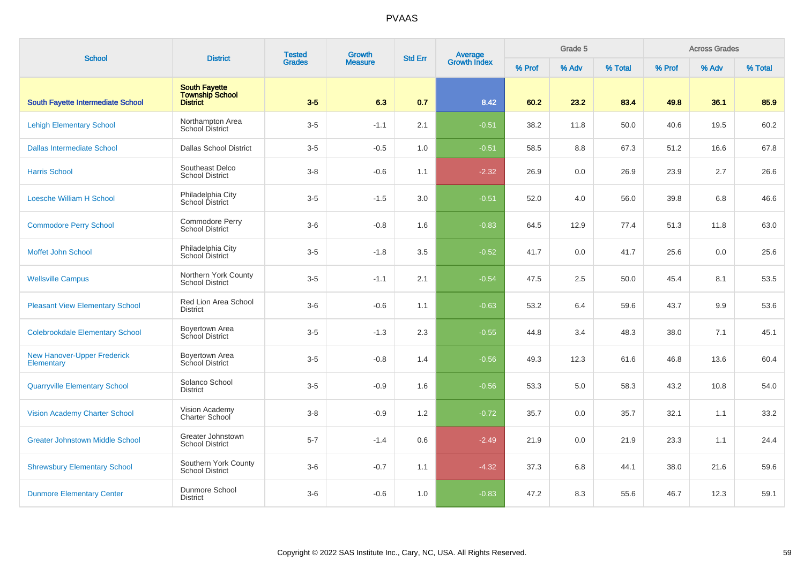| <b>School</b>                                    | <b>District</b>                                     | <b>Tested</b> | Growth         | <b>Std Err</b> |                                |        | Grade 5 |         |        | <b>Across Grades</b> |         |
|--------------------------------------------------|-----------------------------------------------------|---------------|----------------|----------------|--------------------------------|--------|---------|---------|--------|----------------------|---------|
|                                                  |                                                     | <b>Grades</b> | <b>Measure</b> |                | <b>Average</b><br>Growth Index | % Prof | % Adv   | % Total | % Prof | % Adv                | % Total |
| South Fayette Intermediate School                | <b>South Favette</b><br>Township School<br>District | $3-5$         | 6.3            | 0.7            | 8.42                           | 60.2   | 23.2    | 83.4    | 49.8   | 36.1                 | 85.9    |
| <b>Lehigh Elementary School</b>                  | Northampton Area<br>School District                 | $3-5$         | $-1.1$         | 2.1            | $-0.51$                        | 38.2   | 11.8    | 50.0    | 40.6   | 19.5                 | 60.2    |
| <b>Dallas Intermediate School</b>                | <b>Dallas School District</b>                       | $3-5$         | $-0.5$         | 1.0            | $-0.51$                        | 58.5   | 8.8     | 67.3    | 51.2   | 16.6                 | 67.8    |
| <b>Harris School</b>                             | Southeast Delco<br><b>School District</b>           | $3 - 8$       | $-0.6$         | 1.1            | $-2.32$                        | 26.9   | 0.0     | 26.9    | 23.9   | 2.7                  | 26.6    |
| <b>Loesche William H School</b>                  | Philadelphia City<br>School District                | $3-5$         | $-1.5$         | 3.0            | $-0.51$                        | 52.0   | 4.0     | 56.0    | 39.8   | 6.8                  | 46.6    |
| <b>Commodore Perry School</b>                    | Commodore Perry<br><b>School District</b>           | $3-6$         | $-0.8$         | 1.6            | $-0.83$                        | 64.5   | 12.9    | 77.4    | 51.3   | 11.8                 | 63.0    |
| Moffet John School                               | Philadelphia City<br>School District                | $3-5$         | $-1.8$         | 3.5            | $-0.52$                        | 41.7   | 0.0     | 41.7    | 25.6   | 0.0                  | 25.6    |
| <b>Wellsville Campus</b>                         | Northern York County<br><b>School District</b>      | $3-5$         | $-1.1$         | 2.1            | $-0.54$                        | 47.5   | 2.5     | 50.0    | 45.4   | 8.1                  | 53.5    |
| <b>Pleasant View Elementary School</b>           | Red Lion Area School<br><b>District</b>             | $3-6$         | $-0.6$         | 1.1            | $-0.63$                        | 53.2   | 6.4     | 59.6    | 43.7   | 9.9                  | 53.6    |
| <b>Colebrookdale Elementary School</b>           | Boyertown Area<br>School District                   | $3-5$         | $-1.3$         | 2.3            | $-0.55$                        | 44.8   | 3.4     | 48.3    | 38.0   | 7.1                  | 45.1    |
| <b>New Hanover-Upper Frederick</b><br>Elementary | Boyertown Area<br>School District                   | $3-5$         | $-0.8$         | 1.4            | $-0.56$                        | 49.3   | 12.3    | 61.6    | 46.8   | 13.6                 | 60.4    |
| <b>Quarryville Elementary School</b>             | Solanco School<br><b>District</b>                   | $3-5$         | $-0.9$         | 1.6            | $-0.56$                        | 53.3   | 5.0     | 58.3    | 43.2   | 10.8                 | 54.0    |
| <b>Vision Academy Charter School</b>             | Vision Academy<br>Charter School                    | $3-8$         | $-0.9$         | 1.2            | $-0.72$                        | 35.7   | 0.0     | 35.7    | 32.1   | 1.1                  | 33.2    |
| <b>Greater Johnstown Middle School</b>           | Greater Johnstown<br><b>School District</b>         | $5 - 7$       | $-1.4$         | 0.6            | $-2.49$                        | 21.9   | 0.0     | 21.9    | 23.3   | 1.1                  | 24.4    |
| <b>Shrewsbury Elementary School</b>              | Southern York County<br><b>School District</b>      | $3-6$         | $-0.7$         | 1.1            | $-4.32$                        | 37.3   | 6.8     | 44.1    | 38.0   | 21.6                 | 59.6    |
| <b>Dunmore Elementary Center</b>                 | Dunmore School<br><b>District</b>                   | $3-6$         | $-0.6$         | 1.0            | $-0.83$                        | 47.2   | 8.3     | 55.6    | 46.7   | 12.3                 | 59.1    |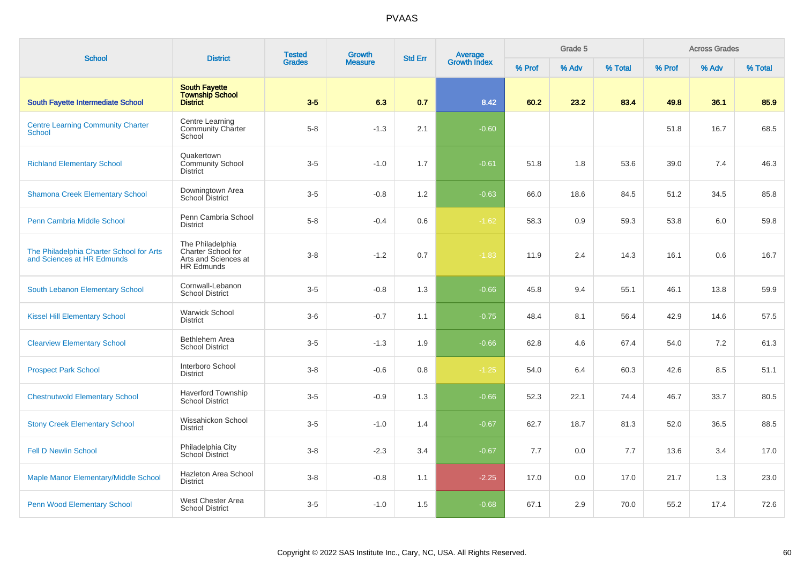| <b>School</b>                                                          | <b>District</b>                                                                            | <b>Tested</b> | Growth         |                |                                |        | Grade 5 |         |        | <b>Across Grades</b> |         |
|------------------------------------------------------------------------|--------------------------------------------------------------------------------------------|---------------|----------------|----------------|--------------------------------|--------|---------|---------|--------|----------------------|---------|
|                                                                        |                                                                                            | <b>Grades</b> | <b>Measure</b> | <b>Std Err</b> | <b>Average</b><br>Growth Index | % Prof | % Adv   | % Total | % Prof | % Adv                | % Total |
| <b>South Fayette Intermediate School</b>                               | <b>South Fayette</b><br><b>Township School</b><br><b>District</b>                          | $3-5$         | 6.3            | 0.7            | 8.42                           | 60.2   | 23.2    | 83.4    | 49.8   | 36.1                 | 85.9    |
| <b>Centre Learning Community Charter</b><br>School                     | Centre Learning<br><b>Community Charter</b><br>School                                      | $5 - 8$       | $-1.3$         | 2.1            | $-0.60$                        |        |         |         | 51.8   | 16.7                 | 68.5    |
| <b>Richland Elementary School</b>                                      | Quakertown<br><b>Community School</b><br><b>District</b>                                   | $3-5$         | $-1.0$         | 1.7            | $-0.61$                        | 51.8   | 1.8     | 53.6    | 39.0   | 7.4                  | 46.3    |
| <b>Shamona Creek Elementary School</b>                                 | Downingtown Area<br><b>School District</b>                                                 | $3-5$         | $-0.8$         | 1.2            | $-0.63$                        | 66.0   | 18.6    | 84.5    | 51.2   | 34.5                 | 85.8    |
| Penn Cambria Middle School                                             | Penn Cambria School<br><b>District</b>                                                     | $5 - 8$       | $-0.4$         | 0.6            | $-1.62$                        | 58.3   | 0.9     | 59.3    | 53.8   | 6.0                  | 59.8    |
| The Philadelphia Charter School for Arts<br>and Sciences at HR Edmunds | The Philadelphia<br><b>Charter School for</b><br>Arts and Sciences at<br><b>HR Edmunds</b> | $3 - 8$       | $-1.2$         | 0.7            | $-1.83$                        | 11.9   | 2.4     | 14.3    | 16.1   | 0.6                  | 16.7    |
| South Lebanon Elementary School                                        | Cornwall-Lebanon<br><b>School District</b>                                                 | $3-5$         | $-0.8$         | 1.3            | $-0.66$                        | 45.8   | 9.4     | 55.1    | 46.1   | 13.8                 | 59.9    |
| <b>Kissel Hill Elementary School</b>                                   | <b>Warwick School</b><br><b>District</b>                                                   | $3-6$         | $-0.7$         | 1.1            | $-0.75$                        | 48.4   | 8.1     | 56.4    | 42.9   | 14.6                 | 57.5    |
| <b>Clearview Elementary School</b>                                     | Bethlehem Area<br><b>School District</b>                                                   | $3-5$         | $-1.3$         | 1.9            | $-0.66$                        | 62.8   | 4.6     | 67.4    | 54.0   | 7.2                  | 61.3    |
| <b>Prospect Park School</b>                                            | Interboro School<br><b>District</b>                                                        | $3-8$         | $-0.6$         | 0.8            | $-1.25$                        | 54.0   | 6.4     | 60.3    | 42.6   | 8.5                  | 51.1    |
| <b>Chestnutwold Elementary School</b>                                  | Haverford Township<br><b>School District</b>                                               | $3-5$         | $-0.9$         | 1.3            | $-0.66$                        | 52.3   | 22.1    | 74.4    | 46.7   | 33.7                 | 80.5    |
| <b>Stony Creek Elementary School</b>                                   | Wissahickon School<br><b>District</b>                                                      | $3-5$         | $-1.0$         | 1.4            | $-0.67$                        | 62.7   | 18.7    | 81.3    | 52.0   | 36.5                 | 88.5    |
| <b>Fell D Newlin School</b>                                            | Philadelphia City<br>School District                                                       | $3 - 8$       | $-2.3$         | 3.4            | $-0.67$                        | 7.7    | 0.0     | 7.7     | 13.6   | 3.4                  | 17.0    |
| Maple Manor Elementary/Middle School                                   | Hazleton Area School<br><b>District</b>                                                    | $3 - 8$       | $-0.8$         | 1.1            | $-2.25$                        | 17.0   | 0.0     | 17.0    | 21.7   | 1.3                  | 23.0    |
| <b>Penn Wood Elementary School</b>                                     | West Chester Area<br><b>School District</b>                                                | $3-5$         | $-1.0$         | 1.5            | $-0.68$                        | 67.1   | 2.9     | 70.0    | 55.2   | 17.4                 | 72.6    |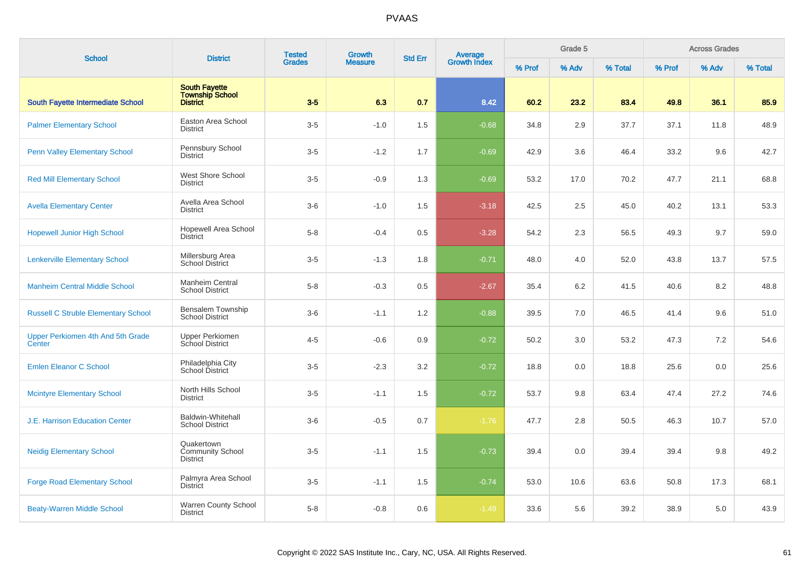| <b>School</b>                               | <b>District</b>                                                   | <b>Tested</b> | Growth<br><b>Grades</b><br><b>Measure</b> | <b>Std Err</b> | Average<br>Growth Index |        | Grade 5 |         |        | <b>Across Grades</b> |         |
|---------------------------------------------|-------------------------------------------------------------------|---------------|-------------------------------------------|----------------|-------------------------|--------|---------|---------|--------|----------------------|---------|
|                                             |                                                                   |               |                                           |                |                         | % Prof | % Adv   | % Total | % Prof | % Adv                | % Total |
| South Fayette Intermediate School           | <b>South Fayette</b><br><b>Township School</b><br><b>District</b> | $3-5$         | 6.3                                       | 0.7            | 8.42                    | 60.2   | 23.2    | 83.4    | 49.8   | 36.1                 | 85.9    |
| <b>Palmer Elementary School</b>             | Easton Area School<br><b>District</b>                             | $3-5$         | $-1.0$                                    | 1.5            | $-0.68$                 | 34.8   | 2.9     | 37.7    | 37.1   | 11.8                 | 48.9    |
| <b>Penn Valley Elementary School</b>        | Pennsbury School<br><b>District</b>                               | $3-5$         | $-1.2$                                    | 1.7            | $-0.69$                 | 42.9   | 3.6     | 46.4    | 33.2   | 9.6                  | 42.7    |
| <b>Red Mill Elementary School</b>           | West Shore School<br><b>District</b>                              | $3-5$         | $-0.9$                                    | 1.3            | $-0.69$                 | 53.2   | 17.0    | 70.2    | 47.7   | 21.1                 | 68.8    |
| <b>Avella Elementary Center</b>             | Avella Area School<br><b>District</b>                             | $3-6$         | $-1.0$                                    | 1.5            | $-3.18$                 | 42.5   | 2.5     | 45.0    | 40.2   | 13.1                 | 53.3    |
| <b>Hopewell Junior High School</b>          | <b>Hopewell Area School</b><br><b>District</b>                    | $5-8$         | $-0.4$                                    | 0.5            | $-3.28$                 | 54.2   | 2.3     | 56.5    | 49.3   | 9.7                  | 59.0    |
| <b>Lenkerville Elementary School</b>        | Millersburg Area<br><b>School District</b>                        | $3-5$         | $-1.3$                                    | 1.8            | $-0.71$                 | 48.0   | 4.0     | 52.0    | 43.8   | 13.7                 | 57.5    |
| <b>Manheim Central Middle School</b>        | Manheim Central<br><b>School District</b>                         | $5 - 8$       | $-0.3$                                    | 0.5            | $-2.67$                 | 35.4   | 6.2     | 41.5    | 40.6   | 8.2                  | 48.8    |
| <b>Russell C Struble Elementary School</b>  | <b>Bensalem Township</b><br><b>School District</b>                | $3-6$         | $-1.1$                                    | 1.2            | $-0.88$                 | 39.5   | 7.0     | 46.5    | 41.4   | 9.6                  | 51.0    |
| Upper Perkiomen 4th And 5th Grade<br>Center | <b>Upper Perkiomen</b><br>School District                         | $4 - 5$       | $-0.6$                                    | 0.9            | $-0.72$                 | 50.2   | 3.0     | 53.2    | 47.3   | 7.2                  | 54.6    |
| <b>Emlen Eleanor C School</b>               | Philadelphia City<br>School District                              | $3-5$         | $-2.3$                                    | 3.2            | $-0.72$                 | 18.8   | 0.0     | 18.8    | 25.6   | 0.0                  | 25.6    |
| <b>Mcintyre Elementary School</b>           | North Hills School<br><b>District</b>                             | $3-5$         | $-1.1$                                    | 1.5            | $-0.72$                 | 53.7   | 9.8     | 63.4    | 47.4   | 27.2                 | 74.6    |
| <b>J.E. Harrison Education Center</b>       | <b>Baldwin-Whitehall</b><br><b>School District</b>                | $3-6$         | $-0.5$                                    | 0.7            | $-1.76$                 | 47.7   | 2.8     | 50.5    | 46.3   | 10.7                 | 57.0    |
| <b>Neidig Elementary School</b>             | Quakertown<br><b>Community School</b><br><b>District</b>          | $3-5$         | $-1.1$                                    | 1.5            | $-0.73$                 | 39.4   | 0.0     | 39.4    | 39.4   | 9.8                  | 49.2    |
| <b>Forge Road Elementary School</b>         | Palmyra Area School<br><b>District</b>                            | $3-5$         | $-1.1$                                    | 1.5            | $-0.74$                 | 53.0   | 10.6    | 63.6    | 50.8   | 17.3                 | 68.1    |
| <b>Beaty-Warren Middle School</b>           | Warren County School<br><b>District</b>                           | $5-8$         | $-0.8$                                    | 0.6            | $-1.49$                 | 33.6   | 5.6     | 39.2    | 38.9   | 5.0                  | 43.9    |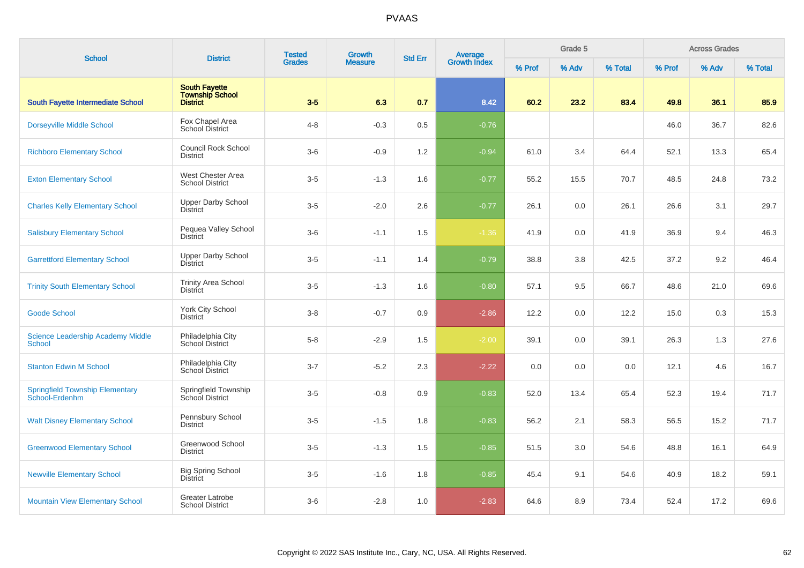| <b>School</b>                                            | <b>District</b>                                                   | <b>Tested</b> | Growth         | <b>Std Err</b> |                                |        | Grade 5 |         |        | <b>Across Grades</b> |         |
|----------------------------------------------------------|-------------------------------------------------------------------|---------------|----------------|----------------|--------------------------------|--------|---------|---------|--------|----------------------|---------|
|                                                          |                                                                   | <b>Grades</b> | <b>Measure</b> |                | <b>Average</b><br>Growth Index | % Prof | % Adv   | % Total | % Prof | % Adv                | % Total |
| South Fayette Intermediate School                        | <b>South Fayette</b><br><b>Township School</b><br><b>District</b> | $3-5$         | 6.3            | 0.7            | 8.42                           | 60.2   | 23.2    | 83.4    | 49.8   | 36.1                 | 85.9    |
| <b>Dorseyville Middle School</b>                         | Fox Chapel Area<br><b>School District</b>                         | $4 - 8$       | $-0.3$         | 0.5            | $-0.76$                        |        |         |         | 46.0   | 36.7                 | 82.6    |
| <b>Richboro Elementary School</b>                        | <b>Council Rock School</b><br><b>District</b>                     | $3-6$         | $-0.9$         | 1.2            | $-0.94$                        | 61.0   | 3.4     | 64.4    | 52.1   | 13.3                 | 65.4    |
| <b>Exton Elementary School</b>                           | West Chester Area<br><b>School District</b>                       | $3-5$         | $-1.3$         | 1.6            | $-0.77$                        | 55.2   | 15.5    | 70.7    | 48.5   | 24.8                 | 73.2    |
| <b>Charles Kelly Elementary School</b>                   | <b>Upper Darby School</b><br><b>District</b>                      | $3-5$         | $-2.0$         | 2.6            | $-0.77$                        | 26.1   | 0.0     | 26.1    | 26.6   | 3.1                  | 29.7    |
| <b>Salisbury Elementary School</b>                       | Pequea Valley School<br><b>District</b>                           | $3-6$         | $-1.1$         | 1.5            | $-1.36$                        | 41.9   | 0.0     | 41.9    | 36.9   | 9.4                  | 46.3    |
| <b>Garrettford Elementary School</b>                     | <b>Upper Darby School</b><br><b>District</b>                      | $3-5$         | $-1.1$         | 1.4            | $-0.79$                        | 38.8   | 3.8     | 42.5    | 37.2   | 9.2                  | 46.4    |
| <b>Trinity South Elementary School</b>                   | <b>Trinity Area School</b><br><b>District</b>                     | $3-5$         | $-1.3$         | 1.6            | $-0.80$                        | 57.1   | 9.5     | 66.7    | 48.6   | 21.0                 | 69.6    |
| <b>Goode School</b>                                      | <b>York City School</b><br><b>District</b>                        | $3 - 8$       | $-0.7$         | 0.9            | $-2.86$                        | 12.2   | 0.0     | 12.2    | 15.0   | 0.3                  | 15.3    |
| <b>Science Leadership Academy Middle</b><br>School       | Philadelphia City<br>School District                              | $5-8$         | $-2.9$         | 1.5            | $-2.00$                        | 39.1   | 0.0     | 39.1    | 26.3   | 1.3                  | 27.6    |
| <b>Stanton Edwin M School</b>                            | Philadelphia City<br>School District                              | $3 - 7$       | $-5.2$         | 2.3            | $-2.22$                        | 0.0    | 0.0     | 0.0     | 12.1   | 4.6                  | 16.7    |
| <b>Springfield Township Elementary</b><br>School-Erdenhm | Springfield Township<br>School District                           | $3-5$         | $-0.8$         | 0.9            | $-0.83$                        | 52.0   | 13.4    | 65.4    | 52.3   | 19.4                 | 71.7    |
| <b>Walt Disney Elementary School</b>                     | Pennsbury School<br><b>District</b>                               | $3-5$         | $-1.5$         | 1.8            | $-0.83$                        | 56.2   | 2.1     | 58.3    | 56.5   | 15.2                 | 71.7    |
| <b>Greenwood Elementary School</b>                       | Greenwood School<br><b>District</b>                               | $3-5$         | $-1.3$         | 1.5            | $-0.85$                        | 51.5   | 3.0     | 54.6    | 48.8   | 16.1                 | 64.9    |
| <b>Newville Elementary School</b>                        | <b>Big Spring School</b><br><b>District</b>                       | $3-5$         | $-1.6$         | 1.8            | $-0.85$                        | 45.4   | 9.1     | 54.6    | 40.9   | 18.2                 | 59.1    |
| <b>Mountain View Elementary School</b>                   | Greater Latrobe<br><b>School District</b>                         | $3-6$         | $-2.8$         | 1.0            | $-2.83$                        | 64.6   | 8.9     | 73.4    | 52.4   | 17.2                 | 69.6    |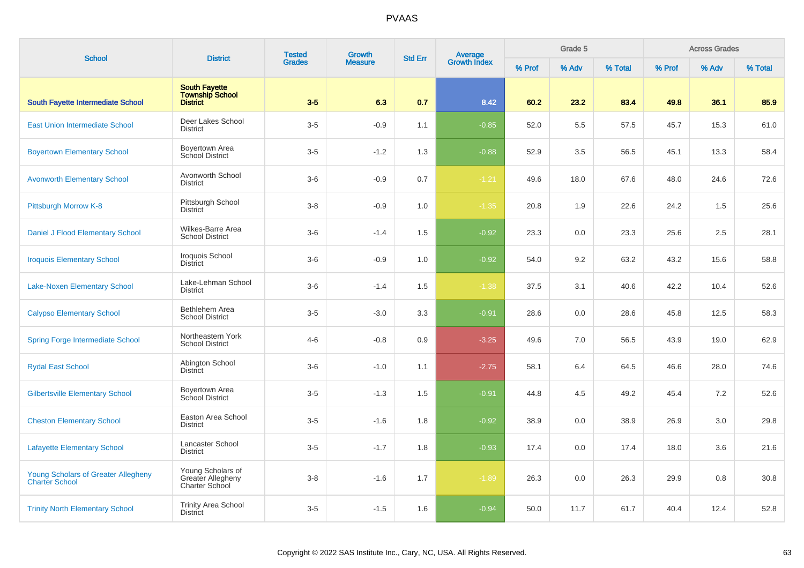| <b>School</b>                                                       | <b>District</b>                                                   | <b>Tested</b><br>Growth<br><b>Grades</b><br><b>Measure</b> | Average<br>Growth Index<br><b>Std Err</b> |     |         | Grade 5 |       |         | <b>Across Grades</b> |       |         |
|---------------------------------------------------------------------|-------------------------------------------------------------------|------------------------------------------------------------|-------------------------------------------|-----|---------|---------|-------|---------|----------------------|-------|---------|
|                                                                     |                                                                   |                                                            |                                           |     |         | % Prof  | % Adv | % Total | % Prof               | % Adv | % Total |
| South Fayette Intermediate School                                   | <b>South Fayette</b><br><b>Township School</b><br><b>District</b> | $3-5$                                                      | 6.3                                       | 0.7 | 8.42    | 60.2    | 23.2  | 83.4    | 49.8                 | 36.1  | 85.9    |
| <b>East Union Intermediate School</b>                               | Deer Lakes School<br><b>District</b>                              | $3-5$                                                      | $-0.9$                                    | 1.1 | $-0.85$ | 52.0    | 5.5   | 57.5    | 45.7                 | 15.3  | 61.0    |
| <b>Boyertown Elementary School</b>                                  | Boyertown Area<br>School District                                 | $3-5$                                                      | $-1.2$                                    | 1.3 | $-0.88$ | 52.9    | 3.5   | 56.5    | 45.1                 | 13.3  | 58.4    |
| <b>Avonworth Elementary School</b>                                  | Avonworth School<br><b>District</b>                               | $3-6$                                                      | $-0.9$                                    | 0.7 | $-1.21$ | 49.6    | 18.0  | 67.6    | 48.0                 | 24.6  | 72.6    |
| Pittsburgh Morrow K-8                                               | Pittsburgh School<br><b>District</b>                              | $3-8$                                                      | $-0.9$                                    | 1.0 | $-1.35$ | 20.8    | 1.9   | 22.6    | 24.2                 | 1.5   | 25.6    |
| Daniel J Flood Elementary School                                    | Wilkes-Barre Area<br><b>School District</b>                       | $3-6$                                                      | $-1.4$                                    | 1.5 | $-0.92$ | 23.3    | 0.0   | 23.3    | 25.6                 | 2.5   | 28.1    |
| <b>Iroquois Elementary School</b>                                   | Iroquois School<br><b>District</b>                                | $3-6$                                                      | $-0.9$                                    | 1.0 | $-0.92$ | 54.0    | 9.2   | 63.2    | 43.2                 | 15.6  | 58.8    |
| <b>Lake-Noxen Elementary School</b>                                 | Lake-Lehman School<br><b>District</b>                             | $3-6$                                                      | $-1.4$                                    | 1.5 | $-1.38$ | 37.5    | 3.1   | 40.6    | 42.2                 | 10.4  | 52.6    |
| <b>Calypso Elementary School</b>                                    | Bethlehem Area<br><b>School District</b>                          | $3 - 5$                                                    | $-3.0$                                    | 3.3 | $-0.91$ | 28.6    | 0.0   | 28.6    | 45.8                 | 12.5  | 58.3    |
| <b>Spring Forge Intermediate School</b>                             | Northeastern York<br><b>School District</b>                       | $4 - 6$                                                    | $-0.8$                                    | 0.9 | $-3.25$ | 49.6    | 7.0   | 56.5    | 43.9                 | 19.0  | 62.9    |
| <b>Rydal East School</b>                                            | Abington School<br><b>District</b>                                | $3-6$                                                      | $-1.0$                                    | 1.1 | $-2.75$ | 58.1    | 6.4   | 64.5    | 46.6                 | 28.0  | 74.6    |
| <b>Gilbertsville Elementary School</b>                              | Boyertown Area<br>School District                                 | $3-5$                                                      | $-1.3$                                    | 1.5 | $-0.91$ | 44.8    | 4.5   | 49.2    | 45.4                 | 7.2   | 52.6    |
| <b>Cheston Elementary School</b>                                    | Easton Area School<br><b>District</b>                             | $3-5$                                                      | $-1.6$                                    | 1.8 | $-0.92$ | 38.9    | 0.0   | 38.9    | 26.9                 | 3.0   | 29.8    |
| <b>Lafayette Elementary School</b>                                  | Lancaster School<br><b>District</b>                               | $3-5$                                                      | $-1.7$                                    | 1.8 | $-0.93$ | 17.4    | 0.0   | 17.4    | 18.0                 | 3.6   | 21.6    |
| <b>Young Scholars of Greater Allegheny</b><br><b>Charter School</b> | Young Scholars of<br>Greater Allegheny<br>Charter School          | $3 - 8$                                                    | $-1.6$                                    | 1.7 | $-1.89$ | 26.3    | 0.0   | 26.3    | 29.9                 | 0.8   | 30.8    |
| <b>Trinity North Elementary School</b>                              | <b>Trinity Area School</b><br><b>District</b>                     | $3-5$                                                      | $-1.5$                                    | 1.6 | $-0.94$ | 50.0    | 11.7  | 61.7    | 40.4                 | 12.4  | 52.8    |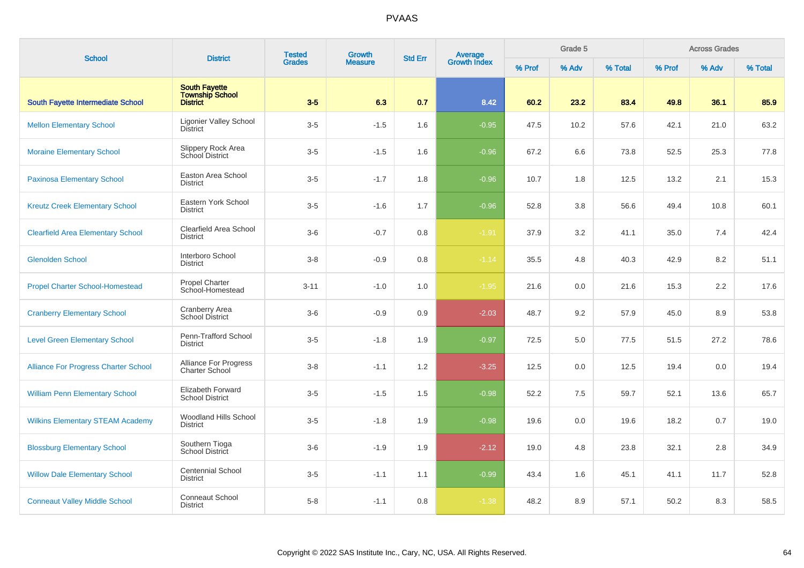| <b>School</b>                               | <b>District</b>                                                   | <b>Tested</b> | <b>Growth</b>  | <b>Std Err</b> | <b>Average</b><br>Growth Index |        | Grade 5 |         |        | <b>Across Grades</b> |         |
|---------------------------------------------|-------------------------------------------------------------------|---------------|----------------|----------------|--------------------------------|--------|---------|---------|--------|----------------------|---------|
|                                             |                                                                   | <b>Grades</b> | <b>Measure</b> |                |                                | % Prof | % Adv   | % Total | % Prof | % Adv                | % Total |
| <b>South Fayette Intermediate School</b>    | <b>South Fayette</b><br><b>Township School</b><br><b>District</b> | $3-5$         | 6.3            | 0.7            | 8.42                           | 60.2   | 23.2    | 83.4    | 49.8   | 36.1                 | 85.9    |
| <b>Mellon Elementary School</b>             | <b>Ligonier Valley School</b><br><b>District</b>                  | $3-5$         | $-1.5$         | 1.6            | $-0.95$                        | 47.5   | 10.2    | 57.6    | 42.1   | 21.0                 | 63.2    |
| <b>Moraine Elementary School</b>            | Slippery Rock Area<br>School District                             | $3-5$         | $-1.5$         | 1.6            | $-0.96$                        | 67.2   | 6.6     | 73.8    | 52.5   | 25.3                 | 77.8    |
| <b>Paxinosa Elementary School</b>           | Easton Area School<br><b>District</b>                             | $3-5$         | $-1.7$         | 1.8            | $-0.96$                        | 10.7   | 1.8     | 12.5    | 13.2   | 2.1                  | 15.3    |
| <b>Kreutz Creek Elementary School</b>       | Eastern York School<br><b>District</b>                            | $3-5$         | $-1.6$         | 1.7            | $-0.96$                        | 52.8   | 3.8     | 56.6    | 49.4   | 10.8                 | 60.1    |
| <b>Clearfield Area Elementary School</b>    | Clearfield Area School<br><b>District</b>                         | $3-6$         | $-0.7$         | 0.8            | $-1.91$                        | 37.9   | 3.2     | 41.1    | 35.0   | 7.4                  | 42.4    |
| <b>Glenolden School</b>                     | Interboro School<br><b>District</b>                               | $3 - 8$       | $-0.9$         | 0.8            | $-1.14$                        | 35.5   | 4.8     | 40.3    | 42.9   | 8.2                  | 51.1    |
| <b>Propel Charter School-Homestead</b>      | <b>Propel Charter</b><br>School-Homestead                         | $3 - 11$      | $-1.0$         | 1.0            | $-1.95$                        | 21.6   | 0.0     | 21.6    | 15.3   | 2.2                  | 17.6    |
| <b>Cranberry Elementary School</b>          | Cranberry Area<br><b>School District</b>                          | $3-6$         | $-0.9$         | 0.9            | $-2.03$                        | 48.7   | 9.2     | 57.9    | 45.0   | 8.9                  | 53.8    |
| <b>Level Green Elementary School</b>        | Penn-Trafford School<br><b>District</b>                           | $3-5$         | $-1.8$         | 1.9            | $-0.97$                        | 72.5   | 5.0     | 77.5    | 51.5   | 27.2                 | 78.6    |
| <b>Alliance For Progress Charter School</b> | Alliance For Progress<br><b>Charter School</b>                    | $3 - 8$       | $-1.1$         | 1.2            | $-3.25$                        | 12.5   | 0.0     | 12.5    | 19.4   | 0.0                  | 19.4    |
| <b>William Penn Elementary School</b>       | <b>Elizabeth Forward</b><br><b>School District</b>                | $3-5$         | $-1.5$         | 1.5            | $-0.98$                        | 52.2   | 7.5     | 59.7    | 52.1   | 13.6                 | 65.7    |
| <b>Wilkins Elementary STEAM Academy</b>     | Woodland Hills School<br><b>District</b>                          | $3-5$         | $-1.8$         | 1.9            | $-0.98$                        | 19.6   | 0.0     | 19.6    | 18.2   | 0.7                  | 19.0    |
| <b>Blossburg Elementary School</b>          | Southern Tioga<br><b>School District</b>                          | $3-6$         | $-1.9$         | 1.9            | $-2.12$                        | 19.0   | 4.8     | 23.8    | 32.1   | 2.8                  | 34.9    |
| <b>Willow Dale Elementary School</b>        | <b>Centennial School</b><br><b>District</b>                       | $3-5$         | $-1.1$         | 1.1            | $-0.99$                        | 43.4   | 1.6     | 45.1    | 41.1   | 11.7                 | 52.8    |
| <b>Conneaut Valley Middle School</b>        | <b>Conneaut School</b><br><b>District</b>                         | $5-8$         | $-1.1$         | 0.8            | $-1.38$                        | 48.2   | 8.9     | 57.1    | 50.2   | 8.3                  | 58.5    |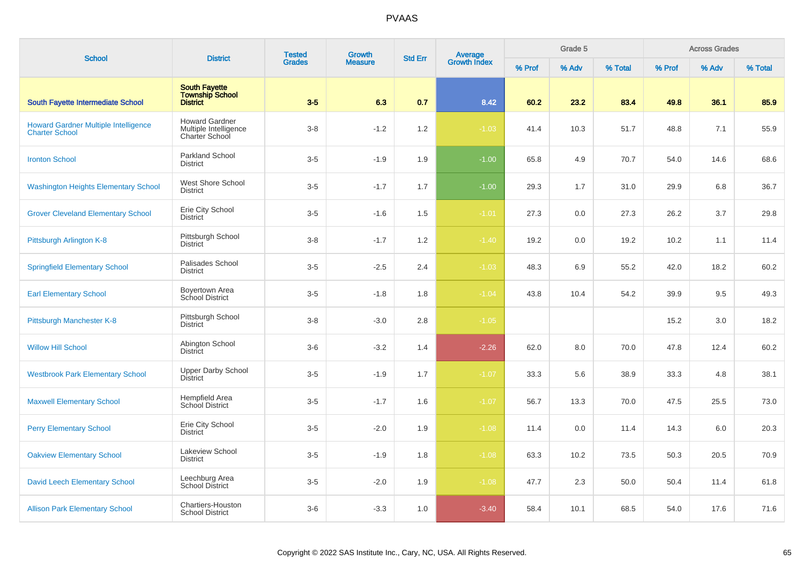| <b>School</b>                                                        | <b>District</b>                                                  | <b>Tested</b> | Growth         | <b>Std Err</b> | Average<br>Growth Index |        | Grade 5 |         |        | <b>Across Grades</b> |         |
|----------------------------------------------------------------------|------------------------------------------------------------------|---------------|----------------|----------------|-------------------------|--------|---------|---------|--------|----------------------|---------|
|                                                                      |                                                                  | <b>Grades</b> | <b>Measure</b> |                |                         | % Prof | % Adv   | % Total | % Prof | % Adv                | % Total |
| South Fayette Intermediate School                                    | <b>South Fayette</b><br><b>Township School</b><br>District       | $3-5$         | 6.3            | 0.7            | 8.42                    | 60.2   | 23.2    | 83.4    | 49.8   | 36.1                 | 85.9    |
| <b>Howard Gardner Multiple Intelligence</b><br><b>Charter School</b> | <b>Howard Gardner</b><br>Multiple Intelligence<br>Charter School | $3 - 8$       | $-1.2$         | 1.2            | $-1.03$                 | 41.4   | 10.3    | 51.7    | 48.8   | 7.1                  | 55.9    |
| <b>Ironton School</b>                                                | Parkland School<br><b>District</b>                               | $3-5$         | $-1.9$         | 1.9            | $-1.00$                 | 65.8   | 4.9     | 70.7    | 54.0   | 14.6                 | 68.6    |
| <b>Washington Heights Elementary School</b>                          | West Shore School<br><b>District</b>                             | $3-5$         | $-1.7$         | 1.7            | $-1.00$                 | 29.3   | 1.7     | 31.0    | 29.9   | 6.8                  | 36.7    |
| <b>Grover Cleveland Elementary School</b>                            | Erie City School<br><b>District</b>                              | $3-5$         | $-1.6$         | 1.5            | $-1.01$                 | 27.3   | 0.0     | 27.3    | 26.2   | 3.7                  | 29.8    |
| Pittsburgh Arlington K-8                                             | Pittsburgh School<br><b>District</b>                             | $3 - 8$       | $-1.7$         | 1.2            | $-1.40$                 | 19.2   | 0.0     | 19.2    | 10.2   | 1.1                  | 11.4    |
| <b>Springfield Elementary School</b>                                 | Palisades School<br><b>District</b>                              | $3-5$         | $-2.5$         | 2.4            | $-1.03$                 | 48.3   | 6.9     | 55.2    | 42.0   | 18.2                 | 60.2    |
| <b>Earl Elementary School</b>                                        | Boyertown Area<br>School District                                | $3-5$         | $-1.8$         | 1.8            | $-1.04$                 | 43.8   | 10.4    | 54.2    | 39.9   | 9.5                  | 49.3    |
| Pittsburgh Manchester K-8                                            | Pittsburgh School<br><b>District</b>                             | $3-8$         | $-3.0$         | 2.8            | $-1.05$                 |        |         |         | 15.2   | 3.0                  | 18.2    |
| <b>Willow Hill School</b>                                            | Abington School<br><b>District</b>                               | $3-6$         | $-3.2$         | 1.4            | $-2.26$                 | 62.0   | 8.0     | 70.0    | 47.8   | 12.4                 | 60.2    |
| <b>Westbrook Park Elementary School</b>                              | <b>Upper Darby School</b><br><b>District</b>                     | $3-5$         | $-1.9$         | 1.7            | $-1.07$                 | 33.3   | 5.6     | 38.9    | 33.3   | 4.8                  | 38.1    |
| <b>Maxwell Elementary School</b>                                     | Hempfield Area<br>School District                                | $3-5$         | $-1.7$         | 1.6            | $-1.07$                 | 56.7   | 13.3    | 70.0    | 47.5   | 25.5                 | 73.0    |
| <b>Perry Elementary School</b>                                       | Erie City School<br><b>District</b>                              | $3-5$         | $-2.0$         | 1.9            | $-1.08$                 | 11.4   | 0.0     | 11.4    | 14.3   | 6.0                  | 20.3    |
| <b>Oakview Elementary School</b>                                     | Lakeview School<br><b>District</b>                               | $3-5$         | $-1.9$         | 1.8            | $-1.08$                 | 63.3   | 10.2    | 73.5    | 50.3   | 20.5                 | 70.9    |
| David Leech Elementary School                                        | Leechburg Area<br>School District                                | $3-5$         | $-2.0$         | 1.9            | $-1.08$                 | 47.7   | 2.3     | 50.0    | 50.4   | 11.4                 | 61.8    |
| <b>Allison Park Elementary School</b>                                | Chartiers-Houston<br><b>School District</b>                      | $3-6$         | $-3.3$         | 1.0            | $-3.40$                 | 58.4   | 10.1    | 68.5    | 54.0   | 17.6                 | 71.6    |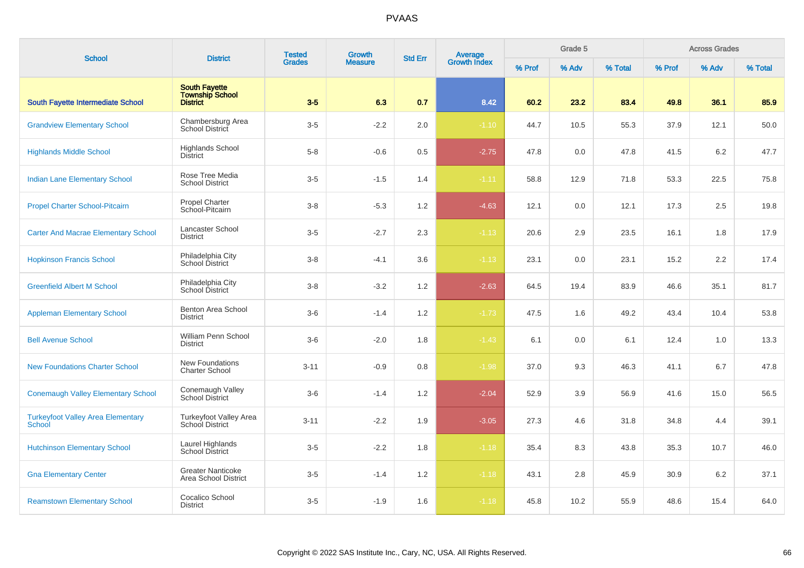| <b>School</b>                                             | <b>District</b>                                                   | <b>Tested</b> | <b>Growth</b><br><b>Measure</b> |     | Average<br>Growth Index<br><b>Std Err</b> |        | Grade 5 |         |        | <b>Across Grades</b> |         |
|-----------------------------------------------------------|-------------------------------------------------------------------|---------------|---------------------------------|-----|-------------------------------------------|--------|---------|---------|--------|----------------------|---------|
|                                                           |                                                                   | <b>Grades</b> |                                 |     |                                           | % Prof | % Adv   | % Total | % Prof | % Adv                | % Total |
| <b>South Fayette Intermediate School</b>                  | <b>South Fayette</b><br><b>Township School</b><br><b>District</b> | $3-5$         | 6.3                             | 0.7 | 8.42                                      | 60.2   | 23.2    | 83.4    | 49.8   | 36.1                 | 85.9    |
| <b>Grandview Elementary School</b>                        | Chambersburg Area<br>School District                              | $3-5$         | $-2.2$                          | 2.0 | $-1.10$                                   | 44.7   | 10.5    | 55.3    | 37.9   | 12.1                 | 50.0    |
| <b>Highlands Middle School</b>                            | <b>Highlands School</b><br><b>District</b>                        | $5-8$         | $-0.6$                          | 0.5 | $-2.75$                                   | 47.8   | 0.0     | 47.8    | 41.5   | 6.2                  | 47.7    |
| <b>Indian Lane Elementary School</b>                      | Rose Tree Media<br><b>School District</b>                         | $3-5$         | $-1.5$                          | 1.4 | $-1.11$                                   | 58.8   | 12.9    | 71.8    | 53.3   | 22.5                 | 75.8    |
| <b>Propel Charter School-Pitcairn</b>                     | <b>Propel Charter</b><br>School-Pitcairn                          | $3 - 8$       | $-5.3$                          | 1.2 | $-4.63$                                   | 12.1   | 0.0     | 12.1    | 17.3   | 2.5                  | 19.8    |
| <b>Carter And Macrae Elementary School</b>                | Lancaster School<br><b>District</b>                               | $3-5$         | $-2.7$                          | 2.3 | $-1.13$                                   | 20.6   | 2.9     | 23.5    | 16.1   | 1.8                  | 17.9    |
| <b>Hopkinson Francis School</b>                           | Philadelphia City<br>School District                              | $3 - 8$       | $-4.1$                          | 3.6 | $-1.13$                                   | 23.1   | 0.0     | 23.1    | 15.2   | 2.2                  | 17.4    |
| <b>Greenfield Albert M School</b>                         | Philadelphia City<br>School District                              | $3 - 8$       | $-3.2$                          | 1.2 | $-2.63$                                   | 64.5   | 19.4    | 83.9    | 46.6   | 35.1                 | 81.7    |
| <b>Appleman Elementary School</b>                         | Benton Area School<br><b>District</b>                             | $3-6$         | $-1.4$                          | 1.2 | $-1.73$                                   | 47.5   | 1.6     | 49.2    | 43.4   | 10.4                 | 53.8    |
| <b>Bell Avenue School</b>                                 | William Penn School<br><b>District</b>                            | $3-6$         | $-2.0$                          | 1.8 | $-1.43$                                   | 6.1    | 0.0     | 6.1     | 12.4   | 1.0                  | 13.3    |
| <b>New Foundations Charter School</b>                     | New Foundations<br><b>Charter School</b>                          | $3 - 11$      | $-0.9$                          | 0.8 | $-1.98$                                   | 37.0   | 9.3     | 46.3    | 41.1   | 6.7                  | 47.8    |
| <b>Conemaugh Valley Elementary School</b>                 | Conemaugh Valley<br>School District                               | $3-6$         | $-1.4$                          | 1.2 | $-2.04$                                   | 52.9   | 3.9     | 56.9    | 41.6   | 15.0                 | 56.5    |
| <b>Turkeyfoot Valley Area Elementary</b><br><b>School</b> | Turkeyfoot Valley Area<br>School District                         | $3 - 11$      | $-2.2$                          | 1.9 | $-3.05$                                   | 27.3   | 4.6     | 31.8    | 34.8   | 4.4                  | 39.1    |
| <b>Hutchinson Elementary School</b>                       | Laurel Highlands<br><b>School District</b>                        | $3-5$         | $-2.2$                          | 1.8 | $-1.18$                                   | 35.4   | 8.3     | 43.8    | 35.3   | 10.7                 | 46.0    |
| <b>Gna Elementary Center</b>                              | <b>Greater Nanticoke</b><br>Area School District                  | $3-5$         | $-1.4$                          | 1.2 | $-1.18$                                   | 43.1   | 2.8     | 45.9    | 30.9   | 6.2                  | 37.1    |
| <b>Reamstown Elementary School</b>                        | Cocalico School<br><b>District</b>                                | $3-5$         | $-1.9$                          | 1.6 | $-1.18$                                   | 45.8   | 10.2    | 55.9    | 48.6   | 15.4                 | 64.0    |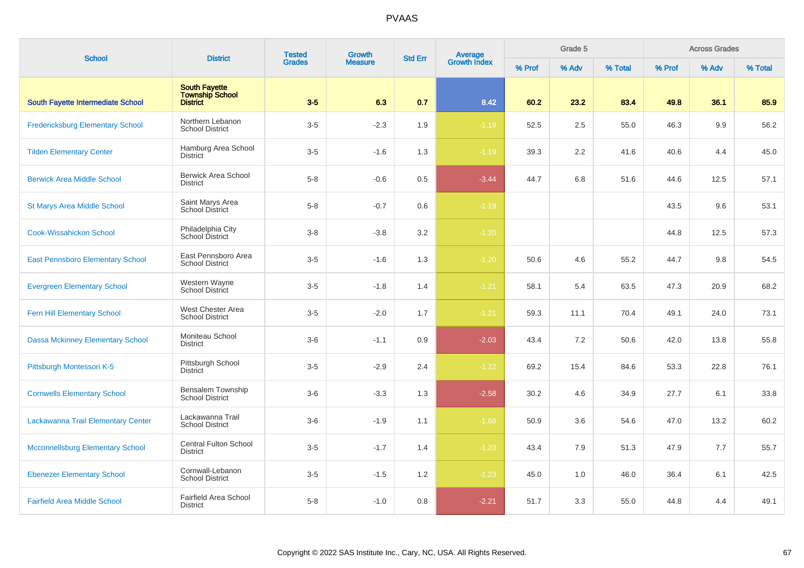| <b>School</b>                           | <b>District</b>                                                   | <b>Tested</b> | Growth         | <b>Std Err</b> |                                |        | Grade 5 |         |        | <b>Across Grades</b> |         |
|-----------------------------------------|-------------------------------------------------------------------|---------------|----------------|----------------|--------------------------------|--------|---------|---------|--------|----------------------|---------|
|                                         |                                                                   | <b>Grades</b> | <b>Measure</b> |                | <b>Average</b><br>Growth Index | % Prof | % Adv   | % Total | % Prof | % Adv                | % Total |
| South Fayette Intermediate School       | <b>South Fayette</b><br><b>Township School</b><br><b>District</b> | $3-5$         | 6.3            | 0.7            | 8.42                           | 60.2   | 23.2    | 83.4    | 49.8   | 36.1                 | 85.9    |
| <b>Fredericksburg Elementary School</b> | Northern Lebanon<br><b>School District</b>                        | $3-5$         | $-2.3$         | 1.9            | $-1.19$                        | 52.5   | 2.5     | 55.0    | 46.3   | 9.9                  | 56.2    |
| <b>Tilden Elementary Center</b>         | Hamburg Area School<br><b>District</b>                            | $3-5$         | $-1.6$         | 1.3            | $-1.19$                        | 39.3   | 2.2     | 41.6    | 40.6   | 4.4                  | 45.0    |
| <b>Berwick Area Middle School</b>       | Berwick Area School<br><b>District</b>                            | $5-8$         | $-0.6$         | 0.5            | $-3.44$                        | 44.7   | 6.8     | 51.6    | 44.6   | 12.5                 | 57.1    |
| St Marys Area Middle School             | Saint Marys Area<br><b>School District</b>                        | $5 - 8$       | $-0.7$         | 0.6            | $-1.19$                        |        |         |         | 43.5   | 9.6                  | 53.1    |
| <b>Cook-Wissahickon School</b>          | Philadelphia City<br>School District                              | $3 - 8$       | $-3.8$         | 3.2            | $-1.20$                        |        |         |         | 44.8   | 12.5                 | 57.3    |
| <b>East Pennsboro Elementary School</b> | East Pennsboro Area<br><b>School District</b>                     | $3-5$         | $-1.6$         | 1.3            | $-1.20$                        | 50.6   | 4.6     | 55.2    | 44.7   | 9.8                  | 54.5    |
| <b>Evergreen Elementary School</b>      | Western Wayne<br>School District                                  | $3-5$         | $-1.8$         | 1.4            | $-1.21$                        | 58.1   | 5.4     | 63.5    | 47.3   | 20.9                 | 68.2    |
| Fern Hill Elementary School             | West Chester Area<br><b>School District</b>                       | $3-5$         | $-2.0$         | 1.7            | $-1.21$                        | 59.3   | 11.1    | 70.4    | 49.1   | 24.0                 | 73.1    |
| <b>Dassa Mckinney Elementary School</b> | Moniteau School<br><b>District</b>                                | $3-6$         | $-1.1$         | 0.9            | $-2.03$                        | 43.4   | 7.2     | 50.6    | 42.0   | 13.8                 | 55.8    |
| Pittsburgh Montessori K-5               | Pittsburgh School<br><b>District</b>                              | $3-5$         | $-2.9$         | 2.4            | $-1.22$                        | 69.2   | 15.4    | 84.6    | 53.3   | 22.8                 | 76.1    |
| <b>Cornwells Elementary School</b>      | Bensalem Township<br><b>School District</b>                       | $3-6$         | $-3.3$         | 1.3            | $-2.58$                        | 30.2   | 4.6     | 34.9    | 27.7   | 6.1                  | 33.8    |
| Lackawanna Trail Elementary Center      | Lackawanna Trail<br><b>School District</b>                        | $3-6$         | $-1.9$         | 1.1            | $-1.68$                        | 50.9   | 3.6     | 54.6    | 47.0   | 13.2                 | 60.2    |
| <b>Mcconnellsburg Elementary School</b> | <b>Central Fulton School</b><br><b>District</b>                   | $3-5$         | $-1.7$         | 1.4            | $-1.23$                        | 43.4   | 7.9     | 51.3    | 47.9   | 7.7                  | 55.7    |
| <b>Ebenezer Elementary School</b>       | Cornwall-Lebanon<br><b>School District</b>                        | $3-5$         | $-1.5$         | 1.2            | $-1.23$                        | 45.0   | 1.0     | 46.0    | 36.4   | 6.1                  | 42.5    |
| <b>Fairfield Area Middle School</b>     | Fairfield Area School<br><b>District</b>                          | $5 - 8$       | $-1.0$         | 0.8            | $-2.21$                        | 51.7   | 3.3     | 55.0    | 44.8   | 4.4                  | 49.1    |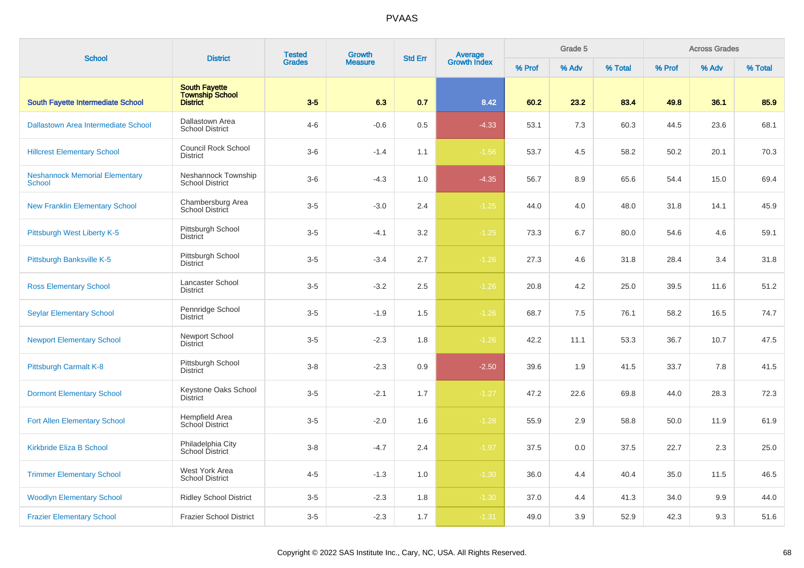| <b>School</b>                                          |                                                                   | <b>Tested</b>                    | Growth         | <b>Std Err</b> |                                |        | Grade 5 |         |        | <b>Across Grades</b> |         |
|--------------------------------------------------------|-------------------------------------------------------------------|----------------------------------|----------------|----------------|--------------------------------|--------|---------|---------|--------|----------------------|---------|
|                                                        |                                                                   | <b>District</b><br><b>Grades</b> | <b>Measure</b> |                | <b>Average</b><br>Growth Index | % Prof | % Adv   | % Total | % Prof | % Adv                | % Total |
| <b>South Fayette Intermediate School</b>               | <b>South Fayette</b><br><b>Township School</b><br><b>District</b> | $3-5$                            | 6.3            | 0.7            | 8.42                           | 60.2   | 23.2    | 83.4    | 49.8   | 36.1                 | 85.9    |
| Dallastown Area Intermediate School                    | Dallastown Area<br><b>School District</b>                         | $4 - 6$                          | $-0.6$         | 0.5            | $-4.33$                        | 53.1   | 7.3     | 60.3    | 44.5   | 23.6                 | 68.1    |
| <b>Hillcrest Elementary School</b>                     | <b>Council Rock School</b><br><b>District</b>                     | $3-6$                            | $-1.4$         | 1.1            | $-1.56$                        | 53.7   | 4.5     | 58.2    | 50.2   | 20.1                 | 70.3    |
| <b>Neshannock Memorial Elementary</b><br><b>School</b> | Neshannock Township<br><b>School District</b>                     | $3-6$                            | $-4.3$         | 1.0            | $-4.35$                        | 56.7   | 8.9     | 65.6    | 54.4   | 15.0                 | 69.4    |
| <b>New Franklin Elementary School</b>                  | Chambersburg Area<br>School District                              | $3-5$                            | $-3.0$         | 2.4            | $-1.25$                        | 44.0   | 4.0     | 48.0    | 31.8   | 14.1                 | 45.9    |
| Pittsburgh West Liberty K-5                            | Pittsburgh School<br><b>District</b>                              | $3-5$                            | $-4.1$         | 3.2            | $-1.25$                        | 73.3   | 6.7     | 80.0    | 54.6   | 4.6                  | 59.1    |
| Pittsburgh Banksville K-5                              | Pittsburgh School<br><b>District</b>                              | $3-5$                            | $-3.4$         | 2.7            | $-1.26$                        | 27.3   | 4.6     | 31.8    | 28.4   | 3.4                  | 31.8    |
| <b>Ross Elementary School</b>                          | Lancaster School<br><b>District</b>                               | $3-5$                            | $-3.2$         | 2.5            | $-1.26$                        | 20.8   | 4.2     | 25.0    | 39.5   | 11.6                 | 51.2    |
| <b>Seylar Elementary School</b>                        | Pennridge School<br><b>District</b>                               | $3-5$                            | $-1.9$         | 1.5            | $-1.26$                        | 68.7   | 7.5     | 76.1    | 58.2   | 16.5                 | 74.7    |
| <b>Newport Elementary School</b>                       | Newport School<br><b>District</b>                                 | $3-5$                            | $-2.3$         | 1.8            | $-1.26$                        | 42.2   | 11.1    | 53.3    | 36.7   | 10.7                 | 47.5    |
| Pittsburgh Carmalt K-8                                 | Pittsburgh School<br><b>District</b>                              | $3 - 8$                          | $-2.3$         | 0.9            | $-2.50$                        | 39.6   | 1.9     | 41.5    | 33.7   | 7.8                  | 41.5    |
| <b>Dormont Elementary School</b>                       | Keystone Oaks School<br><b>District</b>                           | $3-5$                            | $-2.1$         | 1.7            | $-1.27$                        | 47.2   | 22.6    | 69.8    | 44.0   | 28.3                 | 72.3    |
| <b>Fort Allen Elementary School</b>                    | Hempfield Area<br><b>School District</b>                          | $3-5$                            | $-2.0$         | 1.6            | $-1.28$                        | 55.9   | 2.9     | 58.8    | 50.0   | 11.9                 | 61.9    |
| Kirkbride Eliza B School                               | Philadelphia City<br>School District                              | $3 - 8$                          | $-4.7$         | 2.4            | $-1.97$                        | 37.5   | 0.0     | 37.5    | 22.7   | 2.3                  | 25.0    |
| <b>Trimmer Elementary School</b>                       | West York Area<br><b>School District</b>                          | $4 - 5$                          | $-1.3$         | $1.0$          | $-1.30$                        | 36.0   | 4.4     | 40.4    | 35.0   | 11.5                 | 46.5    |
| <b>Woodlyn Elementary School</b>                       | <b>Ridley School District</b>                                     | $3-5$                            | $-2.3$         | 1.8            | $-1.30$                        | 37.0   | 4.4     | 41.3    | 34.0   | 9.9                  | 44.0    |
| <b>Frazier Elementary School</b>                       | <b>Frazier School District</b>                                    | $3-5$                            | $-2.3$         | 1.7            | $-1.31$                        | 49.0   | 3.9     | 52.9    | 42.3   | 9.3                  | 51.6    |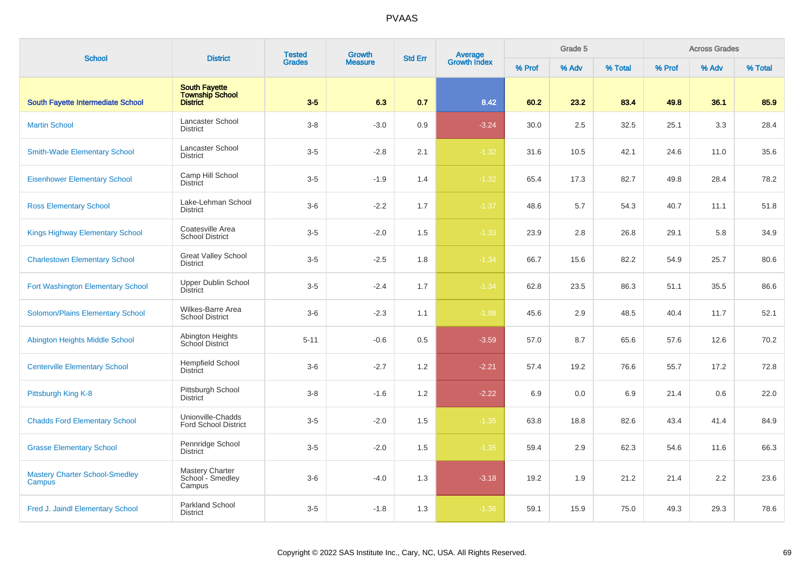| <b>School</b>                                   | <b>District</b>                                                   | <b>Tested</b> | <b>Growth</b>  | <b>Std Err</b> | <b>Average</b><br>Growth Index |        | Grade 5 |         |        | <b>Across Grades</b> |         |
|-------------------------------------------------|-------------------------------------------------------------------|---------------|----------------|----------------|--------------------------------|--------|---------|---------|--------|----------------------|---------|
|                                                 |                                                                   | <b>Grades</b> | <b>Measure</b> |                |                                | % Prof | % Adv   | % Total | % Prof | % Adv                | % Total |
| South Fayette Intermediate School               | <b>South Fayette</b><br><b>Township School</b><br><b>District</b> | $3-5$         | 6.3            | 0.7            | 8.42                           | 60.2   | 23.2    | 83.4    | 49.8   | 36.1                 | 85.9    |
| <b>Martin School</b>                            | Lancaster School<br><b>District</b>                               | $3 - 8$       | $-3.0$         | 0.9            | $-3.24$                        | 30.0   | 2.5     | 32.5    | 25.1   | 3.3                  | 28.4    |
| <b>Smith-Wade Elementary School</b>             | Lancaster School<br><b>District</b>                               | $3-5$         | $-2.8$         | 2.1            | $-1.32$                        | 31.6   | 10.5    | 42.1    | 24.6   | 11.0                 | 35.6    |
| <b>Eisenhower Elementary School</b>             | Camp Hill School<br>District                                      | $3-5$         | $-1.9$         | 1.4            | $-1.32$                        | 65.4   | 17.3    | 82.7    | 49.8   | 28.4                 | 78.2    |
| <b>Ross Elementary School</b>                   | Lake-Lehman School<br><b>District</b>                             | $3-6$         | $-2.2$         | 1.7            | $-1.37$                        | 48.6   | 5.7     | 54.3    | 40.7   | 11.1                 | 51.8    |
| <b>Kings Highway Elementary School</b>          | Coatesville Area<br><b>School District</b>                        | $3-5$         | $-2.0$         | 1.5            | $-1.33$                        | 23.9   | 2.8     | 26.8    | 29.1   | 5.8                  | 34.9    |
| <b>Charlestown Elementary School</b>            | <b>Great Valley School</b><br><b>District</b>                     | $3-5$         | $-2.5$         | 1.8            | $-1.34$                        | 66.7   | 15.6    | 82.2    | 54.9   | 25.7                 | 80.6    |
| Fort Washington Elementary School               | <b>Upper Dublin School</b><br><b>District</b>                     | $3-5$         | $-2.4$         | 1.7            | $-1.34$                        | 62.8   | 23.5    | 86.3    | 51.1   | 35.5                 | 86.6    |
| <b>Solomon/Plains Elementary School</b>         | <b>Wilkes-Barre Area</b><br><b>School District</b>                | $3-6$         | $-2.3$         | 1.1            | $-1.98$                        | 45.6   | 2.9     | 48.5    | 40.4   | 11.7                 | 52.1    |
| Abington Heights Middle School                  | Abington Heights<br>School District                               | $5 - 11$      | $-0.6$         | 0.5            | $-3.59$                        | 57.0   | 8.7     | 65.6    | 57.6   | 12.6                 | 70.2    |
| <b>Centerville Elementary School</b>            | <b>Hempfield School</b><br>District                               | $3-6$         | $-2.7$         | 1.2            | $-2.21$                        | 57.4   | 19.2    | 76.6    | 55.7   | 17.2                 | 72.8    |
| Pittsburgh King K-8                             | Pittsburgh School<br><b>District</b>                              | $3 - 8$       | $-1.6$         | 1.2            | $-2.22$                        | 6.9    | 0.0     | 6.9     | 21.4   | 0.6                  | 22.0    |
| <b>Chadds Ford Elementary School</b>            | Unionville-Chadds<br><b>Ford School District</b>                  | $3-5$         | $-2.0$         | 1.5            | $-1.35$                        | 63.8   | 18.8    | 82.6    | 43.4   | 41.4                 | 84.9    |
| <b>Grasse Elementary School</b>                 | Pennridge School<br><b>District</b>                               | $3-5$         | $-2.0$         | 1.5            | $-1.35$                        | 59.4   | 2.9     | 62.3    | 54.6   | 11.6                 | 66.3    |
| <b>Mastery Charter School-Smedley</b><br>Campus | Mastery Charter<br>School - Smedley<br>Campus                     | $3-6$         | $-4.0$         | 1.3            | $-3.18$                        | 19.2   | 1.9     | 21.2    | 21.4   | 2.2                  | 23.6    |
| Fred J. Jaindl Elementary School                | Parkland School<br><b>District</b>                                | $3-5$         | $-1.8$         | 1.3            | $-1.36$                        | 59.1   | 15.9    | 75.0    | 49.3   | 29.3                 | 78.6    |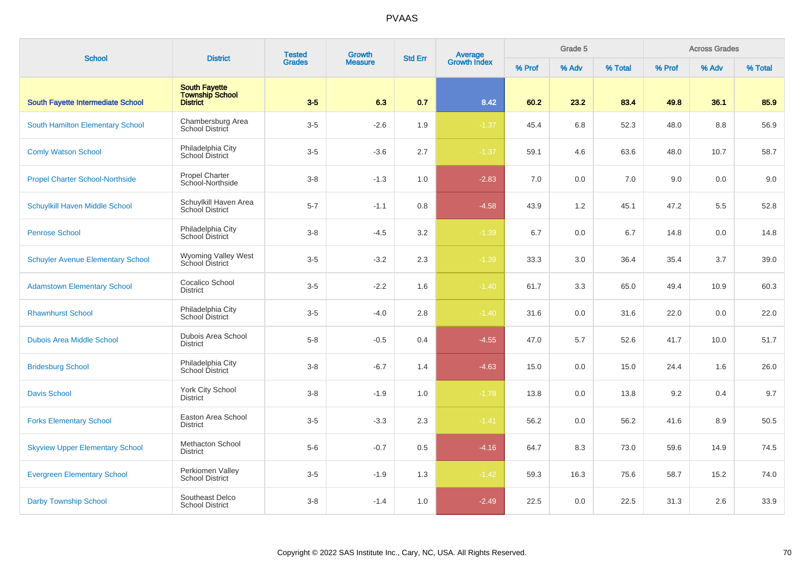| <b>School</b>                            | <b>District</b>                                            | <b>Tested</b> | Growth         | <b>Std Err</b> | <b>Average</b><br>Growth Index |        | Grade 5 |         |        | <b>Across Grades</b> |         |
|------------------------------------------|------------------------------------------------------------|---------------|----------------|----------------|--------------------------------|--------|---------|---------|--------|----------------------|---------|
|                                          |                                                            | <b>Grades</b> | <b>Measure</b> |                |                                | % Prof | % Adv   | % Total | % Prof | % Adv                | % Total |
| <b>South Fayette Intermediate School</b> | <b>South Fayette</b><br><b>Township School</b><br>District | $3-5$         | 6.3            | 0.7            | 8.42                           | 60.2   | 23.2    | 83.4    | 49.8   | 36.1                 | 85.9    |
| South Hamilton Elementary School         | Chambersburg Area<br>School District                       | $3-5$         | $-2.6$         | 1.9            | $-1.37$                        | 45.4   | 6.8     | 52.3    | 48.0   | 8.8                  | 56.9    |
| <b>Comly Watson School</b>               | Philadelphia City<br>School District                       | $3-5$         | $-3.6$         | 2.7            | $-1.37$                        | 59.1   | 4.6     | 63.6    | 48.0   | 10.7                 | 58.7    |
| <b>Propel Charter School-Northside</b>   | Propel Charter<br>School-Northside                         | $3 - 8$       | $-1.3$         | 1.0            | $-2.83$                        | 7.0    | 0.0     | 7.0     | 9.0    | 0.0                  | 9.0     |
| Schuylkill Haven Middle School           | Schuylkill Haven Area<br>School District                   | $5 - 7$       | $-1.1$         | 0.8            | $-4.58$                        | 43.9   | 1.2     | 45.1    | 47.2   | 5.5                  | 52.8    |
| <b>Penrose School</b>                    | Philadelphia City<br>School District                       | $3 - 8$       | $-4.5$         | 3.2            | $-1.39$                        | 6.7    | 0.0     | 6.7     | 14.8   | 0.0                  | 14.8    |
| <b>Schuyler Avenue Elementary School</b> | <b>Wyoming Valley West</b><br>School District              | $3-5$         | $-3.2$         | 2.3            | $-1.39$                        | 33.3   | 3.0     | 36.4    | 35.4   | 3.7                  | 39.0    |
| <b>Adamstown Elementary School</b>       | Cocalico School<br><b>District</b>                         | $3-5$         | $-2.2$         | 1.6            | $-1.40$                        | 61.7   | 3.3     | 65.0    | 49.4   | 10.9                 | 60.3    |
| <b>Rhawnhurst School</b>                 | Philadelphia City<br>School District                       | $3-5$         | $-4.0$         | 2.8            | $-1.40$                        | 31.6   | 0.0     | 31.6    | 22.0   | 0.0                  | 22.0    |
| <b>Dubois Area Middle School</b>         | Dubois Area School<br><b>District</b>                      | $5 - 8$       | $-0.5$         | 0.4            | $-4.55$                        | 47.0   | 5.7     | 52.6    | 41.7   | 10.0                 | 51.7    |
| <b>Bridesburg School</b>                 | Philadelphia City<br>School District                       | $3 - 8$       | $-6.7$         | 1.4            | $-4.63$                        | 15.0   | 0.0     | 15.0    | 24.4   | 1.6                  | 26.0    |
| <b>Davis School</b>                      | York City School<br><b>District</b>                        | $3 - 8$       | $-1.9$         | 1.0            | $-1.78$                        | 13.8   | 0.0     | 13.8    | 9.2    | 0.4                  | 9.7     |
| <b>Forks Elementary School</b>           | Easton Area School<br><b>District</b>                      | $3-5$         | $-3.3$         | 2.3            | $-1.41$                        | 56.2   | 0.0     | 56.2    | 41.6   | 8.9                  | 50.5    |
| <b>Skyview Upper Elementary School</b>   | Methacton School<br><b>District</b>                        | $5-6$         | $-0.7$         | 0.5            | $-4.16$                        | 64.7   | 8.3     | 73.0    | 59.6   | 14.9                 | 74.5    |
| <b>Evergreen Elementary School</b>       | Perkiomen Valley<br><b>School District</b>                 | $3-5$         | $-1.9$         | 1.3            | $-1.42$                        | 59.3   | 16.3    | 75.6    | 58.7   | 15.2                 | 74.0    |
| <b>Darby Township School</b>             | Southeast Delco<br><b>School District</b>                  | $3 - 8$       | $-1.4$         | 1.0            | $-2.49$                        | 22.5   | 0.0     | 22.5    | 31.3   | 2.6                  | 33.9    |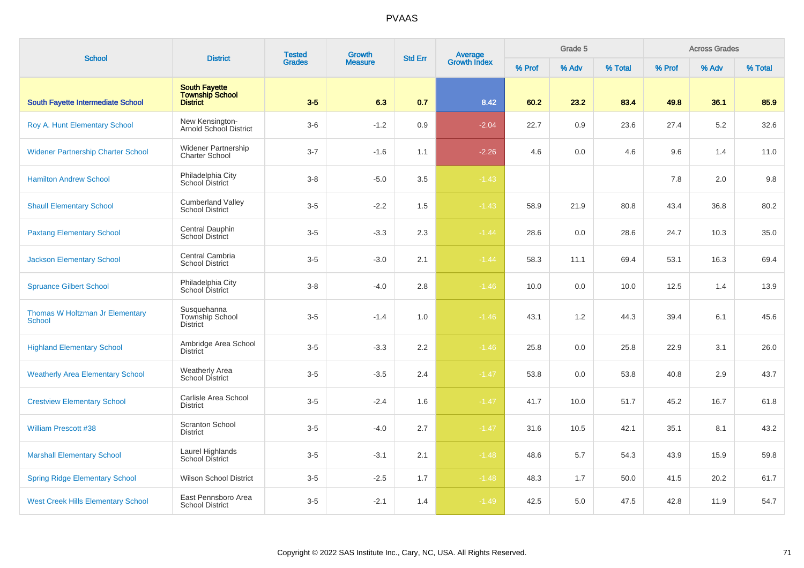| <b>School</b>                                    | <b>District</b>                                                   | <b>Tested</b> | Growth         | <b>Std Err</b> |                                |        | Grade 5 |         |        | <b>Across Grades</b> |         |
|--------------------------------------------------|-------------------------------------------------------------------|---------------|----------------|----------------|--------------------------------|--------|---------|---------|--------|----------------------|---------|
|                                                  |                                                                   | <b>Grades</b> | <b>Measure</b> |                | <b>Average</b><br>Growth Index | % Prof | % Adv   | % Total | % Prof | % Adv                | % Total |
| <b>South Fayette Intermediate School</b>         | <b>South Fayette</b><br><b>Township School</b><br><b>District</b> | $3-5$         | 6.3            | 0.7            | 8.42                           | 60.2   | 23.2    | 83.4    | 49.8   | 36.1                 | 85.9    |
| Roy A. Hunt Elementary School                    | New Kensington-<br><b>Arnold School District</b>                  | $3-6$         | $-1.2$         | 0.9            | $-2.04$                        | 22.7   | 0.9     | 23.6    | 27.4   | 5.2                  | 32.6    |
| <b>Widener Partnership Charter School</b>        | <b>Widener Partnership</b><br><b>Charter School</b>               | $3 - 7$       | $-1.6$         | 1.1            | $-2.26$                        | 4.6    | 0.0     | 4.6     | 9.6    | 1.4                  | 11.0    |
| <b>Hamilton Andrew School</b>                    | Philadelphia City<br>School District                              | $3 - 8$       | $-5.0$         | 3.5            | $-1.43$                        |        |         |         | 7.8    | 2.0                  | 9.8     |
| <b>Shaull Elementary School</b>                  | <b>Cumberland Valley</b><br><b>School District</b>                | $3-5$         | $-2.2$         | 1.5            | $-1.43$                        | 58.9   | 21.9    | 80.8    | 43.4   | 36.8                 | 80.2    |
| <b>Paxtang Elementary School</b>                 | Central Dauphin<br><b>School District</b>                         | $3-5$         | $-3.3$         | 2.3            | $-1.44$                        | 28.6   | 0.0     | 28.6    | 24.7   | 10.3                 | 35.0    |
| <b>Jackson Elementary School</b>                 | Central Cambria<br><b>School District</b>                         | $3-5$         | $-3.0$         | 2.1            | $-1.44$                        | 58.3   | 11.1    | 69.4    | 53.1   | 16.3                 | 69.4    |
| <b>Spruance Gilbert School</b>                   | Philadelphia City<br>School District                              | $3 - 8$       | $-4.0$         | 2.8            | $-1.46$                        | 10.0   | 0.0     | 10.0    | 12.5   | 1.4                  | 13.9    |
| Thomas W Holtzman Jr Elementary<br><b>School</b> | Susquehanna<br>Township School<br><b>District</b>                 | $3-5$         | $-1.4$         | 1.0            | $-1.46$                        | 43.1   | 1.2     | 44.3    | 39.4   | 6.1                  | 45.6    |
| <b>Highland Elementary School</b>                | Ambridge Area School<br><b>District</b>                           | $3-5$         | $-3.3$         | 2.2            | $-1.46$                        | 25.8   | 0.0     | 25.8    | 22.9   | 3.1                  | 26.0    |
| <b>Weatherly Area Elementary School</b>          | <b>Weatherly Area</b><br>School District                          | $3-5$         | $-3.5$         | 2.4            | $-1.47$                        | 53.8   | 0.0     | 53.8    | 40.8   | 2.9                  | 43.7    |
| <b>Crestview Elementary School</b>               | Carlisle Area School<br><b>District</b>                           | $3-5$         | $-2.4$         | 1.6            | $-1.47$                        | 41.7   | 10.0    | 51.7    | 45.2   | 16.7                 | 61.8    |
| <b>William Prescott #38</b>                      | Scranton School<br><b>District</b>                                | $3-5$         | $-4.0$         | 2.7            | $-1.47$                        | 31.6   | 10.5    | 42.1    | 35.1   | 8.1                  | 43.2    |
| <b>Marshall Elementary School</b>                | Laurel Highlands<br>School District                               | $3-5$         | $-3.1$         | 2.1            | $-1.48$                        | 48.6   | 5.7     | 54.3    | 43.9   | 15.9                 | 59.8    |
| <b>Spring Ridge Elementary School</b>            | <b>Wilson School District</b>                                     | $3-5$         | $-2.5$         | 1.7            | $-1.48$                        | 48.3   | 1.7     | 50.0    | 41.5   | 20.2                 | 61.7    |
| <b>West Creek Hills Elementary School</b>        | East Pennsboro Area<br><b>School District</b>                     | $3-5$         | $-2.1$         | 1.4            | $-1.49$                        | 42.5   | 5.0     | 47.5    | 42.8   | 11.9                 | 54.7    |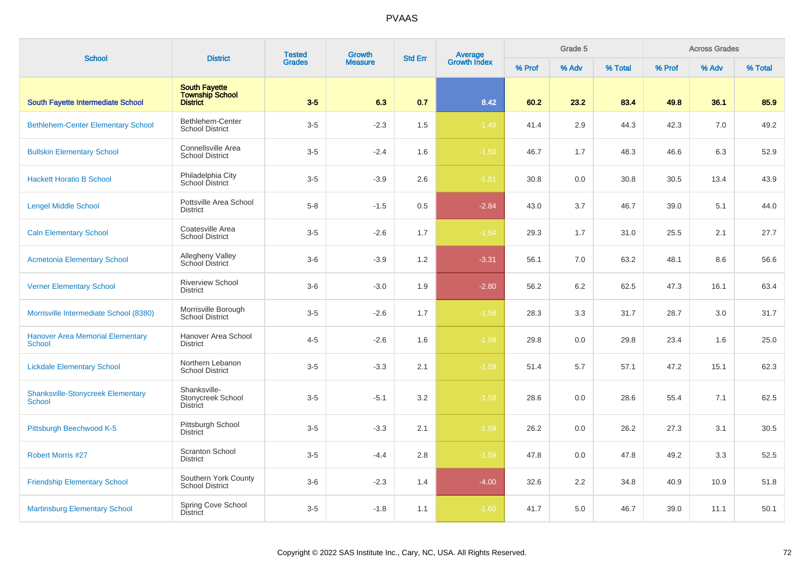| <b>School</b>                                             | <b>District</b>                                                   | <b>Tested</b> | <b>Growth</b>  | <b>Std Err</b> | Average<br>Growth Index |        | Grade 5 |         |        | <b>Across Grades</b> |         |
|-----------------------------------------------------------|-------------------------------------------------------------------|---------------|----------------|----------------|-------------------------|--------|---------|---------|--------|----------------------|---------|
|                                                           |                                                                   | <b>Grades</b> | <b>Measure</b> |                |                         | % Prof | % Adv   | % Total | % Prof | % Adv                | % Total |
| South Fayette Intermediate School                         | <b>South Fayette</b><br><b>Township School</b><br><b>District</b> | $3-5$         | 6.3            | 0.7            | 8.42                    | 60.2   | 23.2    | 83.4    | 49.8   | 36.1                 | 85.9    |
| <b>Bethlehem-Center Elementary School</b>                 | Bethlehem-Center<br><b>School District</b>                        | $3-5$         | $-2.3$         | 1.5            | $-1.49$                 | 41.4   | 2.9     | 44.3    | 42.3   | 7.0                  | 49.2    |
| <b>Bullskin Elementary School</b>                         | <b>Connellsville Area</b><br><b>School District</b>               | $3-5$         | $-2.4$         | 1.6            | $-1.50$                 | 46.7   | 1.7     | 48.3    | 46.6   | 6.3                  | 52.9    |
| <b>Hackett Horatio B School</b>                           | Philadelphia City<br>School District                              | $3-5$         | $-3.9$         | 2.6            | $-1.51$                 | 30.8   | 0.0     | 30.8    | 30.5   | 13.4                 | 43.9    |
| <b>Lengel Middle School</b>                               | Pottsville Area School<br><b>District</b>                         | $5-8$         | $-1.5$         | 0.5            | $-2.84$                 | 43.0   | 3.7     | 46.7    | 39.0   | 5.1                  | 44.0    |
| <b>Caln Elementary School</b>                             | Coatesville Area<br><b>School District</b>                        | $3-5$         | $-2.6$         | 1.7            | $-1.54$                 | 29.3   | 1.7     | 31.0    | 25.5   | 2.1                  | 27.7    |
| <b>Acmetonia Elementary School</b>                        | Allegheny Valley<br>School District                               | $3-6$         | $-3.9$         | 1.2            | $-3.31$                 | 56.1   | 7.0     | 63.2    | 48.1   | 8.6                  | 56.6    |
| <b>Verner Elementary School</b>                           | <b>Riverview School</b><br><b>District</b>                        | $3-6$         | $-3.0$         | 1.9            | $-2.80$                 | 56.2   | 6.2     | 62.5    | 47.3   | 16.1                 | 63.4    |
| Morrisville Intermediate School (8380)                    | Morrisville Borough<br><b>School District</b>                     | $3-5$         | $-2.6$         | 1.7            | $-1.58$                 | 28.3   | 3.3     | 31.7    | 28.7   | 3.0                  | 31.7    |
| <b>Hanover Area Memorial Elementary</b><br>School         | Hanover Area School<br><b>District</b>                            | $4 - 5$       | $-2.6$         | 1.6            | $-1.59$                 | 29.8   | 0.0     | 29.8    | 23.4   | 1.6                  | 25.0    |
| <b>Lickdale Elementary School</b>                         | Northern Lebanon<br><b>School District</b>                        | $3-5$         | $-3.3$         | 2.1            | $-1.59$                 | 51.4   | 5.7     | 57.1    | 47.2   | 15.1                 | 62.3    |
| <b>Shanksville-Stonycreek Elementary</b><br><b>School</b> | Shanksville-<br>Stonycreek School<br><b>District</b>              | $3-5$         | $-5.1$         | 3.2            | $-1.59$                 | 28.6   | 0.0     | 28.6    | 55.4   | 7.1                  | 62.5    |
| Pittsburgh Beechwood K-5                                  | Pittsburgh School<br><b>District</b>                              | $3-5$         | $-3.3$         | 2.1            | $-1.59$                 | 26.2   | 0.0     | 26.2    | 27.3   | 3.1                  | 30.5    |
| <b>Robert Morris #27</b>                                  | <b>Scranton School</b><br><b>District</b>                         | $3-5$         | $-4.4$         | 2.8            | $-1.59$                 | 47.8   | 0.0     | 47.8    | 49.2   | 3.3                  | 52.5    |
| <b>Friendship Elementary School</b>                       | Southern York County<br><b>School District</b>                    | $3-6$         | $-2.3$         | 1.4            | $-4.00$                 | 32.6   | 2.2     | 34.8    | 40.9   | 10.9                 | 51.8    |
| <b>Martinsburg Elementary School</b>                      | Spring Cove School<br><b>District</b>                             | $3-5$         | $-1.8$         | 1.1            | $-1.60$                 | 41.7   | 5.0     | 46.7    | 39.0   | 11.1                 | 50.1    |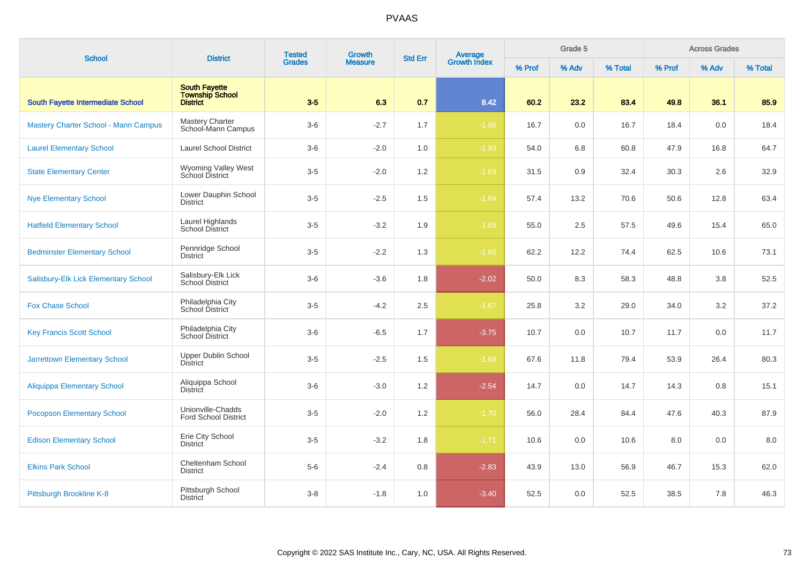| <b>School</b>                               | <b>District</b>                                     | <b>Tested</b><br><b>Grades</b> | Growth<br><b>Std Err</b> |     | <b>Average</b><br>Growth Index |        | Grade 5 |         |        | <b>Across Grades</b> |         |
|---------------------------------------------|-----------------------------------------------------|--------------------------------|--------------------------|-----|--------------------------------|--------|---------|---------|--------|----------------------|---------|
|                                             |                                                     |                                | <b>Measure</b>           |     |                                | % Prof | % Adv   | % Total | % Prof | % Adv                | % Total |
| South Fayette Intermediate School           | <b>South Fayette</b><br>Township School<br>District | $3-5$                          | 6.3                      | 0.7 | 8.42                           | 60.2   | 23.2    | 83.4    | 49.8   | 36.1                 | 85.9    |
| <b>Mastery Charter School - Mann Campus</b> | Mastery Charter<br>School-Mann Campus               | $3-6$                          | $-2.7$                   | 1.7 | $-1.86$                        | 16.7   | 0.0     | 16.7    | 18.4   | 0.0                  | 18.4    |
| <b>Laurel Elementary School</b>             | <b>Laurel School District</b>                       | $3-6$                          | $-2.0$                   | 1.0 | $-1.93$                        | 54.0   | 6.8     | 60.8    | 47.9   | 16.8                 | 64.7    |
| <b>State Elementary Center</b>              | Wyoming Valley West<br>School District              | $3-5$                          | $-2.0$                   | 1.2 | $-1.63$                        | 31.5   | 0.9     | 32.4    | 30.3   | 2.6                  | 32.9    |
| <b>Nye Elementary School</b>                | Lower Dauphin School<br><b>District</b>             | $3-5$                          | $-2.5$                   | 1.5 | $-1.64$                        | 57.4   | 13.2    | 70.6    | 50.6   | 12.8                 | 63.4    |
| <b>Hatfield Elementary School</b>           | Laurel Highlands<br>School District                 | $3-5$                          | $-3.2$                   | 1.9 | $-1.65$                        | 55.0   | 2.5     | 57.5    | 49.6   | 15.4                 | 65.0    |
| <b>Bedminster Elementary School</b>         | Pennridge School<br><b>District</b>                 | $3-5$                          | $-2.2$                   | 1.3 | $-1.65$                        | 62.2   | 12.2    | 74.4    | 62.5   | 10.6                 | 73.1    |
| Salisbury-Elk Lick Elementary School        | Salisbury-Elk Lick<br>School District               | $3-6$                          | $-3.6$                   | 1.8 | $-2.02$                        | 50.0   | 8.3     | 58.3    | 48.8   | 3.8                  | 52.5    |
| <b>Fox Chase School</b>                     | Philadelphia City<br>School District                | $3-5$                          | $-4.2$                   | 2.5 | $-1.67$                        | 25.8   | 3.2     | 29.0    | 34.0   | 3.2                  | 37.2    |
| <b>Key Francis Scott School</b>             | Philadelphia City<br>School District                | $3-6$                          | $-6.5$                   | 1.7 | $-3.75$                        | 10.7   | 0.0     | 10.7    | 11.7   | 0.0                  | 11.7    |
| <b>Jarrettown Elementary School</b>         | <b>Upper Dublin School</b><br><b>District</b>       | $3-5$                          | $-2.5$                   | 1.5 | $-1.68$                        | 67.6   | 11.8    | 79.4    | 53.9   | 26.4                 | 80.3    |
| <b>Aliquippa Elementary School</b>          | Aliquippa School<br><b>District</b>                 | $3-6$                          | $-3.0$                   | 1.2 | $-2.54$                        | 14.7   | 0.0     | 14.7    | 14.3   | 0.8                  | 15.1    |
| <b>Pocopson Elementary School</b>           | Unionville-Chadds<br><b>Ford School District</b>    | $3-5$                          | $-2.0$                   | 1.2 | $-1.70$                        | 56.0   | 28.4    | 84.4    | 47.6   | 40.3                 | 87.9    |
| <b>Edison Elementary School</b>             | Erie City School<br><b>District</b>                 | $3-5$                          | $-3.2$                   | 1.8 | $-1.71$                        | 10.6   | 0.0     | 10.6    | 8.0    | 0.0                  | 8.0     |
| <b>Elkins Park School</b>                   | Cheltenham School<br><b>District</b>                | $5-6$                          | $-2.4$                   | 0.8 | $-2.83$                        | 43.9   | 13.0    | 56.9    | 46.7   | 15.3                 | 62.0    |
| Pittsburgh Brookline K-8                    | Pittsburgh School<br><b>District</b>                | $3-8$                          | $-1.8$                   | 1.0 | $-3.40$                        | 52.5   | 0.0     | 52.5    | 38.5   | 7.8                  | 46.3    |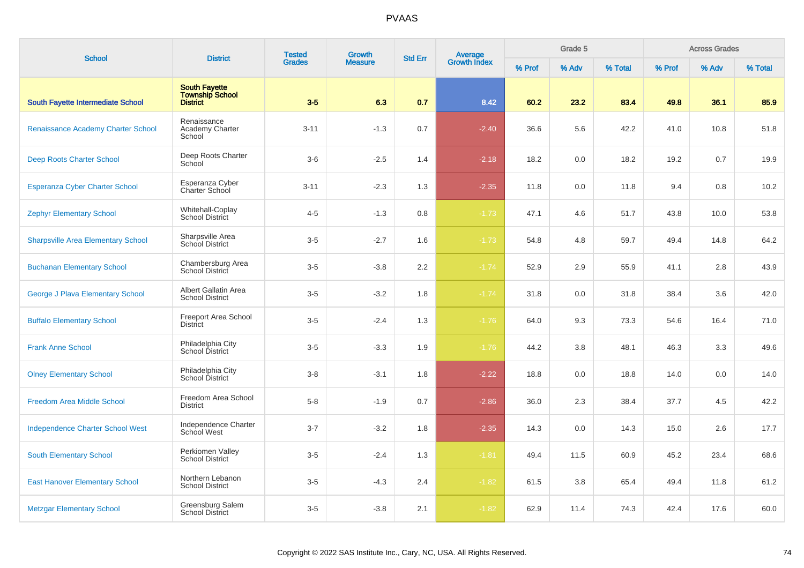| <b>School</b>                             | <b>District</b>                                                   | <b>Tested</b> | Growth         | <b>Std Err</b> |                                |        | Grade 5 |         |        | <b>Across Grades</b> |         |
|-------------------------------------------|-------------------------------------------------------------------|---------------|----------------|----------------|--------------------------------|--------|---------|---------|--------|----------------------|---------|
|                                           |                                                                   | <b>Grades</b> | <b>Measure</b> |                | <b>Average</b><br>Growth Index | % Prof | % Adv   | % Total | % Prof | % Adv                | % Total |
| South Fayette Intermediate School         | <b>South Fayette</b><br><b>Township School</b><br><b>District</b> | $3-5$         | 6.3            | 0.7            | 8.42                           | 60.2   | 23.2    | 83.4    | 49.8   | 36.1                 | 85.9    |
| Renaissance Academy Charter School        | Renaissance<br>Academy Charter<br>School                          | $3 - 11$      | $-1.3$         | 0.7            | $-2.40$                        | 36.6   | 5.6     | 42.2    | 41.0   | 10.8                 | 51.8    |
| <b>Deep Roots Charter School</b>          | Deep Roots Charter<br>School                                      | $3-6$         | $-2.5$         | 1.4            | $-2.18$                        | 18.2   | 0.0     | 18.2    | 19.2   | 0.7                  | 19.9    |
| Esperanza Cyber Charter School            | Esperanza Cyber<br>Charter School                                 | $3 - 11$      | $-2.3$         | 1.3            | $-2.35$                        | 11.8   | 0.0     | 11.8    | 9.4    | 0.8                  | 10.2    |
| <b>Zephyr Elementary School</b>           | Whitehall-Coplay<br><b>School District</b>                        | $4 - 5$       | $-1.3$         | 0.8            | $-1.73$                        | 47.1   | 4.6     | 51.7    | 43.8   | 10.0                 | 53.8    |
| <b>Sharpsville Area Elementary School</b> | Sharpsville Area<br>School District                               | $3-5$         | $-2.7$         | 1.6            | $-1.73$                        | 54.8   | 4.8     | 59.7    | 49.4   | 14.8                 | 64.2    |
| <b>Buchanan Elementary School</b>         | Chambersburg Area<br>School District                              | $3-5$         | $-3.8$         | 2.2            | $-1.74$                        | 52.9   | 2.9     | 55.9    | 41.1   | 2.8                  | 43.9    |
| George J Plava Elementary School          | Albert Gallatin Area<br><b>School District</b>                    | $3-5$         | $-3.2$         | 1.8            | $-1.74$                        | 31.8   | 0.0     | 31.8    | 38.4   | 3.6                  | 42.0    |
| <b>Buffalo Elementary School</b>          | <b>Freeport Area School</b><br>District                           | $3-5$         | $-2.4$         | 1.3            | $-1.76$                        | 64.0   | 9.3     | 73.3    | 54.6   | 16.4                 | 71.0    |
| <b>Frank Anne School</b>                  | Philadelphia City<br>School District                              | $3-5$         | $-3.3$         | 1.9            | $-1.76$                        | 44.2   | 3.8     | 48.1    | 46.3   | 3.3                  | 49.6    |
| <b>Olney Elementary School</b>            | Philadelphia City<br>School District                              | $3-8$         | $-3.1$         | 1.8            | $-2.22$                        | 18.8   | 0.0     | 18.8    | 14.0   | 0.0                  | 14.0    |
| <b>Freedom Area Middle School</b>         | Freedom Area School<br><b>District</b>                            | $5 - 8$       | $-1.9$         | 0.7            | $-2.86$                        | 36.0   | 2.3     | 38.4    | 37.7   | 4.5                  | 42.2    |
| <b>Independence Charter School West</b>   | Independence Charter<br>School West                               | $3 - 7$       | $-3.2$         | 1.8            | $-2.35$                        | 14.3   | 0.0     | 14.3    | 15.0   | 2.6                  | 17.7    |
| <b>South Elementary School</b>            | Perkiomen Valley<br><b>School District</b>                        | $3-5$         | $-2.4$         | 1.3            | $-1.81$                        | 49.4   | 11.5    | 60.9    | 45.2   | 23.4                 | 68.6    |
| <b>East Hanover Elementary School</b>     | Northern Lebanon<br><b>School District</b>                        | $3-5$         | $-4.3$         | 2.4            | $-1.82$                        | 61.5   | 3.8     | 65.4    | 49.4   | 11.8                 | 61.2    |
| <b>Metzgar Elementary School</b>          | Greensburg Salem<br><b>School District</b>                        | $3-5$         | $-3.8$         | 2.1            | $-1.82$                        | 62.9   | 11.4    | 74.3    | 42.4   | 17.6                 | 60.0    |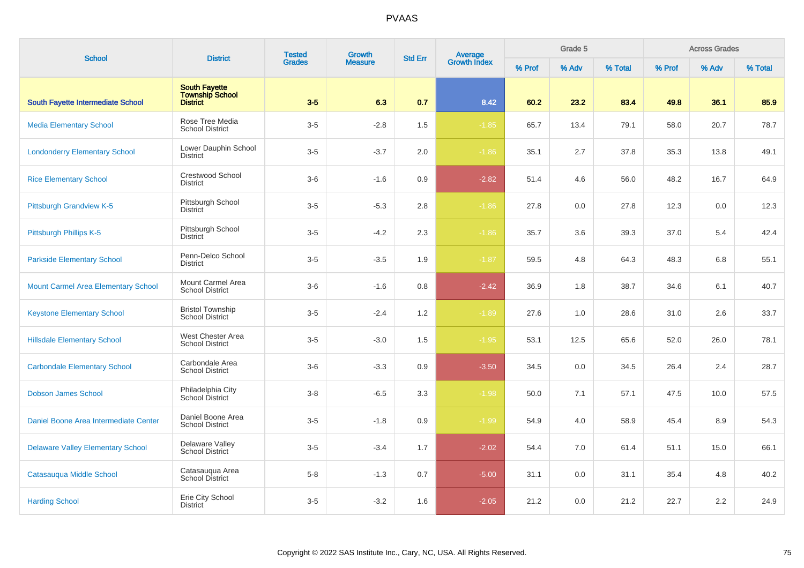| <b>School</b>                              | <b>District</b>                                                   | <b>Tested</b> | Growth         | <b>Average</b><br>Growth Index<br><b>Std Err</b> |         |        | Grade 5 |         |        | <b>Across Grades</b> |         |
|--------------------------------------------|-------------------------------------------------------------------|---------------|----------------|--------------------------------------------------|---------|--------|---------|---------|--------|----------------------|---------|
|                                            |                                                                   | <b>Grades</b> | <b>Measure</b> |                                                  |         | % Prof | % Adv   | % Total | % Prof | % Adv                | % Total |
| South Fayette Intermediate School          | <b>South Fayette</b><br><b>Township School</b><br><b>District</b> | $3-5$         | 6.3            | 0.7                                              | 8.42    | 60.2   | 23.2    | 83.4    | 49.8   | 36.1                 | 85.9    |
| <b>Media Elementary School</b>             | Rose Tree Media<br><b>School District</b>                         | $3-5$         | $-2.8$         | 1.5                                              | $-1.85$ | 65.7   | 13.4    | 79.1    | 58.0   | 20.7                 | 78.7    |
| <b>Londonderry Elementary School</b>       | Lower Dauphin School<br><b>District</b>                           | $3-5$         | $-3.7$         | 2.0                                              | $-1.86$ | 35.1   | 2.7     | 37.8    | 35.3   | 13.8                 | 49.1    |
| <b>Rice Elementary School</b>              | Crestwood School<br><b>District</b>                               | $3-6$         | $-1.6$         | 0.9                                              | $-2.82$ | 51.4   | 4.6     | 56.0    | 48.2   | 16.7                 | 64.9    |
| <b>Pittsburgh Grandview K-5</b>            | Pittsburgh School<br><b>District</b>                              | $3-5$         | $-5.3$         | $2.8\,$                                          | $-1.86$ | 27.8   | 0.0     | 27.8    | 12.3   | 0.0                  | 12.3    |
| Pittsburgh Phillips K-5                    | Pittsburgh School<br><b>District</b>                              | $3-5$         | $-4.2$         | 2.3                                              | $-1.86$ | 35.7   | 3.6     | 39.3    | 37.0   | 5.4                  | 42.4    |
| <b>Parkside Elementary School</b>          | Penn-Delco School<br><b>District</b>                              | $3-5$         | $-3.5$         | 1.9                                              | $-1.87$ | 59.5   | 4.8     | 64.3    | 48.3   | 6.8                  | 55.1    |
| <b>Mount Carmel Area Elementary School</b> | Mount Carmel Area<br><b>School District</b>                       | $3-6$         | $-1.6$         | 0.8                                              | $-2.42$ | 36.9   | 1.8     | 38.7    | 34.6   | 6.1                  | 40.7    |
| <b>Keystone Elementary School</b>          | <b>Bristol Township</b><br><b>School District</b>                 | $3-5$         | $-2.4$         | 1.2                                              | $-1.89$ | 27.6   | 1.0     | 28.6    | 31.0   | 2.6                  | 33.7    |
| <b>Hillsdale Elementary School</b>         | West Chester Area<br><b>School District</b>                       | $3-5$         | $-3.0$         | 1.5                                              | $-1.95$ | 53.1   | 12.5    | 65.6    | 52.0   | 26.0                 | 78.1    |
| <b>Carbondale Elementary School</b>        | Carbondale Area<br><b>School District</b>                         | $3-6$         | $-3.3$         | 0.9                                              | $-3.50$ | 34.5   | 0.0     | 34.5    | 26.4   | 2.4                  | 28.7    |
| <b>Dobson James School</b>                 | Philadelphia City<br>School District                              | $3 - 8$       | $-6.5$         | 3.3                                              | $-1.98$ | 50.0   | 7.1     | 57.1    | 47.5   | 10.0                 | 57.5    |
| Daniel Boone Area Intermediate Center      | Daniel Boone Area<br><b>School District</b>                       | $3-5$         | $-1.8$         | 0.9                                              | $-1.99$ | 54.9   | 4.0     | 58.9    | 45.4   | 8.9                  | 54.3    |
| <b>Delaware Valley Elementary School</b>   | Delaware Valley<br><b>School District</b>                         | $3-5$         | $-3.4$         | 1.7                                              | $-2.02$ | 54.4   | 7.0     | 61.4    | 51.1   | 15.0                 | 66.1    |
| Catasauqua Middle School                   | Catasauqua Area<br>School District                                | $5-8$         | $-1.3$         | 0.7                                              | $-5.00$ | 31.1   | 0.0     | 31.1    | 35.4   | 4.8                  | 40.2    |
| <b>Harding School</b>                      | Erie City School<br><b>District</b>                               | $3-5$         | $-3.2$         | 1.6                                              | $-2.05$ | 21.2   | 0.0     | 21.2    | 22.7   | 2.2                  | 24.9    |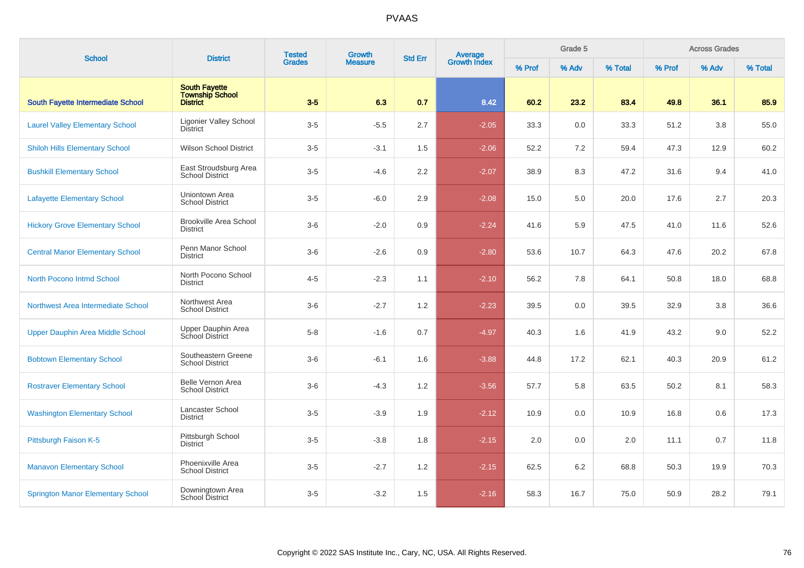| <b>School</b>                            | <b>District</b>                                                   | <b>Tested</b> | Growth         | <b>Std Err</b> | <b>Average</b><br>Growth Index |        |       | Grade 5 |        |       | <b>Across Grades</b> |  |
|------------------------------------------|-------------------------------------------------------------------|---------------|----------------|----------------|--------------------------------|--------|-------|---------|--------|-------|----------------------|--|
|                                          |                                                                   | <b>Grades</b> | <b>Measure</b> |                |                                | % Prof | % Adv | % Total | % Prof | % Adv | % Total              |  |
| South Fayette Intermediate School        | <b>South Fayette</b><br><b>Township School</b><br><b>District</b> | $3-5$         | 6.3            | 0.7            | 8.42                           | 60.2   | 23.2  | 83.4    | 49.8   | 36.1  | 85.9                 |  |
| <b>Laurel Valley Elementary School</b>   | Ligonier Valley School<br><b>District</b>                         | $3-5$         | $-5.5$         | 2.7            | $-2.05$                        | 33.3   | 0.0   | 33.3    | 51.2   | 3.8   | 55.0                 |  |
| <b>Shiloh Hills Elementary School</b>    | <b>Wilson School District</b>                                     | $3-5$         | $-3.1$         | 1.5            | $-2.06$                        | 52.2   | 7.2   | 59.4    | 47.3   | 12.9  | 60.2                 |  |
| <b>Bushkill Elementary School</b>        | East Stroudsburg Area<br><b>School District</b>                   | $3-5$         | $-4.6$         | 2.2            | $-2.07$                        | 38.9   | 8.3   | 47.2    | 31.6   | 9.4   | 41.0                 |  |
| <b>Lafayette Elementary School</b>       | Uniontown Area<br><b>School District</b>                          | $3-5$         | $-6.0$         | 2.9            | $-2.08$                        | 15.0   | 5.0   | 20.0    | 17.6   | 2.7   | 20.3                 |  |
| <b>Hickory Grove Elementary School</b>   | <b>Brookville Area School</b><br><b>District</b>                  | $3-6$         | $-2.0$         | 0.9            | $-2.24$                        | 41.6   | 5.9   | 47.5    | 41.0   | 11.6  | 52.6                 |  |
| <b>Central Manor Elementary School</b>   | Penn Manor School<br><b>District</b>                              | $3-6$         | $-2.6$         | 0.9            | $-2.80$                        | 53.6   | 10.7  | 64.3    | 47.6   | 20.2  | 67.8                 |  |
| <b>North Pocono Intmd School</b>         | North Pocono School<br><b>District</b>                            | $4 - 5$       | $-2.3$         | 1.1            | $-2.10$                        | 56.2   | 7.8   | 64.1    | 50.8   | 18.0  | 68.8                 |  |
| Northwest Area Intermediate School       | Northwest Area<br><b>School District</b>                          | $3-6$         | $-2.7$         | 1.2            | $-2.23$                        | 39.5   | 0.0   | 39.5    | 32.9   | 3.8   | 36.6                 |  |
| <b>Upper Dauphin Area Middle School</b>  | Upper Dauphin Area<br>School District                             | $5-8$         | $-1.6$         | 0.7            | $-4.97$                        | 40.3   | 1.6   | 41.9    | 43.2   | 9.0   | 52.2                 |  |
| <b>Bobtown Elementary School</b>         | Southeastern Greene<br><b>School District</b>                     | $3-6$         | $-6.1$         | 1.6            | $-3.88$                        | 44.8   | 17.2  | 62.1    | 40.3   | 20.9  | 61.2                 |  |
| <b>Rostraver Elementary School</b>       | <b>Belle Vernon Area</b><br><b>School District</b>                | $3-6$         | $-4.3$         | 1.2            | $-3.56$                        | 57.7   | 5.8   | 63.5    | 50.2   | 8.1   | 58.3                 |  |
| <b>Washington Elementary School</b>      | Lancaster School<br><b>District</b>                               | $3-5$         | $-3.9$         | 1.9            | $-2.12$                        | 10.9   | 0.0   | 10.9    | 16.8   | 0.6   | 17.3                 |  |
| Pittsburgh Faison K-5                    | Pittsburgh School<br><b>District</b>                              | $3-5$         | $-3.8$         | 1.8            | $-2.15$                        | 2.0    | 0.0   | 2.0     | 11.1   | 0.7   | 11.8                 |  |
| <b>Manavon Elementary School</b>         | Phoenixville Area<br><b>School District</b>                       | $3-5$         | $-2.7$         | 1.2            | $-2.15$                        | 62.5   | 6.2   | 68.8    | 50.3   | 19.9  | 70.3                 |  |
| <b>Springton Manor Elementary School</b> | Downingtown Area<br>School District                               | $3-5$         | $-3.2$         | 1.5            | $-2.16$                        | 58.3   | 16.7  | 75.0    | 50.9   | 28.2  | 79.1                 |  |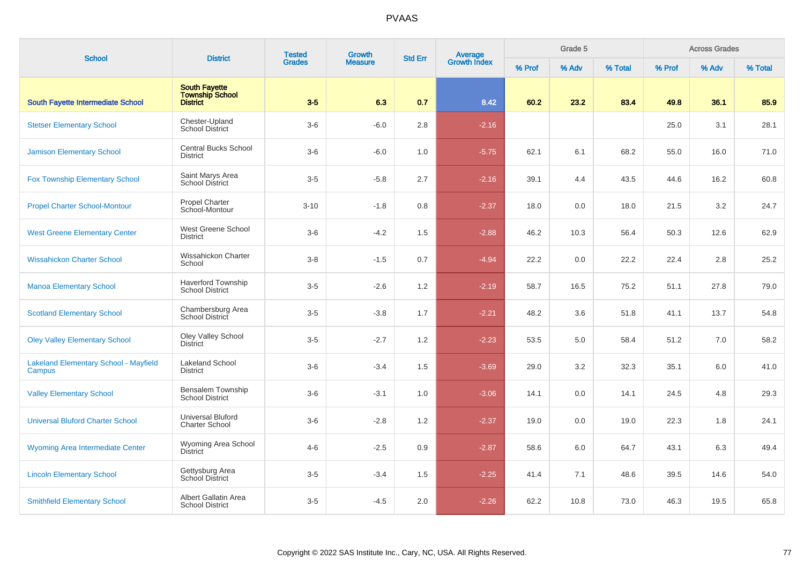| <b>School</b>                                          | <b>District</b>                                                   | <b>Tested</b> | Growth<br><b>Grades</b><br><b>Measure</b> | <b>Average</b><br>Growth Index<br><b>Std Err</b> |         |        | Grade 5 |         |        | <b>Across Grades</b> |         |
|--------------------------------------------------------|-------------------------------------------------------------------|---------------|-------------------------------------------|--------------------------------------------------|---------|--------|---------|---------|--------|----------------------|---------|
|                                                        |                                                                   |               |                                           |                                                  |         | % Prof | % Adv   | % Total | % Prof | % Adv                | % Total |
| South Fayette Intermediate School                      | <b>South Fayette</b><br><b>Township School</b><br><b>District</b> | $3-5$         | 6.3                                       | 0.7                                              | 8.42    | 60.2   | 23.2    | 83.4    | 49.8   | 36.1                 | 85.9    |
| <b>Stetser Elementary School</b>                       | Chester-Upland<br><b>School District</b>                          | $3-6$         | $-6.0$                                    | 2.8                                              | $-2.16$ |        |         |         | 25.0   | 3.1                  | 28.1    |
| <b>Jamison Elementary School</b>                       | Central Bucks School<br><b>District</b>                           | $3-6$         | $-6.0$                                    | 1.0                                              | $-5.75$ | 62.1   | 6.1     | 68.2    | 55.0   | 16.0                 | 71.0    |
| <b>Fox Township Elementary School</b>                  | Saint Marys Area<br><b>School District</b>                        | $3-5$         | $-5.8$                                    | 2.7                                              | $-2.16$ | 39.1   | 4.4     | 43.5    | 44.6   | 16.2                 | 60.8    |
| <b>Propel Charter School-Montour</b>                   | <b>Propel Charter</b><br>School-Montour                           | $3 - 10$      | $-1.8$                                    | 0.8                                              | $-2.37$ | 18.0   | 0.0     | 18.0    | 21.5   | 3.2                  | 24.7    |
| <b>West Greene Elementary Center</b>                   | West Greene School<br><b>District</b>                             | $3-6$         | $-4.2$                                    | 1.5                                              | $-2.88$ | 46.2   | 10.3    | 56.4    | 50.3   | 12.6                 | 62.9    |
| <b>Wissahickon Charter School</b>                      | Wissahickon Charter<br>School                                     | $3 - 8$       | $-1.5$                                    | 0.7                                              | $-4.94$ | 22.2   | 0.0     | 22.2    | 22.4   | 2.8                  | 25.2    |
| <b>Manoa Elementary School</b>                         | <b>Haverford Township</b><br><b>School District</b>               | $3-5$         | $-2.6$                                    | 1.2                                              | $-2.19$ | 58.7   | 16.5    | 75.2    | 51.1   | 27.8                 | 79.0    |
| <b>Scotland Elementary School</b>                      | Chambersburg Area<br>School District                              | $3-5$         | $-3.8$                                    | 1.7                                              | $-2.21$ | 48.2   | 3.6     | 51.8    | 41.1   | 13.7                 | 54.8    |
| <b>Oley Valley Elementary School</b>                   | Oley Valley School<br><b>District</b>                             | $3-5$         | $-2.7$                                    | 1.2                                              | $-2.23$ | 53.5   | 5.0     | 58.4    | 51.2   | 7.0                  | 58.2    |
| <b>Lakeland Elementary School - Mayfield</b><br>Campus | Lakeland School<br><b>District</b>                                | $3-6$         | $-3.4$                                    | 1.5                                              | $-3.69$ | 29.0   | 3.2     | 32.3    | 35.1   | 6.0                  | 41.0    |
| <b>Valley Elementary School</b>                        | Bensalem Township<br><b>School District</b>                       | $3-6$         | $-3.1$                                    | 1.0                                              | $-3.06$ | 14.1   | 0.0     | 14.1    | 24.5   | 4.8                  | 29.3    |
| <b>Universal Bluford Charter School</b>                | Universal Bluford<br><b>Charter School</b>                        | $3-6$         | $-2.8$                                    | 1.2                                              | $-2.37$ | 19.0   | 0.0     | 19.0    | 22.3   | 1.8                  | 24.1    |
| Wyoming Area Intermediate Center                       | Wyoming Area School<br><b>District</b>                            | $4 - 6$       | $-2.5$                                    | 0.9                                              | $-2.87$ | 58.6   | 6.0     | 64.7    | 43.1   | 6.3                  | 49.4    |
| <b>Lincoln Elementary School</b>                       | Gettysburg Area<br>School District                                | $3-5$         | $-3.4$                                    | 1.5                                              | $-2.25$ | 41.4   | 7.1     | 48.6    | 39.5   | 14.6                 | 54.0    |
| <b>Smithfield Elementary School</b>                    | Albert Gallatin Area<br><b>School District</b>                    | $3-5$         | $-4.5$                                    | 2.0                                              | $-2.26$ | 62.2   | 10.8    | 73.0    | 46.3   | 19.5                 | 65.8    |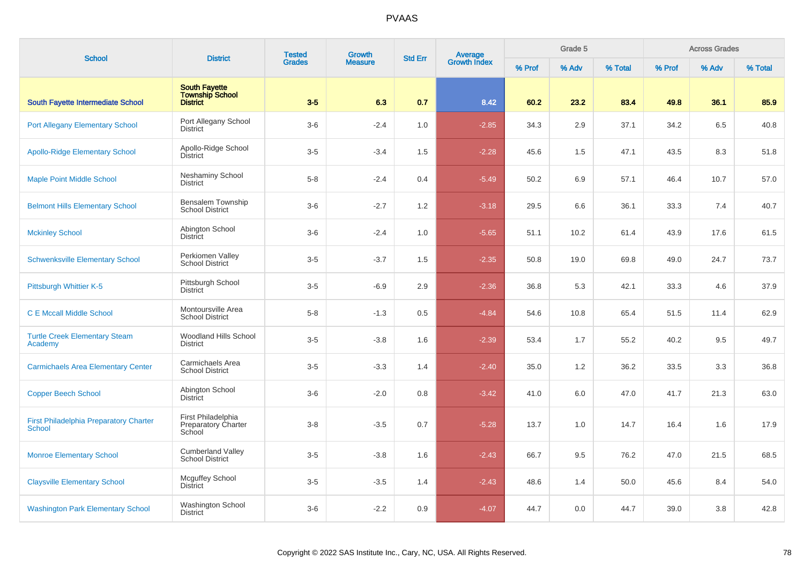| <b>School</b>                                                  | <b>District</b>                                                   | <b>Tested</b> | <b>Growth</b>  | <b>Std Err</b> | Average<br>Growth Index |        | Grade 5 |         |        | <b>Across Grades</b> |         |
|----------------------------------------------------------------|-------------------------------------------------------------------|---------------|----------------|----------------|-------------------------|--------|---------|---------|--------|----------------------|---------|
|                                                                |                                                                   | <b>Grades</b> | <b>Measure</b> |                |                         | % Prof | % Adv   | % Total | % Prof | % Adv                | % Total |
| <b>South Fayette Intermediate School</b>                       | <b>South Fayette</b><br><b>Township School</b><br><b>District</b> | $3-5$         | 6.3            | 0.7            | 8.42                    | 60.2   | 23.2    | 83.4    | 49.8   | 36.1                 | 85.9    |
| <b>Port Allegany Elementary School</b>                         | Port Allegany School<br><b>District</b>                           | $3-6$         | $-2.4$         | 1.0            | $-2.85$                 | 34.3   | 2.9     | 37.1    | 34.2   | 6.5                  | 40.8    |
| <b>Apollo-Ridge Elementary School</b>                          | Apollo-Ridge School<br><b>District</b>                            | $3-5$         | $-3.4$         | 1.5            | $-2.28$                 | 45.6   | 1.5     | 47.1    | 43.5   | 8.3                  | 51.8    |
| <b>Maple Point Middle School</b>                               | Neshaminy School<br><b>District</b>                               | $5 - 8$       | $-2.4$         | 0.4            | $-5.49$                 | 50.2   | 6.9     | 57.1    | 46.4   | 10.7                 | 57.0    |
| <b>Belmont Hills Elementary School</b>                         | Bensalem Township<br><b>School District</b>                       | $3-6$         | $-2.7$         | 1.2            | $-3.18$                 | 29.5   | 6.6     | 36.1    | 33.3   | 7.4                  | 40.7    |
| <b>Mckinley School</b>                                         | Abington School<br><b>District</b>                                | $3-6$         | $-2.4$         | 1.0            | $-5.65$                 | 51.1   | 10.2    | 61.4    | 43.9   | 17.6                 | 61.5    |
| <b>Schwenksville Elementary School</b>                         | Perkiomen Valley<br><b>School District</b>                        | $3-5$         | $-3.7$         | 1.5            | $-2.35$                 | 50.8   | 19.0    | 69.8    | 49.0   | 24.7                 | 73.7    |
| Pittsburgh Whittier K-5                                        | Pittsburgh School<br><b>District</b>                              | $3-5$         | $-6.9$         | 2.9            | $-2.36$                 | 36.8   | 5.3     | 42.1    | 33.3   | 4.6                  | 37.9    |
| <b>C E Mccall Middle School</b>                                | Montoursville Area<br><b>School District</b>                      | $5 - 8$       | $-1.3$         | 0.5            | $-4.84$                 | 54.6   | 10.8    | 65.4    | 51.5   | 11.4                 | 62.9    |
| <b>Turtle Creek Elementary Steam</b><br>Academy                | Woodland Hills School<br><b>District</b>                          | $3-5$         | $-3.8$         | 1.6            | $-2.39$                 | 53.4   | 1.7     | 55.2    | 40.2   | 9.5                  | 49.7    |
| <b>Carmichaels Area Elementary Center</b>                      | Carmichaels Area<br><b>School District</b>                        | $3-5$         | $-3.3$         | 1.4            | $-2.40$                 | 35.0   | 1.2     | 36.2    | 33.5   | 3.3                  | 36.8    |
| <b>Copper Beech School</b>                                     | Abington School<br><b>District</b>                                | $3-6$         | $-2.0$         | 0.8            | $-3.42$                 | 41.0   | 6.0     | 47.0    | 41.7   | 21.3                 | 63.0    |
| <b>First Philadelphia Preparatory Charter</b><br><b>School</b> | First Philadelphia<br><b>Preparatory Charter</b><br>School        | $3 - 8$       | $-3.5$         | 0.7            | $-5.28$                 | 13.7   | 1.0     | 14.7    | 16.4   | 1.6                  | 17.9    |
| <b>Monroe Elementary School</b>                                | <b>Cumberland Valley</b><br><b>School District</b>                | $3-5$         | $-3.8$         | 1.6            | $-2.43$                 | 66.7   | 9.5     | 76.2    | 47.0   | 21.5                 | 68.5    |
| <b>Claysville Elementary School</b>                            | Mcguffey School<br><b>District</b>                                | $3 - 5$       | $-3.5$         | 1.4            | $-2.43$                 | 48.6   | 1.4     | 50.0    | 45.6   | 8.4                  | 54.0    |
| <b>Washington Park Elementary School</b>                       | Washington School<br><b>District</b>                              | $3-6$         | $-2.2$         | 0.9            | $-4.07$                 | 44.7   | 0.0     | 44.7    | 39.0   | 3.8                  | 42.8    |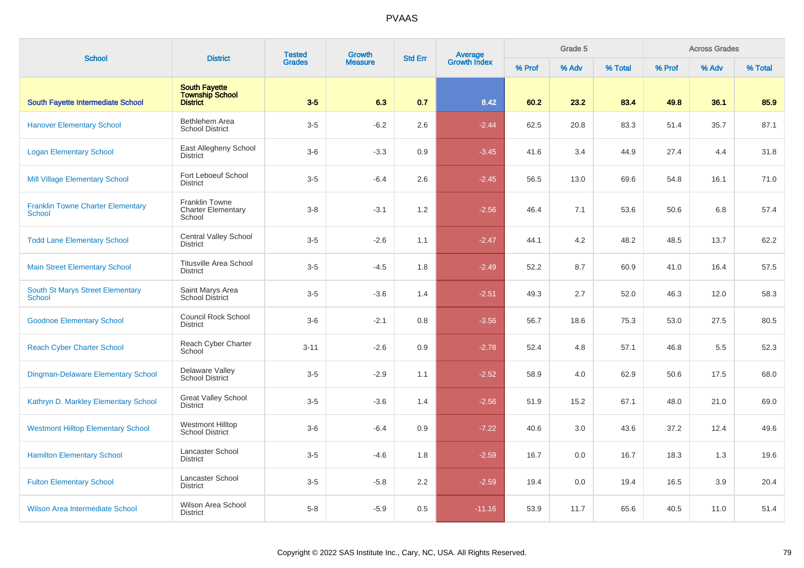| <b>School</b>                                      | <b>District</b>                                                   | <b>Tested</b> | <b>Growth</b>  | <b>Std Err</b> | Average<br>Growth Index |        | Grade 5 |         |        | <b>Across Grades</b> |         |
|----------------------------------------------------|-------------------------------------------------------------------|---------------|----------------|----------------|-------------------------|--------|---------|---------|--------|----------------------|---------|
|                                                    |                                                                   | <b>Grades</b> | <b>Measure</b> |                |                         | % Prof | % Adv   | % Total | % Prof | % Adv                | % Total |
| South Fayette Intermediate School                  | <b>South Fayette</b><br><b>Township School</b><br><b>District</b> | $3-5$         | 6.3            | 0.7            | 8.42                    | 60.2   | 23.2    | 83.4    | 49.8   | 36.1                 | 85.9    |
| <b>Hanover Elementary School</b>                   | Bethlehem Area<br><b>School District</b>                          | $3-5$         | $-6.2$         | 2.6            | $-2.44$                 | 62.5   | 20.8    | 83.3    | 51.4   | 35.7                 | 87.1    |
| <b>Logan Elementary School</b>                     | East Allegheny School<br><b>District</b>                          | $3-6$         | $-3.3$         | 0.9            | $-3.45$                 | 41.6   | 3.4     | 44.9    | 27.4   | 4.4                  | 31.8    |
| <b>Mill Village Elementary School</b>              | Fort Leboeuf School<br><b>District</b>                            | $3-5$         | $-6.4$         | 2.6            | $-2.45$                 | 56.5   | 13.0    | 69.6    | 54.8   | 16.1                 | 71.0    |
| <b>Franklin Towne Charter Elementary</b><br>School | Franklin Towne<br><b>Charter Elementary</b><br>School             | $3 - 8$       | $-3.1$         | 1.2            | $-2.56$                 | 46.4   | 7.1     | 53.6    | 50.6   | 6.8                  | 57.4    |
| <b>Todd Lane Elementary School</b>                 | <b>Central Valley School</b><br><b>District</b>                   | $3-5$         | $-2.6$         | 1.1            | $-2.47$                 | 44.1   | 4.2     | 48.2    | 48.5   | 13.7                 | 62.2    |
| <b>Main Street Elementary School</b>               | <b>Titusville Area School</b><br><b>District</b>                  | $3-5$         | $-4.5$         | 1.8            | $-2.49$                 | 52.2   | 8.7     | 60.9    | 41.0   | 16.4                 | 57.5    |
| South St Marys Street Elementary<br><b>School</b>  | Saint Marys Area<br><b>School District</b>                        | $3-5$         | $-3.6$         | 1.4            | $-2.51$                 | 49.3   | 2.7     | 52.0    | 46.3   | 12.0                 | 58.3    |
| <b>Goodnoe Elementary School</b>                   | Council Rock School<br><b>District</b>                            | $3-6$         | $-2.1$         | 0.8            | $-3.56$                 | 56.7   | 18.6    | 75.3    | 53.0   | 27.5                 | 80.5    |
| <b>Reach Cyber Charter School</b>                  | Reach Cyber Charter<br>School                                     | $3 - 11$      | $-2.6$         | 0.9            | $-2.78$                 | 52.4   | 4.8     | 57.1    | 46.8   | 5.5                  | 52.3    |
| Dingman-Delaware Elementary School                 | Delaware Valley<br><b>School District</b>                         | $3-5$         | $-2.9$         | 1.1            | $-2.52$                 | 58.9   | 4.0     | 62.9    | 50.6   | 17.5                 | 68.0    |
| Kathryn D. Markley Elementary School               | <b>Great Valley School</b><br><b>District</b>                     | $3-5$         | $-3.6$         | 1.4            | $-2.56$                 | 51.9   | 15.2    | 67.1    | 48.0   | 21.0                 | 69.0    |
| <b>Westmont Hilltop Elementary School</b>          | <b>Westmont Hilltop</b><br><b>School District</b>                 | $3-6$         | $-6.4$         | 0.9            | $-7.22$                 | 40.6   | 3.0     | 43.6    | 37.2   | 12.4                 | 49.6    |
| <b>Hamilton Elementary School</b>                  | Lancaster School<br><b>District</b>                               | $3-5$         | $-4.6$         | 1.8            | $-2.59$                 | 16.7   | 0.0     | 16.7    | 18.3   | 1.3                  | 19.6    |
| <b>Fulton Elementary School</b>                    | Lancaster School<br><b>District</b>                               | $3-5$         | $-5.8$         | 2.2            | $-2.59$                 | 19.4   | 0.0     | 19.4    | 16.5   | 3.9                  | 20.4    |
| <b>Wilson Area Intermediate School</b>             | <b>Wilson Area School</b><br><b>District</b>                      | $5 - 8$       | $-5.9$         | 0.5            | $-11.16$                | 53.9   | 11.7    | 65.6    | 40.5   | 11.0                 | 51.4    |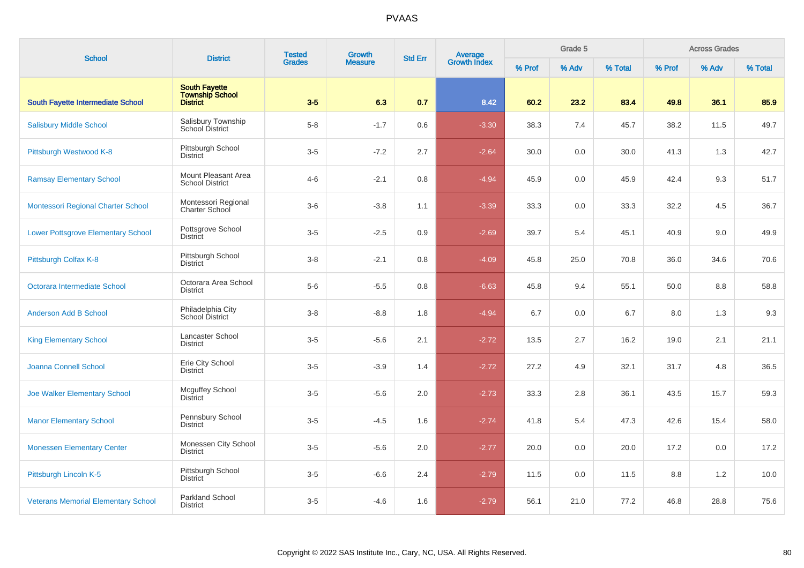| <b>School</b>                              | <b>District</b>                                     | <b>Tested</b> | Growth         | <b>Std Err</b> |                                |        | Grade 5 |         |        | <b>Across Grades</b> |         |
|--------------------------------------------|-----------------------------------------------------|---------------|----------------|----------------|--------------------------------|--------|---------|---------|--------|----------------------|---------|
|                                            |                                                     | <b>Grades</b> | <b>Measure</b> |                | <b>Average</b><br>Growth Index | % Prof | % Adv   | % Total | % Prof | % Adv                | % Total |
| South Fayette Intermediate School          | <b>South Fayette</b><br>Township School<br>District | $3-5$         | 6.3            | 0.7            | 8.42                           | 60.2   | 23.2    | 83.4    | 49.8   | 36.1                 | 85.9    |
| <b>Salisbury Middle School</b>             | Salisbury Township<br>School District               | $5 - 8$       | $-1.7$         | 0.6            | $-3.30$                        | 38.3   | 7.4     | 45.7    | 38.2   | 11.5                 | 49.7    |
| Pittsburgh Westwood K-8                    | Pittsburgh School<br><b>District</b>                | $3-5$         | $-7.2$         | 2.7            | $-2.64$                        | 30.0   | 0.0     | 30.0    | 41.3   | 1.3                  | 42.7    |
| <b>Ramsay Elementary School</b>            | Mount Pleasant Area<br><b>School District</b>       | $4 - 6$       | $-2.1$         | 0.8            | $-4.94$                        | 45.9   | 0.0     | 45.9    | 42.4   | 9.3                  | 51.7    |
| Montessori Regional Charter School         | Montessori Regional<br>Charter School               | $3-6$         | $-3.8$         | 1.1            | $-3.39$                        | 33.3   | 0.0     | 33.3    | 32.2   | 4.5                  | 36.7    |
| <b>Lower Pottsgrove Elementary School</b>  | Pottsgrove School<br><b>District</b>                | $3-5$         | $-2.5$         | 0.9            | $-2.69$                        | 39.7   | 5.4     | 45.1    | 40.9   | 9.0                  | 49.9    |
| Pittsburgh Colfax K-8                      | Pittsburgh School<br><b>District</b>                | $3 - 8$       | $-2.1$         | 0.8            | $-4.09$                        | 45.8   | 25.0    | 70.8    | 36.0   | 34.6                 | 70.6    |
| Octorara Intermediate School               | Octorara Area School<br><b>District</b>             | $5-6$         | $-5.5$         | 0.8            | $-6.63$                        | 45.8   | 9.4     | 55.1    | 50.0   | 8.8                  | 58.8    |
| <b>Anderson Add B School</b>               | Philadelphia City<br>School District                | $3 - 8$       | $-8.8$         | 1.8            | $-4.94$                        | 6.7    | 0.0     | 6.7     | 8.0    | 1.3                  | 9.3     |
| <b>King Elementary School</b>              | Lancaster School<br><b>District</b>                 | $3-5$         | $-5.6$         | 2.1            | $-2.72$                        | 13.5   | 2.7     | 16.2    | 19.0   | 2.1                  | 21.1    |
| Joanna Connell School                      | Erie City School<br><b>District</b>                 | $3-5$         | $-3.9$         | 1.4            | $-2.72$                        | 27.2   | 4.9     | 32.1    | 31.7   | 4.8                  | 36.5    |
| Joe Walker Elementary School               | Mcguffey School<br><b>District</b>                  | $3-5$         | $-5.6$         | 2.0            | $-2.73$                        | 33.3   | 2.8     | 36.1    | 43.5   | 15.7                 | 59.3    |
| <b>Manor Elementary School</b>             | Pennsbury School<br><b>District</b>                 | $3-5$         | $-4.5$         | 1.6            | $-2.74$                        | 41.8   | 5.4     | 47.3    | 42.6   | 15.4                 | 58.0    |
| <b>Monessen Elementary Center</b>          | Monessen City School<br><b>District</b>             | $3-5$         | $-5.6$         | 2.0            | $-2.77$                        | 20.0   | 0.0     | 20.0    | 17.2   | 0.0                  | 17.2    |
| Pittsburgh Lincoln K-5                     | Pittsburgh School<br><b>District</b>                | $3-5$         | $-6.6$         | 2.4            | $-2.79$                        | 11.5   | 0.0     | 11.5    | 8.8    | 1.2                  | 10.0    |
| <b>Veterans Memorial Elementary School</b> | Parkland School<br><b>District</b>                  | $3-5$         | $-4.6$         | 1.6            | $-2.79$                        | 56.1   | 21.0    | 77.2    | 46.8   | 28.8                 | 75.6    |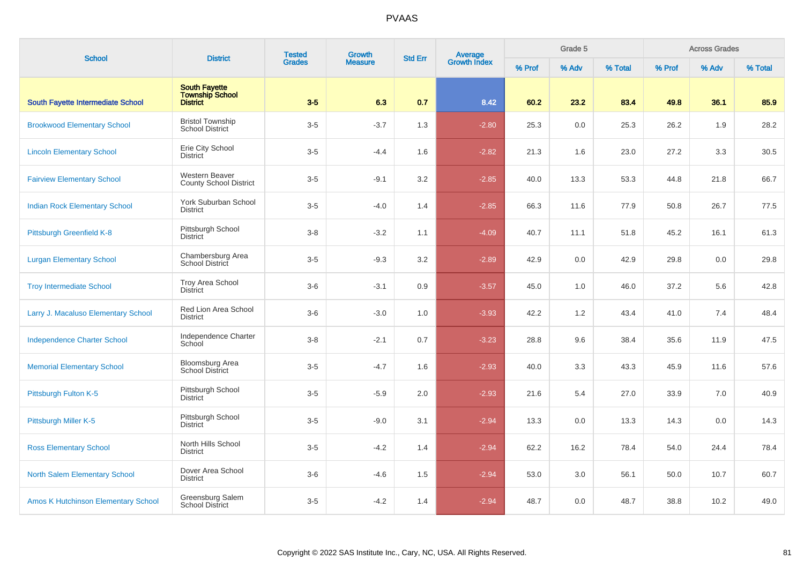| <b>School</b>                              | <b>District</b>                                                   | <b>Tested</b> | Growth         |     | <b>Average</b><br>Growth Index<br><b>Std Err</b> |        | Grade 5 |         |        | <b>Across Grades</b> |         |
|--------------------------------------------|-------------------------------------------------------------------|---------------|----------------|-----|--------------------------------------------------|--------|---------|---------|--------|----------------------|---------|
|                                            |                                                                   | <b>Grades</b> | <b>Measure</b> |     |                                                  | % Prof | % Adv   | % Total | % Prof | % Adv                | % Total |
| South Fayette Intermediate School          | <b>South Fayette</b><br><b>Township School</b><br><b>District</b> | $3-5$         | 6.3            | 0.7 | 8.42                                             | 60.2   | 23.2    | 83.4    | 49.8   | 36.1                 | 85.9    |
| <b>Brookwood Elementary School</b>         | <b>Bristol Township</b><br><b>School District</b>                 | $3-5$         | $-3.7$         | 1.3 | $-2.80$                                          | 25.3   | 0.0     | 25.3    | 26.2   | 1.9                  | 28.2    |
| <b>Lincoln Elementary School</b>           | Erie City School<br><b>District</b>                               | $3-5$         | $-4.4$         | 1.6 | $-2.82$                                          | 21.3   | 1.6     | 23.0    | 27.2   | 3.3                  | 30.5    |
| <b>Fairview Elementary School</b>          | Western Beaver<br><b>County School District</b>                   | $3-5$         | $-9.1$         | 3.2 | $-2.85$                                          | 40.0   | 13.3    | 53.3    | 44.8   | 21.8                 | 66.7    |
| <b>Indian Rock Elementary School</b>       | York Suburban School<br><b>District</b>                           | $3-5$         | $-4.0$         | 1.4 | $-2.85$                                          | 66.3   | 11.6    | 77.9    | 50.8   | 26.7                 | 77.5    |
| Pittsburgh Greenfield K-8                  | Pittsburgh School<br><b>District</b>                              | $3 - 8$       | $-3.2$         | 1.1 | $-4.09$                                          | 40.7   | 11.1    | 51.8    | 45.2   | 16.1                 | 61.3    |
| <b>Lurgan Elementary School</b>            | Chambersburg Area<br><b>School District</b>                       | $3-5$         | $-9.3$         | 3.2 | $-2.89$                                          | 42.9   | 0.0     | 42.9    | 29.8   | 0.0                  | 29.8    |
| <b>Troy Intermediate School</b>            | Troy Area School<br><b>District</b>                               | $3-6$         | $-3.1$         | 0.9 | $-3.57$                                          | 45.0   | 1.0     | 46.0    | 37.2   | 5.6                  | 42.8    |
| Larry J. Macaluso Elementary School        | Red Lion Area School<br><b>District</b>                           | $3-6$         | $-3.0$         | 1.0 | $-3.93$                                          | 42.2   | 1.2     | 43.4    | 41.0   | 7.4                  | 48.4    |
| <b>Independence Charter School</b>         | Independence Charter<br>School                                    | $3 - 8$       | $-2.1$         | 0.7 | $-3.23$                                          | 28.8   | 9.6     | 38.4    | 35.6   | 11.9                 | 47.5    |
| <b>Memorial Elementary School</b>          | <b>Bloomsburg Area</b><br>School District                         | $3-5$         | $-4.7$         | 1.6 | $-2.93$                                          | 40.0   | 3.3     | 43.3    | 45.9   | 11.6                 | 57.6    |
| Pittsburgh Fulton K-5                      | Pittsburgh School<br><b>District</b>                              | $3-5$         | $-5.9$         | 2.0 | $-2.93$                                          | 21.6   | 5.4     | 27.0    | 33.9   | 7.0                  | 40.9    |
| Pittsburgh Miller K-5                      | Pittsburgh School<br><b>District</b>                              | $3-5$         | $-9.0$         | 3.1 | $-2.94$                                          | 13.3   | 0.0     | 13.3    | 14.3   | 0.0                  | 14.3    |
| <b>Ross Elementary School</b>              | North Hills School<br><b>District</b>                             | $3-5$         | $-4.2$         | 1.4 | $-2.94$                                          | 62.2   | 16.2    | 78.4    | 54.0   | 24.4                 | 78.4    |
| <b>North Salem Elementary School</b>       | Dover Area School<br><b>District</b>                              | $3-6$         | $-4.6$         | 1.5 | $-2.94$                                          | 53.0   | 3.0     | 56.1    | 50.0   | 10.7                 | 60.7    |
| <b>Amos K Hutchinson Elementary School</b> | Greensburg Salem<br><b>School District</b>                        | $3-5$         | $-4.2$         | 1.4 | $-2.94$                                          | 48.7   | 0.0     | 48.7    | 38.8   | 10.2                 | 49.0    |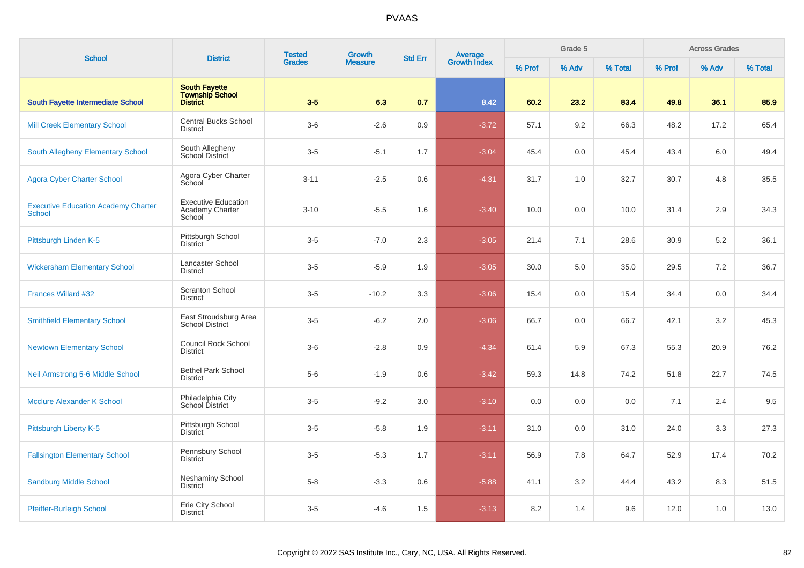| <b>School</b>                                               | <b>District</b>                                                   | <b>Tested</b> | Growth         | <b>Std Err</b> | Average<br>Growth Index |        | Grade 5 |         |        | <b>Across Grades</b> |         |
|-------------------------------------------------------------|-------------------------------------------------------------------|---------------|----------------|----------------|-------------------------|--------|---------|---------|--------|----------------------|---------|
|                                                             |                                                                   | <b>Grades</b> | <b>Measure</b> |                |                         | % Prof | % Adv   | % Total | % Prof | % Adv                | % Total |
| South Fayette Intermediate School                           | <b>South Fayette</b><br><b>Township School</b><br><b>District</b> | $3-5$         | 6.3            | 0.7            | 8.42                    | 60.2   | 23.2    | 83.4    | 49.8   | 36.1                 | 85.9    |
| <b>Mill Creek Elementary School</b>                         | <b>Central Bucks School</b><br><b>District</b>                    | $3-6$         | $-2.6$         | 0.9            | $-3.72$                 | 57.1   | 9.2     | 66.3    | 48.2   | 17.2                 | 65.4    |
| South Allegheny Elementary School                           | South Allegheny<br>School District                                | $3-5$         | $-5.1$         | 1.7            | $-3.04$                 | 45.4   | 0.0     | 45.4    | 43.4   | 6.0                  | 49.4    |
| <b>Agora Cyber Charter School</b>                           | Agora Cyber Charter<br>School                                     | $3 - 11$      | $-2.5$         | 0.6            | $-4.31$                 | 31.7   | 1.0     | 32.7    | 30.7   | 4.8                  | 35.5    |
| <b>Executive Education Academy Charter</b><br><b>School</b> | <b>Executive Education</b><br>Academy Charter<br>School           | $3 - 10$      | $-5.5$         | 1.6            | $-3.40$                 | 10.0   | 0.0     | 10.0    | 31.4   | 2.9                  | 34.3    |
| Pittsburgh Linden K-5                                       | Pittsburgh School<br><b>District</b>                              | $3-5$         | $-7.0$         | 2.3            | $-3.05$                 | 21.4   | 7.1     | 28.6    | 30.9   | 5.2                  | 36.1    |
| <b>Wickersham Elementary School</b>                         | Lancaster School<br><b>District</b>                               | $3-5$         | $-5.9$         | 1.9            | $-3.05$                 | 30.0   | 5.0     | 35.0    | 29.5   | 7.2                  | 36.7    |
| Frances Willard #32                                         | <b>Scranton School</b><br><b>District</b>                         | $3-5$         | $-10.2$        | 3.3            | $-3.06$                 | 15.4   | 0.0     | 15.4    | 34.4   | 0.0                  | 34.4    |
| <b>Smithfield Elementary School</b>                         | East Stroudsburg Area<br><b>School District</b>                   | $3-5$         | $-6.2$         | 2.0            | $-3.06$                 | 66.7   | 0.0     | 66.7    | 42.1   | 3.2                  | 45.3    |
| <b>Newtown Elementary School</b>                            | Council Rock School<br><b>District</b>                            | $3-6$         | $-2.8$         | 0.9            | $-4.34$                 | 61.4   | 5.9     | 67.3    | 55.3   | 20.9                 | 76.2    |
| Neil Armstrong 5-6 Middle School                            | <b>Bethel Park School</b><br><b>District</b>                      | $5-6$         | $-1.9$         | 0.6            | $-3.42$                 | 59.3   | 14.8    | 74.2    | 51.8   | 22.7                 | 74.5    |
| Mcclure Alexander K School                                  | Philadelphia City<br>School District                              | $3-5$         | $-9.2$         | 3.0            | $-3.10$                 | 0.0    | 0.0     | 0.0     | 7.1    | 2.4                  | 9.5     |
| Pittsburgh Liberty K-5                                      | Pittsburgh School<br><b>District</b>                              | $3-5$         | $-5.8$         | 1.9            | $-3.11$                 | 31.0   | 0.0     | 31.0    | 24.0   | 3.3                  | 27.3    |
| <b>Fallsington Elementary School</b>                        | Pennsbury School<br><b>District</b>                               | $3-5$         | $-5.3$         | 1.7            | $-3.11$                 | 56.9   | 7.8     | 64.7    | 52.9   | 17.4                 | 70.2    |
| <b>Sandburg Middle School</b>                               | Neshaminy School<br><b>District</b>                               | $5 - 8$       | $-3.3$         | 0.6            | $-5.88$                 | 41.1   | 3.2     | 44.4    | 43.2   | 8.3                  | 51.5    |
| <b>Pfeiffer-Burleigh School</b>                             | Erie City School<br><b>District</b>                               | $3-5$         | $-4.6$         | 1.5            | $-3.13$                 | 8.2    | 1.4     | 9.6     | 12.0   | 1.0                  | 13.0    |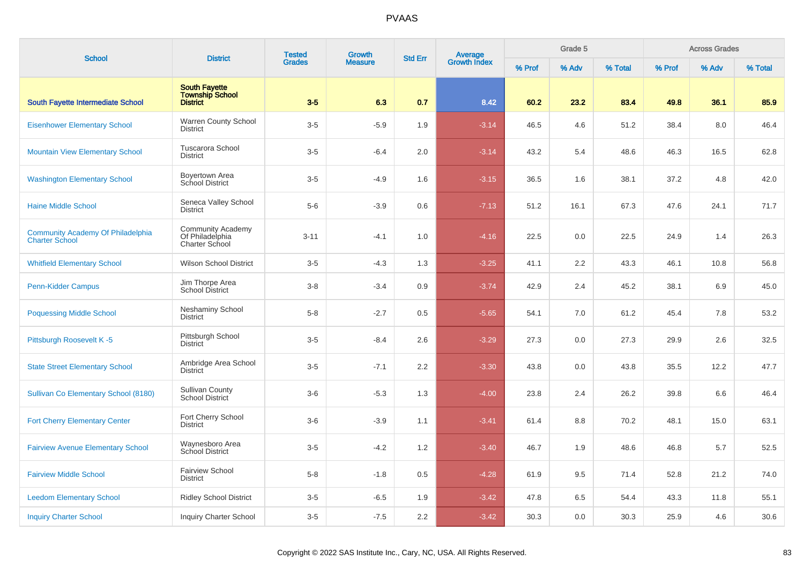|                                                                   |                                                                      | <b>Tested</b> | Growth         |                |                                |        | Grade 5 |         |        | <b>Across Grades</b> |         |
|-------------------------------------------------------------------|----------------------------------------------------------------------|---------------|----------------|----------------|--------------------------------|--------|---------|---------|--------|----------------------|---------|
| <b>School</b>                                                     | <b>District</b>                                                      | <b>Grades</b> | <b>Measure</b> | <b>Std Err</b> | <b>Average</b><br>Growth Index | % Prof | % Adv   | % Total | % Prof | % Adv                | % Total |
| <b>South Fayette Intermediate School</b>                          | <b>South Fayette</b><br><b>Township School</b><br><b>District</b>    | $3-5$         | 6.3            | 0.7            | 8.42                           | 60.2   | 23.2    | 83.4    | 49.8   | 36.1                 | 85.9    |
| <b>Eisenhower Elementary School</b>                               | Warren County School<br><b>District</b>                              | $3-5$         | $-5.9$         | 1.9            | $-3.14$                        | 46.5   | 4.6     | 51.2    | 38.4   | 8.0                  | 46.4    |
| <b>Mountain View Elementary School</b>                            | <b>Tuscarora School</b><br><b>District</b>                           | $3-5$         | $-6.4$         | 2.0            | $-3.14$                        | 43.2   | 5.4     | 48.6    | 46.3   | 16.5                 | 62.8    |
| <b>Washington Elementary School</b>                               | Boyertown Area<br><b>School District</b>                             | $3-5$         | $-4.9$         | 1.6            | $-3.15$                        | 36.5   | 1.6     | 38.1    | 37.2   | 4.8                  | 42.0    |
| <b>Haine Middle School</b>                                        | Seneca Valley School<br><b>District</b>                              | $5-6$         | $-3.9$         | 0.6            | $-7.13$                        | 51.2   | 16.1    | 67.3    | 47.6   | 24.1                 | 71.7    |
| <b>Community Academy Of Philadelphia</b><br><b>Charter School</b> | <b>Community Academy</b><br>Of Philadelphia<br><b>Charter School</b> | $3 - 11$      | $-4.1$         | 1.0            | $-4.16$                        | 22.5   | 0.0     | 22.5    | 24.9   | 1.4                  | 26.3    |
| <b>Whitfield Elementary School</b>                                | <b>Wilson School District</b>                                        | $3-5$         | $-4.3$         | 1.3            | $-3.25$                        | 41.1   | 2.2     | 43.3    | 46.1   | 10.8                 | 56.8    |
| Penn-Kidder Campus                                                | Jim Thorpe Area<br><b>School District</b>                            | $3 - 8$       | $-3.4$         | 0.9            | $-3.74$                        | 42.9   | 2.4     | 45.2    | 38.1   | 6.9                  | 45.0    |
| <b>Poquessing Middle School</b>                                   | Neshaminy School<br><b>District</b>                                  | $5 - 8$       | $-2.7$         | 0.5            | $-5.65$                        | 54.1   | 7.0     | 61.2    | 45.4   | 7.8                  | 53.2    |
| Pittsburgh Roosevelt K-5                                          | Pittsburgh School<br><b>District</b>                                 | $3-5$         | $-8.4$         | 2.6            | $-3.29$                        | 27.3   | 0.0     | 27.3    | 29.9   | 2.6                  | 32.5    |
| <b>State Street Elementary School</b>                             | Ambridge Area School<br><b>District</b>                              | $3-5$         | $-7.1$         | 2.2            | $-3.30$                        | 43.8   | 0.0     | 43.8    | 35.5   | 12.2                 | 47.7    |
| Sullivan Co Elementary School (8180)                              | <b>Sullivan County</b><br><b>School District</b>                     | $3-6$         | $-5.3$         | 1.3            | $-4.00$                        | 23.8   | 2.4     | 26.2    | 39.8   | 6.6                  | 46.4    |
| <b>Fort Cherry Elementary Center</b>                              | Fort Cherry School<br><b>District</b>                                | $3-6$         | $-3.9$         | 1.1            | $-3.41$                        | 61.4   | 8.8     | 70.2    | 48.1   | 15.0                 | 63.1    |
| <b>Fairview Avenue Elementary School</b>                          | Waynesboro Area<br>School District                                   | $3-5$         | $-4.2$         | 1.2            | $-3.40$                        | 46.7   | 1.9     | 48.6    | 46.8   | 5.7                  | 52.5    |
| <b>Fairview Middle School</b>                                     | <b>Fairview School</b><br><b>District</b>                            | $5 - 8$       | $-1.8$         | 0.5            | $-4.28$                        | 61.9   | 9.5     | 71.4    | 52.8   | 21.2                 | 74.0    |
| <b>Leedom Elementary School</b>                                   | <b>Ridley School District</b>                                        | $3-5$         | $-6.5$         | 1.9            | $-3.42$                        | 47.8   | 6.5     | 54.4    | 43.3   | 11.8                 | 55.1    |
| <b>Inquiry Charter School</b>                                     | Inquiry Charter School                                               | $3-5$         | $-7.5$         | 2.2            | $-3.42$                        | 30.3   | 0.0     | 30.3    | 25.9   | 4.6                  | 30.6    |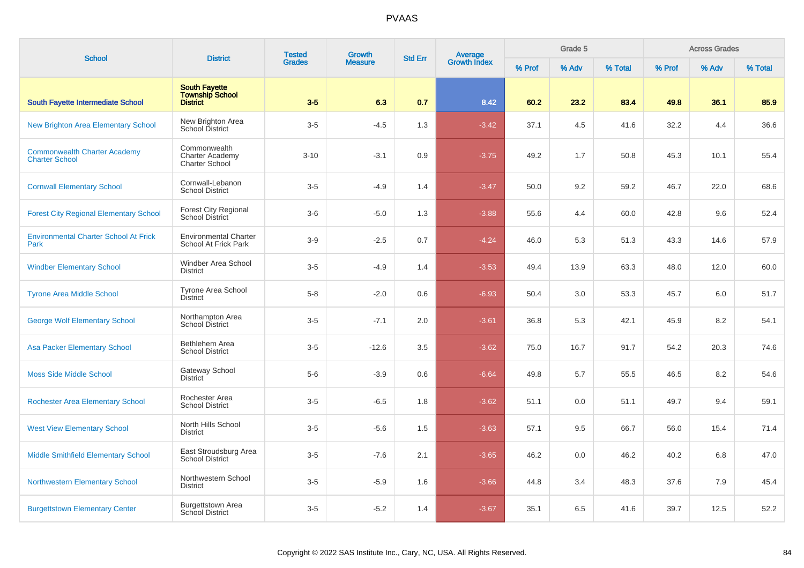| <b>School</b>                                                | <b>District</b>                                                 | <b>Tested</b> | Growth         | <b>Std Err</b> | Average<br>Growth Index |        | Grade 5 |         |        | <b>Across Grades</b> |         |
|--------------------------------------------------------------|-----------------------------------------------------------------|---------------|----------------|----------------|-------------------------|--------|---------|---------|--------|----------------------|---------|
|                                                              |                                                                 | <b>Grades</b> | <b>Measure</b> |                |                         | % Prof | % Adv   | % Total | % Prof | % Adv                | % Total |
| South Fayette Intermediate School                            | <b>South Favette</b><br>Township School<br>District             | $3-5$         | 6.3            | 0.7            | 8.42                    | 60.2   | 23.2    | 83.4    | 49.8   | 36.1                 | 85.9    |
| <b>New Brighton Area Elementary School</b>                   | New Brighton Area<br>School District                            | $3-5$         | $-4.5$         | 1.3            | $-3.42$                 | 37.1   | 4.5     | 41.6    | 32.2   | 4.4                  | 36.6    |
| <b>Commonwealth Charter Academy</b><br><b>Charter School</b> | Commonwealth<br><b>Charter Academy</b><br><b>Charter School</b> | $3 - 10$      | $-3.1$         | 0.9            | $-3.75$                 | 49.2   | 1.7     | 50.8    | 45.3   | 10.1                 | 55.4    |
| <b>Cornwall Elementary School</b>                            | Cornwall-Lebanon<br><b>School District</b>                      | $3-5$         | $-4.9$         | 1.4            | $-3.47$                 | 50.0   | 9.2     | 59.2    | 46.7   | 22.0                 | 68.6    |
| <b>Forest City Regional Elementary School</b>                | Forest City Regional<br>School District                         | $3-6$         | $-5.0$         | 1.3            | $-3.88$                 | 55.6   | 4.4     | 60.0    | 42.8   | 9.6                  | 52.4    |
| <b>Environmental Charter School At Frick</b><br>Park         | <b>Environmental Charter</b><br>School At Frick Park            | $3-9$         | $-2.5$         | 0.7            | $-4.24$                 | 46.0   | 5.3     | 51.3    | 43.3   | 14.6                 | 57.9    |
| <b>Windber Elementary School</b>                             | Windber Area School<br><b>District</b>                          | $3-5$         | $-4.9$         | 1.4            | $-3.53$                 | 49.4   | 13.9    | 63.3    | 48.0   | 12.0                 | 60.0    |
| <b>Tyrone Area Middle School</b>                             | <b>Tyrone Area School</b><br>District                           | $5 - 8$       | $-2.0$         | 0.6            | $-6.93$                 | 50.4   | 3.0     | 53.3    | 45.7   | 6.0                  | 51.7    |
| <b>George Wolf Elementary School</b>                         | Northampton Area<br>School District                             | $3-5$         | $-7.1$         | 2.0            | $-3.61$                 | 36.8   | 5.3     | 42.1    | 45.9   | 8.2                  | 54.1    |
| <b>Asa Packer Elementary School</b>                          | Bethlehem Area<br><b>School District</b>                        | $3-5$         | $-12.6$        | 3.5            | $-3.62$                 | 75.0   | 16.7    | 91.7    | 54.2   | 20.3                 | 74.6    |
| <b>Moss Side Middle School</b>                               | Gateway School<br><b>District</b>                               | $5-6$         | $-3.9$         | 0.6            | $-6.64$                 | 49.8   | 5.7     | 55.5    | 46.5   | 8.2                  | 54.6    |
| <b>Rochester Area Elementary School</b>                      | Rochester Area<br><b>School District</b>                        | $3-5$         | $-6.5$         | 1.8            | $-3.62$                 | 51.1   | 0.0     | 51.1    | 49.7   | 9.4                  | 59.1    |
| <b>West View Elementary School</b>                           | North Hills School<br><b>District</b>                           | $3-5$         | $-5.6$         | 1.5            | $-3.63$                 | 57.1   | 9.5     | 66.7    | 56.0   | 15.4                 | 71.4    |
| <b>Middle Smithfield Elementary School</b>                   | East Stroudsburg Area<br><b>School District</b>                 | $3-5$         | $-7.6$         | 2.1            | $-3.65$                 | 46.2   | 0.0     | 46.2    | 40.2   | 6.8                  | 47.0    |
| <b>Northwestern Elementary School</b>                        | Northwestern School<br><b>District</b>                          | $3-5$         | $-5.9$         | 1.6            | $-3.66$                 | 44.8   | 3.4     | 48.3    | 37.6   | 7.9                  | 45.4    |
| <b>Burgettstown Elementary Center</b>                        | <b>Burgettstown Area</b><br>School District                     | $3-5$         | $-5.2$         | 1.4            | $-3.67$                 | 35.1   | 6.5     | 41.6    | 39.7   | 12.5                 | 52.2    |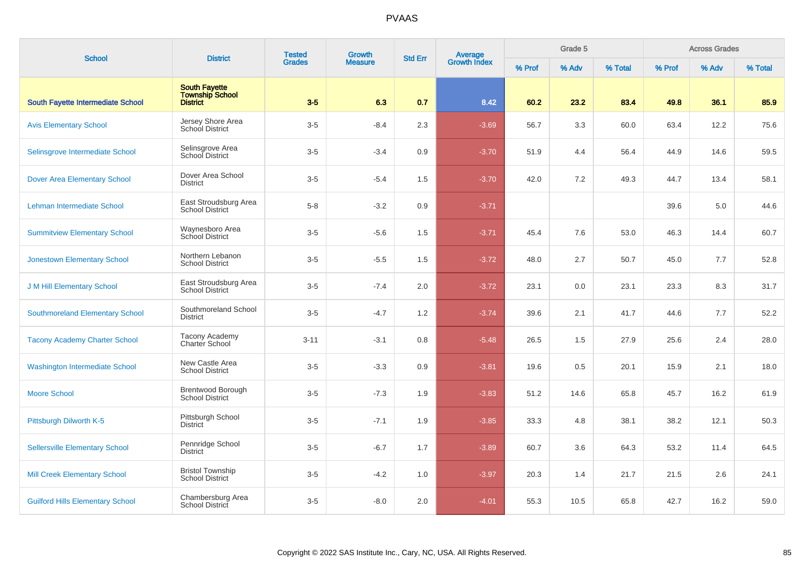| <b>School</b>                            | <b>District</b>                                                   | <b>Tested</b> | <b>Growth</b>  | <b>Std Err</b> |                                |        | Grade 5 |         |        | <b>Across Grades</b> |         |
|------------------------------------------|-------------------------------------------------------------------|---------------|----------------|----------------|--------------------------------|--------|---------|---------|--------|----------------------|---------|
|                                          |                                                                   | <b>Grades</b> | <b>Measure</b> |                | <b>Average</b><br>Growth Index | % Prof | % Adv   | % Total | % Prof | % Adv                | % Total |
| <b>South Fayette Intermediate School</b> | <b>South Fayette</b><br><b>Township School</b><br><b>District</b> | $3-5$         | 6.3            | 0.7            | 8.42                           | 60.2   | 23.2    | 83.4    | 49.8   | 36.1                 | 85.9    |
| <b>Avis Elementary School</b>            | Jersey Shore Area<br><b>School District</b>                       | $3-5$         | $-8.4$         | 2.3            | $-3.69$                        | 56.7   | 3.3     | 60.0    | 63.4   | 12.2                 | 75.6    |
| Selinsgrove Intermediate School          | Selinsgrove Area<br>School District                               | $3-5$         | $-3.4$         | 0.9            | $-3.70$                        | 51.9   | 4.4     | 56.4    | 44.9   | 14.6                 | 59.5    |
| <b>Dover Area Elementary School</b>      | Dover Area School<br><b>District</b>                              | $3-5$         | $-5.4$         | 1.5            | $-3.70$                        | 42.0   | 7.2     | 49.3    | 44.7   | 13.4                 | 58.1    |
| Lehman Intermediate School               | East Stroudsburg Area<br><b>School District</b>                   | $5 - 8$       | $-3.2$         | 0.9            | $-3.71$                        |        |         |         | 39.6   | 5.0                  | 44.6    |
| <b>Summitview Elementary School</b>      | Waynesboro Area<br>School District                                | $3-5$         | $-5.6$         | 1.5            | $-3.71$                        | 45.4   | 7.6     | 53.0    | 46.3   | 14.4                 | 60.7    |
| <b>Jonestown Elementary School</b>       | Northern Lebanon<br><b>School District</b>                        | $3-5$         | $-5.5$         | 1.5            | $-3.72$                        | 48.0   | 2.7     | 50.7    | 45.0   | 7.7                  | 52.8    |
| <b>J M Hill Elementary School</b>        | East Stroudsburg Area<br><b>School District</b>                   | $3-5$         | $-7.4$         | 2.0            | $-3.72$                        | 23.1   | 0.0     | 23.1    | 23.3   | 8.3                  | 31.7    |
| <b>Southmoreland Elementary School</b>   | Southmoreland School<br><b>District</b>                           | $3-5$         | $-4.7$         | 1.2            | $-3.74$                        | 39.6   | 2.1     | 41.7    | 44.6   | 7.7                  | 52.2    |
| <b>Tacony Academy Charter School</b>     | <b>Tacony Academy</b><br>Charter School                           | $3 - 11$      | $-3.1$         | 0.8            | $-5.48$                        | 26.5   | 1.5     | 27.9    | 25.6   | 2.4                  | 28.0    |
| <b>Washington Intermediate School</b>    | New Castle Area<br><b>School District</b>                         | $3-5$         | $-3.3$         | 0.9            | $-3.81$                        | 19.6   | 0.5     | 20.1    | 15.9   | 2.1                  | 18.0    |
| <b>Moore School</b>                      | Brentwood Borough<br>School District                              | $3-5$         | $-7.3$         | 1.9            | $-3.83$                        | 51.2   | 14.6    | 65.8    | 45.7   | 16.2                 | 61.9    |
| Pittsburgh Dilworth K-5                  | Pittsburgh School<br><b>District</b>                              | $3-5$         | $-7.1$         | 1.9            | $-3.85$                        | 33.3   | 4.8     | 38.1    | 38.2   | 12.1                 | 50.3    |
| <b>Sellersville Elementary School</b>    | Pennridge School<br><b>District</b>                               | $3-5$         | $-6.7$         | 1.7            | $-3.89$                        | 60.7   | 3.6     | 64.3    | 53.2   | 11.4                 | 64.5    |
| <b>Mill Creek Elementary School</b>      | <b>Bristol Township</b><br><b>School District</b>                 | $3-5$         | $-4.2$         | 1.0            | $-3.97$                        | 20.3   | 1.4     | 21.7    | 21.5   | 2.6                  | 24.1    |
| <b>Guilford Hills Elementary School</b>  | Chambersburg Area<br>School District                              | $3-5$         | $-8.0$         | 2.0            | $-4.01$                        | 55.3   | 10.5    | 65.8    | 42.7   | 16.2                 | 59.0    |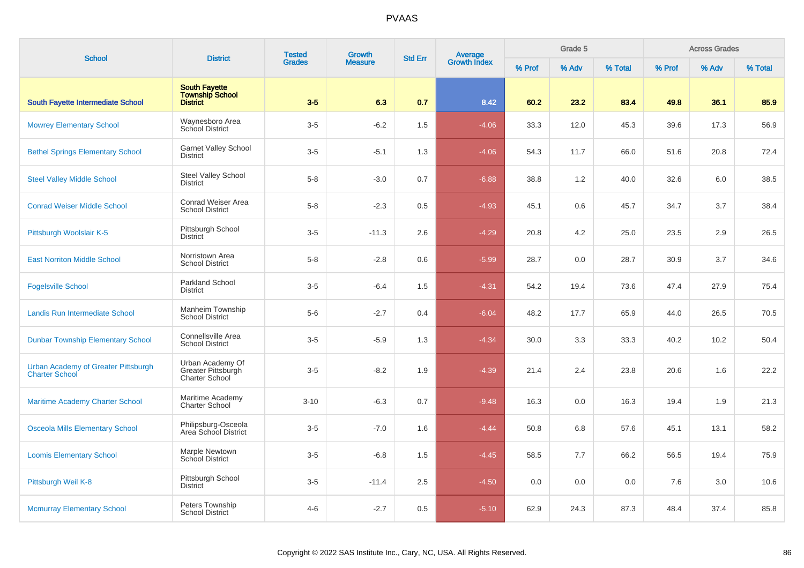| <b>School</b>                                                | <b>District</b>                                                   | <b>Tested</b> | <b>Growth</b>  | <b>Std Err</b> | Average<br>Growth Index |        | Grade 5 |         | <b>Across Grades</b> |       |         |  |
|--------------------------------------------------------------|-------------------------------------------------------------------|---------------|----------------|----------------|-------------------------|--------|---------|---------|----------------------|-------|---------|--|
|                                                              |                                                                   | <b>Grades</b> | <b>Measure</b> |                |                         | % Prof | % Adv   | % Total | % Prof               | % Adv | % Total |  |
| <b>South Fayette Intermediate School</b>                     | <b>South Fayette</b><br><b>Township School</b><br><b>District</b> | $3-5$         | 6.3            | 0.7            | 8.42                    | 60.2   | 23.2    | 83.4    | 49.8                 | 36.1  | 85.9    |  |
| <b>Mowrey Elementary School</b>                              | Waynesboro Area<br>School District                                | $3-5$         | $-6.2$         | 1.5            | $-4.06$                 | 33.3   | 12.0    | 45.3    | 39.6                 | 17.3  | 56.9    |  |
| <b>Bethel Springs Elementary School</b>                      | <b>Garnet Valley School</b><br><b>District</b>                    | $3-5$         | $-5.1$         | 1.3            | $-4.06$                 | 54.3   | 11.7    | 66.0    | 51.6                 | 20.8  | 72.4    |  |
| <b>Steel Valley Middle School</b>                            | <b>Steel Valley School</b><br><b>District</b>                     | $5 - 8$       | $-3.0$         | 0.7            | $-6.88$                 | 38.8   | 1.2     | 40.0    | 32.6                 | 6.0   | 38.5    |  |
| <b>Conrad Weiser Middle School</b>                           | Conrad Weiser Area<br><b>School District</b>                      | $5 - 8$       | $-2.3$         | 0.5            | $-4.93$                 | 45.1   | 0.6     | 45.7    | 34.7                 | 3.7   | 38.4    |  |
| Pittsburgh Woolslair K-5                                     | Pittsburgh School<br><b>District</b>                              | $3-5$         | $-11.3$        | 2.6            | $-4.29$                 | 20.8   | 4.2     | 25.0    | 23.5                 | 2.9   | 26.5    |  |
| <b>East Norriton Middle School</b>                           | Norristown Area<br><b>School District</b>                         | $5 - 8$       | $-2.8$         | 0.6            | $-5.99$                 | 28.7   | 0.0     | 28.7    | 30.9                 | 3.7   | 34.6    |  |
| <b>Fogelsville School</b>                                    | Parkland School<br><b>District</b>                                | $3-5$         | $-6.4$         | 1.5            | $-4.31$                 | 54.2   | 19.4    | 73.6    | 47.4                 | 27.9  | 75.4    |  |
| Landis Run Intermediate School                               | Manheim Township<br><b>School District</b>                        | $5-6$         | $-2.7$         | 0.4            | $-6.04$                 | 48.2   | 17.7    | 65.9    | 44.0                 | 26.5  | 70.5    |  |
| <b>Dunbar Township Elementary School</b>                     | Connellsville Area<br><b>School District</b>                      | $3-5$         | $-5.9$         | 1.3            | $-4.34$                 | 30.0   | 3.3     | 33.3    | 40.2                 | 10.2  | 50.4    |  |
| Urban Academy of Greater Pittsburgh<br><b>Charter School</b> | Urban Academy Of<br>Greater Pittsburgh<br><b>Charter School</b>   | $3-5$         | $-8.2$         | 1.9            | $-4.39$                 | 21.4   | 2.4     | 23.8    | 20.6                 | 1.6   | 22.2    |  |
| <b>Maritime Academy Charter School</b>                       | Maritime Academy<br><b>Charter School</b>                         | $3 - 10$      | $-6.3$         | 0.7            | $-9.48$                 | 16.3   | 0.0     | 16.3    | 19.4                 | 1.9   | 21.3    |  |
| <b>Osceola Mills Elementary School</b>                       | Philipsburg-Osceola<br>Area School District                       | $3-5$         | $-7.0$         | 1.6            | $-4.44$                 | 50.8   | 6.8     | 57.6    | 45.1                 | 13.1  | 58.2    |  |
| <b>Loomis Elementary School</b>                              | Marple Newtown<br><b>School District</b>                          | $3-5$         | $-6.8$         | 1.5            | $-4.45$                 | 58.5   | 7.7     | 66.2    | 56.5                 | 19.4  | 75.9    |  |
| Pittsburgh Weil K-8                                          | Pittsburgh School<br><b>District</b>                              | $3-5$         | $-11.4$        | 2.5            | $-4.50$                 | 0.0    | 0.0     | 0.0     | 7.6                  | 3.0   | 10.6    |  |
| <b>Mcmurray Elementary School</b>                            | Peters Township<br><b>School District</b>                         | $4 - 6$       | $-2.7$         | 0.5            | $-5.10$                 | 62.9   | 24.3    | 87.3    | 48.4                 | 37.4  | 85.8    |  |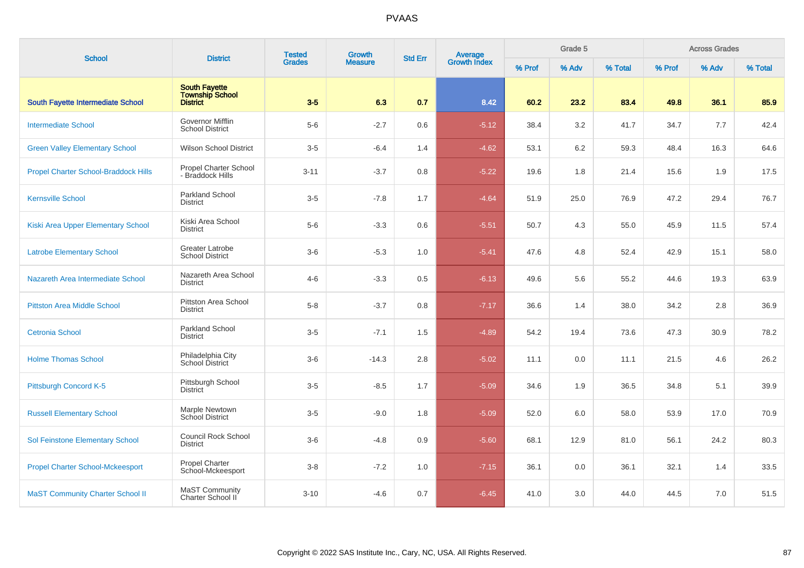| <b>School</b>                               | <b>District</b>                                     | <b>Tested</b> | Growth         | <b>Std Err</b> | <b>Average</b><br>Growth Index | Grade 5 |       |         | <b>Across Grades</b> |       |         |  |  |
|---------------------------------------------|-----------------------------------------------------|---------------|----------------|----------------|--------------------------------|---------|-------|---------|----------------------|-------|---------|--|--|
|                                             |                                                     | <b>Grades</b> | <b>Measure</b> |                |                                | % Prof  | % Adv | % Total | % Prof               | % Adv | % Total |  |  |
| South Fayette Intermediate School           | <b>South Fayette</b><br>Township School<br>District | $3-5$         | 6.3            | 0.7            | 8.42                           | 60.2    | 23.2  | 83.4    | 49.8                 | 36.1  | 85.9    |  |  |
| <b>Intermediate School</b>                  | Governor Mifflin<br><b>School District</b>          | $5-6$         | $-2.7$         | 0.6            | $-5.12$                        | 38.4    | 3.2   | 41.7    | 34.7                 | 7.7   | 42.4    |  |  |
| <b>Green Valley Elementary School</b>       | <b>Wilson School District</b>                       | $3-5$         | $-6.4$         | 1.4            | $-4.62$                        | 53.1    | 6.2   | 59.3    | 48.4                 | 16.3  | 64.6    |  |  |
| <b>Propel Charter School-Braddock Hills</b> | Propel Charter School<br>- Braddock Hills           | $3 - 11$      | $-3.7$         | 0.8            | $-5.22$                        | 19.6    | 1.8   | 21.4    | 15.6                 | 1.9   | 17.5    |  |  |
| <b>Kernsville School</b>                    | Parkland School<br><b>District</b>                  | $3-5$         | $-7.8$         | 1.7            | $-4.64$                        | 51.9    | 25.0  | 76.9    | 47.2                 | 29.4  | 76.7    |  |  |
| Kiski Area Upper Elementary School          | Kiski Area School<br><b>District</b>                | $5-6$         | $-3.3$         | 0.6            | $-5.51$                        | 50.7    | 4.3   | 55.0    | 45.9                 | 11.5  | 57.4    |  |  |
| <b>Latrobe Elementary School</b>            | Greater Latrobe<br><b>School District</b>           | $3-6$         | $-5.3$         | 1.0            | $-5.41$                        | 47.6    | 4.8   | 52.4    | 42.9                 | 15.1  | 58.0    |  |  |
| Nazareth Area Intermediate School           | Nazareth Area School<br><b>District</b>             | $4 - 6$       | $-3.3$         | 0.5            | $-6.13$                        | 49.6    | 5.6   | 55.2    | 44.6                 | 19.3  | 63.9    |  |  |
| <b>Pittston Area Middle School</b>          | Pittston Area School<br><b>District</b>             | $5-8$         | $-3.7$         | 0.8            | $-7.17$                        | 36.6    | 1.4   | 38.0    | 34.2                 | 2.8   | 36.9    |  |  |
| <b>Cetronia School</b>                      | <b>Parkland School</b><br><b>District</b>           | $3-5$         | $-7.1$         | 1.5            | $-4.89$                        | 54.2    | 19.4  | 73.6    | 47.3                 | 30.9  | 78.2    |  |  |
| <b>Holme Thomas School</b>                  | Philadelphia City<br>School District                | $3-6$         | $-14.3$        | 2.8            | $-5.02$                        | 11.1    | 0.0   | 11.1    | 21.5                 | 4.6   | 26.2    |  |  |
| Pittsburgh Concord K-5                      | Pittsburgh School<br><b>District</b>                | $3-5$         | $-8.5$         | 1.7            | $-5.09$                        | 34.6    | 1.9   | 36.5    | 34.8                 | 5.1   | 39.9    |  |  |
| <b>Russell Elementary School</b>            | Marple Newtown<br>School District                   | $3-5$         | $-9.0$         | 1.8            | $-5.09$                        | 52.0    | 6.0   | 58.0    | 53.9                 | 17.0  | 70.9    |  |  |
| <b>Sol Feinstone Elementary School</b>      | Council Rock School<br><b>District</b>              | $3-6$         | $-4.8$         | 0.9            | $-5.60$                        | 68.1    | 12.9  | 81.0    | 56.1                 | 24.2  | 80.3    |  |  |
| <b>Propel Charter School-Mckeesport</b>     | <b>Propel Charter</b><br>School-Mckeesport          | $3 - 8$       | $-7.2$         | 1.0            | $-7.15$                        | 36.1    | 0.0   | 36.1    | 32.1                 | 1.4   | 33.5    |  |  |
| <b>MaST Community Charter School II</b>     | <b>MaST Community</b><br>Charter School II          | $3 - 10$      | $-4.6$         | 0.7            | $-6.45$                        | 41.0    | 3.0   | 44.0    | 44.5                 | 7.0   | 51.5    |  |  |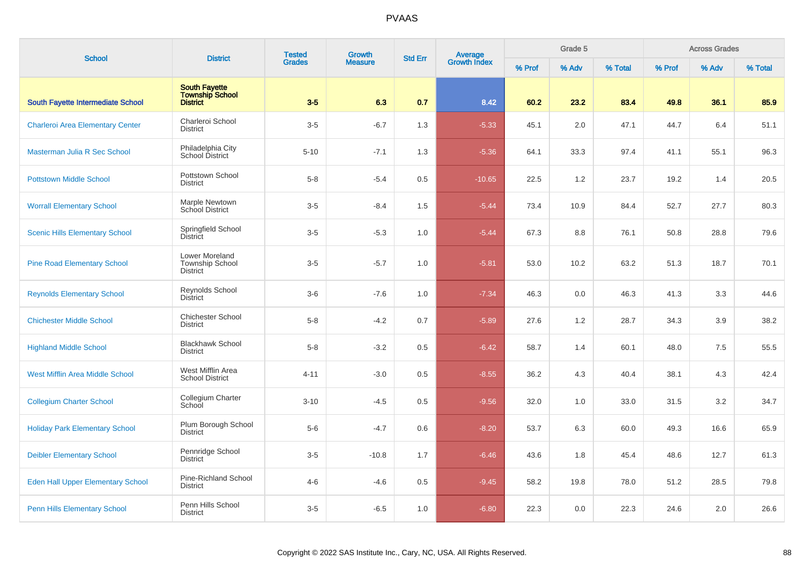| <b>School</b>                            | <b>District</b>                                             | <b>Tested</b> | <b>Growth</b>  | <b>Std Err</b> | Average<br>Growth Index |        | Grade 5 |         |        |       | <b>Across Grades</b> |  |  |
|------------------------------------------|-------------------------------------------------------------|---------------|----------------|----------------|-------------------------|--------|---------|---------|--------|-------|----------------------|--|--|
|                                          |                                                             | <b>Grades</b> | <b>Measure</b> |                |                         | % Prof | % Adv   | % Total | % Prof | % Adv | % Total              |  |  |
| South Fayette Intermediate School        | <b>South Fayette</b><br><b>Township School</b><br>District  | $3-5$         | 6.3            | 0.7            | 8.42                    | 60.2   | 23.2    | 83.4    | 49.8   | 36.1  | 85.9                 |  |  |
| <b>Charleroi Area Elementary Center</b>  | Charleroi School<br><b>District</b>                         | $3-5$         | $-6.7$         | 1.3            | $-5.33$                 | 45.1   | 2.0     | 47.1    | 44.7   | 6.4   | 51.1                 |  |  |
| Masterman Julia R Sec School             | Philadelphia City<br>School District                        | $5 - 10$      | $-7.1$         | 1.3            | $-5.36$                 | 64.1   | 33.3    | 97.4    | 41.1   | 55.1  | 96.3                 |  |  |
| <b>Pottstown Middle School</b>           | Pottstown School<br><b>District</b>                         | $5 - 8$       | $-5.4$         | 0.5            | $-10.65$                | 22.5   | 1.2     | 23.7    | 19.2   | 1.4   | 20.5                 |  |  |
| <b>Worrall Elementary School</b>         | Marple Newtown<br>School District                           | $3-5$         | $-8.4$         | 1.5            | $-5.44$                 | 73.4   | 10.9    | 84.4    | 52.7   | 27.7  | 80.3                 |  |  |
| <b>Scenic Hills Elementary School</b>    | Springfield School<br><b>District</b>                       | $3-5$         | $-5.3$         | 1.0            | $-5.44$                 | 67.3   | 8.8     | 76.1    | 50.8   | 28.8  | 79.6                 |  |  |
| <b>Pine Road Elementary School</b>       | Lower Moreland<br><b>Township School</b><br><b>District</b> | $3-5$         | $-5.7$         | 1.0            | $-5.81$                 | 53.0   | 10.2    | 63.2    | 51.3   | 18.7  | 70.1                 |  |  |
| <b>Reynolds Elementary School</b>        | Reynolds School<br><b>District</b>                          | $3-6$         | $-7.6$         | 1.0            | $-7.34$                 | 46.3   | 0.0     | 46.3    | 41.3   | 3.3   | 44.6                 |  |  |
| <b>Chichester Middle School</b>          | Chichester School<br><b>District</b>                        | $5 - 8$       | $-4.2$         | 0.7            | $-5.89$                 | 27.6   | 1.2     | 28.7    | 34.3   | 3.9   | 38.2                 |  |  |
| <b>Highland Middle School</b>            | <b>Blackhawk School</b><br><b>District</b>                  | $5 - 8$       | $-3.2$         | 0.5            | $-6.42$                 | 58.7   | 1.4     | 60.1    | 48.0   | 7.5   | 55.5                 |  |  |
| <b>West Mifflin Area Middle School</b>   | West Mifflin Area<br><b>School District</b>                 | $4 - 11$      | $-3.0$         | 0.5            | $-8.55$                 | 36.2   | 4.3     | 40.4    | 38.1   | 4.3   | 42.4                 |  |  |
| <b>Collegium Charter School</b>          | Collegium Charter<br>School                                 | $3 - 10$      | $-4.5$         | 0.5            | $-9.56$                 | 32.0   | 1.0     | 33.0    | 31.5   | 3.2   | 34.7                 |  |  |
| <b>Holiday Park Elementary School</b>    | Plum Borough School<br><b>District</b>                      | $5-6$         | $-4.7$         | 0.6            | $-8.20$                 | 53.7   | 6.3     | 60.0    | 49.3   | 16.6  | 65.9                 |  |  |
| <b>Deibler Elementary School</b>         | Pennridge School<br><b>District</b>                         | $3-5$         | $-10.8$        | 1.7            | $-6.46$                 | 43.6   | 1.8     | 45.4    | 48.6   | 12.7  | 61.3                 |  |  |
| <b>Eden Hall Upper Elementary School</b> | Pine-Richland School<br><b>District</b>                     | $4 - 6$       | $-4.6$         | 0.5            | $-9.45$                 | 58.2   | 19.8    | 78.0    | 51.2   | 28.5  | 79.8                 |  |  |
| <b>Penn Hills Elementary School</b>      | Penn Hills School<br><b>District</b>                        | $3-5$         | $-6.5$         | 1.0            | $-6.80$                 | 22.3   | 0.0     | 22.3    | 24.6   | 2.0   | 26.6                 |  |  |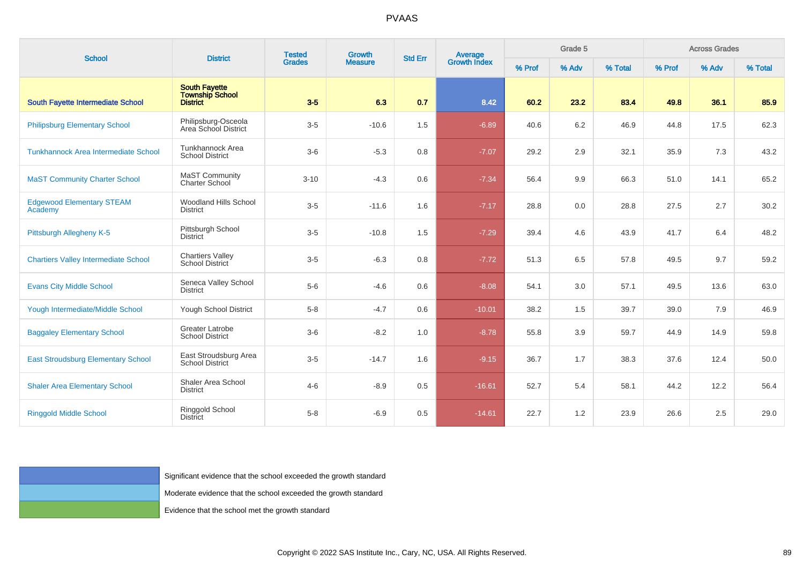| <b>School</b>                               | <b>District</b>                                                   | <b>Tested</b> | <b>Growth</b><br><b>Measure</b> | <b>Std Err</b> |                                |        | Grade 5 |         |        | <b>Across Grades</b> |         |
|---------------------------------------------|-------------------------------------------------------------------|---------------|---------------------------------|----------------|--------------------------------|--------|---------|---------|--------|----------------------|---------|
|                                             |                                                                   | Grades        |                                 |                | <b>Average</b><br>Growth Index | % Prof | % Adv   | % Total | % Prof | % Adv                | % Total |
| <b>South Fayette Intermediate School</b>    | <b>South Fayette</b><br><b>Township School</b><br>District        | $3-5$         | 6.3                             | 0.7            | 8.42                           | 60.2   | 23.2    | 83.4    | 49.8   | 36.1                 | 85.9    |
| <b>Philipsburg Elementary School</b>        | Philipsburg-Osceola<br>Area School District                       | $3-5$         | $-10.6$                         | 1.5            | $-6.89$                        | 40.6   | 6.2     | 46.9    | 44.8   | 17.5                 | 62.3    |
| <b>Tunkhannock Area Intermediate School</b> | Tunkhannock Area<br><b>School District</b>                        | $3-6$         | $-5.3$                          | 0.8            | $-7.07$                        | 29.2   | 2.9     | 32.1    | 35.9   | 7.3                  | 43.2    |
| <b>MaST Community Charter School</b>        | MaST Community<br><b>Charter School</b>                           | $3 - 10$      | $-4.3$                          | 0.6            | $-7.34$                        | 56.4   | 9.9     | 66.3    | 51.0   | 14.1                 | 65.2    |
| <b>Edgewood Elementary STEAM</b><br>Academy | <b>Woodland Hills School</b><br><b>District</b>                   | $3-5$         | $-11.6$                         | 1.6            | $-7.17$                        | 28.8   | 0.0     | 28.8    | 27.5   | 2.7                  | 30.2    |
| Pittsburgh Allegheny K-5                    | Pittsburgh School<br><b>District</b>                              | $3-5$         | $-10.8$                         | 1.5            | $-7.29$                        | 39.4   | 4.6     | 43.9    | 41.7   | 6.4                  | 48.2    |
| <b>Chartiers Valley Intermediate School</b> | <b>Chartiers Valley</b><br>School District                        | $3-5$         | $-6.3$                          | 0.8            | $-7.72$                        | 51.3   | 6.5     | 57.8    | 49.5   | 9.7                  | 59.2    |
| <b>Evans City Middle School</b>             | Seneca Valley School<br><b>District</b>                           | $5-6$         | $-4.6$                          | 0.6            | $-8.08$                        | 54.1   | 3.0     | 57.1    | 49.5   | 13.6                 | 63.0    |
| Yough Intermediate/Middle School            | Yough School District                                             | $5 - 8$       | $-4.7$                          | 0.6            | $-10.01$                       | 38.2   | 1.5     | 39.7    | 39.0   | 7.9                  | 46.9    |
| <b>Baggaley Elementary School</b>           | Greater Latrobe<br><b>School District</b>                         | $3-6$         | $-8.2$                          | 1.0            | $-8.78$                        | 55.8   | 3.9     | 59.7    | 44.9   | 14.9                 | 59.8    |
| <b>East Stroudsburg Elementary School</b>   | East Stroudsburg Area<br><b>School District</b>                   | $3-5$         | $-14.7$                         | 1.6            | $-9.15$                        | 36.7   | 1.7     | 38.3    | 37.6   | 12.4                 | 50.0    |
| <b>Shaler Area Elementary School</b>        | Shaler Area School<br><b>District</b>                             | $4 - 6$       | $-8.9$                          | 0.5            | $-16.61$                       | 52.7   | 5.4     | 58.1    | 44.2   | 12.2                 | 56.4    |
| <b>Ringgold Middle School</b>               | Ringgold School<br><b>District</b>                                | $5 - 8$       | $-6.9$                          | $0.5\,$        | $-14.61$                       | 22.7   | 1.2     | 23.9    | 26.6   | 2.5                  | 29.0    |
|                                             |                                                                   |               |                                 |                |                                |        |         |         |        |                      |         |
|                                             | Significant evidence that the school exceeded the growth standard |               |                                 |                |                                |        |         |         |        |                      |         |
|                                             | Moderate evidence that the school exceeded the growth standard    |               |                                 |                |                                |        |         |         |        |                      |         |
|                                             | Evidence that the school met the growth standard                  |               |                                 |                |                                |        |         |         |        |                      |         |